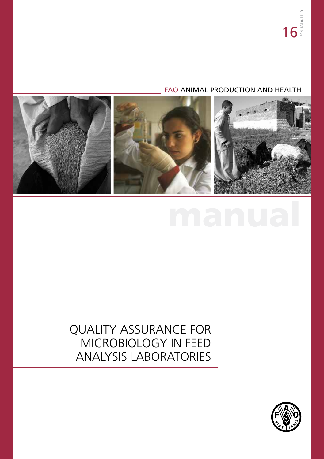# FAO ANIMAL PRODUCTION AND HEALTH



# QUALITY ASSURANCE FOR MICROBIOLOGY IN FEED ANALYSIS LABORATORIES

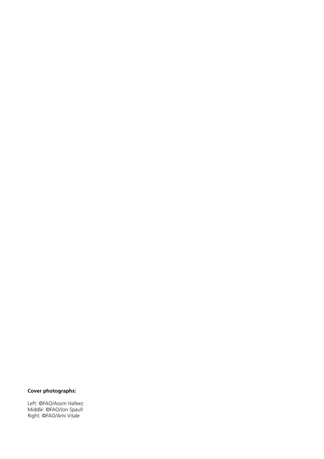# **Cover photographs:**

Left: ©FAO/Assim Hafeez Middle: ©FAO/Jon Spaull Right: ©FAO/Ami Vitale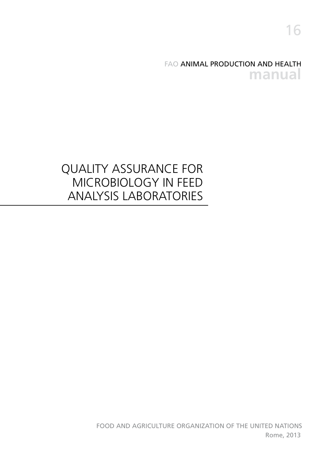FAO ANIMAL PRODUCTION AND HEALTH **manual**

# QUALITY ASSURANCE FOR MICROBIOLOGY IN FEED ANALYSIS LABORATORIES

FOOD AND AGRICULTURE ORGANIZATION OF THE UNITED NATIONS Rome, 2013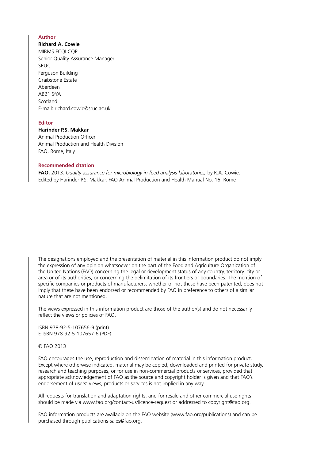# **Author**

#### **Richard A. Cowie**

MIBMS FCQI CQP Senior Quality Assurance Manager SRUC Ferguson Building Craibstone Estate Aberdeen AB21 9YA **Scotland** E-mail: richard.cowie@sruc.ac.uk

### **Editor**

### **Harinder P.S. Makkar**

Animal Production Officer Animal Production and Health Division FAO, Rome, Italy

### **Recommended citation**

**FAO.** 2013. *Quality assurance for microbiology in feed analysis laboratories,* by R.A. Cowie. Edited by Harinder P.S. Makkar. FAO Animal Production and Health Manual No. 16. Rome

The designations employed and the presentation of material in this information product do not imply the expression of any opinion whatsoever on the part of the Food and Agriculture Organization of the United Nations (FAO) concerning the legal or development status of any country, territory, city or area or of its authorities, or concerning the delimitation of its frontiers or boundaries. The mention of specific companies or products of manufacturers, whether or not these have been patented, does not imply that these have been endorsed or recommended by FAO in preference to others of a similar nature that are not mentioned.

The views expressed in this information product are those of the author(s) and do not necessarily reflect the views or policies of FAO.

ISBN 978-92-5-107656-9 (print) E-ISBN 978-92-5-107657-6 (PDF)

### © FAO 2013

FAO encourages the use, reproduction and dissemination of material in this information product. Except where otherwise indicated, material may be copied, downloaded and printed for private study, research and teaching purposes, or for use in non-commercial products or services, provided that appropriate acknowledgement of FAO as the source and copyright holder is given and that FAO's endorsement of users' views, products or services is not implied in any way.

All requests for translation and adaptation rights, and for resale and other commercial use rights should be made via www.fao.org/contact-us/licence-request or addressed to copyright@fao.org.

FAO information products are available on the FAO website (www.fao.org/publications) and can be purchased through publications-sales@fao.org.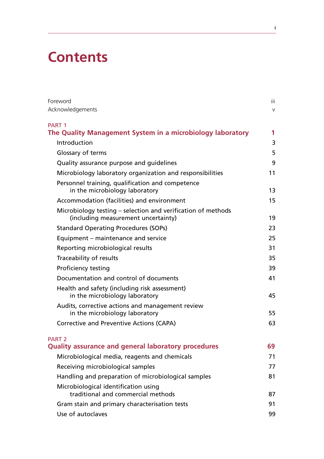# **Contents**

| Foreword                                                                                            |        |
|-----------------------------------------------------------------------------------------------------|--------|
| Acknowledgements                                                                                    | $\vee$ |
| PART <sub>1</sub>                                                                                   |        |
| The Quality Management System in a microbiology laboratory                                          | 1      |
| Introduction                                                                                        | 3      |
| Glossary of terms                                                                                   | 5      |
| Quality assurance purpose and guidelines                                                            | 9      |
| Microbiology laboratory organization and responsibilities                                           | 11     |
| Personnel training, qualification and competence<br>in the microbiology laboratory                  | 13     |
| Accommodation (facilities) and environment                                                          | 15     |
| Microbiology testing - selection and verification of methods<br>(including measurement uncertainty) | 19     |
| <b>Standard Operating Procedures (SOPs)</b>                                                         | 23     |
| Equipment - maintenance and service                                                                 | 25     |
| Reporting microbiological results                                                                   | 31     |
| Traceability of results                                                                             | 35     |
| Proficiency testing                                                                                 | 39     |
| Documentation and control of documents                                                              | 41     |
| Health and safety (including risk assessment)<br>in the microbiology laboratory                     | 45     |
| Audits, corrective actions and management review<br>in the microbiology laboratory                  | 55     |
| Corrective and Preventive Actions (CAPA)                                                            | 63     |
| PART <sub>2</sub>                                                                                   |        |
| <b>Quality assurance and general laboratory procedures</b>                                          | 69     |
| Microbiological media, reagents and chemicals                                                       | 71     |
| Receiving microbiological samples                                                                   | 77     |
| Handling and preparation of microbiological samples                                                 | 81     |
| Microbiological identification using                                                                |        |
| traditional and commercial methods                                                                  | 87     |
| Gram stain and primary characterisation tests                                                       | 91     |
| Use of autoclaves                                                                                   | 99     |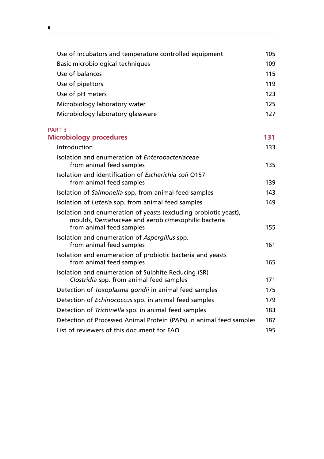| Use of incubators and temperature controlled equipment                                                                                              | 105 |
|-----------------------------------------------------------------------------------------------------------------------------------------------------|-----|
| Basic microbiological techniques                                                                                                                    | 109 |
| Use of balances                                                                                                                                     | 115 |
| Use of pipettors                                                                                                                                    | 119 |
| Use of pH meters                                                                                                                                    | 123 |
| Microbiology laboratory water                                                                                                                       | 125 |
| Microbiology laboratory glassware                                                                                                                   | 127 |
| <b>PART 3</b>                                                                                                                                       |     |
| <b>Microbiology procedures</b>                                                                                                                      | 131 |
| Introduction                                                                                                                                        | 133 |
| Isolation and enumeration of Enterobacteriaceae<br>from animal feed samples                                                                         | 135 |
| Isolation and identification of Escherichia coli 0157<br>from animal feed samples                                                                   | 139 |
| Isolation of Salmonella spp. from animal feed samples                                                                                               | 143 |
| Isolation of Listeria spp. from animal feed samples                                                                                                 | 149 |
| Isolation and enumeration of yeasts (excluding probiotic yeast),<br>moulds, Dematiaceae and aerobic/mesophilic bacteria<br>from animal feed samples | 155 |
| Isolation and enumeration of Aspergillus spp.                                                                                                       |     |
| from animal feed samples                                                                                                                            | 161 |
| Isolation and enumeration of probiotic bacteria and yeasts<br>from animal feed samples                                                              | 165 |
| Isolation and enumeration of Sulphite Reducing (SR)<br>Clostridia spp. from animal feed samples                                                     | 171 |
| Detection of Toxoplasma gondii in animal feed samples                                                                                               | 175 |
| Detection of Echinococcus spp. in animal feed samples                                                                                               | 179 |
| Detection of Trichinella spp. in animal feed samples                                                                                                | 183 |
| Detection of Processed Animal Protein (PAPs) in animal feed samples                                                                                 | 187 |
| List of reviewers of this document for FAO                                                                                                          | 195 |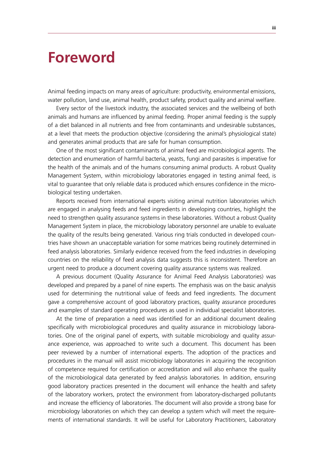# **Foreword**

Animal feeding impacts on many areas of agriculture: productivity, environmental emissions, water pollution, land use, animal health, product safety, product quality and animal welfare.

Every sector of the livestock industry, the associated services and the wellbeing of both animals and humans are influenced by animal feeding. Proper animal feeding is the supply of a diet balanced in all nutrients and free from contaminants and undesirable substances, at a level that meets the production objective (considering the animal's physiological state) and generates animal products that are safe for human consumption.

One of the most significant contaminants of animal feed are microbiological agents. The detection and enumeration of harmful bacteria, yeasts, fungi and parasites is imperative for the health of the animals and of the humans consuming animal products. A robust Quality Management System, within microbiology laboratories engaged in testing animal feed, is vital to guarantee that only reliable data is produced which ensures confidence in the microbiological testing undertaken.

Reports received from international experts visiting animal nutrition laboratories which are engaged in analysing feeds and feed ingredients in developing countries, highlight the need to strengthen quality assurance systems in these laboratories. Without a robust Quality Management System in place, the microbiology laboratory personnel are unable to evaluate the quality of the results being generated. Various ring trials conducted in developed countries have shown an unacceptable variation for some matrices being routinely determined in feed analysis laboratories. Similarly evidence received from the feed industries in developing countries on the reliability of feed analysis data suggests this is inconsistent. Therefore an urgent need to produce a document covering quality assurance systems was realized.

A previous document (Quality Assurance for Animal Feed Analysis Laboratories) was developed and prepared by a panel of nine experts. The emphasis was on the basic analysis used for determining the nutritional value of feeds and feed ingredients. The document gave a comprehensive account of good laboratory practices, quality assurance procedures and examples of standard operating procedures as used in individual specialist laboratories.

At the time of preparation a need was identified for an additional document dealing specifically with microbiological procedures and quality assurance in microbiology laboratories. One of the original panel of experts, with suitable microbiology and quality assurance experience, was approached to write such a document. This document has been peer reviewed by a number of international experts. The adoption of the practices and procedures in the manual will assist microbiology laboratories in acquiring the recognition of competence required for certification or accreditation and will also enhance the quality of the microbiological data generated by feed analysis laboratories. In addition, ensuring good laboratory practices presented in the document will enhance the health and safety of the laboratory workers, protect the environment from laboratory-discharged pollutants and increase the efficiency of laboratories. The document will also provide a strong base for microbiology laboratories on which they can develop a system which will meet the requirements of international standards. It will be useful for Laboratory Practitioners, Laboratory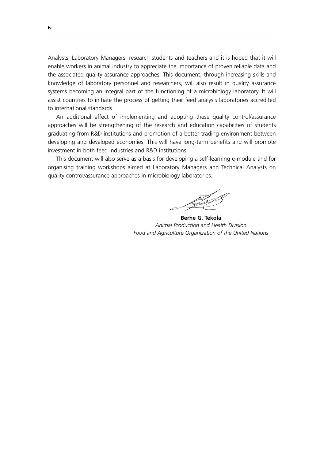Analysts, Laboratory Managers, research students and teachers and it is hoped that it will enable workers in animal industry to appreciate the importance of proven reliable data and the associated quality assurance approaches. This document, through increasing skills and knowledge of laboratory personnel and researchers, will also result in quality assurance systems becoming an integral part of the functioning of a microbiology laboratory. It will assist countries to initiate the process of getting their feed analysis laboratories accredited to international standards.

An additional effect of implementing and adopting these quality control/assurance approaches will be strengthening of the research and education capabilities of students graduating from R&D institutions and promotion of a better trading environment between developing and developed economies. This will have long-term benefits and will promote investment in both feed industries and R&D institutions.

This document will also serve as a basis for developing a self-learning e-module and for organising training workshops aimed at Laboratory Managers and Technical Analysts on quality control/assurance approaches in microbiology laboratories.

**Berhe G. Tekola** *Animal Production and Health Division Food and Agriculture Organization of the United Nations*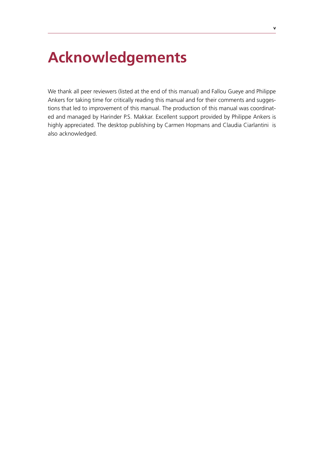# **Acknowledgements**

We thank all peer reviewers (listed at the end of this manual) and Fallou Gueye and Philippe Ankers for taking time for critically reading this manual and for their comments and suggestions that led to improvement of this manual. The production of this manual was coordinated and managed by Harinder P.S. Makkar. Excellent support provided by Philippe Ankers is highly appreciated. The desktop publishing by Carmen Hopmans and Claudia Ciarlantini is also acknowledged.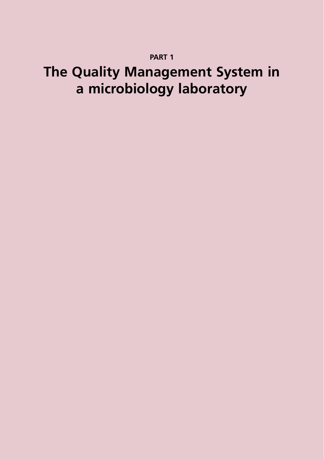# **Part 1**

# **The Quality Management System in a microbiology laboratory**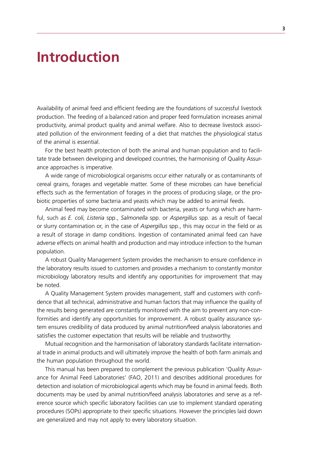# **Introduction**

Availability of animal feed and efficient feeding are the foundations of successful livestock production. The feeding of a balanced ration and proper feed formulation increases animal productivity, animal product quality and animal welfare. Also to decrease livestock associated pollution of the environment feeding of a diet that matches the physiological status of the animal is essential.

For the best health protection of both the animal and human population and to facilitate trade between developing and developed countries, the harmonising of Quality Assurance approaches is imperative.

A wide range of microbiological organisms occur either naturally or as contaminants of cereal grains, forages and vegetable matter. Some of these microbes can have beneficial effects such as the fermentation of forages in the process of producing silage, or the probiotic properties of some bacteria and yeasts which may be added to animal feeds.

Animal feed may become contaminated with bacteria, yeasts or fungi which are harmful, such *as E. coli, Listeria* spp., *Salmonella* spp. or *Aspergillus* spp. as a result of faecal or slurry contamination or, in the case of *Aspergillus* spp., this may occur in the field or as a result of storage in damp conditions. Ingestion of contaminated animal feed can have adverse effects on animal health and production and may introduce infection to the human population.

A robust Quality Management System provides the mechanism to ensure confidence in the laboratory results issued to customers and provides a mechanism to constantly monitor microbiology laboratory results and identify any opportunities for improvement that may be noted.

A Quality Management System provides management, staff and customers with confidence that all technical, administrative and human factors that may influence the quality of the results being generated are constantly monitored with the aim to prevent any non-conformities and identify any opportunities for improvement. A robust quality assurance system ensures credibility of data produced by animal nutrition/feed analysis laboratories and satisfies the customer expectation that results will be reliable and trustworthy.

Mutual recognition and the harmonisation of laboratory standards facilitate international trade in animal products and will ultimately improve the health of both farm animals and the human population throughout the world.

This manual has been prepared to complement the previous publication 'Quality Assurance for Animal Feed Laboratories' (FAO, 2011) and describes additional procedures for detection and isolation of microbiological agents which may be found in animal feeds. Both documents may be used by animal nutrition/feed analysis laboratories and serve as a reference source which specific laboratory facilities can use to implement standard operating procedures (SOPs) appropriate to their specific situations. However the principles laid down are generalized and may not apply to every laboratory situation.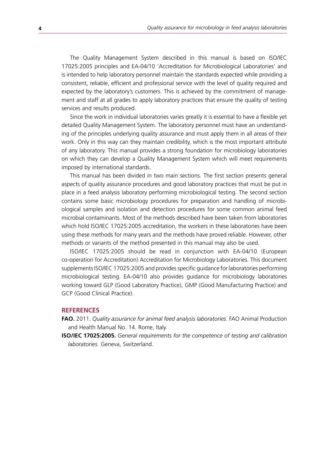The Quality Management System described in this manual is based on ISO/IEC 17025:2005 principles and EA-04/10 'Accreditation for Microbiological Laboratories' and is intended to help laboratory personnel maintain the standards expected while providing a consistent, reliable, efficient and professional service with the level of quality required and expected by the laboratory's customers. This is achieved by the commitment of management and staff at all grades to apply laboratory practices that ensure the quality of testing services and results produced.

Since the work in individual laboratories varies greatly it is essential to have a flexible yet detailed Quality Management System. The laboratory personnel must have an understanding of the principles underlying quality assurance and must apply them in all areas of their work. Only in this way can they maintain credibility, which is the most important attribute of any laboratory. This manual provides a strong foundation for microbiology laboratories on which they can develop a Quality Management System which will meet requirements imposed by international standards.

This manual has been divided in two main sections. The first section presents general aspects of quality assurance procedures and good laboratory practices that must be put in place in a feed analysis laboratory performing microbiological testing. The second section contains some basic microbiology procedures for preparation and handling of microbiological samples and isolation and detection procedures for some common animal feed microbial contaminants. Most of the methods described have been taken from laboratories which hold ISO/IEC 17025:2005 accreditation, the workers in these laboratories have been using these methods for many years and the methods have proved reliable. However, other methods or variants of the method presented in this manual may also be used.

ISO/IEC 17025:2005 should be read in conjunction with EA-04/10 (European co-operation for Accreditation) Accreditation for Microbiology Laboratories. This document supplements ISO/IEC 17025:2005 and provides specific guidance for laboratories performing microbiological testing. EA-04/10 also provides guidance for microbiology laboratories working toward GLP (Good Laboratory Practice), GMP (Good Manufacturing Practice) and GCP (Good Clinical Practice).

### **References**

- **FAO.** 2011. *Quality assurance for animal feed analysis laboratories*. FAO Animal Production and Health Manual No. 14. Rome, Italy.
- **ISO/IEC 17025:2005.** *General requirements for the competence of testing and calibration laboratories*. Geneva, Switzerland.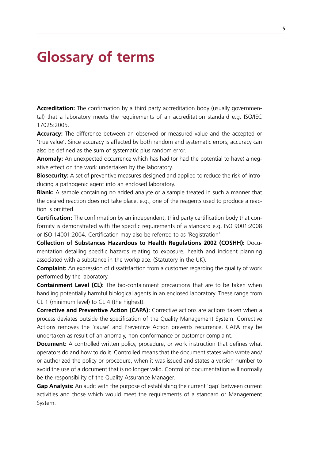# **Glossary of terms**

**Accreditation:** The confirmation by a third party accreditation body (usually governmental) that a laboratory meets the requirements of an accreditation standard e.g. ISO/IEC 17025:2005.

**Accuracy:** The difference between an observed or measured value and the accepted or 'true value'. Since accuracy is affected by both random and systematic errors, accuracy can also be defined as the sum of systematic plus random error.

**Anomaly:** An unexpected occurrence which has had (or had the potential to have) a negative effect on the work undertaken by the laboratory.

**Biosecurity:** A set of preventive measures designed and applied to reduce the risk of introducing a pathogenic agent into an enclosed laboratory.

**Blank:** A sample containing no added analyte or a sample treated in such a manner that the desired reaction does not take place, e.g., one of the reagents used to produce a reaction is omitted.

**Certification:** The confirmation by an independent, third party certification body that conformity is demonstrated with the specific requirements of a standard e.g. ISO 9001:2008 or ISO 14001:2004. Certification may also be referred to as 'Registration'.

**Collection of Substances Hazardous to Health Regulations 2002 (COSHH):** Documentation detailing specific hazards relating to exposure, health and incident planning associated with a substance in the workplace. (Statutory in the UK).

**Complaint:** An expression of dissatisfaction from a customer regarding the quality of work performed by the laboratory.

**Containment Level (CL):** The bio-containment precautions that are to be taken when handling potentially harmful biological agents in an enclosed laboratory. These range from CL 1 (minimum level) to CL 4 (the highest).

**Corrective and Preventive Action (CAPA):** Corrective actions are actions taken when a process deviates outside the specification of the Quality Management System. Corrective Actions removes the 'cause' and Preventive Action prevents recurrence. CAPA may be undertaken as result of an anomaly, non-conformance or customer complaint.

**Document:** A controlled written policy, procedure, or work instruction that defines what operators do and how to do it. Controlled means that the document states who wrote and/ or authorized the policy or procedure, when it was issued and states a version number to avoid the use of a document that is no longer valid. Control of documentation will normally be the responsibility of the Quality Assurance Manager.

**Gap Analysis:** An audit with the purpose of establishing the current 'gap' between current activities and those which would meet the requirements of a standard or Management System.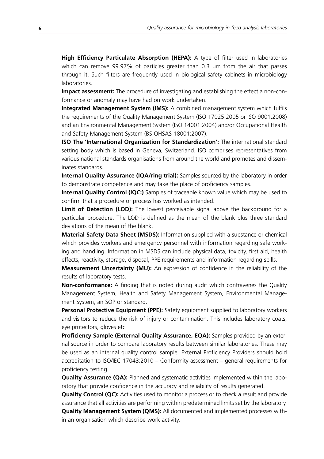**High Efficiency Particulate Absorption (HEPA):** A type of filter used in laboratories which can remove 99.97% of particles greater than 0.3 µm from the air that passes through it. Such filters are frequently used in biological safety cabinets in microbiology laboratories.

**Impact assessment:** The procedure of investigating and establishing the effect a non-conformance or anomaly may have had on work undertaken.

**Integrated Management System (IMS):** A combined management system which fulfils the requirements of the Quality Management System (ISO 17025:2005 or ISO 9001:2008) and an Environmental Management System (ISO 14001:2004) and/or Occupational Health and Safety Management System (BS OHSAS 18001:2007).

**ISO The 'International Organization for Standardization':** The international standard setting body which is based in Geneva, Switzerland. ISO comprises representatives from various national standards organisations from around the world and promotes and disseminates standards.

**Internal Quality Assurance (IQA/ring trial):** Samples sourced by the laboratory in order to demonstrate competence and may take the place of proficiency samples.

**Internal Quality Control (IQC:)** Samples of traceable known value which may be used to confirm that a procedure or process has worked as intended.

**Limit of Detection (LOD):** The lowest perceivable signal above the background for a particular procedure. The LOD is defined as the mean of the blank plus three standard deviations of the mean of the blank.

**Material Safety Data Sheet (MSDS):** Information supplied with a substance or chemical which provides workers and emergency personnel with information regarding safe working and handling. Information in MSDS can include physical data, toxicity, first aid, health effects, reactivity, storage, disposal, PPE requirements and information regarding spills.

**Measurement Uncertainty (MU):** An expression of confidence in the reliability of the results of laboratory tests.

**Non-conformance:** A finding that is noted during audit which contravenes the Quality Management System, Health and Safety Management System, Environmental Management System, an SOP or standard.

**Personal Protective Equipment (PPE):** Safety equipment supplied to laboratory workers and visitors to reduce the risk of injury or contamination. This includes laboratory coats, eye protectors, gloves etc.

**Proficiency Sample (External Quality Assurance, EQA):** Samples provided by an external source in order to compare laboratory results between similar laboratories. These may be used as an internal quality control sample. External Proficiency Providers should hold accreditation to ISO/IEC 17043:2010 – Conformity assessment – general requirements for proficiency testing.

**Quality Assurance (QA):** Planned and systematic activities implemented within the laboratory that provide confidence in the accuracy and reliability of results generated.

**Quality Control (QC):** Activities used to monitor a process or to check a result and provide assurance that all activities are performing within predetermined limits set by the laboratory. **Quality Management System (QMS):** All documented and implemented processes within an organisation which describe work activity.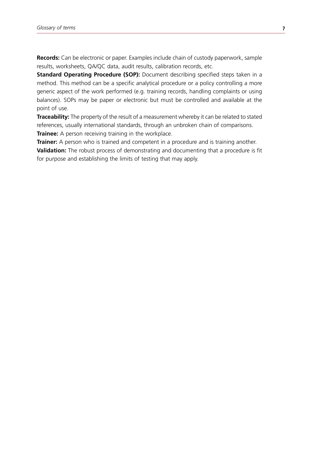**Records:** Can be electronic or paper. Examples include chain of custody paperwork, sample results, worksheets, QA/QC data, audit results, calibration records, etc.

**Standard Operating Procedure (SOP):** Document describing specified steps taken in a method. This method can be a specific analytical procedure or a policy controlling a more generic aspect of the work performed (e.g. training records, handling complaints or using balances). SOPs may be paper or electronic but must be controlled and available at the point of use.

**Traceability:** The property of the result of a measurement whereby it can be related to stated references, usually international standards, through an unbroken chain of comparisons. **Trainee:** A person receiving training in the workplace.

**Trainer:** A person who is trained and competent in a procedure and is training another.

**Validation:** The robust process of demonstrating and documenting that a procedure is fit for purpose and establishing the limits of testing that may apply.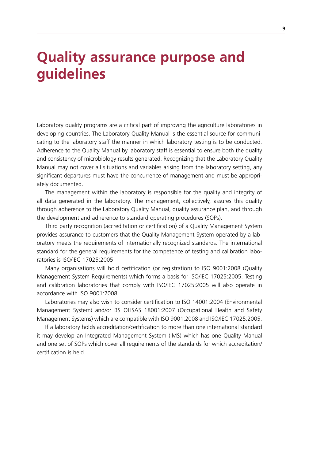# **Quality assurance purpose and guidelines**

Laboratory quality programs are a critical part of improving the agriculture laboratories in developing countries. The Laboratory Quality Manual is the essential source for communicating to the laboratory staff the manner in which laboratory testing is to be conducted. Adherence to the Quality Manual by laboratory staff is essential to ensure both the quality and consistency of microbiology results generated. Recognizing that the Laboratory Quality Manual may not cover all situations and variables arising from the laboratory setting, any significant departures must have the concurrence of management and must be appropriately documented.

The management within the laboratory is responsible for the quality and integrity of all data generated in the laboratory. The management, collectively, assures this quality through adherence to the Laboratory Quality Manual, quality assurance plan, and through the development and adherence to standard operating procedures (SOPs).

Third party recognition (accreditation or certification) of a Quality Management System provides assurance to customers that the Quality Management System operated by a laboratory meets the requirements of internationally recognized standards. The international standard for the general requirements for the competence of testing and calibration laboratories is ISO/IEC 17025:2005.

Many organisations will hold certification (or registration) to ISO 9001:2008 (Quality Management System Requirements) which forms a basis for ISO/IEC 17025:2005. Testing and calibration laboratories that comply with ISO/IEC 17025:2005 will also operate in accordance with ISO 9001:2008.

Laboratories may also wish to consider certification to ISO 14001:2004 (Environmental Management System) and/or BS OHSAS 18001:2007 (Occupational Health and Safety Management Systems) which are compatible with ISO 9001:2008 and ISO/IEC 17025:2005.

If a laboratory holds accreditation/certification to more than one international standard it may develop an Integrated Management System (IMS) which has one Quality Manual and one set of SOPs which cover all requirements of the standards for which accreditation/ certification is held.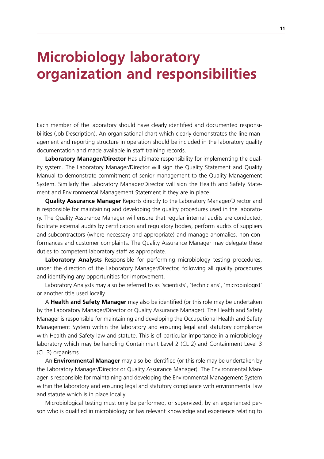# **Microbiology laboratory organization and responsibilities**

Each member of the laboratory should have clearly identified and documented responsibilities (Job Description). An organisational chart which clearly demonstrates the line management and reporting structure in operation should be included in the laboratory quality documentation and made available in staff training records.

**Laboratory Manager/Director** Has ultimate responsibility for implementing the quality system. The Laboratory Manager/Director will sign the Quality Statement and Quality Manual to demonstrate commitment of senior management to the Quality Management System. Similarly the Laboratory Manager/Director will sign the Health and Safety Statement and Environmental Management Statement if they are in place.

**Quality Assurance Manager** Reports directly to the Laboratory Manager/Director and is responsible for maintaining and developing the quality procedures used in the laboratory. The Quality Assurance Manager will ensure that regular internal audits are conducted, facilitate external audits by certification and regulatory bodies, perform audits of suppliers and subcontractors (where necessary and appropriate) and manage anomalies, non-conformances and customer complaints. The Quality Assurance Manager may delegate these duties to competent laboratory staff as appropriate.

**Laboratory Analysts** Responsible for performing microbiology testing procedures, under the direction of the Laboratory Manager/Director, following all quality procedures and identifying any opportunities for improvement.

Laboratory Analysts may also be referred to as 'scientists', 'technicians', 'microbiologist' or another title used locally.

A **Health and Safety Manager** may also be identified (or this role may be undertaken by the Laboratory Manager/Director or Quality Assurance Manager). The Health and Safety Manager is responsible for maintaining and developing the Occupational Health and Safety Management System within the laboratory and ensuring legal and statutory compliance with Health and Safety law and statute. This is of particular importance in a microbiology laboratory which may be handling Containment Level 2 (CL 2) and Containment Level 3 (CL 3) organisms.

An **Environmental Manager** may also be identified (or this role may be undertaken by the Laboratory Manager/Director or Quality Assurance Manager). The Environmental Manager is responsible for maintaining and developing the Environmental Management System within the laboratory and ensuring legal and statutory compliance with environmental law and statute which is in place locally.

Microbiological testing must only be performed, or supervized, by an experienced person who is qualified in microbiology or has relevant knowledge and experience relating to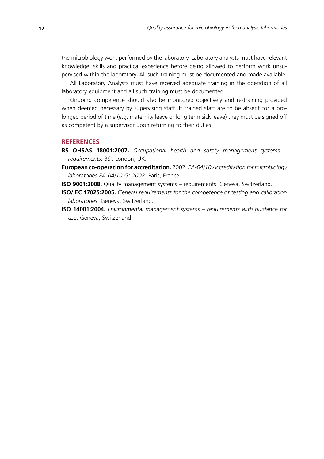the microbiology work performed by the laboratory. Laboratory analysts must have relevant knowledge, skills and practical experience before being allowed to perform work unsupervised within the laboratory. All such training must be documented and made available.

All Laboratory Analysts must have received adequate training in the operation of all laboratory equipment and all such training must be documented.

Ongoing competence should also be monitored objectively and re-training provided when deemed necessary by supervising staff. If trained staff are to be absent for a prolonged period of time (e.g. maternity leave or long term sick leave) they must be signed off as competent by a supervisor upon returning to their duties.

# **References**

- **BS OHSAS 18001:2007.** *Occupational health and safety management systems requirements*. BSI, London, UK.
- **European co-operation for accreditation.** 2002. *EA-04/10 Accreditation for microbiology laboratories EA-04/10 G: 2002*. Paris, France
- **ISO 9001:2008.** Quality management systems requirements. Geneva, Switzerland.
- **ISO/IEC 17025:2005.** *General requirements for the competence of testing and calibration laboratories*. Geneva, Switzerland.
- **ISO 14001:2004.** *Environmental management systems requirements with guidance for use*. Geneva, Switzerland.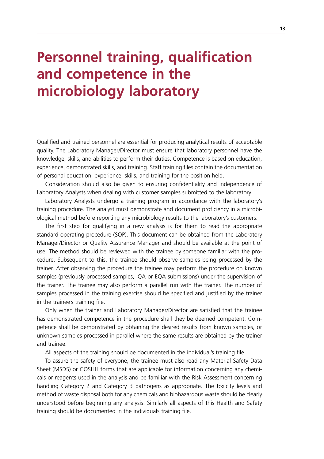# **Personnel training, qualification and competence in the microbiology laboratory**

Qualified and trained personnel are essential for producing analytical results of acceptable quality. The Laboratory Manager/Director must ensure that laboratory personnel have the knowledge, skills, and abilities to perform their duties. Competence is based on education, experience, demonstrated skills, and training. Staff training files contain the documentation of personal education, experience, skills, and training for the position held.

Consideration should also be given to ensuring confidentiality and independence of Laboratory Analysts when dealing with customer samples submitted to the laboratory.

Laboratory Analysts undergo a training program in accordance with the laboratory's training procedure. The analyst must demonstrate and document proficiency in a microbiological method before reporting any microbiology results to the laboratory's customers.

The first step for qualifying in a new analysis is for them to read the appropriate standard operating procedure (SOP). This document can be obtained from the Laboratory Manager/Director or Quality Assurance Manager and should be available at the point of use. The method should be reviewed with the trainee by someone familiar with the procedure. Subsequent to this, the trainee should observe samples being processed by the trainer. After observing the procedure the trainee may perform the procedure on known samples (previously processed samples, IQA or EQA submissions) under the supervision of the trainer. The trainee may also perform a parallel run with the trainer. The number of samples processed in the training exercise should be specified and justified by the trainer in the trainee's training file.

Only when the trainer and Laboratory Manager/Director are satisfied that the trainee has demonstrated competence in the procedure shall they be deemed competent. Competence shall be demonstrated by obtaining the desired results from known samples, or unknown samples processed in parallel where the same results are obtained by the trainer and trainee.

All aspects of the training should be documented in the individual's training file.

To assure the safety of everyone, the trainee must also read any Material Safety Data Sheet (MSDS) or COSHH forms that are applicable for information concerning any chemicals or reagents used in the analysis and be familiar with the Risk Assessment concerning handling Category 2 and Category 3 pathogens as appropriate. The toxicity levels and method of waste disposal both for any chemicals and biohazardous waste should be clearly understood before beginning any analysis. Similarly all aspects of this Health and Safety training should be documented in the individuals training file.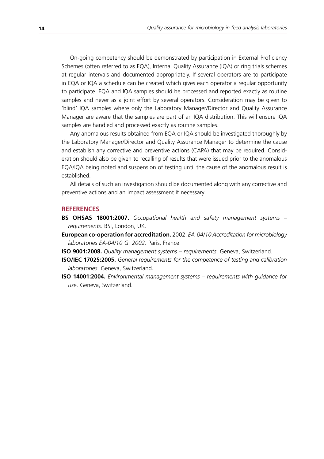On-going competency should be demonstrated by participation in External Proficiency Schemes (often referred to as EQA), Internal Quality Assurance (IQA) or ring trials schemes at regular intervals and documented appropriately. If several operators are to participate in EQA or IQA a schedule can be created which gives each operator a regular opportunity to participate. EQA and IQA samples should be processed and reported exactly as routine samples and never as a joint effort by several operators. Consideration may be given to 'blind' IQA samples where only the Laboratory Manager/Director and Quality Assurance Manager are aware that the samples are part of an IQA distribution. This will ensure IQA samples are handled and processed exactly as routine samples.

Any anomalous results obtained from EQA or IQA should be investigated thoroughly by the Laboratory Manager/Director and Quality Assurance Manager to determine the cause and establish any corrective and preventive actions (CAPA) that may be required. Consideration should also be given to recalling of results that were issued prior to the anomalous EQA/IQA being noted and suspension of testing until the cause of the anomalous result is established.

All details of such an investigation should be documented along with any corrective and preventive actions and an impact assessment if necessary.

### **References**

- **BS OHSAS 18001:2007.** *Occupational health and safety management systems requirements*. BSI, London, UK.
- **European co-operation for accreditation.** 2002. *EA-04/10 Accreditation for microbiology laboratories EA-04/10 G: 2002*. Paris, France
- **ISO 9001:2008.** *Quality management systems requirements*. Geneva, Switzerland.
- **ISO/IEC 17025:2005.** *General requirements for the competence of testing and calibration laboratories*. Geneva, Switzerland.
- **ISO 14001:2004.** *Environmental management systems requirements with guidance for use*. Geneva, Switzerland.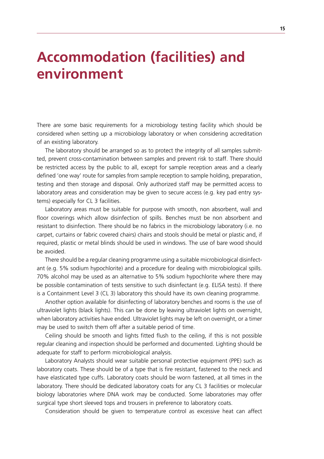# **Accommodation (facilities) and environment**

There are some basic requirements for a microbiology testing facility which should be considered when setting up a microbiology laboratory or when considering accreditation of an existing laboratory.

The laboratory should be arranged so as to protect the integrity of all samples submitted, prevent cross-contamination between samples and prevent risk to staff. There should be restricted access by the public to all, except for sample reception areas and a clearly defined 'one way' route for samples from sample reception to sample holding, preparation, testing and then storage and disposal. Only authorized staff may be permitted access to laboratory areas and consideration may be given to secure access (e.g. key pad entry systems) especially for CL 3 facilities.

Laboratory areas must be suitable for purpose with smooth, non absorbent, wall and floor coverings which allow disinfection of spills. Benches must be non absorbent and resistant to disinfection. There should be no fabrics in the microbiology laboratory (i.e. no carpet, curtains or fabric covered chairs) chairs and stools should be metal or plastic and, if required, plastic or metal blinds should be used in windows. The use of bare wood should be avoided.

There should be a regular cleaning programme using a suitable microbiological disinfectant (e.g. 5% sodium hypochlorite) and a procedure for dealing with microbiological spills. 70% alcohol may be used as an alternative to 5% sodium hypochlorite where there may be possible contamination of tests sensitive to such disinfectant (e.g. ELISA tests). If there is a Containment Level 3 (CL 3) laboratory this should have its own cleaning programme.

Another option available for disinfecting of laboratory benches and rooms is the use of ultraviolet lights (black lights). This can be done by leaving ultraviolet lights on overnight, when laboratory activities have ended. Ultraviolet lights may be left on overnight, or a timer may be used to switch them off after a suitable period of time.

Ceiling should be smooth and lights fitted flush to the ceiling, if this is not possible regular cleaning and inspection should be performed and documented. Lighting should be adequate for staff to perform microbiological analysis.

Laboratory Analysts should wear suitable personal protective equipment (PPE) such as laboratory coats. These should be of a type that is fire resistant, fastened to the neck and have elasticated type cuffs. Laboratory coats should be worn fastened, at all times in the laboratory. There should be dedicated laboratory coats for any CL 3 facilities or molecular biology laboratories where DNA work may be conducted. Some laboratories may offer surgical type short sleeved tops and trousers in preference to laboratory coats.

Consideration should be given to temperature control as excessive heat can affect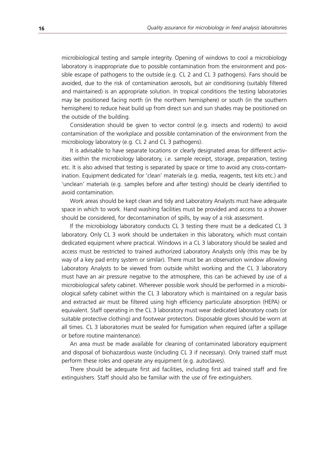microbiological testing and sample integrity. Opening of windows to cool a microbiology laboratory is inappropriate due to possible contamination from the environment and possible escape of pathogens to the outside (e.g. CL 2 and CL 3 pathogens). Fans should be avoided, due to the risk of contamination aerosols, but air conditioning (suitably filtered and maintained) is an appropriate solution. In tropical conditions the testing laboratories may be positioned facing north (in the northern hemisphere) or south (in the southern hemisphere) to reduce heat build up from direct sun and sun shades may be positioned on the outside of the building.

Consideration should be given to vector control (e.g. insects and rodents) to avoid contamination of the workplace and possible contamination of the environment from the microbiology laboratory (e.g. CL 2 and CL 3 pathogens).

It is advisable to have separate locations or clearly designated areas for different activities within the microbiology laboratory, i.e. sample receipt, storage, preparation, testing etc. It is also advised that testing is separated by space or time to avoid any cross-contamination. Equipment dedicated for 'clean' materials (e.g. media, reagents, test kits etc.) and 'unclean' materials (e.g. samples before and after testing) should be clearly identified to avoid contamination.

Work areas should be kept clean and tidy and Laboratory Analysts must have adequate space in which to work. Hand washing facilities must be provided and access to a shower should be considered, for decontamination of spills, by way of a risk assessment.

If the microbiology laboratory conducts CL 3 testing there must be a dedicated CL 3 laboratory. Only CL 3 work should be undertaken in this laboratory, which must contain dedicated equipment where practical. Windows in a CL 3 laboratory should be sealed and access must be restricted to trained authorized Laboratory Analysts only (this may be by way of a key pad entry system or similar). There must be an observation window allowing Laboratory Analysts to be viewed from outside whilst working and the CL 3 laboratory must have an air pressure negative to the atmosphere, this can be achieved by use of a microbiological safety cabinet. Wherever possible work should be performed in a microbiological safety cabinet within the CL 3 laboratory which is maintained on a regular basis and extracted air must be filtered using high efficiency particulate absorption (HEPA) or equivalent. Staff operating in the CL 3 laboratory must wear dedicated laboratory coats (or suitable protective clothing) and footwear protectors. Disposable gloves should be worn at all times. CL 3 laboratories must be sealed for fumigation when required (after a spillage or before routine maintenance).

An area must be made available for cleaning of contaminated laboratory equipment and disposal of biohazardous waste (including CL 3 if necessary). Only trained staff must perform these roles and operate any equipment (e.g. autoclaves).

There should be adequate first aid facilities, including first aid trained staff and fire extinguishers. Staff should also be familiar with the use of fire extinguishers.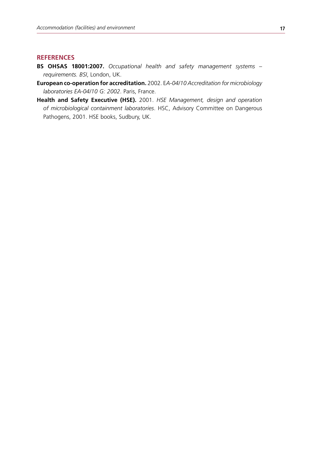# **References**

- **BS OHSAS 18001:2007.** *Occupational health and safety management systems requirements. BSI*, London, UK.
- **European co-operation for accreditation.** 2002. E*A-04/10 Accreditation for microbiology laboratories EA-04/10 G: 2002*. Paris, France.
- **Health and Safety Executive (HSE).** 2001. *HSE Management, design and operation of microbiological containment laboratories*. HSC, Advisory Committee on Dangerous Pathogens, 2001. HSE books, Sudbury, UK.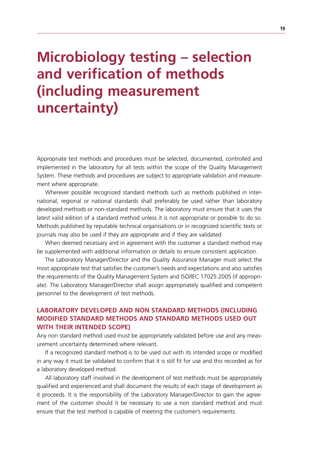# **Microbiology testing – selection and verification of methods (including measurement uncertainty)**

Appropriate test methods and procedures must be selected, documented, controlled and implemented in the laboratory for all tests within the scope of the Quality Management System. These methods and procedures are subject to appropriate validation and measurement where appropriate.

Wherever possible recognized standard methods such as methods published in international, regional or national standards shall preferably be used rather than laboratory developed methods or non-standard methods. The laboratory must ensure that it uses the latest valid edition of a standard method unless it is not appropriate or possible to do so. Methods published by reputable technical organisations or in recognized scientific texts or journals may also be used if they are appropriate and if they are validated

When deemed necessary and in agreement with the customer a standard method may be supplemented with additional information or details to ensure consistent application.

The Laboratory Manager/Director and the Quality Assurance Manager must select the most appropriate test that satisfies the customer's needs and expectations and also satisfies the requirements of the Quality Management System and ISO/IEC 17025:2005 (if appropriate). The Laboratory Manager/Director shall assign appropriately qualified and competent personnel to the development of test methods.

# **Laboratory developed and non standard methods (including modified standard methods and standard methods used out with their intended scope)**

Any non standard method used must be appropriately validated before use and any measurement uncertainty determined where relevant.

If a recognized standard method is to be used out with its intended scope or modified in any way it must be validated to confirm that it is still fit for use and this recorded as for a laboratory developed method.

All laboratory staff involved in the development of test methods must be appropriately qualified and experienced and shall document the results of each stage of development as it proceeds. It is the responsibility of the Laboratory Manager/Director to gain the agreement of the customer should it be necessary to use a non standard method and must ensure that the test method is capable of meeting the customer's requirements.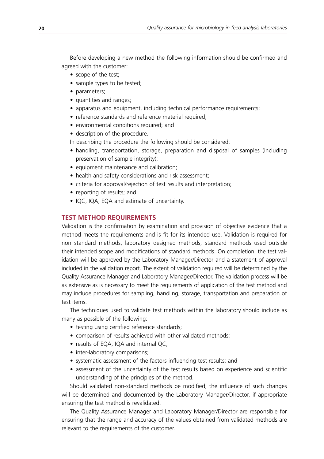Before developing a new method the following information should be confirmed and agreed with the customer:

- scope of the test;
- sample types to be tested;
- parameters:
- quantities and ranges;
- apparatus and equipment, including technical performance requirements;
- reference standards and reference material required:
- environmental conditions required; and
- description of the procedure.
- In describing the procedure the following should be considered:
- handling, transportation, storage, preparation and disposal of samples (including preservation of sample integrity);
- equipment maintenance and calibration;
- health and safety considerations and risk assessment:
- criteria for approval/rejection of test results and interpretation;
- reporting of results: and
- IQC, IQA, EQA and estimate of uncertainty.

# **Test Method Requirements**

Validation is the confirmation by examination and provision of objective evidence that a method meets the requirements and is fit for its intended use. Validation is required for non standard methods, laboratory designed methods, standard methods used outside their intended scope and modifications of standard methods. On completion, the test validation will be approved by the Laboratory Manager/Director and a statement of approval included in the validation report. The extent of validation required will be determined by the Quality Assurance Manager and Laboratory Manager/Director. The validation process will be as extensive as is necessary to meet the requirements of application of the test method and may include procedures for sampling, handling, storage, transportation and preparation of test items.

The techniques used to validate test methods within the laboratory should include as many as possible of the following:

- testing using certified reference standards;
- comparison of results achieved with other validated methods;
- results of EQA, IQA and internal QC;
- inter-laboratory comparisons;
- systematic assessment of the factors influencing test results; and
- assessment of the uncertainty of the test results based on experience and scientific understanding of the principles of the method.

Should validated non-standard methods be modified, the influence of such changes will be determined and documented by the Laboratory Manager/Director, if appropriate ensuring the test method is revalidated.

The Quality Assurance Manager and Laboratory Manager/Director are responsible for ensuring that the range and accuracy of the values obtained from validated methods are relevant to the requirements of the customer.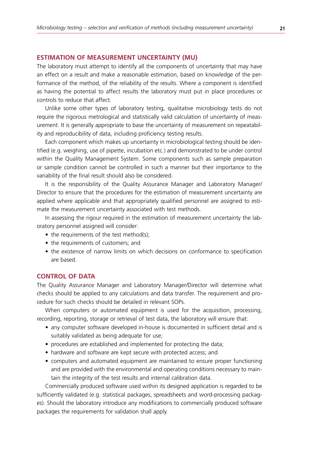# **Estimation of Measurement Uncertainty (MU)**

The laboratory must attempt to identify all the components of uncertainty that may have an effect on a result and make a reasonable estimation, based on knowledge of the performance of the method, of the reliability of the results. Where a component is identified as having the potential to affect results the laboratory must put in place procedures or controls to reduce that affect.

Unlike some other types of laboratory testing, qualitative microbiology tests do not require the rigorous metrological and statistically valid calculation of uncertainty of measurement. It is generally appropriate to base the uncertainty of measurement on repeatability and reproducibility of data, including proficiency testing results.

Each component which makes up uncertainty in microbiological testing should be identified (e.g. weighing, use of pipette, incubation etc.) and demonstrated to be under control within the Quality Management System. Some components such as sample preparation or sample condition cannot be controlled in such a manner but their importance to the variability of the final result should also be considered.

It is the responsibility of the Quality Assurance Manager and Laboratory Manager/ Director to ensure that the procedures for the estimation of measurement uncertainty are applied where applicable and that appropriately qualified personnel are assigned to estimate the measurement uncertainty associated with test methods.

In assessing the rigour required in the estimation of measurement uncertainty the laboratory personnel assigned will consider:

- the requirements of the test method(s);
- the requirements of customers; and
- the existence of narrow limits on which decisions on conformance to specification are based.

# **Control of Data**

The Quality Assurance Manager and Laboratory Manager/Director will determine what checks should be applied to any calculations and data transfer. The requirement and procedure for such checks should be detailed in relevant SOPs.

When computers or automated equipment is used for the acquisition, processing, recording, reporting, storage or retrieval of test data, the laboratory will ensure that:

- any computer software developed in-house is documented in sufficient detail and is suitably validated as being adequate for use;
- procedures are established and implemented for protecting the data;
- hardware and software are kept secure with protected access; and
- computers and automated equipment are maintained to ensure proper functioning and are provided with the environmental and operating conditions necessary to maintain the integrity of the test results and internal calibration data.

Commercially produced software used within its designed application is regarded to be sufficiently validated (e.g. statistical packages, spreadsheets and word-processing packages). Should the laboratory introduce any modifications to commercially produced software packages the requirements for validation shall apply.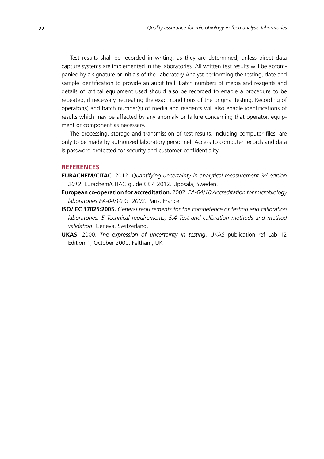Test results shall be recorded in writing, as they are determined, unless direct data capture systems are implemented in the laboratories. All written test results will be accompanied by a signature or initials of the Laboratory Analyst performing the testing, date and sample identification to provide an audit trail. Batch numbers of media and reagents and details of critical equipment used should also be recorded to enable a procedure to be repeated, if necessary, recreating the exact conditions of the original testing. Recording of operator(s) and batch number(s) of media and reagents will also enable identifications of results which may be affected by any anomaly or failure concerning that operator, equipment or component as necessary.

The processing, storage and transmission of test results, including computer files, are only to be made by authorized laboratory personnel. Access to computer records and data is password protected for security and customer confidentiality.

# **References**

- **EURACHEM/CITAC.** 2012. *Quantifying uncertainty in analytical measurement 3rd edition 2012*. Eurachem/CITAC guide CG4 2012. Uppsala, Sweden.
- **European co-operation for accreditation.** 2002. *EA-04/10 Accreditation for microbiology laboratories EA-04/10 G: 2002*. Paris, France
- **ISO/IEC 17025:2005.** *General requirements for the competence of testing and calibration laboratories. 5 Technical requirements, 5.4 Test and calibration methods and method validation*. Geneva, Switzerland.
- **UKAS.** 2000. *The expression of uncertainty in testing*. UKAS publication ref Lab 12 Edition 1, October 2000. Feltham, UK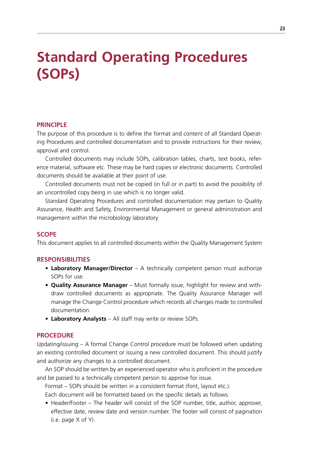# **Standard Operating Procedures (SOPs)**

### **Principle**

The purpose of this procedure is to define the format and content of all Standard Operating Procedures and controlled documentation and to provide instructions for their review, approval and control.

Controlled documents may include SOPs, calibration tables, charts, text books, reference material, software etc. These may be hard copies or electronic documents. Controlled documents should be available at their point of use.

Controlled documents must not be copied (in full or in part) to avoid the possibility of an uncontrolled copy being in use which is no longer valid.

Standard Operating Procedures and controlled documentation may pertain to Quality Assurance, Health and Safety, Environmental Management or general administration and management within the microbiology laboratory.

### **Scope**

This document applies to all controlled documents within the Quality Management System

## **Responsibilities**

- **• Laboratory Manager/Director** A technically competent person must authorize SOPs for use.
- **• Quality Assurance Manager**  Must formally issue, highlight for review and withdraw controlled documents as appropriate. The Quality Assurance Manager will manage the Change Control procedure which records all changes made to controlled documentation.
- **Laboratory Analysts** All staff may write or review SOPs.

### **Procedure**

Updating/issuing – A formal Change Control procedure must be followed when updating an existing controlled document or issuing a new controlled document. This should justify and authorize any changes to a controlled document.

An SOP should be written by an experienced operator who is proficient in the procedure and be passed to a technically competent person to approve for issue.

Format – SOPs should be written in a consistent format (font, layout etc.).

Each document will be formatted based on the specific details as follows:

• Header/Footer – The header will consist of the SOP number, title, author, approver, effective date, review date and version number. The footer will consist of pagination (i.e. page X of Y).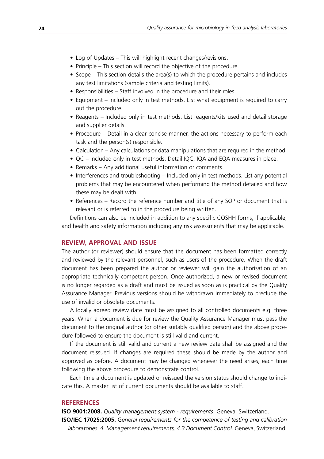- Log of Updates This will highlight recent changes/revisions.
- Principle This section will record the objective of the procedure.
- Scope This section details the area(s) to which the procedure pertains and includes any test limitations (sample criteria and testing limits).
- $\bullet$  Responsibilities Staff involved in the procedure and their roles.
- Equipment Included only in test methods. List what equipment is required to carry out the procedure.
- Reagents Included only in test methods. List reagents/kits used and detail storage and supplier details.
- Procedure Detail in a clear concise manner, the actions necessary to perform each task and the person(s) responsible.
- Calculation Any calculations or data manipulations that are required in the method.
- QC Included only in test methods. Detail IQC, IQA and EQA measures in place.
- Remarks Any additional useful information or comments.
- Interferences and troubleshooting Included only in test methods. List any potential problems that may be encountered when performing the method detailed and how these may be dealt with.
- References Record the reference number and title of any SOP or document that is relevant or is referred to in the procedure being written.

Definitions can also be included in addition to any specific COSHH forms, if applicable, and health and safety information including any risk assessments that may be applicable.

### **Review, Approval and Issue**

The author (or reviewer) should ensure that the document has been formatted correctly and reviewed by the relevant personnel, such as users of the procedure. When the draft document has been prepared the author or reviewer will gain the authorisation of an appropriate technically competent person. Once authorized, a new or revised document is no longer regarded as a draft and must be issued as soon as is practical by the Quality Assurance Manager. Previous versions should be withdrawn immediately to preclude the use of invalid or obsolete documents.

A locally agreed review date must be assigned to all controlled documents e.g. three years. When a document is due for review the Quality Assurance Manager must pass the document to the original author (or other suitably qualified person) and the above procedure followed to ensure the document is still valid and current.

If the document is still valid and current a new review date shall be assigned and the document reissued. If changes are required these should be made by the author and approved as before. A document may be changed whenever the need arises, each time following the above procedure to demonstrate control.

Each time a document is updated or reissued the version status should change to indicate this. A master list of current documents should be available to staff.

# **References**

**ISO 9001:2008.** *Quality management system - requirements*. Geneva, Switzerland. **ISO/IEC 17025:2005.** G*eneral requirements for the competence of testing and calibration laboratories. 4. Management requirements, 4.3 Document Control*. Geneva, Switzerland.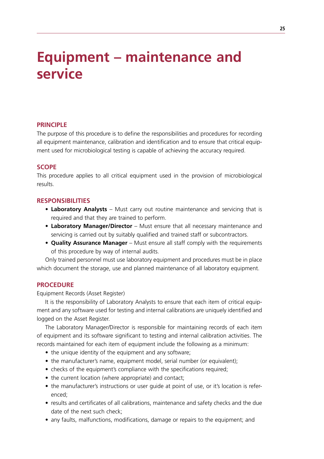# **Equipment – maintenance and service**

# **Principle**

The purpose of this procedure is to define the responsibilities and procedures for recording all equipment maintenance, calibration and identification and to ensure that critical equipment used for microbiological testing is capable of achieving the accuracy required.

# **Scope**

This procedure applies to all critical equipment used in the provision of microbiological results.

# **Responsibilities**

- **Laboratory Analysts** Must carry out routine maintenance and servicing that is required and that they are trained to perform.
- Laboratory Manager/Director Must ensure that all necessary maintenance and servicing is carried out by suitably qualified and trained staff or subcontractors.
- **• Quality Assurance Manager** Must ensure all staff comply with the requirements of this procedure by way of internal audits.

Only trained personnel must use laboratory equipment and procedures must be in place which document the storage, use and planned maintenance of all laboratory equipment.

# **Procedure**

Equipment Records (Asset Register)

It is the responsibility of Laboratory Analysts to ensure that each item of critical equipment and any software used for testing and internal calibrations are uniquely identified and logged on the Asset Register.

The Laboratory Manager/Director is responsible for maintaining records of each item of equipment and its software significant to testing and internal calibration activities. The records maintained for each item of equipment include the following as a minimum:

- the unique identity of the equipment and any software;
- the manufacturer's name, equipment model, serial number (or equivalent);
- checks of the equipment's compliance with the specifications required;
- the current location (where appropriate) and contact;
- the manufacturer's instructions or user quide at point of use, or it's location is referenced;
- results and certificates of all calibrations, maintenance and safety checks and the due date of the next such check;
- any faults, malfunctions, modifications, damage or repairs to the equipment; and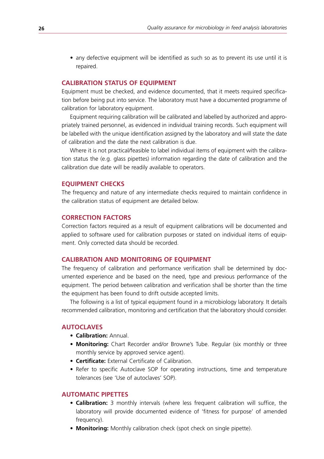• any defective equipment will be identified as such so as to prevent its use until it is repaired.

### **Calibration Status of Equipment**

Equipment must be checked, and evidence documented, that it meets required specification before being put into service. The laboratory must have a documented programme of calibration for laboratory equipment.

Equipment requiring calibration will be calibrated and labelled by authorized and appropriately trained personnel, as evidenced in individual training records. Such equipment will be labelled with the unique identification assigned by the laboratory and will state the date of calibration and the date the next calibration is due.

Where it is not practical/feasible to label individual items of equipment with the calibration status the (e.g. glass pipettes) information regarding the date of calibration and the calibration due date will be readily available to operators.

### **Equipment Checks**

The frequency and nature of any intermediate checks required to maintain confidence in the calibration status of equipment are detailed below.

### **Correction Factors**

Correction factors required as a result of equipment calibrations will be documented and applied to software used for calibration purposes or stated on individual items of equipment. Only corrected data should be recorded.

## **Calibration and Monitoring of Equipment**

The frequency of calibration and performance verification shall be determined by documented experience and be based on the need, type and previous performance of the equipment. The period between calibration and verification shall be shorter than the time the equipment has been found to drift outside accepted limits.

The following is a list of typical equipment found in a microbiology laboratory. It details recommended calibration, monitoring and certification that the laboratory should consider.

# **Autoclaves**

- **• Calibration:** Annual.
- **Monitoring:** Chart Recorder and/or Browne's Tube. Regular (six monthly or three monthly service by approved service agent).
- **• Certificate:** External Certificate of Calibration.
- Refer to specific Autoclave SOP for operating instructions, time and temperature tolerances (see 'Use of autoclaves' SOP).

# **Automatic Pipettes**

- **• Calibration:** 3 monthly intervals (where less frequent calibration will suffice, the laboratory will provide documented evidence of 'fitness for purpose' of amended frequency).
- **Monitoring:** Monthly calibration check (spot check on single pipette).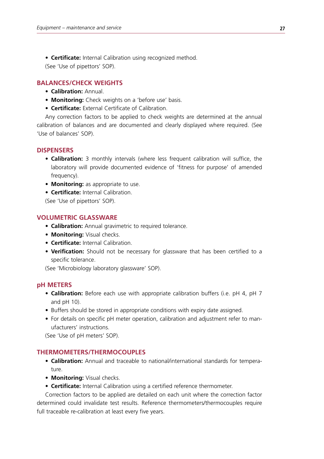**• Certificate:** Internal Calibration using recognized method.

(See 'Use of pipettors' SOP).

# **Balances/Check Weights**

- **• Calibration:** Annual.
- **Monitoring:** Check weights on a 'before use' basis.
- **• Certificate:** External Certificate of Calibration.

Any correction factors to be applied to check weights are determined at the annual calibration of balances and are documented and clearly displayed where required. (See 'Use of balances' SOP).

# **Dispensers**

- **• Calibration:** 3 monthly intervals (where less frequent calibration will suffice, the laboratory will provide documented evidence of 'fitness for purpose' of amended frequency).
- **• Monitoring:** as appropriate to use.
- **• Certificate:** Internal Calibration.

(See 'Use of pipettors' SOP).

## **Volumetric Glassware**

- **• Calibration:** Annual gravimetric to required tolerance.
- **• Monitoring:** Visual checks.
- **• Certificate:** Internal Calibration.
- **• Verification:** Should not be necessary for glassware that has been certified to a specific tolerance.

(See 'Microbiology laboratory glassware' SOP).

### **pH Meters**

- **• Calibration:** Before each use with appropriate calibration buffers (i.e. pH 4, pH 7 and pH 10).
- Buffers should be stored in appropriate conditions with expiry date assigned.
- For details on specific pH meter operation, calibration and adjustment refer to manufacturers' instructions.

(See 'Use of pH meters' SOP).

# **Thermometers/Thermocouples**

- **• Calibration:** Annual and traceable to national/international standards for temperature.
- **• Monitoring:** Visual checks.
- **• Certificate:** Internal Calibration using a certified reference thermometer.

Correction factors to be applied are detailed on each unit where the correction factor determined could invalidate test results. Reference thermometers/thermocouples require full traceable re-calibration at least every five years.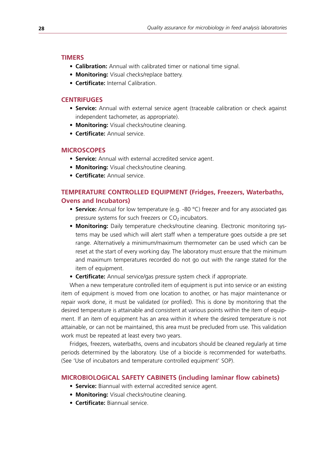# **Timers**

- **• Calibration:** Annual with calibrated timer or national time signal.
- **• Monitoring:** Visual checks/replace battery.
- **• Certificate:** Internal Calibration.

#### **Centrifuges**

- **Service:** Annual with external service agent (traceable calibration or check against independent tachometer, as appropriate).
- **• Monitoring:** Visual checks/routine cleaning.
- **• Certificate:** Annual service.

# **Microscopes**

- **Service:** Annual with external accredited service agent.
- **• Monitoring:** Visual checks/routine cleaning.
- **• Certificate:** Annual service.

# **Temperature controlled equipment (Fridges, Freezers, Waterbaths, Ovens and Incubators)**

- **Service:** Annual for low temperature (e.g. -80 °C) freezer and for any associated gas pressure systems for such freezers or  $CO<sub>2</sub>$  incubators.
- **Monitoring:** Daily temperature checks/routine cleaning. Electronic monitoring systems may be used which will alert staff when a temperature goes outside a pre set range. Alternatively a minimum/maximum thermometer can be used which can be reset at the start of every working day. The laboratory must ensure that the minimum and maximum temperatures recorded do not go out with the range stated for the item of equipment.
- **• Certificate:** Annual service/gas pressure system check if appropriate.

When a new temperature controlled item of equipment is put into service or an existing item of equipment is moved from one location to another, or has major maintenance or repair work done, it must be validated (or profiled). This is done by monitoring that the desired temperature is attainable and consistent at various points within the item of equipment. If an item of equipment has an area within it where the desired temperature is not attainable, or can not be maintained, this area must be precluded from use. This validation work must be repeated at least every two years.

Fridges, freezers, waterbaths, ovens and incubators should be cleaned regularly at time periods determined by the laboratory. Use of a biocide is recommended for waterbaths. (See 'Use of incubators and temperature controlled equipment' SOP).

#### **Microbiological Safety Cabinets (including laminar flow cabinets)**

- **Service:** Biannual with external accredited service agent.
- **• Monitoring:** Visual checks/routine cleaning.
- **• Certificate:** Biannual service.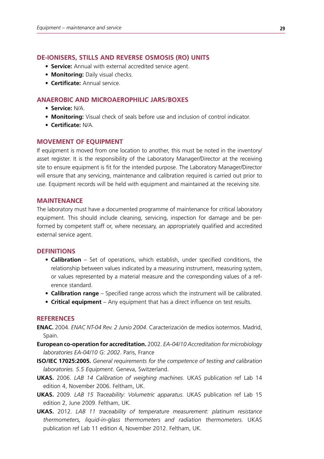#### **De-ionisers, stills and reverse osmosis (RO) units**

- **Service:** Annual with external accredited service agent.
- **• Monitoring:** Daily visual checks.
- **• Certificate:** Annual service.

#### **Anaerobic and microaerophilic jars/boxes**

- **• Service:** N/A.
- **Monitoring:** Visual check of seals before use and inclusion of control indicator.
- **• Certificate:** N/A.

#### **Movement of Equipment**

If equipment is moved from one location to another, this must be noted in the inventory/ asset register. It is the responsibility of the Laboratory Manager/Director at the receiving site to ensure equipment is fit for the intended purpose. The Laboratory Manager/Director will ensure that any servicing, maintenance and calibration required is carried out prior to use. Equipment records will be held with equipment and maintained at the receiving site.

# **Maintenance**

The laboratory must have a documented programme of maintenance for critical laboratory equipment. This should include cleaning, servicing, inspection for damage and be performed by competent staff or, where necessary, an appropriately qualified and accredited external service agent.

# **Definitions**

- **Calibration** Set of operations, which establish, under specified conditions, the relationship between values indicated by a measuring instrument, measuring system, or values represented by a material measure and the corresponding values of a reference standard.
- **• Calibration range** Specified range across which the instrument will be calibrated.
- **• Critical equipment** Any equipment that has a direct influence on test results.

### **References**

- **ENAC.** 2004. *ENAC NT-04 Rev. 2 Junio 2004*. Caracterización de medios isotermos. Madrid, Spain.
- **European co-operation for accreditation.** 2002. *EA-04/10 Accreditation for microbiology laboratories EA-04/10 G: 2002*. Paris, France
- **ISO/IEC 17025:2005.** *General requirements for the competence of testing and calibration laboratories. 5.5 Equipment*. Geneva, Switzerland.
- **UKAS.** 2006. *LAB 14 Calibration of weighing machines*. UKAS publication ref Lab 14 edition 4, November 2006. Feltham, UK.
- **UKAS.** 2009. *LAB 15 Traceability: Volumetric apparatus*. UKAS publication ref Lab 15 edition 2, June 2009. Feltham, UK.
- **UKAS.** 2012. *LAB 11 traceability of temperature measurement: platinum resistance thermometers, liquid-in-glass thermometers and radiation thermometers*. UKAS publication ref Lab 11 edition 4, November 2012. Feltham, UK.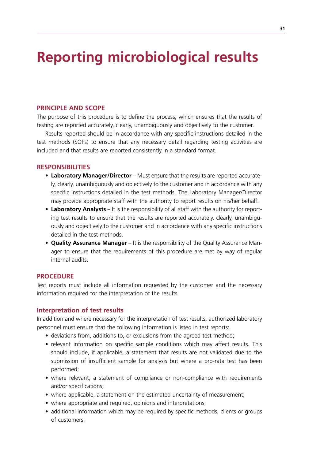# **Reporting microbiological results**

# **Principle and Scope**

The purpose of this procedure is to define the process, which ensures that the results of testing are reported accurately, clearly, unambiguously and objectively to the customer.

Results reported should be in accordance with any specific instructions detailed in the test methods (SOPs) to ensure that any necessary detail regarding testing activities are included and that results are reported consistently in a standard format.

# **Responsibilities**

- **• Laboratory Manager/Director** Must ensure that the results are reported accurately, clearly, unambiguously and objectively to the customer and in accordance with any specific instructions detailed in the test methods. The Laboratory Manager/Director may provide appropriate staff with the authority to report results on his/her behalf.
- **• Laboratory Analysts** It is the responsibility of all staff with the authority for reporting test results to ensure that the results are reported accurately, clearly, unambiguously and objectively to the customer and in accordance with any specific instructions detailed in the test methods.
- **• Quality Assurance Manager** It is the responsibility of the Quality Assurance Manager to ensure that the requirements of this procedure are met by way of regular internal audits.

### **Procedure**

Test reports must include all information requested by the customer and the necessary information required for the interpretation of the results.

### **Interpretation of test results**

In addition and where necessary for the interpretation of test results, authorized laboratory personnel must ensure that the following information is listed in test reports:

- deviations from, additions to, or exclusions from the agreed test method;
- relevant information on specific sample conditions which may affect results. This should include, if applicable, a statement that results are not validated due to the submission of insufficient sample for analysis but where a pro-rata test has been performed;
- where relevant, a statement of compliance or non-compliance with requirements and/or specifications;
- where applicable, a statement on the estimated uncertainty of measurement;
- where appropriate and required, opinions and interpretations;
- additional information which may be required by specific methods, clients or groups of customers;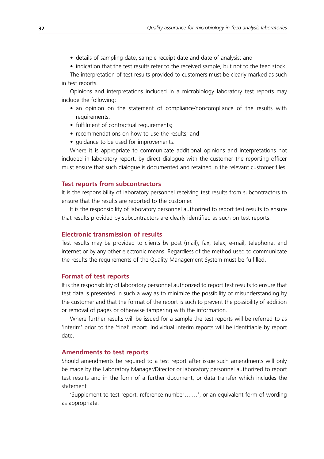- details of sampling date, sample receipt date and date of analysis; and
- indication that the test results refer to the received sample, but not to the feed stock.

The interpretation of test results provided to customers must be clearly marked as such in test reports.

Opinions and interpretations included in a microbiology laboratory test reports may include the following:

- an opinion on the statement of compliance/noncompliance of the results with requirements;
- fulfilment of contractual requirements;
- recommendations on how to use the results; and
- quidance to be used for improvements.

Where it is appropriate to communicate additional opinions and interpretations not included in laboratory report, by direct dialogue with the customer the reporting officer must ensure that such dialogue is documented and retained in the relevant customer files.

#### **Test reports from subcontractors**

It is the responsibility of laboratory personnel receiving test results from subcontractors to ensure that the results are reported to the customer.

It is the responsibility of laboratory personnel authorized to report test results to ensure that results provided by subcontractors are clearly identified as such on test reports.

## **Electronic transmission of results**

Test results may be provided to clients by post (mail), fax, telex, e-mail, telephone, and internet or by any other electronic means. Regardless of the method used to communicate the results the requirements of the Quality Management System must be fulfilled.

#### **Format of test reports**

It is the responsibility of laboratory personnel authorized to report test results to ensure that test data is presented in such a way as to minimize the possibility of misunderstanding by the customer and that the format of the report is such to prevent the possibility of addition or removal of pages or otherwise tampering with the information.

Where further results will be issued for a sample the test reports will be referred to as 'interim' prior to the 'final' report. Individual interim reports will be identifiable by report date.

#### **Amendments to test reports**

Should amendments be required to a test report after issue such amendments will only be made by the Laboratory Manager/Director or laboratory personnel authorized to report test results and in the form of a further document, or data transfer which includes the statement

'Supplement to test report, reference number….…', or an equivalent form of wording as appropriate.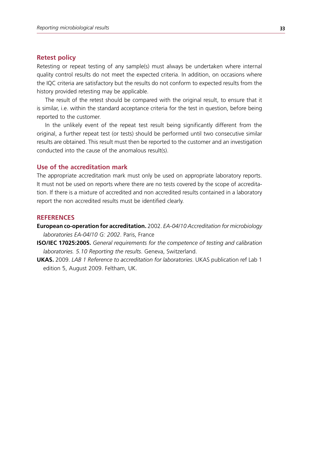# **Retest policy**

Retesting or repeat testing of any sample(s) must always be undertaken where internal quality control results do not meet the expected criteria. In addition, on occasions where the IQC criteria are satisfactory but the results do not conform to expected results from the history provided retesting may be applicable.

The result of the retest should be compared with the original result, to ensure that it is similar, i.e. within the standard acceptance criteria for the test in question, before being reported to the customer.

In the unlikely event of the repeat test result being significantly different from the original, a further repeat test (or tests) should be performed until two consecutive similar results are obtained. This result must then be reported to the customer and an investigation conducted into the cause of the anomalous result(s).

# **Use of the accreditation mark**

The appropriate accreditation mark must only be used on appropriate laboratory reports. It must not be used on reports where there are no tests covered by the scope of accreditation. If there is a mixture of accredited and non accredited results contained in a laboratory report the non accredited results must be identified clearly.

#### **References**

**European co-operation for accreditation.** 2002. *EA-04/10 Accreditation for microbiology laboratories EA-04/10 G: 2002*. Paris, France

**ISO/IEC 17025:2005.** *General requirements for the competence of testing and calibration laboratories. 5.10 Reporting the results*. Geneva, Switzerland.

**UKAS.** 2009. *LAB 1 Reference to accreditation for laboratories*. UKAS publication ref Lab 1 edition 5, August 2009. Feltham, UK.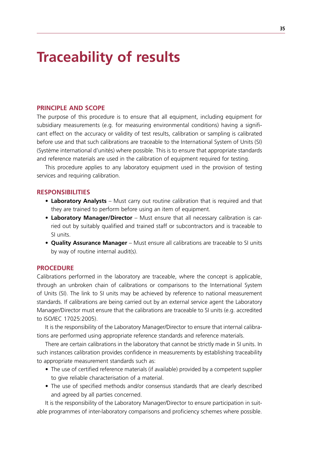# **Traceability of results**

# **Principle and Scope**

The purpose of this procedure is to ensure that all equipment, including equipment for subsidiary measurements (e.g. for measuring environmental conditions) having a significant effect on the accuracy or validity of test results, calibration or sampling is calibrated before use and that such calibrations are traceable to the International System of Units (SI) (Système international d'unités) where possible. This is to ensure that appropriate standards and reference materials are used in the calibration of equipment required for testing.

This procedure applies to any laboratory equipment used in the provision of testing services and requiring calibration.

#### **Responsibilities**

- **Laboratory Analysts** Must carry out routine calibration that is required and that they are trained to perform before using an item of equipment.
- **• Laboratory Manager/Director** Must ensure that all necessary calibration is carried out by suitably qualified and trained staff or subcontractors and is traceable to SI units.
- **• Quality Assurance Manager**  Must ensure all calibrations are traceable to SI units by way of routine internal audit(s).

# **Procedure**

Calibrations performed in the laboratory are traceable, where the concept is applicable, through an unbroken chain of calibrations or comparisons to the International System of Units (SI). The link to SI units may be achieved by reference to national measurement standards. If calibrations are being carried out by an external service agent the Laboratory Manager/Director must ensure that the calibrations are traceable to SI units (e.g. accredited to ISO/IEC 17025:2005).

It is the responsibility of the Laboratory Manager/Director to ensure that internal calibrations are performed using appropriate reference standards and reference materials.

There are certain calibrations in the laboratory that cannot be strictly made in SI units. In such instances calibration provides confidence in measurements by establishing traceability to appropriate measurement standards such as:

- The use of certified reference materials (if available) provided by a competent supplier to give reliable characterisation of a material.
- The use of specified methods and/or consensus standards that are clearly described and agreed by all parties concerned.

It is the responsibility of the Laboratory Manager/Director to ensure participation in suitable programmes of inter-laboratory comparisons and proficiency schemes where possible.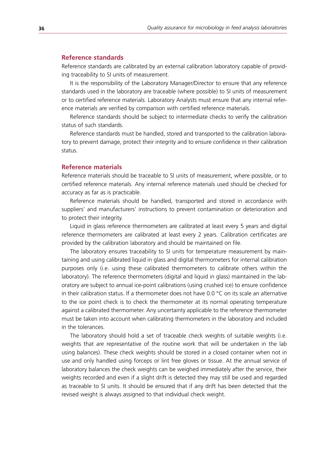# **Reference standards**

Reference standards are calibrated by an external calibration laboratory capable of providing traceability to SI units of measurement.

It is the responsibility of the Laboratory Manager/Director to ensure that any reference standards used in the laboratory are traceable (where possible) to SI units of measurement or to certified reference materials. Laboratory Analysts must ensure that any internal reference materials are verified by comparison with certified reference materials.

Reference standards should be subject to intermediate checks to verify the calibration status of such standards.

Reference standards must be handled, stored and transported to the calibration laboratory to prevent damage, protect their integrity and to ensure confidence in their calibration status.

#### **Reference materials**

Reference materials should be traceable to SI units of measurement, where possible, or to certified reference materials. Any internal reference materials used should be checked for accuracy as far as is practicable.

Reference materials should be handled, transported and stored in accordance with suppliers' and manufacturers' instructions to prevent contamination or deterioration and to protect their integrity.

Liquid in glass reference thermometers are calibrated at least every 5 years and digital reference thermometers are calibrated at least every 2 years. Calibration certificates are provided by the calibration laboratory and should be maintained on file.

The laboratory ensures traceability to SI units for temperature measurement by maintaining and using calibrated liquid in glass and digital thermometers for internal calibration purposes only (i.e. using these calibrated thermometers to calibrate others within the laboratory). The reference thermometers (digital and liquid in glass) maintained in the laboratory are subject to annual ice-point calibrations (using crushed ice) to ensure confidence in their calibration status. If a thermometer does not have  $0.0 \degree C$  on its scale an alternative to the ice point check is to check the thermometer at its normal operating temperature against a calibrated thermometer. Any uncertainty applicable to the reference thermometer must be taken into account when calibrating thermometers in the laboratory and included in the tolerances.

The laboratory should hold a set of traceable check weights of suitable weights (i.e. weights that are representative of the routine work that will be undertaken in the lab using balances). These check weights should be stored in a closed container when not in use and only handled using forceps or lint free gloves or tissue. At the annual service of laboratory balances the check weights can be weighed immediately after the service, their weights recorded and even if a slight drift is detected they may still be used and regarded as traceable to SI units. It should be ensured that if any drift has been detected that the revised weight is always assigned to that individual check weight.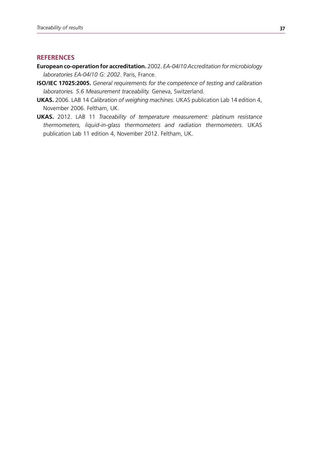# **References**

- **European co-operation for accreditation.** 2002. *EA-04/10 Accreditation for microbiology laboratories EA-04/10 G: 2002*. Paris, France.
- **ISO/IEC 17025:2005.** *General requirements for the competence of testing and calibration laboratories. 5.6 Measurement traceability.* Geneva, Switzerland.
- **UKAS.** 2006. LAB 14 *Calibration of weighing machines*. UKAS publication Lab 14 edition 4, November 2006. Feltham, UK.
- **UKAS.** 2012. LAB 11 *Traceability of temperature measurement: platinum resistance thermometers, liquid-in-glass thermometers and radiation thermometers*. UKAS publication Lab 11 edition 4, November 2012. Feltham, UK.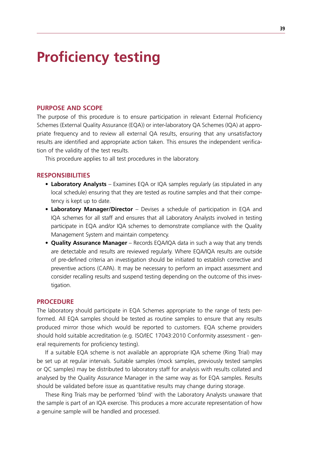# **Proficiency testing**

# **Purpose and Scope**

The purpose of this procedure is to ensure participation in relevant External Proficiency Schemes (External Quality Assurance (EQA)) or inter-laboratory QA Schemes (IQA) at appropriate frequency and to review all external QA results, ensuring that any unsatisfactory results are identified and appropriate action taken. This ensures the independent verification of the validity of the test results.

This procedure applies to all test procedures in the laboratory.

## **Responsibilities**

- Laboratory Analysts Examines EQA or IQA samples regularly (as stipulated in any local schedule) ensuring that they are tested as routine samples and that their competency is kept up to date.
- **• Laboratory Manager/Director** Devises a schedule of participation in EQA and IQA schemes for all staff and ensures that all Laboratory Analysts involved in testing participate in EQA and/or IQA schemes to demonstrate compliance with the Quality Management System and maintain competency.
- **• Quality Assurance Manager** Records EQA/IQA data in such a way that any trends are detectable and results are reviewed regularly. Where EQA/IQA results are outside of pre-defined criteria an investigation should be initiated to establish corrective and preventive actions (CAPA). It may be necessary to perform an impact assessment and consider recalling results and suspend testing depending on the outcome of this investigation.

# **Procedure**

The laboratory should participate in EQA Schemes appropriate to the range of tests performed. All EQA samples should be tested as routine samples to ensure that any results produced mirror those which would be reported to customers. EQA scheme providers should hold suitable accreditation (e.g. ISO/IEC 17043:2010 Conformity assessment - general requirements for proficiency testing).

If a suitable EQA scheme is not available an appropriate IQA scheme (Ring Trial) may be set up at regular intervals. Suitable samples (mock samples, previously tested samples or QC samples) may be distributed to laboratory staff for analysis with results collated and analysed by the Quality Assurance Manager in the same way as for EQA samples. Results should be validated before issue as quantitative results may change during storage.

These Ring Trials may be performed 'blind' with the Laboratory Analysts unaware that the sample is part of an IQA exercise. This produces a more accurate representation of how a genuine sample will be handled and processed.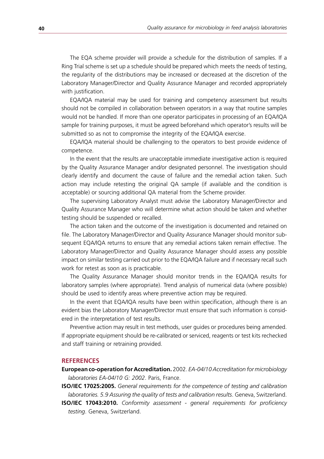The EQA scheme provider will provide a schedule for the distribution of samples. If a Ring Trial scheme is set up a schedule should be prepared which meets the needs of testing, the regularity of the distributions may be increased or decreased at the discretion of the Laboratory Manager/Director and Quality Assurance Manager and recorded appropriately with justification.

EQA/IQA material may be used for training and competency assessment but results should not be compiled in collaboration between operators in a way that routine samples would not be handled. If more than one operator participates in processing of an EQA/IQA sample for training purposes, it must be agreed beforehand which operator's results will be submitted so as not to compromise the integrity of the EQA/IQA exercise.

EQA/IQA material should be challenging to the operators to best provide evidence of competence.

In the event that the results are unacceptable immediate investigative action is required by the Quality Assurance Manager and/or designated personnel. The investigation should clearly identify and document the cause of failure and the remedial action taken. Such action may include retesting the original QA sample (if available and the condition is acceptable) or sourcing additional QA material from the Scheme provider.

The supervising Laboratory Analyst must advise the Laboratory Manager/Director and Quality Assurance Manager who will determine what action should be taken and whether testing should be suspended or recalled.

The action taken and the outcome of the investigation is documented and retained on file. The Laboratory Manager/Director and Quality Assurance Manager should monitor subsequent EQA/IQA returns to ensure that any remedial actions taken remain effective. The Laboratory Manager/Director and Quality Assurance Manager should assess any possible impact on similar testing carried out prior to the EQA/IQA failure and if necessary recall such work for retest as soon as is practicable.

The Quality Assurance Manager should monitor trends in the EQA/IQA results for laboratory samples (where appropriate). Trend analysis of numerical data (where possible) should be used to identify areas where preventive action may be required.

In the event that EQA/IQA results have been within specification, although there is an evident bias the Laboratory Manager/Director must ensure that such information is considered in the interpretation of test results.

Preventive action may result in test methods, user guides or procedures being amended. If appropriate equipment should be re-calibrated or serviced, reagents or test kits rechecked and staff training or retraining provided.

#### **References**

**European co-operation for Accreditation.** 2002. *EA-04/10 Accreditation for microbiology laboratories EA-04/10 G: 2002*. Paris, France.

**ISO/IEC 17025:2005.** *General requirements for the competence of testing and calibration laboratories. 5.9 Assuring the quality of tests and calibration results*. Geneva, Switzerland.

**ISO/IEC 17043:2010.** *Conformity assessment - general requirements for proficiency testing*. Geneva, Switzerland.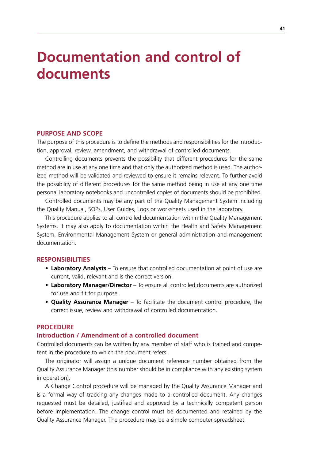# **Documentation and control of documents**

#### **Purpose and Scope**

The purpose of this procedure is to define the methods and responsibilities for the introduction, approval, review, amendment, and withdrawal of controlled documents.

Controlling documents prevents the possibility that different procedures for the same method are in use at any one time and that only the authorized method is used. The authorized method will be validated and reviewed to ensure it remains relevant. To further avoid the possibility of different procedures for the same method being in use at any one time personal laboratory notebooks and uncontrolled copies of documents should be prohibited.

Controlled documents may be any part of the Quality Management System including the Quality Manual, SOPs, User Guides, Logs or worksheets used in the laboratory.

This procedure applies to all controlled documentation within the Quality Management Systems. It may also apply to documentation within the Health and Safety Management System, Environmental Management System or general administration and management documentation.

# **Responsibilities**

- **Laboratory Analysts** To ensure that controlled documentation at point of use are current, valid, relevant and is the correct version.
- **• Laboratory Manager/Director**  To ensure all controlled documents are authorized for use and fit for purpose.
- **• Quality Assurance Manager** To facilitate the document control procedure, the correct issue, review and withdrawal of controlled documentation.

# **Procedure**

# **Introduction / Amendment of a controlled document**

Controlled documents can be written by any member of staff who is trained and competent in the procedure to which the document refers.

The originator will assign a unique document reference number obtained from the Quality Assurance Manager (this number should be in compliance with any existing system in operation).

A Change Control procedure will be managed by the Quality Assurance Manager and is a formal way of tracking any changes made to a controlled document. Any changes requested must be detailed, justified and approved by a technically competent person before implementation. The change control must be documented and retained by the Quality Assurance Manager. The procedure may be a simple computer spreadsheet.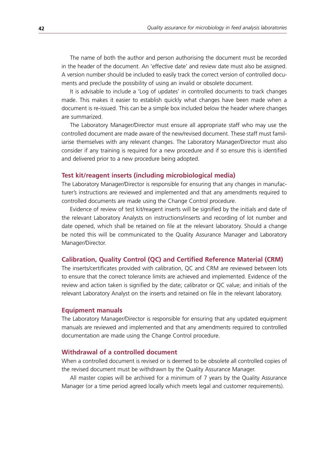The name of both the author and person authorising the document must be recorded in the header of the document. An 'effective date' and review date must also be assigned. A version number should be included to easily track the correct version of controlled documents and preclude the possibility of using an invalid or obsolete document.

It is advisable to include a 'Log of updates' in controlled documents to track changes made. This makes it easier to establish quickly what changes have been made when a document is re-issued. This can be a simple box included below the header where changes are summarized.

The Laboratory Manager/Director must ensure all appropriate staff who may use the controlled document are made aware of the new/revised document. These staff must familiarise themselves with any relevant changes. The Laboratory Manager/Director must also consider if any training is required for a new procedure and if so ensure this is identified and delivered prior to a new procedure being adopted.

#### **Test kit/reagent inserts (including microbiological media)**

The Laboratory Manager/Director is responsible for ensuring that any changes in manufacturer's instructions are reviewed and implemented and that any amendments required to controlled documents are made using the Change Control procedure.

Evidence of review of test kit/reagent inserts will be signified by the initials and date of the relevant Laboratory Analysts on instructions/inserts and recording of lot number and date opened, which shall be retained on file at the relevant laboratory. Should a change be noted this will be communicated to the Quality Assurance Manager and Laboratory Manager/Director.

#### **Calibration, Quality Control (QC) and Certified Reference Material (CRM)**

The inserts/certificates provided with calibration, QC and CRM are reviewed between lots to ensure that the correct tolerance limits are achieved and implemented. Evidence of the review and action taken is signified by the date; calibrator or QC value; and initials of the relevant Laboratory Analyst on the inserts and retained on file in the relevant laboratory.

# **Equipment manuals**

The Laboratory Manager/Director is responsible for ensuring that any updated equipment manuals are reviewed and implemented and that any amendments required to controlled documentation are made using the Change Control procedure.

# **Withdrawal of a controlled document**

When a controlled document is revised or is deemed to be obsolete all controlled copies of the revised document must be withdrawn by the Quality Assurance Manager.

All master copies will be archived for a minimum of 7 years by the Quality Assurance Manager (or a time period agreed locally which meets legal and customer requirements).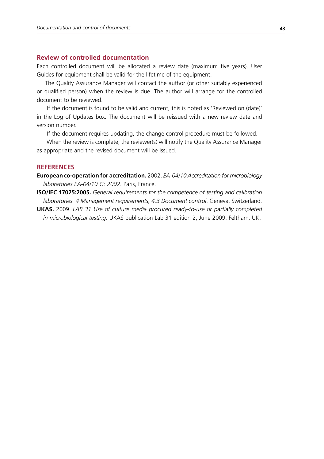# **Review of controlled documentation**

Each controlled document will be allocated a review date (maximum five years). User Guides for equipment shall be valid for the lifetime of the equipment.

The Quality Assurance Manager will contact the author (or other suitably experienced or qualified person) when the review is due. The author will arrange for the controlled document to be reviewed.

 If the document is found to be valid and current, this is noted as 'Reviewed on (date)' in the Log of Updates box. The document will be reissued with a new review date and version number.

If the document requires updating, the change control procedure must be followed.

 When the review is complete, the reviewer(s) will notify the Quality Assurance Manager as appropriate and the revised document will be issued.

# **References**

**European co-operation for accreditation.** 2002. *EA-04/10 Accreditation for microbiology laboratories EA-04/10 G: 2002*. Paris, France.

**ISO/IEC 17025:2005.** *General requirements for the competence of testing and calibration laboratories. 4 Management requirements, 4.3 Document control*. Geneva, Switzerland.

**UKAS.** 2009. *LAB 31 Use of culture media procured ready-to-use or partially completed in microbiological testing*. UKAS publication Lab 31 edition 2, June 2009. Feltham, UK.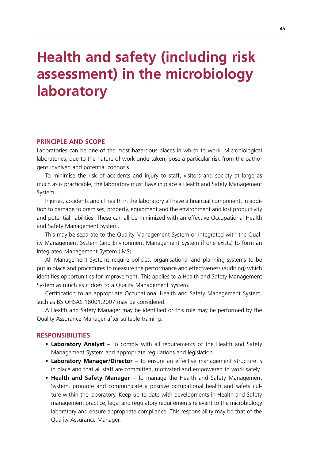# **Health and safety (including risk assessment) in the microbiology laboratory**

# **Principle and scope**

Laboratories can be one of the most hazardous places in which to work. Microbiological laboratories, due to the nature of work undertaken, pose a particular risk from the pathogens involved and potential zoonosis.

To minimise the risk of accidents and injury to staff, visitors and society at large as much as is practicable, the laboratory must have in place a Health and Safety Management System.

Injuries, accidents and ill health in the laboratory all have a financial component, in addition to damage to premises, property, equipment and the environment and lost productivity and potential liabilities. These can all be minimized with an effective Occupational Health and Safety Management System.

This may be separate to the Quality Management System or integrated with the Quality Management System (and Environment Management System if one exists) to form an Integrated Management System (IMS).

All Management Systems require policies, organisational and planning systems to be put in place and procedures to measure the performance and effectiveness (auditing) which identifies opportunities for improvement. This applies to a Health and Safety Management System as much as it does to a Quality Management System.

Certification to an appropriate Occupational Health and Safety Management System, such as BS OHSAS 18001:2007 may be considered.

A Health and Safety Manager may be identified or this role may be performed by the Quality Assurance Manager after suitable training.

#### **Responsibilities**

- **Laboratory Analyst** To comply with all requirements of the Health and Safety Management System and appropriate regulations and legislation.
- **Laboratory Manager/Director** To ensure an effective management structure is in place and that all staff are committed, motivated and empowered to work safely.
- **• Health and Safety Manager** To manage the Health and Safety Management System, promote and communicate a positive occupational health and safety culture within the laboratory. Keep up to date with developments in Health and Safety management practice, legal and regulatory requirements relevant to the microbiology laboratory and ensure appropriate compliance. This responsibility may be that of the Quality Assurance Manager.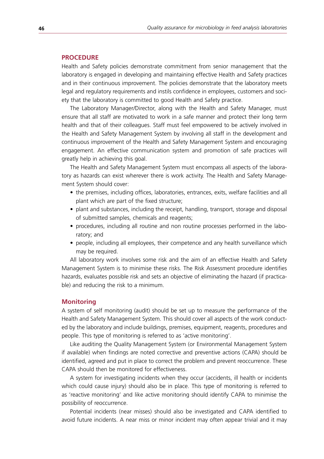# **Procedure**

Health and Safety policies demonstrate commitment from senior management that the laboratory is engaged in developing and maintaining effective Health and Safety practices and in their continuous improvement. The policies demonstrate that the laboratory meets legal and regulatory requirements and instils confidence in employees, customers and society that the laboratory is committed to good Health and Safety practice.

The Laboratory Manager/Director, along with the Health and Safety Manager, must ensure that all staff are motivated to work in a safe manner and protect their long term health and that of their colleagues. Staff must feel empowered to be actively involved in the Health and Safety Management System by involving all staff in the development and continuous improvement of the Health and Safety Management System and encouraging engagement. An effective communication system and promotion of safe practices will greatly help in achieving this goal.

The Health and Safety Management System must encompass all aspects of the laboratory as hazards can exist wherever there is work activity. The Health and Safety Management System should cover:

- the premises, including offices, laboratories, entrances, exits, welfare facilities and all plant which are part of the fixed structure;
- plant and substances, including the receipt, handling, transport, storage and disposal of submitted samples, chemicals and reagents;
- procedures, including all routine and non routine processes performed in the laboratory; and
- people, including all employees, their competence and any health surveillance which may be required.

All laboratory work involves some risk and the aim of an effective Health and Safety Management System is to minimise these risks. The Risk Assessment procedure identifies hazards, evaluates possible risk and sets an objective of eliminating the hazard (if practicable) and reducing the risk to a minimum.

### **Monitoring**

A system of self monitoring (audit) should be set up to measure the performance of the Health and Safety Management System. This should cover all aspects of the work conducted by the laboratory and include buildings, premises, equipment, reagents, procedures and people. This type of monitoring is referred to as 'active monitoring'.

Like auditing the Quality Management System (or Environmental Management System if available) when findings are noted corrective and preventive actions (CAPA) should be identified, agreed and put in place to correct the problem and prevent reoccurrence. These CAPA should then be monitored for effectiveness.

A system for investigating incidents when they occur (accidents, ill health or incidents which could cause injury) should also be in place. This type of monitoring is referred to as 'reactive monitoring' and like active monitoring should identify CAPA to minimise the possibility of reoccurrence.

Potential incidents (near misses) should also be investigated and CAPA identified to avoid future incidents. A near miss or minor incident may often appear trivial and it may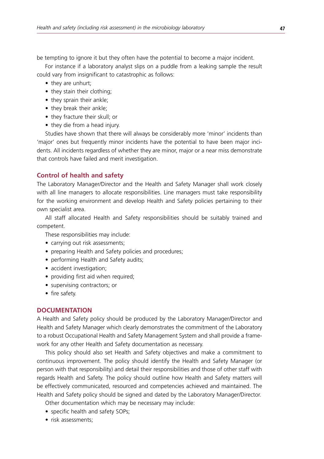be tempting to ignore it but they often have the potential to become a major incident.

For instance if a laboratory analyst slips on a puddle from a leaking sample the result could vary from insignificant to catastrophic as follows:

- they are unhurt;
- they stain their clothing:
- they sprain their ankle;
- they break their ankle;
- they fracture their skull: or
- they die from a head injury.

Studies have shown that there will always be considerably more 'minor' incidents than 'major' ones but frequently minor incidents have the potential to have been major incidents. All incidents regardless of whether they are minor, major or a near miss demonstrate that controls have failed and merit investigation.

## **Control of health and safety**

The Laboratory Manager/Director and the Health and Safety Manager shall work closely with all line managers to allocate responsibilities. Line managers must take responsibility for the working environment and develop Health and Safety policies pertaining to their own specialist area.

All staff allocated Health and Safety responsibilities should be suitably trained and competent.

These responsibilities may include:

- carrying out risk assessments;
- preparing Health and Safety policies and procedures;
- performing Health and Safety audits;
- accident investigation;
- providing first aid when required;
- supervising contractors; or
- fire safety.

### **Documentation**

A Health and Safety policy should be produced by the Laboratory Manager/Director and Health and Safety Manager which clearly demonstrates the commitment of the Laboratory to a robust Occupational Health and Safety Management System and shall provide a framework for any other Health and Safety documentation as necessary.

This policy should also set Health and Safety objectives and make a commitment to continuous improvement. The policy should identify the Health and Safety Manager (or person with that responsibility) and detail their responsibilities and those of other staff with regards Health and Safety. The policy should outline how Health and Safety matters will be effectively communicated, resourced and competencies achieved and maintained. The Health and Safety policy should be signed and dated by the Laboratory Manager/Director.

Other documentation which may be necessary may include:

- specific health and safety SOPs;
- risk assessments;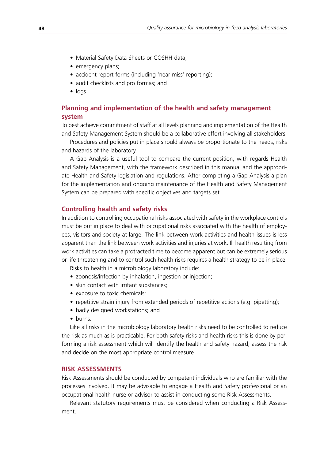- Material Safety Data Sheets or COSHH data;
- emergency plans;
- accident report forms (including 'near miss' reporting);
- audit checklists and pro formas; and
- logs.

# **Planning and implementation of the health and safety management system**

To best achieve commitment of staff at all levels planning and implementation of the Health and Safety Management System should be a collaborative effort involving all stakeholders.

Procedures and policies put in place should always be proportionate to the needs, risks and hazards of the laboratory.

A Gap Analysis is a useful tool to compare the current position, with regards Health and Safety Management, with the framework described in this manual and the appropriate Health and Safety legislation and regulations. After completing a Gap Analysis a plan for the implementation and ongoing maintenance of the Health and Safety Management System can be prepared with specific objectives and targets set.

#### **Controlling health and safety risks**

In addition to controlling occupational risks associated with safety in the workplace controls must be put in place to deal with occupational risks associated with the health of employees, visitors and society at large. The link between work activities and health issues is less apparent than the link between work activities and injuries at work. Ill health resulting from work activities can take a protracted time to become apparent but can be extremely serious or life threatening and to control such health risks requires a health strategy to be in place.

Risks to health in a microbiology laboratory include:

- zoonosis/infection by inhalation, ingestion or injection;
- skin contact with irritant substances;
- exposure to toxic chemicals;
- repetitive strain injury from extended periods of repetitive actions (e.g. pipetting);
- badly designed workstations; and
- burns.

Like all risks in the microbiology laboratory health risks need to be controlled to reduce the risk as much as is practicable. For both safety risks and health risks this is done by performing a risk assessment which will identify the health and safety hazard, assess the risk and decide on the most appropriate control measure.

# **Risk Assessments**

Risk Assessments should be conducted by competent individuals who are familiar with the processes involved. It may be advisable to engage a Health and Safety professional or an occupational health nurse or advisor to assist in conducting some Risk Assessments.

Relevant statutory requirements must be considered when conducting a Risk Assessment.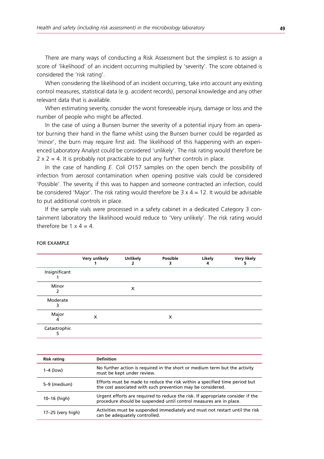There are many ways of conducting a Risk Assessment but the simplest is to assign a score of 'likelihood' of an incident occurring multiplied by 'severity'. The score obtained is considered the 'risk rating'.

When considering the likelihood of an incident occurring, take into account any existing control measures, statistical data (e.g. accident records), personal knowledge and any other relevant data that is available.

When estimating severity, consider the worst foreseeable injury, damage or loss and the number of people who might be affected.

In the case of using a Bunsen burner the severity of a potential injury from an operator burning their hand in the flame whilst using the Bunsen burner could be regarded as 'minor', the burn may require first aid. The likelihood of this happening with an experienced Laboratory Analyst could be considered 'unlikely'. The risk rating would therefore be  $2 \times 2 = 4$ . It is probably not practicable to put any further controls in place.

In the case of handling *E. Coli O*157 samples on the open bench the possibility of infection from aerosol contamination when opening positive vials could be considered 'Possible'. The severity, if this was to happen and someone contracted an infection, could be considered 'Major'. The risk rating would therefore be  $3 \times 4 = 12$ . It would be advisable to put additional controls in place.

If the sample vials were processed in a safety cabinet in a dedicated Category 3 containment laboratory the likelihood would reduce to 'Very unlikely'. The risk rating would therefore be  $1 \times 4 = 4$ .

|               | Very unlikely | <b>Unlikely</b><br>2 | Possible<br>3 | Likely<br>4 | Very likely<br>∍ |
|---------------|---------------|----------------------|---------------|-------------|------------------|
| Insignificant |               |                      |               |             |                  |
| Minor         |               | X                    |               |             |                  |
| Moderate<br>า |               |                      |               |             |                  |
| Major<br>4    | X             |                      | X             |             |                  |
| Catastrophic  |               |                      |               |             |                  |

#### For example

| <b>Risk rating</b> | <b>Definition</b>                                                                                                                                    |
|--------------------|------------------------------------------------------------------------------------------------------------------------------------------------------|
| 1–4 (low)          | No further action is required in the short or medium term but the activity<br>must be kept under review.                                             |
| 5-9 (medium)       | Efforts must be made to reduce the risk within a specified time period but<br>the cost associated with such prevention may be considered.            |
| 10-16 (high)       | Urgent efforts are required to reduce the risk. If appropriate consider if the<br>procedure should be suspended until control measures are in place. |
| 17–25 (very high)  | Activities must be suspended immediately and must not restart until the risk<br>can be adequately controlled.                                        |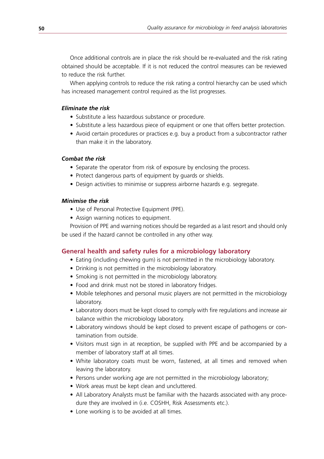Once additional controls are in place the risk should be re-evaluated and the risk rating obtained should be acceptable. If it is not reduced the control measures can be reviewed to reduce the risk further.

When applying controls to reduce the risk rating a control hierarchy can be used which has increased management control required as the list progresses.

## *Eliminate the risk*

- Substitute a less hazardous substance or procedure.
- Substitute a less hazardous piece of equipment or one that offers better protection.
- Avoid certain procedures or practices e.g. buy a product from a subcontractor rather than make it in the laboratory.

# *Combat the risk*

- Separate the operator from risk of exposure by enclosing the process.
- Protect dangerous parts of equipment by guards or shields.
- Design activities to minimise or suppress airborne hazards e.g. segregate.

# *Minimise the risk*

- Use of Personal Protective Equipment (PPE).
- Assign warning notices to equipment.

Provision of PPE and warning notices should be regarded as a last resort and should only be used if the hazard cannot be controlled in any other way.

# **General health and safety rules for a microbiology laboratory**

- Eating (including chewing gum) is not permitted in the microbiology laboratory.
- Drinking is not permitted in the microbiology laboratory.
- Smoking is not permitted in the microbiology laboratory.
- Food and drink must not be stored in laboratory fridges.
- Mobile telephones and personal music players are not permitted in the microbiology laboratory.
- Laboratory doors must be kept closed to comply with fire regulations and increase air balance within the microbiology laboratory.
- Laboratory windows should be kept closed to prevent escape of pathogens or contamination from outside.
- Visitors must sign in at reception, be supplied with PPE and be accompanied by a member of laboratory staff at all times.
- White laboratory coats must be worn, fastened, at all times and removed when leaving the laboratory.
- Persons under working age are not permitted in the microbiology laboratory;
- Work areas must be kept clean and uncluttered.
- All Laboratory Analysts must be familiar with the hazards associated with any procedure they are involved in (i.e. COSHH, Risk Assessments etc.).
- Lone working is to be avoided at all times.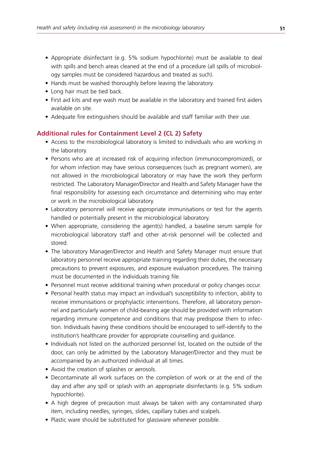- Appropriate disinfectant (e.g. 5% sodium hypochlorite) must be available to deal with spills and bench areas cleaned at the end of a procedure (all spills of microbiology samples must be considered hazardous and treated as such).
- Hands must be washed thoroughly before leaving the laboratory.
- Long hair must be tied back.
- First aid kits and eye wash must be available in the laboratory and trained first aiders available on site.
- Adequate fire extinguishers should be available and staff familiar with their use.

# **Additional rules for Containment Level 2 (CL 2) Safety**

- Access to the microbiological laboratory is limited to individuals who are working in the laboratory.
- Persons who are at increased risk of acquiring infection (immunocompromized), or for whom infection may have serious consequences (such as pregnant women), are not allowed in the microbiological laboratory or may have the work they perform restricted. The Laboratory Manager/Director and Health and Safety Manager have the final responsibility for assessing each circumstance and determining who may enter or work in the microbiological laboratory.
- Laboratory personnel will receive appropriate immunisations or test for the agents handled or potentially present in the microbiological laboratory.
- When appropriate, considering the agent(s) handled, a baseline serum sample for microbiological laboratory staff and other at-risk personnel will be collected and stored.
- The laboratory Manager/Director and Health and Safety Manager must ensure that laboratory personnel receive appropriate training regarding their duties, the necessary precautions to prevent exposures, and exposure evaluation procedures. The training must be documented in the individuals training file.
- Personnel must receive additional training when procedural or policy changes occur.
- Personal health status may impact an individual's susceptibility to infection, ability to receive immunisations or prophylactic interventions. Therefore, all laboratory personnel and particularly women of child-bearing age should be provided with information regarding immune competence and conditions that may predispose them to infection. Individuals having these conditions should be encouraged to self-identify to the institution's healthcare provider for appropriate counselling and guidance.
- Individuals not listed on the authorized personnel list, located on the outside of the door, can only be admitted by the Laboratory Manager/Director and they must be accompanied by an authorized individual at all times.
- Avoid the creation of splashes or aerosols.
- Decontaminate all work surfaces on the completion of work or at the end of the day and after any spill or splash with an appropriate disinfectants (e.g. 5% sodium hypochlorite).
- A high degree of precaution must always be taken with any contaminated sharp item, including needles, syringes, slides, capillary tubes and scalpels.
- Plastic ware should be substituted for glassware whenever possible.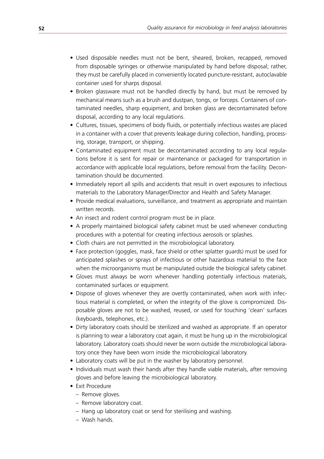- Used disposable needles must not be bent, sheared, broken, recapped, removed from disposable syringes or otherwise manipulated by hand before disposal; rather, they must be carefully placed in conveniently located puncture-resistant, autoclavable container used for sharps disposal.
- Broken glassware must not be handled directly by hand, but must be removed by mechanical means such as a brush and dustpan, tongs, or forceps. Containers of contaminated needles, sharp equipment, and broken glass are decontaminated before disposal, according to any local regulations.
- • Cultures, tissues, specimens of body fluids, or potentially infectious wastes are placed in a container with a cover that prevents leakage during collection, handling, processing, storage, transport, or shipping.
- Contaminated equipment must be decontaminated according to any local regulations before it is sent for repair or maintenance or packaged for transportation in accordance with applicable local regulations, before removal from the facility. Decontamination should be documented.
- • Immediately report all spills and accidents that result in overt exposures to infectious materials to the Laboratory Manager/Director and Health and Safety Manager.
- Provide medical evaluations, surveillance, and treatment as appropriate and maintain written records.
- An insect and rodent control program must be in place.
- A properly maintained biological safety cabinet must be used whenever conducting procedures with a potential for creating infectious aerosols or splashes.
- Cloth chairs are not permitted in the microbiological laboratory.
- Face protection (goggles, mask, face shield or other splatter guards) must be used for anticipated splashes or sprays of infectious or other hazardous material to the face when the microorganisms must be manipulated outside the biological safety cabinet.
- Gloves must always be worn whenever handling potentially infectious materials, contaminated surfaces or equipment.
- Dispose of gloves whenever they are overtly contaminated, when work with infectious material is completed, or when the integrity of the glove is compromized. Disposable gloves are not to be washed, reused, or used for touching 'clean' surfaces (keyboards, telephones, etc.).
- Dirty laboratory coats should be sterilized and washed as appropriate. If an operator is planning to wear a laboratory coat again, it must be hung up in the microbiological laboratory. Laboratory coats should never be worn outside the microbiological laboratory once they have been worn inside the microbiological laboratory.
- Laboratory coats will be put in the washer by laboratory personnel.
- Individuals must wash their hands after they handle viable materials, after removing gloves and before leaving the microbiological laboratory.
- Exit Procedure
	- Remove gloves.
	- Remove laboratory coat.
	- Hang up laboratory coat or send for sterilising and washing.
	- Wash hands.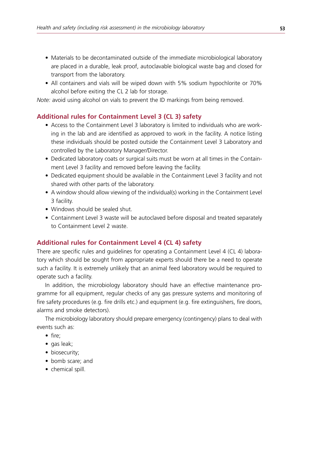- Materials to be decontaminated outside of the immediate microbiological laboratory are placed in a durable, leak proof, autoclavable biological waste bag and closed for transport from the laboratory.
- All containers and vials will be wiped down with 5% sodium hypochlorite or 70% alcohol before exiting the CL 2 lab for storage.

*Note:* avoid using alcohol on vials to prevent the ID markings from being removed.

#### **Additional rules for Containment Level 3 (CL 3) safety**

- Access to the Containment Level 3 laboratory is limited to individuals who are working in the lab and are identified as approved to work in the facility. A notice listing these individuals should be posted outside the Containment Level 3 Laboratory and controlled by the Laboratory Manager/Director.
- Dedicated laboratory coats or surgical suits must be worn at all times in the Containment Level 3 facility and removed before leaving the facility.
- Dedicated equipment should be available in the Containment Level 3 facility and not shared with other parts of the laboratory.
- A window should allow viewing of the individual(s) working in the Containment Level 3 facility.
- Windows should be sealed shut.
- Containment Level 3 waste will be autoclaved before disposal and treated separately to Containment Level 2 waste.

#### **Additional rules for Containment Level 4 (CL 4) safety**

There are specific rules and guidelines for operating a Containment Level 4 (CL 4) laboratory which should be sought from appropriate experts should there be a need to operate such a facility. It is extremely unlikely that an animal feed laboratory would be required to operate such a facility.

In addition, the microbiology laboratory should have an effective maintenance programme for all equipment, regular checks of any gas pressure systems and monitoring of fire safety procedures (e.g. fire drills etc.) and equipment (e.g. fire extinguishers, fire doors, alarms and smoke detectors).

The microbiology laboratory should prepare emergency (contingency) plans to deal with events such as:

- fire:
- gas leak;
- biosecurity;
- bomb scare; and
- chemical spill.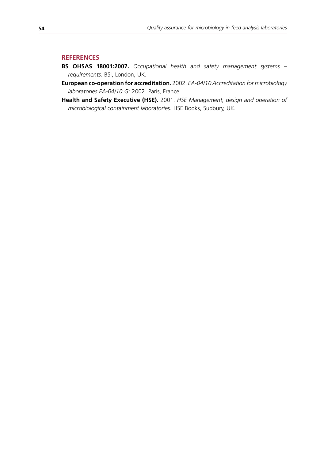# **References**

- **BS OHSAS 18001:2007.** *Occupational health and safety management systems requirements*. BSI, London, UK.
- **European co-operation for accreditation.** 2002. *EA-04/10 Accreditation for microbiology laboratories EA-04/10 G*: 2002. Paris, France.
- **Health and Safety Executive (HSE).** 2001. *HSE Management, design and operation of microbiological containment laboratories*. HSE Books, Sudbury, UK.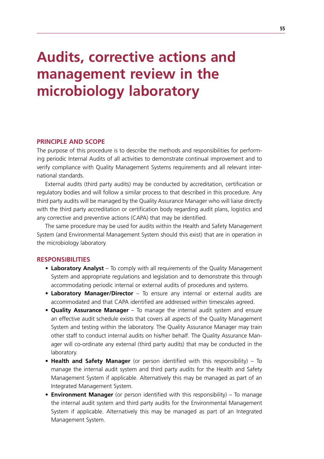# **Audits, corrective actions and management review in the microbiology laboratory**

# **Principle and Scope**

The purpose of this procedure is to describe the methods and responsibilities for performing periodic Internal Audits of all activities to demonstrate continual improvement and to verify compliance with Quality Management Systems requirements and all relevant international standards.

External audits (third party audits) may be conducted by accreditation, certification or regulatory bodies and will follow a similar process to that described in this procedure. Any third party audits will be managed by the Quality Assurance Manager who will liaise directly with the third party accreditation or certification body regarding audit plans, logistics and any corrective and preventive actions (CAPA) that may be identified.

The same procedure may be used for audits within the Health and Safety Management System (and Environmental Management System should this exist) that are in operation in the microbiology laboratory.

#### **Responsibilities**

- **Laboratory Analyst** To comply with all requirements of the Quality Management System and appropriate regulations and legislation and to demonstrate this through accommodating periodic internal or external audits of procedures and systems.
- **Laboratory Manager/Director** To ensure any internal or external audits are accommodated and that CAPA identified are addressed within timescales agreed.
- **Quality Assurance Manager** To manage the internal audit system and ensure an effective audit schedule exists that covers all aspects of the Quality Management System and testing within the laboratory. The Quality Assurance Manager may train other staff to conduct internal audits on his/her behalf. The Quality Assurance Manager will co-ordinate any external (third party audits) that may be conducted in the laboratory.
- **Health and Safety Manager** (or person identified with this responsibility) To manage the internal audit system and third party audits for the Health and Safety Management System if applicable. Alternatively this may be managed as part of an Integrated Management System.
- **Environment Manager** (or person identified with this responsibility) To manage the internal audit system and third party audits for the Environmental Management System if applicable. Alternatively this may be managed as part of an Integrated Management System.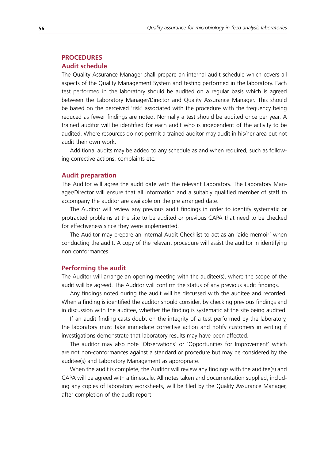# **Procedures**

# **Audit schedule**

The Quality Assurance Manager shall prepare an internal audit schedule which covers all aspects of the Quality Management System and testing performed in the laboratory. Each test performed in the laboratory should be audited on a regular basis which is agreed between the Laboratory Manager/Director and Quality Assurance Manager. This should be based on the perceived 'risk' associated with the procedure with the frequency being reduced as fewer findings are noted. Normally a test should be audited once per year. A trained auditor will be identified for each audit who is independent of the activity to be audited. Where resources do not permit a trained auditor may audit in his/her area but not audit their own work.

Additional audits may be added to any schedule as and when required, such as following corrective actions, complaints etc.

#### **Audit preparation**

The Auditor will agree the audit date with the relevant Laboratory. The Laboratory Manager/Director will ensure that all information and a suitably qualified member of staff to accompany the auditor are available on the pre arranged date.

The Auditor will review any previous audit findings in order to identify systematic or protracted problems at the site to be audited or previous CAPA that need to be checked for effectiveness since they were implemented.

The Auditor may prepare an Internal Audit Checklist to act as an 'aide memoir' when conducting the audit. A copy of the relevant procedure will assist the auditor in identifying non conformances.

#### **Performing the audit**

The Auditor will arrange an opening meeting with the auditee(s), where the scope of the audit will be agreed. The Auditor will confirm the status of any previous audit findings.

Any findings noted during the audit will be discussed with the auditee and recorded. When a finding is identified the auditor should consider, by checking previous findings and in discussion with the auditee, whether the finding is systematic at the site being audited.

If an audit finding casts doubt on the integrity of a test performed by the laboratory, the laboratory must take immediate corrective action and notify customers in writing if investigations demonstrate that laboratory results may have been affected.

The auditor may also note 'Observations' or 'Opportunities for Improvement' which are not non-conformances against a standard or procedure but may be considered by the auditee(s) and Laboratory Management as appropriate.

When the audit is complete, the Auditor will review any findings with the auditee(s) and CAPA will be agreed with a timescale. All notes taken and documentation supplied, including any copies of laboratory worksheets, will be filed by the Quality Assurance Manager, after completion of the audit report.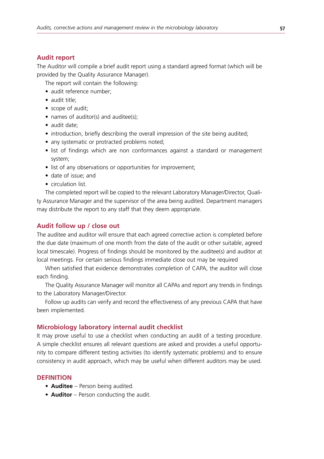## **Audit report**

The Auditor will compile a brief audit report using a standard agreed format (which will be provided by the Quality Assurance Manager).

The report will contain the following:

- audit reference number:
- audit title:
- scope of audit;
- names of auditor(s) and auditee(s):
- audit date:
- introduction, briefly describing the overall impression of the site being audited;
- any systematic or protracted problems noted;
- list of findings which are non conformances against a standard or management system;
- list of any observations or opportunities for improvement;
- date of issue: and
- circulation list.

The completed report will be copied to the relevant Laboratory Manager/Director, Quality Assurance Manager and the supervisor of the area being audited. Department managers may distribute the report to any staff that they deem appropriate.

# **Audit follow up / close out**

The auditee and auditor will ensure that each agreed corrective action is completed before the due date (maximum of one month from the date of the audit or other suitable, agreed local timescale). Progress of findings should be monitored by the auditee(s) and auditor at local meetings. For certain serious findings immediate close out may be required

When satisfied that evidence demonstrates completion of CAPA, the auditor will close each finding.

The Quality Assurance Manager will monitor all CAPAs and report any trends in findings to the Laboratory Manager/Director.

Follow up audits can verify and record the effectiveness of any previous CAPA that have been implemented.

#### **Microbiology laboratory internal audit checklist**

It may prove useful to use a checklist when conducting an audit of a testing procedure. A simple checklist ensures all relevant questions are asked and provides a useful opportunity to compare different testing activities (to identify systematic problems) and to ensure consistency in audit approach, which may be useful when different auditors may be used.

### **DEFINITION**

- **• Auditee**  Person being audited.
- **• Auditor** Person conducting the audit.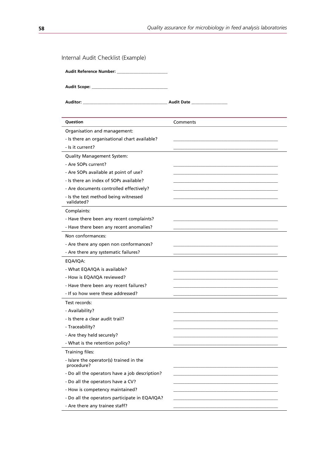| Internal Audit Checklist (Example)                    |          |
|-------------------------------------------------------|----------|
| Audit Reference Number:                               |          |
|                                                       |          |
|                                                       |          |
| Question                                              | Comments |
| Organisation and management:                          |          |
| - Is there an organisational chart available?         |          |
| - Is it current?                                      |          |
| <b>Quality Management System:</b>                     |          |
| - Are SOPs current?                                   |          |
| - Are SOPs available at point of use?                 |          |
| - Is there an index of SOPs available?                |          |
| - Are documents controlled effectively?               |          |
| - Is the test method being witnessed<br>validated?    |          |
| Complaints:                                           |          |
| - Have there been any recent complaints?              |          |
| - Have there been any recent anomalies?               |          |
| Non conformances:                                     |          |
| - Are there any open non conformances?                |          |
| - Are there any systematic failures?                  |          |
| EQA/IQA:                                              |          |
| - What EQA/IQA is available?                          |          |
| - How is EQA/IQA reviewed?                            |          |
| - Have there been any recent failures?                |          |
| - If so how were these addressed?                     |          |
| Test records:                                         |          |
| - Availability?                                       |          |
| - Is there a clear audit trail?                       |          |
| - Traceability?                                       |          |
| - Are they held securely?                             |          |
| - What is the retention policy?                       |          |
| Training files:                                       |          |
| - Is/are the operator(s) trained in the<br>procedure? |          |
| - Do all the operators have a job description?        |          |
| - Do all the operators have a CV?                     |          |
| - How is competency maintained?                       |          |
| - Do all the operators participate in EQA/IQA?        |          |
| - Are there any trainee staff?                        |          |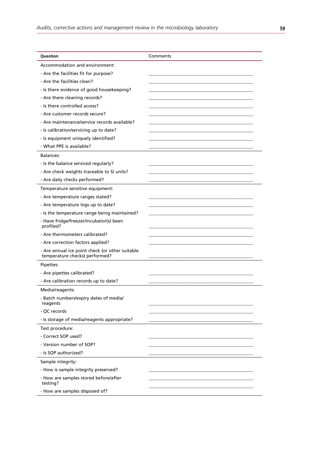| Question                                                                          | Comments |
|-----------------------------------------------------------------------------------|----------|
| Accommodation and environment:                                                    |          |
| - Are the facilities fit for purpose?                                             |          |
| - Are the facilities clean?                                                       |          |
| - Is there evidence of good housekeeping?                                         |          |
| - Are there cleaning records?                                                     |          |
| - Is there controlled access?                                                     |          |
| - Are customer records secure?                                                    |          |
| - Are maintenance/service records available?                                      |          |
| - Is calibration/servicing up to date?                                            |          |
| - Is equipment uniquely identified?                                               |          |
| - What PPE is available?                                                          |          |
| Balances:                                                                         |          |
| - Is the balance serviced regularly?                                              |          |
| - Are check weights traceable to SI units?                                        |          |
| - Are daily checks performed?                                                     |          |
| Temperature sensitive equipment:                                                  |          |
| - Are temperature ranges stated?                                                  |          |
| - Are temperature logs up to date?                                                |          |
| - Is the temperature range being maintained?                                      |          |
| - Have fridge/freezer/incubator(s) been<br>profiled?                              |          |
| - Are thermometers calibrated?                                                    |          |
| - Are correction factors applied?                                                 |          |
| - Are annual ice point check (or other suitable<br>temperature checks) performed? |          |
| Pipettes:                                                                         |          |
| - Are pipettes calibrated?                                                        |          |
| - Are calibration records up to date?                                             |          |
| Media/reagents:                                                                   |          |
| - Batch numbers/expiry dates of media/<br>reagents                                |          |
| - QC records                                                                      |          |
| - Is storage of media/reagents appropriate?                                       |          |
| Test procedure:                                                                   |          |
| - Correct SOP used?                                                               |          |
| - Version number of SOP?                                                          |          |
| - Is SOP authorized?                                                              |          |
| Sample integrity:                                                                 |          |
| - How is sample integrity preserved?                                              |          |
| - How are samples stored before/after<br>testing?                                 |          |
| - How are samples disposed of?                                                    |          |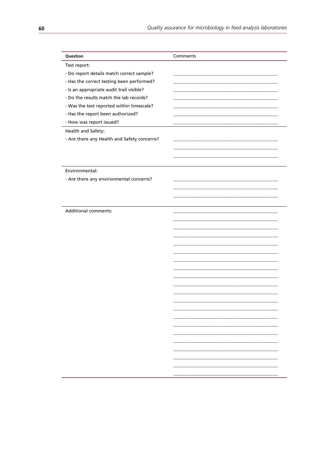| Question                                    | Comments |
|---------------------------------------------|----------|
| Test report:                                |          |
| - Do report details match correct sample?   |          |
| - Has the correct testing been performed?   |          |
| - Is an appropriate audit trail visible?    |          |
| - Do the results match the lab records?     |          |
| - Was the test reported within timescale?   |          |
| - Has the report been authorized?           |          |
| - How was report issued?                    |          |
| Health and Safety:                          |          |
| - Are there any Health and Safety concerns? |          |
|                                             |          |
|                                             |          |
|                                             |          |
| Environmental:                              |          |
| - Are there any environmental concerns?     |          |
|                                             |          |
|                                             |          |
|                                             |          |
| Additional comments:                        |          |
|                                             |          |
|                                             |          |
|                                             |          |
|                                             |          |
|                                             |          |
|                                             |          |
|                                             |          |
|                                             |          |
|                                             |          |
|                                             |          |
|                                             |          |
|                                             |          |
|                                             |          |
|                                             |          |
|                                             |          |
|                                             |          |
|                                             |          |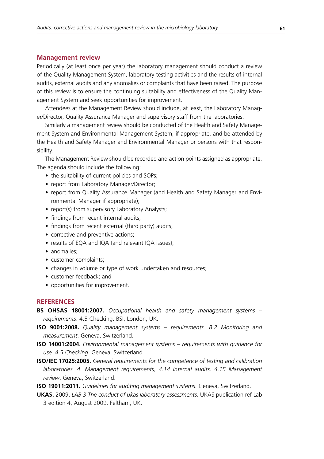#### **Management review**

Periodically (at least once per year) the laboratory management should conduct a review of the Quality Management System, laboratory testing activities and the results of internal audits, external audits and any anomalies or complaints that have been raised. The purpose of this review is to ensure the continuing suitability and effectiveness of the Quality Management System and seek opportunities for improvement.

Attendees at the Management Review should include, at least, the Laboratory Manager/Director, Quality Assurance Manager and supervisory staff from the laboratories.

Similarly a management review should be conducted of the Health and Safety Management System and Environmental Management System, if appropriate, and be attended by the Health and Safety Manager and Environmental Manager or persons with that responsibility.

The Management Review should be recorded and action points assigned as appropriate. The agenda should include the following:

- the suitability of current policies and SOPs:
- report from Laboratory Manager/Director;
- report from Quality Assurance Manager (and Health and Safety Manager and Environmental Manager if appropriate);
- report(s) from supervisory Laboratory Analysts;
- findings from recent internal audits;
- findings from recent external (third party) audits;
- corrective and preventive actions;
- results of EQA and IQA (and relevant IQA issues);
- anomalies:
- customer complaints;
- changes in volume or type of work undertaken and resources;
- customer feedback: and
- • opportunities for improvement.

### **References**

- **BS OHSAS 18001:2007.** *Occupational health and safety management systems requirements*. 4.5 Checking. BSI, London, UK.
- **ISO 9001:2008.** *Quality management systems requirements. 8.2 Monitoring and measurement*. Geneva, Switzerland.
- **ISO 14001:2004.** *Environmental management systems requirements with guidance for use. 4.5 Checking*. Geneva, Switzerland.
- **ISO/IEC 17025:2005.** *General requirements for the competence of testing and calibration laboratories. 4. Management requirements, 4.14 Internal audits*. *4.15 Management review*. Geneva, Switzerland.

**ISO 19011:2011.** *Guidelines for auditing management systems*. Geneva, Switzerland.

**UKAS.** 2009. *LAB 3 The conduct of ukas laboratory assessments*. UKAS publication ref Lab 3 edition 4, August 2009. Feltham, UK.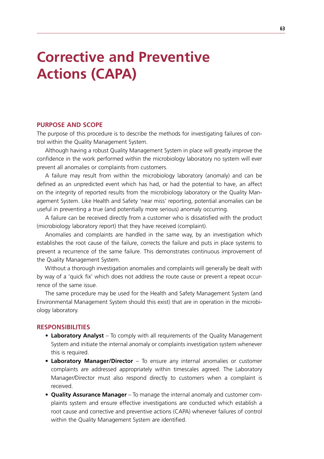# **Corrective and Preventive Actions (CAPA)**

#### **Purpose and Scope**

The purpose of this procedure is to describe the methods for investigating failures of control within the Quality Management System.

Although having a robust Quality Management System in place will greatly improve the confidence in the work performed within the microbiology laboratory no system will ever prevent all anomalies or complaints from customers.

A failure may result from within the microbiology laboratory (anomaly) and can be defined as an unpredicted event which has had, or had the potential to have, an affect on the integrity of reported results from the microbiology laboratory or the Quality Management System. Like Health and Safety 'near miss' reporting, potential anomalies can be useful in preventing a true (and potentially more serious) anomaly occurring.

A failure can be received directly from a customer who is dissatisfied with the product (microbiology laboratory report) that they have received (complaint).

Anomalies and complaints are handled in the same way, by an investigation which establishes the root cause of the failure, corrects the failure and puts in place systems to prevent a recurrence of the same failure. This demonstrates continuous improvement of the Quality Management System.

Without a thorough investigation anomalies and complaints will generally be dealt with by way of a 'quick fix' which does not address the route cause or prevent a repeat occurrence of the same issue.

The same procedure may be used for the Health and Safety Management System (and Environmental Management System should this exist) that are in operation in the microbiology laboratory.

#### **Responsibilities**

- Laboratory Analyst To comply with all requirements of the Quality Management System and initiate the internal anomaly or complaints investigation system whenever this is required.
- Laboratory Manager/Director To ensure any internal anomalies or customer complaints are addressed appropriately within timescales agreed. The Laboratory Manager/Director must also respond directly to customers when a complaint is received.
- **• Quality Assurance Manager** To manage the internal anomaly and customer complaints system and ensure effective investigations are conducted which establish a root cause and corrective and preventive actions (CAPA) whenever failures of control within the Quality Management System are identified.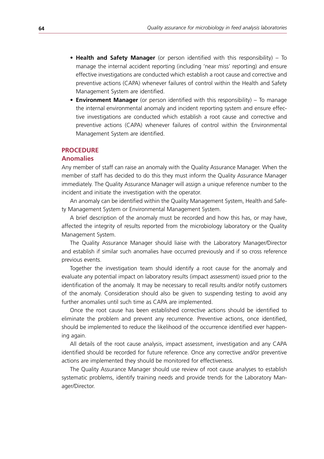- **Health and Safety Manager** (or person identified with this responsibility) To manage the internal accident reporting (including 'near miss' reporting) and ensure effective investigations are conducted which establish a root cause and corrective and preventive actions (CAPA) whenever failures of control within the Health and Safety Management System are identified.
- **• Environment Manager** (or person identified with this responsibility) To manage the internal environmental anomaly and incident reporting system and ensure effective investigations are conducted which establish a root cause and corrective and preventive actions (CAPA) whenever failures of control within the Environmental Management System are identified.

## **Procedure**

## **Anomalies**

Any member of staff can raise an anomaly with the Quality Assurance Manager. When the member of staff has decided to do this they must inform the Quality Assurance Manager immediately. The Quality Assurance Manager will assign a unique reference number to the incident and initiate the investigation with the operator.

An anomaly can be identified within the Quality Management System, Health and Safety Management System or Environmental Management System.

A brief description of the anomaly must be recorded and how this has, or may have, affected the integrity of results reported from the microbiology laboratory or the Quality Management System.

The Quality Assurance Manager should liaise with the Laboratory Manager/Director and establish if similar such anomalies have occurred previously and if so cross reference previous events.

Together the investigation team should identify a root cause for the anomaly and evaluate any potential impact on laboratory results (impact assessment) issued prior to the identification of the anomaly. It may be necessary to recall results and/or notify customers of the anomaly. Consideration should also be given to suspending testing to avoid any further anomalies until such time as CAPA are implemented.

Once the root cause has been established corrective actions should be identified to eliminate the problem and prevent any recurrence. Preventive actions, once identified, should be implemented to reduce the likelihood of the occurrence identified ever happening again.

All details of the root cause analysis, impact assessment, investigation and any CAPA identified should be recorded for future reference. Once any corrective and/or preventive actions are implemented they should be monitored for effectiveness.

The Quality Assurance Manager should use review of root cause analyses to establish systematic problems, identify training needs and provide trends for the Laboratory Manager/Director.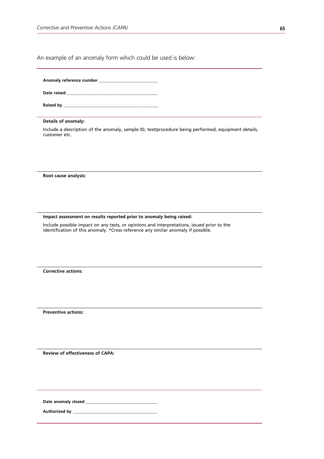An example of an anomaly form which could be used is below:

**Anomaly reference number \_\_\_\_\_\_\_\_\_\_\_\_\_\_\_\_\_\_\_\_\_\_\_\_\_\_\_\_**

**Date raised \_\_\_\_\_\_\_\_\_\_\_\_\_\_\_\_\_\_\_\_\_\_\_\_\_\_\_\_\_\_\_\_\_\_\_\_\_\_\_\_\_\_\_**

**Raised by \_\_\_\_\_\_\_\_\_\_\_\_\_\_\_\_\_\_\_\_\_\_\_\_\_\_\_\_\_\_\_\_\_\_\_\_\_\_\_\_\_\_\_\_\_**

#### **Details of anomaly:**

Include a description of the anomaly, sample ID, test/procedure being performed, equipment details, customer etc.

**Root cause analysis:**

**Impact assessment on results reported prior to anomaly being raised:**

Include possible impact on any tests, or opinions and interpretations, issued prior to the identification of this anomaly. \*Cross reference any similar anomaly if possible.

**Corrective actions:**

**Preventive actions:**

**Review of effectiveness of CAPA:**

**Date anomaly closed \_\_\_\_\_\_\_\_\_\_\_\_\_\_\_\_\_\_\_\_\_\_\_\_\_\_\_\_\_\_\_\_\_\_**

**Authorized by \_\_\_\_\_\_\_\_\_\_\_\_\_\_\_\_\_\_\_\_\_\_\_\_\_\_\_\_\_\_\_\_\_\_\_\_\_\_\_\_**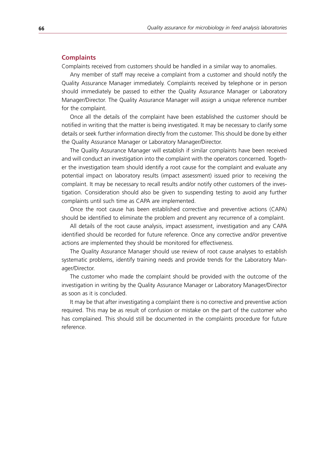### **Complaints**

Complaints received from customers should be handled in a similar way to anomalies.

Any member of staff may receive a complaint from a customer and should notify the Quality Assurance Manager immediately. Complaints received by telephone or in person should immediately be passed to either the Quality Assurance Manager or Laboratory Manager/Director. The Quality Assurance Manager will assign a unique reference number for the complaint.

Once all the details of the complaint have been established the customer should be notified in writing that the matter is being investigated. It may be necessary to clarify some details or seek further information directly from the customer. This should be done by either the Quality Assurance Manager or Laboratory Manager/Director.

The Quality Assurance Manager will establish if similar complaints have been received and will conduct an investigation into the complaint with the operators concerned. Together the investigation team should identify a root cause for the complaint and evaluate any potential impact on laboratory results (impact assessment) issued prior to receiving the complaint. It may be necessary to recall results and/or notify other customers of the investigation. Consideration should also be given to suspending testing to avoid any further complaints until such time as CAPA are implemented.

Once the root cause has been established corrective and preventive actions (CAPA) should be identified to eliminate the problem and prevent any recurrence of a complaint.

All details of the root cause analysis, impact assessment, investigation and any CAPA identified should be recorded for future reference. Once any corrective and/or preventive actions are implemented they should be monitored for effectiveness.

The Quality Assurance Manager should use review of root cause analyses to establish systematic problems, identify training needs and provide trends for the Laboratory Manager/Director.

The customer who made the complaint should be provided with the outcome of the investigation in writing by the Quality Assurance Manager or Laboratory Manager/Director as soon as it is concluded.

It may be that after investigating a complaint there is no corrective and preventive action required. This may be as result of confusion or mistake on the part of the customer who has complained. This should still be documented in the complaints procedure for future reference.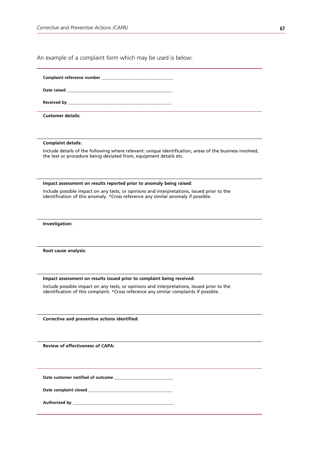An example of a complaint form which may be used is below:

| <b>Customer details:</b>                                                                                                                                                                                                      |
|-------------------------------------------------------------------------------------------------------------------------------------------------------------------------------------------------------------------------------|
|                                                                                                                                                                                                                               |
| <b>Complaint details:</b>                                                                                                                                                                                                     |
| Include details of the following where relevant: unique identification, areas of the business involved,<br>the test or procedure being deviated from, equipment details etc.                                                  |
| Impact assessment on results reported prior to anomaly being raised:                                                                                                                                                          |
| Include possible impact on any tests, or opinions and interpretations, issued prior to the<br>identification of this anomaly. *Cross reference any similar anomaly if possible.                                               |
| Investigation:                                                                                                                                                                                                                |
| Root cause analysis:                                                                                                                                                                                                          |
| Impact assessment on results issued prior to complaint being received:                                                                                                                                                        |
| Include possible impact on any tests, or opinions and interpretations, issued prior to the<br>identification of this complaint. *Cross reference any similar complaints if possible.                                          |
| Corrective and preventive actions identified:                                                                                                                                                                                 |
| <b>Review of effectiveness of CAPA:</b>                                                                                                                                                                                       |
| Date customer notified of outcome                                                                                                                                                                                             |
|                                                                                                                                                                                                                               |
| Authorized by the contract of the contract of the contract of the contract of the contract of the contract of the contract of the contract of the contract of the contract of the contract of the contract of the contract of |
|                                                                                                                                                                                                                               |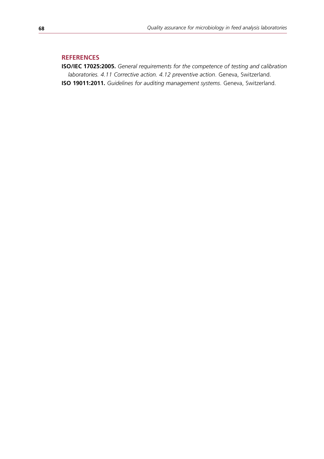# **References**

**ISO/IEC 17025:2005.** *General requirements for the competence of testing and calibration laboratories. 4.11 Corrective action. 4.12 preventive action*. Geneva, Switzerland. **ISO 19011:2011.** *Guidelines for auditing management systems*. Geneva, Switzerland.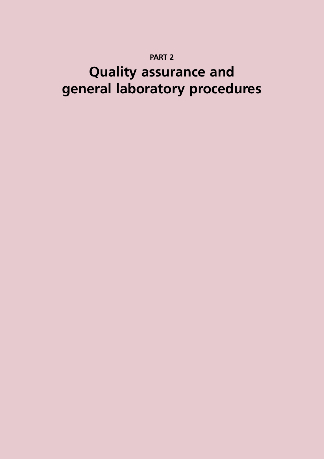# **Part 2**

# **Quality assurance and general laboratory procedures**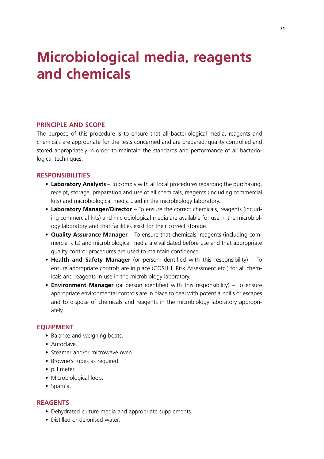# **Microbiological media, reagents and chemicals**

## **Principle and scope**

The purpose of this procedure is to ensure that all bacteriological media, reagents and chemicals are appropriate for the tests concerned and are prepared, quality controlled and stored appropriately in order to maintain the standards and performance of all bacteriological techniques.

## **Responsibilities**

- **Laboratory Analysts** To comply with all local procedures regarding the purchasing, receipt, storage, preparation and use of all chemicals, reagents (including commercial kits) and microbiological media used in the microbiology laboratory.
- **• Laboratory Manager/Director** To ensure the correct chemicals, reagents (including commercial kits) and microbiological media are available for use in the microbiology laboratory and that facilities exist for their correct storage.
- **• Quality Assurance Manager** To ensure that chemicals, reagents (including commercial kits) and microbiological media are validated before use and that appropriate quality control procedures are used to maintain confidence.
- Health and Safety Manager (or person identified with this responsibility) To ensure appropriate controls are in place (COSHH, Risk Assessment etc.) for all chemicals and reagents in use in the microbiology laboratory.
- **• Environment Manager** (or person identified with this responsibility) To ensure appropriate environmental controls are in place to deal with potential spills or escapes and to dispose of chemicals and reagents in the microbiology laboratory appropriately.

## **EQUIPMENT**

- Balance and weighing boats.
- Autoclave.
- Steamer and/or microwave oven.
- Browne's tubes as required.
- pH meter.
- Microbiological loop.
- • Spatula.

# **Reagents**

- Dehydrated culture media and appropriate supplements.
- Distilled or deionised water.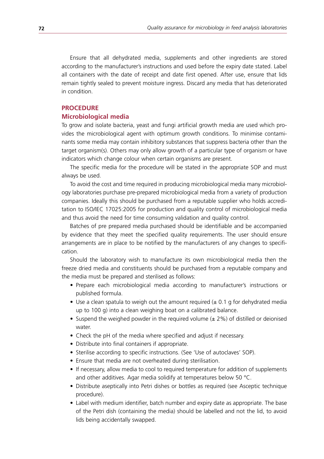Ensure that all dehydrated media, supplements and other ingredients are stored according to the manufacturer's instructions and used before the expiry date stated. Label all containers with the date of receipt and date first opened. After use, ensure that lids remain tightly sealed to prevent moisture ingress. Discard any media that has deteriorated in condition.

# **Procedure**

# **Microbiological media**

To grow and isolate bacteria, yeast and fungi artificial growth media are used which provides the microbiological agent with optimum growth conditions. To minimise contaminants some media may contain inhibitory substances that suppress bacteria other than the target organism(s). Others may only allow growth of a particular type of organism or have indicators which change colour when certain organisms are present.

The specific media for the procedure will be stated in the appropriate SOP and must always be used.

To avoid the cost and time required in producing microbiological media many microbiology laboratories purchase pre-prepared microbiological media from a variety of production companies. Ideally this should be purchased from a reputable supplier who holds accreditation to ISO/IEC 17025:2005 for production and quality control of microbiological media and thus avoid the need for time consuming validation and quality control.

Batches of pre prepared media purchased should be identifiable and be accompanied by evidence that they meet the specified quality requirements. The user should ensure arrangements are in place to be notified by the manufacturers of any changes to specification.

Should the laboratory wish to manufacture its own microbiological media then the freeze dried media and constituents should be purchased from a reputable company and the media must be prepared and sterilised as follows:

- • Prepare each microbiological media according to manufacturer's instructions or published formula.
- Use a clean spatula to weigh out the amount required  $(± 0.1$  g for dehydrated media up to 100 g) into a clean weighing boat on a calibrated balance.
- Suspend the weighed powder in the required volume  $(± 2%)$  of distilled or deionised water.
- Check the pH of the media where specified and adjust if necessary.
- Distribute into final containers if appropriate.
- Sterilise according to specific instructions. (See 'Use of autoclaves' SOP).
- Ensure that media are not overheated during sterilisation.
- If necessary, allow media to cool to required temperature for addition of supplements and other additives. Agar media solidify at temperatures below 50 °C.
- Distribute aseptically into Petri dishes or bottles as required (see Asceptic technique procedure).
- Label with medium identifier, batch number and expiry date as appropriate. The base of the Petri dish (containing the media) should be labelled and not the lid, to avoid lids being accidentally swapped.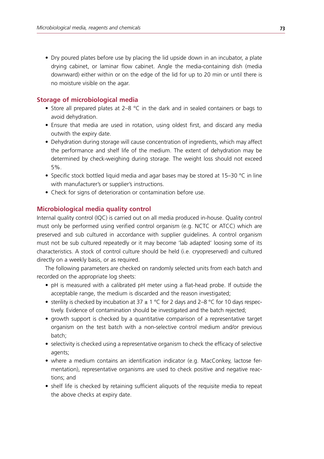• Dry poured plates before use by placing the lid upside down in an incubator, a plate drying cabinet, or laminar flow cabinet. Angle the media-containing dish (media downward) either within or on the edge of the lid for up to 20 min or until there is no moisture visible on the agar.

## **Storage of microbiological media**

- Store all prepared plates at 2–8  $\degree$ C in the dark and in sealed containers or bags to avoid dehydration.
- Ensure that media are used in rotation, using oldest first, and discard any media outwith the expiry date.
- Dehydration during storage will cause concentration of ingredients, which may affect the performance and shelf life of the medium. The extent of dehydration may be determined by check-weighing during storage. The weight loss should not exceed 5%.
- Specific stock bottled liquid media and agar bases may be stored at 15–30 °C in line with manufacturer's or supplier's instructions.
- Check for signs of deterioration or contamination before use.

#### **Microbiological media quality control**

Internal quality control (IQC) is carried out on all media produced in-house. Quality control must only be performed using verified control organism (e.g. NCTC or ATCC) which are preserved and sub cultured in accordance with supplier guidelines. A control organism must not be sub cultured repeatedly or it may become 'lab adapted' loosing some of its characteristics. A stock of control culture should be held (i.e. cryopreserved) and cultured directly on a weekly basis, or as required.

The following parameters are checked on randomly selected units from each batch and recorded on the appropriate log sheets:

- pH is measured with a calibrated pH meter using a flat-head probe. If outside the acceptable range, the medium is discarded and the reason investigated;
- sterility is checked by incubation at 37  $\pm$  1 °C for 2 days and 2–8 °C for 10 days respectively. Evidence of contamination should be investigated and the batch rejected;
- growth support is checked by a quantitative comparison of a representative target organism on the test batch with a non-selective control medium and/or previous batch;
- selectivity is checked using a representative organism to check the efficacy of selective agents;
- where a medium contains an identification indicator (e.g. MacConkey, lactose fermentation), representative organisms are used to check positive and negative reactions; and
- shelf life is checked by retaining sufficient aliquots of the requisite media to repeat the above checks at expiry date.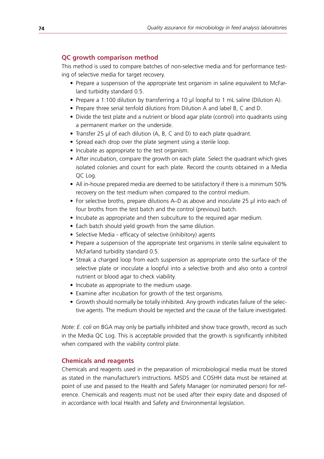# **QC growth comparison method**

This method is used to compare batches of non-selective media and for performance testing of selective media for target recovery.

- Prepare a suspension of the appropriate test organism in saline equivalent to McFarland turbidity standard 0.5.
- Prepare a 1:100 dilution by transferring a 10 µl loopful to 1 mL saline (Dilution A).
- Prepare three serial tenfold dilutions from Dilution A and label B, C and D.
- Divide the test plate and a nutrient or blood agar plate (control) into quadrants using a permanent marker on the underside.
- Transfer 25 µl of each dilution (A, B, C and D) to each plate quadrant.
- Spread each drop over the plate segment using a sterile loop.
- Incubate as appropriate to the test organism.
- After incubation, compare the growth on each plate. Select the quadrant which gives isolated colonies and count for each plate. Record the counts obtained in a Media OC Log.
- All in-house prepared media are deemed to be satisfactory if there is a minimum 50% recovery on the test medium when compared to the control medium.
- For selective broths, prepare dilutions A–D as above and inoculate 25 µl into each of four broths from the test batch and the control (previous) batch.
- Incubate as appropriate and then subculture to the required agar medium.
- Each batch should yield growth from the same dilution.
- Selective Media efficacy of selective (inhibitory) agents
- Prepare a suspension of the appropriate test organisms in sterile saline equivalent to McFarland turbidity standard 0.5.
- Streak a charged loop from each suspension as appropriate onto the surface of the selective plate or inoculate a loopful into a selective broth and also onto a control nutrient or blood agar to check viability.
- Incubate as appropriate to the medium usage.
- Examine after incubation for growth of the test organisms.
- Growth should normally be totally inhibited. Any growth indicates failure of the selective agents. The medium should be rejected and the cause of the failure investigated.

*Note: E. coli* on BGA may only be partially inhibited and show trace growth, record as such in the Media QC Log. This is acceptable provided that the growth is significantly inhibited when compared with the viability control plate.

# **Chemicals and reagents**

Chemicals and reagents used in the preparation of microbiological media must be stored as stated in the manufacturer's instructions. MSDS and COSHH data must be retained at point of use and passed to the Health and Safety Manager (or nominated person) for reference. Chemicals and reagents must not be used after their expiry date and disposed of in accordance with local Health and Safety and Environmental legislation.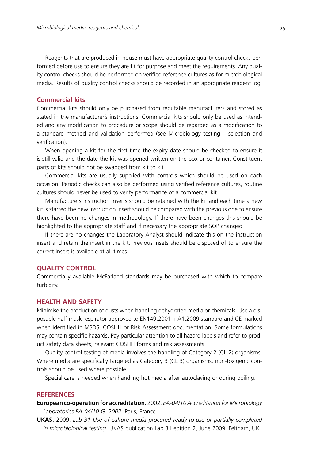Reagents that are produced in house must have appropriate quality control checks performed before use to ensure they are fit for purpose and meet the requirements. Any quality control checks should be performed on verified reference cultures as for microbiological media. Results of quality control checks should be recorded in an appropriate reagent log.

## **Commercial kits**

Commercial kits should only be purchased from reputable manufacturers and stored as stated in the manufacturer's instructions. Commercial kits should only be used as intended and any modification to procedure or scope should be regarded as a modification to a standard method and validation performed (see Microbiology testing – selection and verification).

When opening a kit for the first time the expiry date should be checked to ensure it is still valid and the date the kit was opened written on the box or container. Constituent parts of kits should not be swapped from kit to kit.

Commercial kits are usually supplied with controls which should be used on each occasion. Periodic checks can also be performed using verified reference cultures, routine cultures should never be used to verify performance of a commercial kit.

Manufacturers instruction inserts should be retained with the kit and each time a new kit is started the new instruction insert should be compared with the previous one to ensure there have been no changes in methodology. If there have been changes this should be highlighted to the appropriate staff and if necessary the appropriate SOP changed.

If there are no changes the Laboratory Analyst should indicate this on the instruction insert and retain the insert in the kit. Previous insets should be disposed of to ensure the correct insert is available at all times.

### **QUALITY CONTROL**

Commercially available McFarland standards may be purchased with which to compare turbidity.

## **Health and Safety**

Minimise the production of dusts when handling dehydrated media or chemicals. Use a disposable half-mask respirator approved to EN149:2001 + A1:2009 standard and CE marked when identified in MSDS, COSHH or Risk Assessment documentation. Some formulations may contain specific hazards. Pay particular attention to all hazard labels and refer to product safety data sheets, relevant COSHH forms and risk assessments.

Quality control testing of media involves the handling of Category 2 (CL 2) organisms. Where media are specifically targeted as Category 3 (CL 3) organisms, non-toxigenic controls should be used where possible.

Special care is needed when handling hot media after autoclaving or during boiling.

## **References**

**European co-operation for accreditation.** 2002. *EA-04/10 Accreditation for Microbiology Laboratories EA-04/10 G: 2002*. Paris, France.

**UKAS.** 2009. *Lab 31 Use of culture media procured ready-to-use or partially completed in microbiological testing*. UKAS publication Lab 31 edition 2, June 2009. Feltham, UK.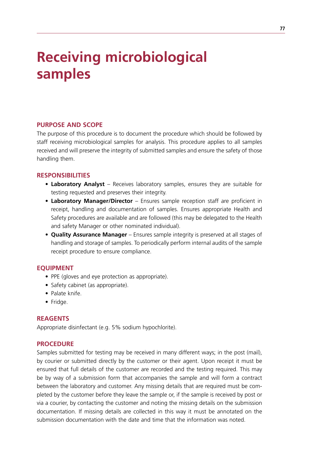# **Receiving microbiological samples**

## **Purpose and scope**

The purpose of this procedure is to document the procedure which should be followed by staff receiving microbiological samples for analysis. This procedure applies to all samples received and will preserve the integrity of submitted samples and ensure the safety of those handling them.

## **Responsibilities**

- Laboratory Analyst Receives laboratory samples, ensures they are suitable for testing requested and preserves their integrity.
- **• Laboratory Manager/Director** Ensures sample reception staff are proficient in receipt, handling and documentation of samples. Ensures appropriate Health and Safety procedures are available and are followed (this may be delegated to the Health and safety Manager or other nominated individual).
- **• Quality Assurance Manager** Ensures sample integrity is preserved at all stages of handling and storage of samples. To periodically perform internal audits of the sample receipt procedure to ensure compliance.

### **Equipment**

- PPE (gloves and eye protection as appropriate).
- Safety cabinet (as appropriate).
- Palate knife.
- Fridge.

#### **Reagents**

Appropriate disinfectant (e.g. 5% sodium hypochlorite).

## **Procedure**

Samples submitted for testing may be received in many different ways; in the post (mail), by courier or submitted directly by the customer or their agent. Upon receipt it must be ensured that full details of the customer are recorded and the testing required. This may be by way of a submission form that accompanies the sample and will form a contract between the laboratory and customer. Any missing details that are required must be completed by the customer before they leave the sample or, if the sample is received by post or via a courier, by contacting the customer and noting the missing details on the submission documentation. If missing details are collected in this way it must be annotated on the submission documentation with the date and time that the information was noted.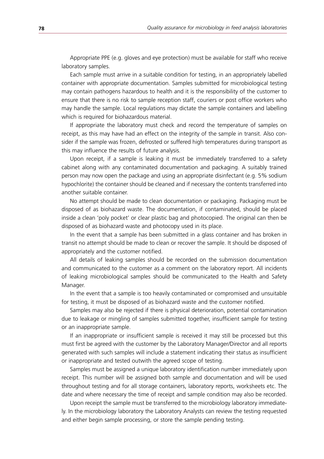Appropriate PPE (e.g. gloves and eye protection) must be available for staff who receive laboratory samples.

Each sample must arrive in a suitable condition for testing, in an appropriately labelled container with appropriate documentation. Samples submitted for microbiological testing may contain pathogens hazardous to health and it is the responsibility of the customer to ensure that there is no risk to sample reception staff, couriers or post office workers who may handle the sample. Local regulations may dictate the sample containers and labelling which is required for biohazardous material.

If appropriate the laboratory must check and record the temperature of samples on receipt, as this may have had an effect on the integrity of the sample in transit. Also consider if the sample was frozen, defrosted or suffered high temperatures during transport as this may influence the results of future analysis.

Upon receipt, if a sample is leaking it must be immediately transferred to a safety cabinet along with any contaminated documentation and packaging. A suitably trained person may now open the package and using an appropriate disinfectant (e.g. 5% sodium hypochlorite) the container should be cleaned and if necessary the contents transferred into another suitable container.

No attempt should be made to clean documentation or packaging. Packaging must be disposed of as biohazard waste. The documentation, if contaminated, should be placed inside a clean 'poly pocket' or clear plastic bag and photocopied. The original can then be disposed of as biohazard waste and photocopy used in its place.

In the event that a sample has been submitted in a glass container and has broken in transit no attempt should be made to clean or recover the sample. It should be disposed of appropriately and the customer notified.

All details of leaking samples should be recorded on the submission documentation and communicated to the customer as a comment on the laboratory report. All incidents of leaking microbiological samples should be communicated to the Health and Safety Manager.

In the event that a sample is too heavily contaminated or compromised and unsuitable for testing, it must be disposed of as biohazard waste and the customer notified.

Samples may also be rejected if there is physical deterioration, potential contamination due to leakage or mingling of samples submitted together, insufficient sample for testing or an inappropriate sample.

If an inappropriate or insufficient sample is received it may still be processed but this must first be agreed with the customer by the Laboratory Manager/Director and all reports generated with such samples will include a statement indicating their status as insufficient or inappropriate and tested outwith the agreed scope of testing.

Samples must be assigned a unique laboratory identification number immediately upon receipt. This number will be assigned both sample and documentation and will be used throughout testing and for all storage containers, laboratory reports, worksheets etc. The date and where necessary the time of receipt and sample condition may also be recorded.

Upon receipt the sample must be transferred to the microbiology laboratory immediately. In the microbiology laboratory the Laboratory Analysts can review the testing requested and either begin sample processing, or store the sample pending testing.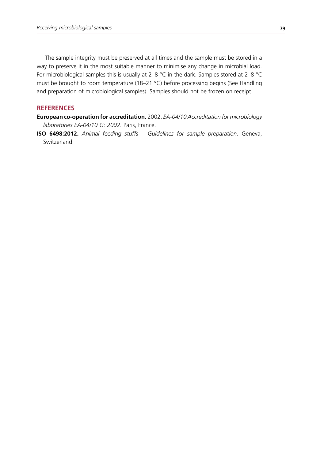The sample integrity must be preserved at all times and the sample must be stored in a way to preserve it in the most suitable manner to minimise any change in microbial load. For microbiological samples this is usually at 2–8 °C in the dark. Samples stored at 2–8 °C must be brought to room temperature (18–21 °C) before processing begins (See Handling and preparation of microbiological samples). Samples should not be frozen on receipt.

# **References**

**European co-operation for accreditation.** 2002. *EA-04/10 Accreditation for microbiology laboratories EA-04/10 G: 2002*. Paris, France.

**ISO 6498:2012.** *Animal feeding stuffs – Guidelines for sample preparation*. Geneva, Switzerland.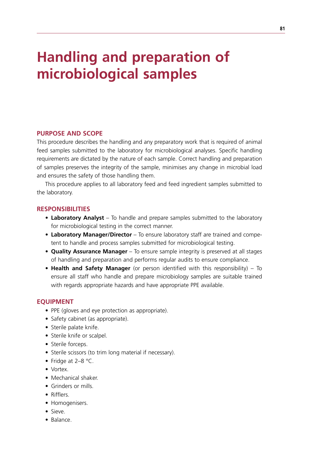# **Handling and preparation of microbiological samples**

#### **Purpose and scope**

This procedure describes the handling and any preparatory work that is required of animal feed samples submitted to the laboratory for microbiological analyses. Specific handling requirements are dictated by the nature of each sample. Correct handling and preparation of samples preserves the integrity of the sample, minimises any change in microbial load and ensures the safety of those handling them.

This procedure applies to all laboratory feed and feed ingredient samples submitted to the laboratory.

#### **Responsibilities**

- Laboratory Analyst To handle and prepare samples submitted to the laboratory for microbiological testing in the correct manner.
- **Laboratory Manager/Director** To ensure laboratory staff are trained and competent to handle and process samples submitted for microbiological testing.
- **• Quality Assurance Manager**  To ensure sample integrity is preserved at all stages of handling and preparation and performs regular audits to ensure compliance.
- **• Health and Safety Manager** (or person identified with this responsibility) To ensure all staff who handle and prepare microbiology samples are suitable trained with regards appropriate hazards and have appropriate PPE available.

## **EQUIPMENT**

- PPE (gloves and eye protection as appropriate).
- Safety cabinet (as appropriate).
- Sterile palate knife.
- Sterile knife or scalpel.
- Sterile forceps.
- Sterile scissors (to trim long material if necessary).
- Fridge at  $2-8$  °C.
- Vortex.
- Mechanical shaker.
- Grinders or mills.
- • Rifflers.
- Homogenisers.
- Sieve.
- Balance.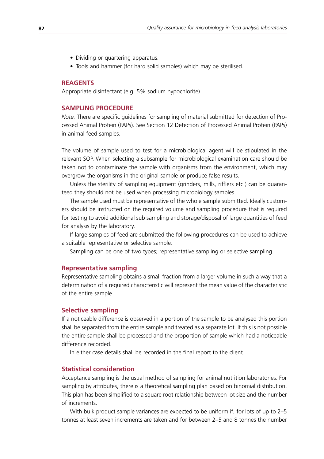- Dividing or quartering apparatus.
- Tools and hammer (for hard solid samples) which may be sterilised.

## **Reagents**

Appropriate disinfectant (e.g. 5% sodium hypochlorite).

#### **Sampling Procedure**

*Note:* There are specific guidelines for sampling of material submitted for detection of Processed Animal Protein (PAPs). See Section 12 Detection of Processed Animal Protein (PAPs) in animal feed samples.

The volume of sample used to test for a microbiological agent will be stipulated in the relevant SOP. When selecting a subsample for microbiological examination care should be taken not to contaminate the sample with organisms from the environment, which may overgrow the organisms in the original sample or produce false results.

Unless the sterility of sampling equipment (grinders, mills, rifflers etc.) can be guaranteed they should not be used when processing microbiology samples.

The sample used must be representative of the whole sample submitted. Ideally customers should be instructed on the required volume and sampling procedure that is required for testing to avoid additional sub sampling and storage/disposal of large quantities of feed for analysis by the laboratory.

If large samples of feed are submitted the following procedures can be used to achieve a suitable representative or selective sample:

Sampling can be one of two types; representative sampling or selective sampling.

#### **Representative sampling**

Representative sampling obtains a small fraction from a larger volume in such a way that a determination of a required characteristic will represent the mean value of the characteristic of the entire sample.

## **Selective sampling**

If a noticeable difference is observed in a portion of the sample to be analysed this portion shall be separated from the entire sample and treated as a separate lot. If this is not possible the entire sample shall be processed and the proportion of sample which had a noticeable difference recorded.

In either case details shall be recorded in the final report to the client.

## **Statistical consideration**

Acceptance sampling is the usual method of sampling for animal nutrition laboratories. For sampling by attributes, there is a theoretical sampling plan based on binomial distribution. This plan has been simplified to a square root relationship between lot size and the number of increments.

With bulk product sample variances are expected to be uniform if, for lots of up to 2–5 tonnes at least seven increments are taken and for between 2–5 and 8 tonnes the number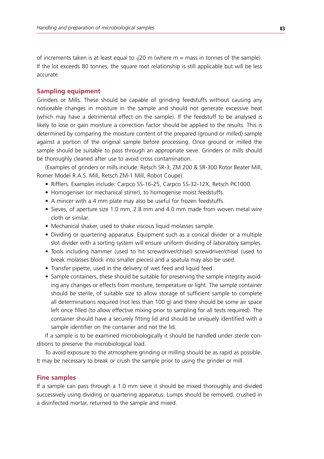of increments taken is at least equal to  $\sqrt{20}$  m (where m = mass in tonnes of the sample). If the lot exceeds 80 tonnes, the square root relationship is still applicable but will be less accurate.

## **Sampling equipment**

Grinders or Mills. These should be capable of grinding feedstuffs without causing any noticeable changes in moisture in the sample and should not generate excessive heat (which may have a detrimental effect on the sample). If the feedstuff to be analysed is likely to lose or gain moisture a correction factor should be applied to the results. This is determined by comparing the moisture content of the prepared (ground or milled) sample against a portion of the original sample before processing. Once ground or milled the sample should be suitable to pass through an appropriate sieve. Grinders or mills should be thoroughly cleaned after use to avoid cross contamination.

(Examples of grinders or mills include: Retsch SR-3, ZM 200 & SR-300 Rotor Beater Mill, Romer Model R.A.S. Mill, Retsch ZM-1 Mill, Robot Coupe).

- Rifflers. Examples include: Carpco SS-16-25, Carpco SS-32-12X, Retsch PK1000.
- Homogeniser (or mechanical stirrer), to homogenise moist feedstuffs.
- A mincer with a 4 mm plate may also be useful for frozen feedstuffs.
- Sieves, of aperture size 1.0 mm, 2.8 mm and 4.0 mm made from woven metal wire cloth or similar.
- Mechanical shaker, used to shake viscous liquid molasses sample.
- Dividing or quartering apparatus. Equipment such as a conical divider or a multiple slot divider with a sorting system will ensure uniform dividing of laboratory samples.
- • Tools including hammer (used to hit screwdriver/chisel) screwdriver/chisel (used to break molasses block into smaller pieces) and a spatula may also be used.
- Transfer pipette, used in the delivery of wet feed and liquid feed.
- Sample containers, these should be suitable for preserving the sample integrity avoiding any changes or effects from moisture, temperature or light. The sample container should be sterile, of suitable size to allow storage of sufficient sample to complete all determinations required (not less than 100 g) and there should be some air space left once filled (to allow effective mixing prior to sampling for all tests required). The container should have a securely fitting lid and should be uniquely identified with a sample identifier on the container and not the lid.

If a sample is to be examined microbiologically it should be handled under sterile conditions to preserve the microbiological load.

To avoid exposure to the atmosphere grinding or milling should be as rapid as possible. It may be necessary to break or crush the sample prior to using the grinder or mill.

#### **Fine samples**

If a sample can pass through a 1.0 mm sieve it should be mixed thoroughly and divided successively using dividing or quartering apparatus. Lumps should be removed, crushed in a disinfected mortar, returned to the sample and mixed.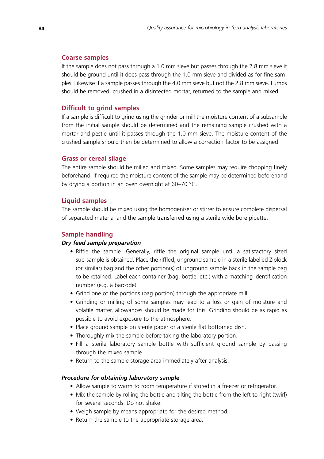## **Coarse samples**

If the sample does not pass through a 1.0 mm sieve but passes through the 2.8 mm sieve it should be ground until it does pass through the 1.0 mm sieve and divided as for fine samples. Likewise if a sample passes through the 4.0 mm sieve but not the 2.8 mm sieve. Lumps should be removed, crushed in a disinfected mortar, returned to the sample and mixed.

## **Difficult to grind samples**

If a sample is difficult to grind using the grinder or mill the moisture content of a subsample from the initial sample should be determined and the remaining sample crushed with a mortar and pestle until it passes through the 1.0 mm sieve. The moisture content of the crushed sample should then be determined to allow a correction factor to be assigned.

#### **Grass or cereal silage**

The entire sample should be milled and mixed. Some samples may require chopping finely beforehand. If required the moisture content of the sample may be determined beforehand by drying a portion in an oven overnight at 60–70 °C.

## **Liquid samples**

The sample should be mixed using the homogeniser or stirrer to ensure complete dispersal of separated material and the sample transferred using a sterile wide bore pipette.

#### **Sample handling**

#### *Dry feed sample preparation*

- Riffle the sample. Generally, riffle the original sample until a satisfactory sized sub-sample is obtained. Place the riffled, unground sample in a sterile labelled Ziplock (or similar) bag and the other portion(s) of unground sample back in the sample bag to be retained. Label each container (bag, bottle, etc.) with a matching identification number (e.g. a barcode).
- Grind one of the portions (bag portion) through the appropriate mill.
- • Grinding or milling of some samples may lead to a loss or gain of moisture and volatile matter, allowances should be made for this. Grinding should be as rapid as possible to avoid exposure to the atmosphere.
- Place ground sample on sterile paper or a sterile flat bottomed dish.
- Thoroughly mix the sample before taking the laboratory portion.
- Fill a sterile laboratory sample bottle with sufficient ground sample by passing through the mixed sample.
- Return to the sample storage area immediately after analysis.

#### *Procedure for obtaining laboratory sample*

- Allow sample to warm to room temperature if stored in a freezer or refrigerator.
- Mix the sample by rolling the bottle and tilting the bottle from the left to right (twirl) for several seconds. Do not shake.
- Weigh sample by means appropriate for the desired method.
- Return the sample to the appropriate storage area.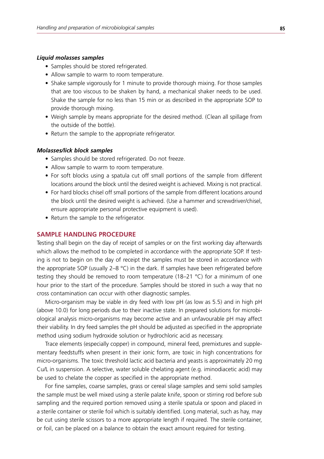#### *Liquid molasses samples*

- Samples should be stored refrigerated.
- Allow sample to warm to room temperature.
- Shake sample vigorously for 1 minute to provide thorough mixing. For those samples that are too viscous to be shaken by hand, a mechanical shaker needs to be used. Shake the sample for no less than 15 min or as described in the appropriate SOP to provide thorough mixing.
- Weigh sample by means appropriate for the desired method. (Clean all spillage from the outside of the bottle).
- Return the sample to the appropriate refrigerator.

### *Molasses/lick block samples*

- Samples should be stored refrigerated. Do not freeze.
- Allow sample to warm to room temperature.
- For soft blocks using a spatula cut off small portions of the sample from different locations around the block until the desired weight is achieved. Mixing is not practical.
- For hard blocks chisel off small portions of the sample from different locations around the block until the desired weight is achieved. (Use a hammer and screwdriver/chisel, ensure appropriate personal protective equipment is used).
- Return the sample to the refrigerator.

#### **Sample Handling Procedure**

Testing shall begin on the day of receipt of samples or on the first working day afterwards which allows the method to be completed in accordance with the appropriate SOP. If testing is not to begin on the day of receipt the samples must be stored in accordance with the appropriate SOP (usually  $2-8$  °C) in the dark. If samples have been refrigerated before testing they should be removed to room temperature (18–21 °C) for a minimum of one hour prior to the start of the procedure. Samples should be stored in such a way that no cross contamination can occur with other diagnostic samples.

Micro-organism may be viable in dry feed with low pH (as low as 5.5) and in high pH (above 10.0) for long periods due to their inactive state. In prepared solutions for microbiological analysis micro-organisms may become active and an unfavourable pH may affect their viability. In dry feed samples the pH should be adjusted as specified in the appropriate method using sodium hydroxide solution or hydrochloric acid as necessary.

Trace elements (especially copper) in compound, mineral feed, premixtures and supplementary feedstuffs when present in their ionic form, are toxic in high concentrations for micro-organisms. The toxic threshold lactic acid bacteria and yeasts is approximately 20 mg Cu/L in suspension. A selective, water soluble chelating agent (e.g. iminodiacetic acid) may be used to chelate the copper as specified in the appropriate method.

For fine samples, coarse samples, grass or cereal silage samples and semi solid samples the sample must be well mixed using a sterile palate knife, spoon or stirring rod before sub sampling and the required portion removed using a sterile spatula or spoon and placed in a sterile container or sterile foil which is suitably identified. Long material, such as hay, may be cut using sterile scissors to a more appropriate length if required. The sterile container, or foil, can be placed on a balance to obtain the exact amount required for testing.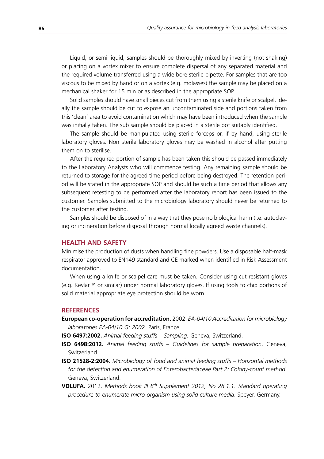Liquid, or semi liquid, samples should be thoroughly mixed by inverting (not shaking) or placing on a vortex mixer to ensure complete dispersal of any separated material and the required volume transferred using a wide bore sterile pipette. For samples that are too viscous to be mixed by hand or on a vortex (e.g. molasses) the sample may be placed on a mechanical shaker for 15 min or as described in the appropriate SOP.

Solid samples should have small pieces cut from them using a sterile knife or scalpel. Ideally the sample should be cut to expose an uncontaminated side and portions taken from this 'clean' area to avoid contamination which may have been introduced when the sample was initially taken. The sub sample should be placed in a sterile pot suitably identified.

The sample should be manipulated using sterile forceps or, if by hand, using sterile laboratory gloves. Non sterile laboratory gloves may be washed in alcohol after putting them on to sterilise.

After the required portion of sample has been taken this should be passed immediately to the Laboratory Analysts who will commence testing. Any remaining sample should be returned to storage for the agreed time period before being destroyed. The retention period will be stated in the appropriate SOP and should be such a time period that allows any subsequent retesting to be performed after the laboratory report has been issued to the customer. Samples submitted to the microbiology laboratory should never be returned to the customer after testing.

Samples should be disposed of in a way that they pose no biological harm (i.e. autoclaving or incineration before disposal through normal locally agreed waste channels).

## **Health and Safety**

Minimise the production of dusts when handling fine powders. Use a disposable half-mask respirator approved to EN149 standard and CE marked when identified in Risk Assessment documentation.

When using a knife or scalpel care must be taken. Consider using cut resistant gloves (e.g. Kevlar™ or similar) under normal laboratory gloves. If using tools to chip portions of solid material appropriate eye protection should be worn.

#### **References**

- **European co-operation for accreditation.** 2002. *EA-04/10 Accreditation for microbiology laboratories EA-04/10 G: 2002*. Paris, France.
- **ISO 6497:2002.** *Animal feeding stuffs Sampling*. Geneva, Switzerland.
- **ISO 6498:2012.** *Animal feeding stuffs Guidelines for sample preparation*. Geneva, Switzerland.
- **ISO 21528-2:2004.** *Microbiology of food and animal feeding stuffs Horizontal methods for the detection and enumeration of Enterobacteriaceae Part 2: Colony-count method*. Geneva, Switzerland.
- **VDLUFA.** 2012. *Methods book III 8th Supplement 2012, No 28.1.1. Standard operating procedure to enumerate micro-organism using solid culture media*. Speyer, Germany.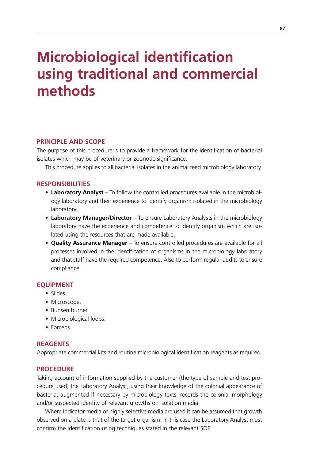# **Microbiological identification using traditional and commercial methods**

## **Principle and scope**

The purpose of this procedure is to provide a framework for the identification of bacterial isolates which may be of veterinary or zoonotic significance.

This procedure applies to all bacterial isolates in the animal feed microbiology laboratory.

### **Responsibilities**

- Laboratory Analyst To follow the controlled procedures available in the microbiology laboratory and their experience to identify organism isolated in the microbiology laboratory.
- Laboratory Manager/Director To ensure Laboratory Analysts in the microbiology laboratory have the experience and competence to identify organism which are isolated using the resources that are made available.
- **• Quality Assurance Manager**  To ensure controlled procedures are available for all processes involved in the identification of organisms in the microbiology laboratory and that staff have the required competence. Also to perform regular audits to ensure compliance.

## **Equipment**

- Slides.
- Microscope.
- Bunsen burner.
- Microbiological loops.
- Forceps.

## **Reagents**

Appropriate commercial kits and routine microbiological identification reagents as required.

## **Procedure**

Taking account of information supplied by the customer (the type of sample and test procedure used) the Laboratory Analyst, using their knowledge of the colonial appearance of bacteria, augmented if necessary by microbiology texts, records the colonial morphology and/or suspected identity of relevant growths on isolation media.

Where indicator media or highly selective media are used it can be assumed that growth observed on a plate is that of the target organism. In this case the Laboratory Analyst must confirm the identification using techniques stated in the relevant SOP.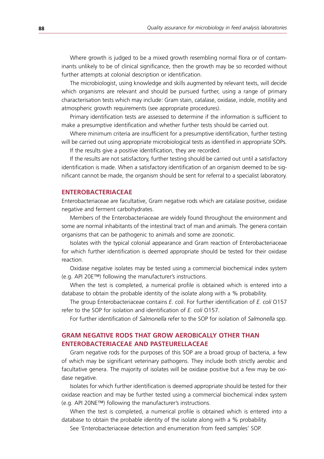Where growth is judged to be a mixed growth resembling normal flora or of contaminants unlikely to be of clinical significance, then the growth may be so recorded without further attempts at colonial description or identification.

The microbiologist, using knowledge and skills augmented by relevant texts, will decide which organisms are relevant and should be pursued further, using a range of primary characterisation tests which may include: Gram stain, catalase, oxidase, indole, motility and atmospheric growth requirements (see appropriate procedures).

Primary identification tests are assessed to determine if the information is sufficient to make a presumptive identification and whether further tests should be carried out.

Where minimum criteria are insufficient for a presumptive identification, further testing will be carried out using appropriate microbiological tests as identified in appropriate SOPs.

If the results give a positive identification, they are recorded.

If the results are not satisfactory, further testing should be carried out until a satisfactory identification is made. When a satisfactory identification of an organism deemed to be significant cannot be made, the organism should be sent for referral to a specialist laboratory.

### **Enterobacteriaceae**

Enterobacteriaceae are facultative, Gram negative rods which are catalase positive, oxidase negative and ferment carbohydrates.

Members of the Enterobacteriaceae are widely found throughout the environment and some are normal inhabitants of the intestinal tract of man and animals. The genera contain organisms that can be pathogenic to animals and some are zoonotic.

Isolates with the typical colonial appearance and Gram reaction of Enterobacteriaceae for which further identification is deemed appropriate should be tested for their oxidase reaction.

Oxidase negative isolates may be tested using a commercial biochemical index system (e.g. API 20E™) following the manufacturer's instructions.

When the test is completed, a numerical profile is obtained which is entered into a database to obtain the probable identity of the isolate along with a % probability.

The group Enterobacteriaceae contains *E. coli*. For further identification of *E. coli* O157 refer to the SOP for isolation and identification of *E. coli* O157.

For further identification of *Salmonella* refer to the SOP for isolation of *Salmonella* spp.

# **Gram negative rods that grow aerobically other than Enterobacteriaceae and Pasteurellaceae**

Gram negative rods for the purposes of this SOP are a broad group of bacteria, a few of which may be significant veterinary pathogens. They include both strictly aerobic and facultative genera. The majority of isolates will be oxidase positive but a few may be oxidase negative.

Isolates for which further identification is deemed appropriate should be tested for their oxidase reaction and may be further tested using a commercial biochemical index system (e.g. API 20NE™) following the manufacturer's instructions.

When the test is completed, a numerical profile is obtained which is entered into a database to obtain the probable identity of the isolate along with a % probability.

See 'Enterobacteriaceae detection and enumeration from feed samples' SOP.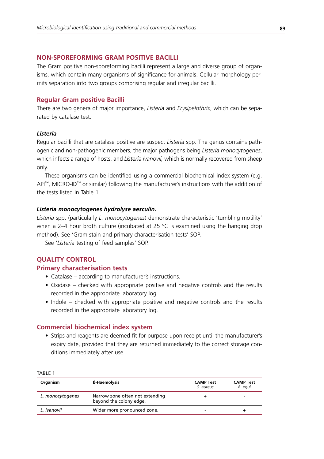## **Non-SporeForming Gram Positive Bacilli**

The Gram positive non-sporeforming bacilli represent a large and diverse group of organisms, which contain many organisms of significance for animals. Cellular morphology permits separation into two groups comprising regular and irregular bacilli.

## **Regular Gram positive Bacilli**

There are two genera of major importance, *Listeria* and *Erysipelothrix*, which can be separated by catalase test.

#### *Listeria*

Regular bacilli that are catalase positive are suspect *Listeria* spp. The genus contains pathogenic and non-pathogenic members, the major pathogens being *Listeria monocytogenes*, which infects a range of hosts, and *Listeria ivanovii,* which is normally recovered from sheep only.

These organisms can be identified using a commercial biochemical index system (e.g. API™, MICRO-ID™ or similar) following the manufacturer's instructions with the addition of the tests listed in Table 1.

#### *Listeria monocytogenes hydrolyse aesculin.*

*Listeria* spp. (particularly *L. monocytogenes*) demonstrate characteristic 'tumbling motility' when a 2–4 hour broth culture (incubated at 25  $\degree$ C is examined using the hanging drop method). See 'Gram stain and primary characterisation tests' SOP.

See '*Listeria* testing of feed samples' SOP.

## **Quality control**

### **Primary characterisation tests**

- Catalase according to manufacturer's instructions.
- Oxidase checked with appropriate positive and negative controls and the results recorded in the appropriate laboratory log.
- Indole checked with appropriate positive and negative controls and the results recorded in the appropriate laboratory log.

## **Commercial biochemical index system**

• Strips and reagents are deemed fit for purpose upon receipt until the manufacturer's expiry date, provided that they are returned immediately to the correct storage conditions immediately after use.

| Organism         | <b>B-Haemolysis</b>                                        | <b>CAMP Test</b><br>S. aureus | <b>CAMP Test</b><br>R. equi |
|------------------|------------------------------------------------------------|-------------------------------|-----------------------------|
| L. monocytogenes | Narrow zone often not extending<br>beyond the colony edge. |                               | -                           |
| L. ivanovii      | Wider more pronounced zone.                                |                               |                             |

#### Table 1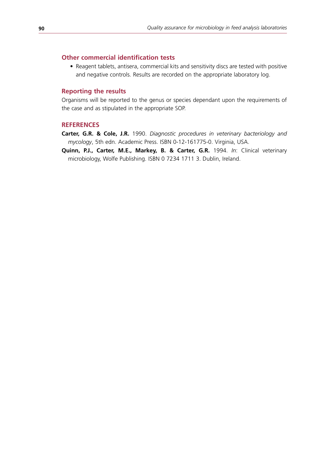# **Other commercial identification tests**

• Reagent tablets, antisera, commercial kits and sensitivity discs are tested with positive and negative controls. Results are recorded on the appropriate laboratory log.

## **Reporting the results**

Organisms will be reported to the genus or species dependant upon the requirements of the case and as stipulated in the appropriate SOP.

#### **References**

- **Carter, G.R. & Cole, J.R.** 1990. *Diagnostic procedures in veterinary bacteriology and mycology*, 5th edn. Academic Press. ISBN 0-12-161775-0. Virginia, USA.
- **Quinn, P.J., Carter, M.E., Markey, B. & Carter, G.R.** 1994. *In*: Clinical veterinary microbiology, Wolfe Publishing. ISBN 0 7234 1711 3. Dublin, Ireland.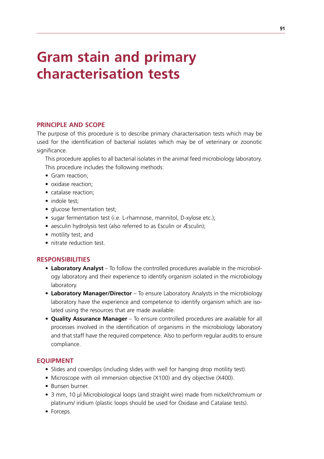# **Gram stain and primary characterisation tests**

## **Principle and scope**

The purpose of this procedure is to describe primary characterisation tests which may be used for the identification of bacterial isolates which may be of veterinary or zoonotic significance.

This procedure applies to all bacterial isolates in the animal feed microbiology laboratory. This procedure includes the following methods:

- Gram reaction;
- oxidase reaction:
- catalase reaction:
- indole test:
- glucose fermentation test;
- sugar fermentation test (i.e. L-rhamnose, mannitol, D-xylose etc.);
- aesculin hydrolysis test (also referred to as Esculin or Æsculin);
- motility test; and
- nitrate reduction test.

## **Responsibilities**

- Laboratory Analyst To follow the controlled procedures available in the microbiology laboratory and their experience to identify organism isolated in the microbiology laboratory.
- **Laboratory Manager/Director** To ensure Laboratory Analysts in the microbiology laboratory have the experience and competence to identify organism which are isolated using the resources that are made available.
- **• Quality Assurance Manager** To ensure controlled procedures are available for all processes involved in the identification of organisms in the microbiology laboratory and that staff have the required competence. Also to perform regular audits to ensure compliance.

#### **Equipment**

- Slides and coverslips (including slides with well for hanging drop motility test).
- Microscope with oil immersion objective (X100) and dry objective (X400).
- Bunsen burner.
- 3 mm, 10 µl Microbiological loops (and straight wire) made from nickel/chromium or platinum/ iridium (plastic loops should be used for Oxidase and Catalase tests).
- Forceps.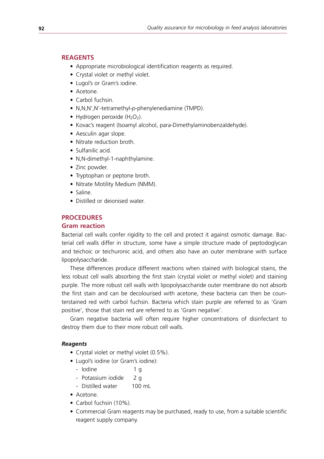# **Reagents**

- • Appropriate microbiological identification reagents as required.
- Crystal violet or methyl violet.
- Lugol's or Gram's iodine.
- Acetone.
- Carbol fuchsin
- • N,N,N',N'-tetramethyl-*p*-phenylenediamine (TMPD).
- Hydrogen peroxide  $(H_2O_2)$ .
- Kovac's reagent (Isoamyl alcohol, para-Dimethylaminobenzaldehyde).
- Aesculin agar slope.
- Nitrate reduction broth.
- Sulfanilic acid.
- N, N-dimethyl-1-naphthylamine.
- Zinc powder.
- Tryptophan or peptone broth.
- Nitrate Motility Medium (NMM).
- • Saline.
- Distilled or deionised water.

# **Procedures**

## **Gram reaction**

Bacterial cell walls confer rigidity to the cell and protect it against osmotic damage. Bacterial cell walls differ in structure, some have a simple structure made of peptodoglycan and teichoic or teichuronic acid, and others also have an outer membrane with surface lipopolysaccharide.

These differences produce different reactions when stained with biological stains, the less robust cell walls absorbing the first stain (crystal violet or methyl violet) and staining purple. The more robust cell walls with lipopolysaccharide outer membrane do not absorb the first stain and can be decolourised with acetone, these bacteria can then be counterstained red with carbol fuchsin. Bacteria which stain purple are referred to as 'Gram positive', those that stain red are referred to as 'Gram negative'.

Gram negative bacteria will often require higher concentrations of disinfectant to destroy them due to their more robust cell walls.

#### *Reagents*

- Crystal violet or methyl violet (0.5%).
- Lugol's iodine (or Gram's iodine):
	- Iodine 1 g
	- Potassium iodide 2 g
	- Distilled water 100 mL
- Acetone.
- Carbol fuchsin (10%).
- Commercial Gram reagents may be purchased, ready to use, from a suitable scientific reagent supply company.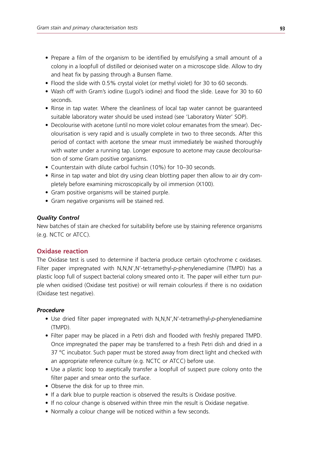- Prepare a film of the organism to be identified by emulsifying a small amount of a colony in a loopfull of distilled or deionised water on a microscope slide. Allow to dry and heat fix by passing through a Bunsen flame.
- Flood the slide with 0.5% crystal violet (or methyl violet) for 30 to 60 seconds.
- Wash off with Gram's iodine (Lugol's iodine) and flood the slide. Leave for 30 to 60 seconds.
- Rinse in tap water. Where the cleanliness of local tap water cannot be quaranteed suitable laboratory water should be used instead (see 'Laboratory Water' SOP).
- Decolourise with acetone (until no more violet colour emanates from the smear). Decolourisation is very rapid and is usually complete in two to three seconds. After this period of contact with acetone the smear must immediately be washed thoroughly with water under a running tap. Longer exposure to acetone may cause decolourisation of some Gram positive organisms.
- Counterstain with dilute carbol fuchsin (10%) for 10-30 seconds.
- Rinse in tap water and blot dry using clean blotting paper then allow to air dry completely before examining microscopically by oil immersion (X100).
- Gram positive organisms will be stained purple.
- Gram negative organisms will be stained red.

#### *Quality Control*

New batches of stain are checked for suitability before use by staining reference organisms (e.g. NCTC or ATCC).

# **Oxidase reaction**

The Oxidase test is used to determine if bacteria produce certain cytochrome c oxidases. Filter paper impregnated with N,N,N',N'-tetramethyl-*p*-phenylenediamine (TMPD) has a plastic loop full of suspect bacterial colony smeared onto it. The paper will either turn purple when oxidised (Oxidase test positive) or will remain colourless if there is no oxidation (Oxidase test negative).

## *Procedure*

- • Use dried filter paper impregnated with N,N,N',N'-tetramethyl-*p*-phenylenediamine (TMPD).
- Filter paper may be placed in a Petri dish and flooded with freshly prepared TMPD. Once impregnated the paper may be transferred to a fresh Petri dish and dried in a 37 °C incubator. Such paper must be stored away from direct light and checked with an appropriate reference culture (e.g. NCTC or ATCC) before use.
- Use a plastic loop to aseptically transfer a loopfull of suspect pure colony onto the filter paper and smear onto the surface.
- Observe the disk for up to three min.
- If a dark blue to purple reaction is observed the results is Oxidase positive.
- If no colour change is observed within three min the result is Oxidase negative.
- Normally a colour change will be noticed within a few seconds.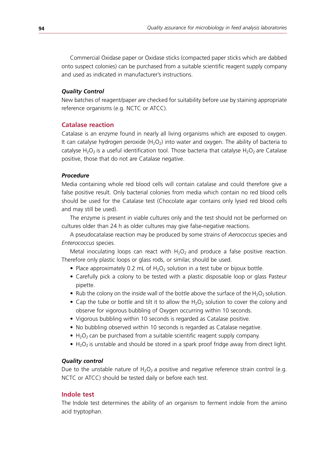Commercial Oxidase paper or Oxidase sticks (compacted paper sticks which are dabbed onto suspect colonies) can be purchased from a suitable scientific reagent supply company and used as indicated in manufacturer's instructions.

#### *Quality Control*

New batches of reagent/paper are checked for suitability before use by staining appropriate reference organisms (e.g. NCTC or ATCC).

#### **Catalase reaction**

Catalase is an enzyme found in nearly all living organisms which are exposed to oxygen. It can catalyse hydrogen peroxide  $(H<sub>2</sub>O<sub>2</sub>)$  into water and oxygen. The ability of bacteria to catalyse H<sub>2</sub>O<sub>2</sub> is a useful identification tool. Those bacteria that catalyse H<sub>2</sub>O<sub>2</sub> are Catalase positive, those that do not are Catalase negative.

## *Procedure*

Media containing whole red blood cells will contain catalase and could therefore give a false positive result. Only bacterial colonies from media which contain no red blood cells should be used for the Catalase test (Chocolate agar contains only lysed red blood cells and may still be used).

The enzyme is present in viable cultures only and the test should not be performed on cultures older than 24 h as older cultures may give false-negative reactions.

A pseudocatalase reaction may be produced by some strains of *Aerococcus* species and *Enterococcus* species.

Metal inoculating loops can react with  $H_2O_2$  and produce a false positive reaction. Therefore only plastic loops or glass rods, or similar, should be used.

- Place approximately 0.2 mL of  $H_2O_2$  solution in a test tube or bijoux bottle.
- Carefully pick a colony to be tested with a plastic disposable loop or glass Pasteur pipette.
- Rub the colony on the inside wall of the bottle above the surface of the  $H_2O_2$  solution.
- Cap the tube or bottle and tilt it to allow the  $H_2O_2$  solution to cover the colony and observe for vigorous bubbling of Oxygen occurring within 10 seconds.
- Vigorous bubbling within 10 seconds is regarded as Catalase positive.
- No bubbling observed within 10 seconds is regarded as Catalase negative.
- $\bullet$  H<sub>2</sub>O<sub>2</sub> can be purchased from a suitable scientific reagent supply company.
- $H_2O_2$  is unstable and should be stored in a spark proof fridge away from direct light.

#### *Quality control*

Due to the unstable nature of  $H_2O_2$  a positive and negative reference strain control (e.g. NCTC or ATCC) should be tested daily or before each test.

## **Indole test**

The Indole test determines the ability of an organism to ferment indole from the amino acid tryptophan.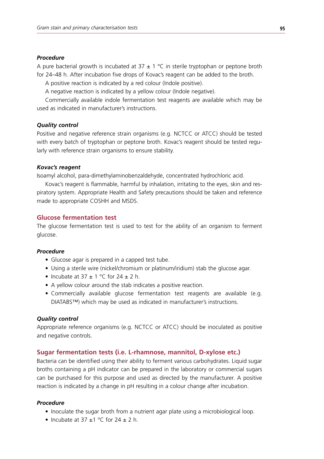### *Procedure*

A pure bacterial growth is incubated at  $37 \pm 1$  °C in sterile tryptophan or peptone broth for 24–48 h. After incubation five drops of Kovac's reagent can be added to the broth.

A positive reaction is indicated by a red colour (Indole positive).

A negative reaction is indicated by a yellow colour (Indole negative).

Commercially available indole fermentation test reagents are available which may be used as indicated in manufacturer's instructions.

#### *Quality control*

Positive and negative reference strain organisms (e.g. NCTCC or ATCC) should be tested with every batch of tryptophan or peptone broth. Kovac's reagent should be tested regularly with reference strain organisms to ensure stability.

#### *Kovac's reagent*

Isoamyl alcohol, para-dimethylaminobenzaldehyde, concentrated hydrochloric acid.

Kovac's reagent is flammable, harmful by inhalation, irritating to the eyes, skin and respiratory system. Appropriate Health and Safety precautions should be taken and reference made to appropriate COSHH and MSDS.

#### **Glucose fermentation test**

The glucose fermentation test is used to test for the ability of an organism to ferment glucose.

#### *Procedure*

- Glucose agar is prepared in a capped test tube.
- Using a sterile wire (nickel/chromium or platinum/iridium) stab the glucose agar.
- Incubate at  $37 \pm 1$  °C for  $24 \pm 2$  h.
- A yellow colour around the stab indicates a positive reaction.
- Commercially available glucose fermentation test reagents are available (e.g. DIATABS™) which may be used as indicated in manufacturer's instructions.

#### *Quality control*

Appropriate reference organisms (e.g. NCTCC or ATCC) should be inoculated as positive and negative controls.

#### **Sugar fermentation tests (i.e. L-rhamnose, mannitol, D-xylose etc.)**

Bacteria can be identified using their ability to ferment various carbohydrates. Liquid sugar broths containing a pH indicator can be prepared in the laboratory or commercial sugars can be purchased for this purpose and used as directed by the manufacturer. A positive reaction is indicated by a change in pH resulting in a colour change after incubation.

#### *Procedure*

- Inoculate the sugar broth from a nutrient agar plate using a microbiological loop.
- Incubate at 37  $\pm$ 1 °C for 24  $\pm$  2 h.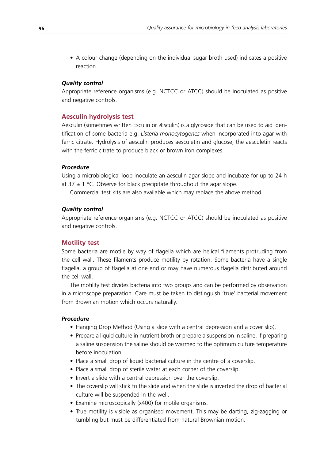• A colour change (depending on the individual sugar broth used) indicates a positive reaction.

## *Quality control*

Appropriate reference organisms (e.g. NCTCC or ATCC) should be inoculated as positive and negative controls.

## **Aesculin hydrolysis test**

Aesculin (sometimes written Esculin or Æsculin) is a glycoside that can be used to aid identification of some bacteria e.g. *Listeria monocytogenes* when incorporated into agar with ferric citrate. Hydrolysis of aesculin produces aesculetin and glucose, the aesculetin reacts with the ferric citrate to produce black or brown iron complexes.

## *Procedure*

Using a microbiological loop inoculate an aesculin agar slope and incubate for up to 24 h at 37  $\pm$  1 °C. Observe for black precipitate throughout the agar slope.

Commercial test kits are also available which may replace the above method.

#### *Quality control*

Appropriate reference organisms (e.g. NCTCC or ATCC) should be inoculated as positive and negative controls.

## **Motility test**

Some bacteria are motile by way of flagella which are helical filaments protruding from the cell wall. These filaments produce motility by rotation. Some bacteria have a single flagella, a group of flagella at one end or may have numerous flagella distributed around the cell wall.

The motility test divides bacteria into two groups and can be performed by observation in a microscope preparation. Care must be taken to distinguish 'true' bacterial movement from Brownian motion which occurs naturally.

## *Procedure*

- Hanging Drop Method (Using a slide with a central depression and a cover slip).
- Prepare a liquid culture in nutrient broth or prepare a suspension in saline. If preparing a saline suspension the saline should be warmed to the optimum culture temperature before inoculation.
- Place a small drop of liquid bacterial culture in the centre of a coverslip.
- Place a small drop of sterile water at each corner of the coverslip.
- Invert a slide with a central depression over the coverslip.
- The coverslip will stick to the slide and when the slide is inverted the drop of bacterial culture will be suspended in the well.
- Examine microscopically (x400) for motile organisms.
- True motility is visible as organised movement. This may be darting, zig-zagging or tumbling but must be differentiated from natural Brownian motion.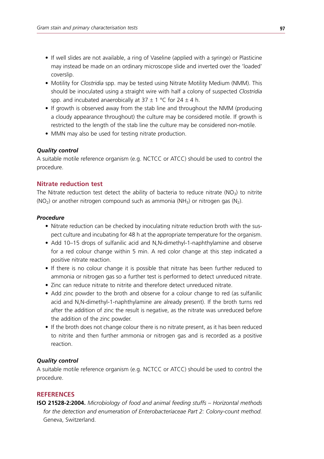- If well slides are not available, a ring of Vaseline (applied with a syringe) or Plasticine may instead be made on an ordinary microscope slide and inverted over the 'loaded' coverslip.
- • Motility for *Clostridia* spp. may be tested using Nitrate Motility Medium (NMM). This should be inoculated using a straight wire with half a colony of suspected *Clostridia* spp. and incubated anaerobically at  $37 \pm 1$  °C for  $24 \pm 4$  h.
- If growth is observed away from the stab line and throughout the NMM (producing a cloudy appearance throughout) the culture may be considered motile. If growth is restricted to the length of the stab line the culture may be considered non-motile.
- MMN may also be used for testing nitrate production.

#### *Quality control*

A suitable motile reference organism (e.g. NCTCC or ATCC) should be used to control the procedure.

#### **Nitrate reduction test**

The Nitrate reduction test detect the ability of bacteria to reduce nitrate ( $NO<sub>3</sub>$ ) to nitrite  $(NO<sub>2</sub>)$  or another nitrogen compound such as ammonia  $(NH<sub>3</sub>)$  or nitrogen gas  $(N<sub>2</sub>)$ .

#### *Procedure*

- Nitrate reduction can be checked by inoculating nitrate reduction broth with the suspect culture and incubating for 48 h at the appropriate temperature for the organism.
- Add 10–15 drops of sulfanilic acid and N,N-dimethyl-1-naphthylamine and observe for a red colour change within 5 min. A red color change at this step indicated a positive nitrate reaction.
- If there is no colour change it is possible that nitrate has been further reduced to ammonia or nitrogen gas so a further test is performed to detect unreduced nitrate.
- Zinc can reduce nitrate to nitrite and therefore detect unreduced nitrate.
- Add zinc powder to the broth and observe for a colour change to red (as sulfanilic acid and N,N-dimethyl-1-naphthylamine are already present). If the broth turns red after the addition of zinc the result is negative, as the nitrate was unreduced before the addition of the zinc powder.
- If the broth does not change colour there is no nitrate present, as it has been reduced to nitrite and then further ammonia or nitrogen gas and is recorded as a positive reaction.

#### *Quality control*

A suitable motile reference organism (e.g. NCTCC or ATCC) should be used to control the procedure.

## **References**

**ISO 21528-2:2004.** *Microbiology of food and animal feeding stuffs – Horizontal methods for the detection and enumeration of Enterobacteriaceae Part 2: Colony-count method.* Geneva, Switzerland.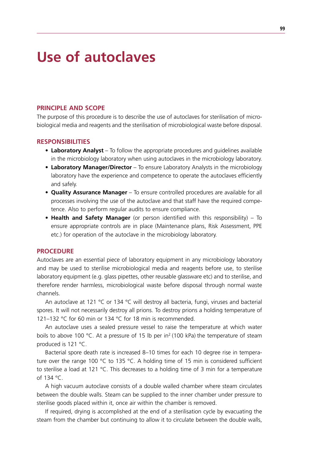# **Use of autoclaves**

# **Principle and scope**

The purpose of this procedure is to describe the use of autoclaves for sterilisation of microbiological media and reagents and the sterilisation of microbiological waste before disposal.

## **Responsibilities**

- Laboratory Analyst To follow the appropriate procedures and quidelines available in the microbiology laboratory when using autoclaves in the microbiology laboratory.
- Laboratory Manager/Director To ensure Laboratory Analysts in the microbiology laboratory have the experience and competence to operate the autoclaves efficiently and safely.
- **• Quality Assurance Manager** To ensure controlled procedures are available for all processes involving the use of the autoclave and that staff have the required competence. Also to perform regular audits to ensure compliance.
- **• Health and Safety Manager** (or person identified with this responsibility) To ensure appropriate controls are in place (Maintenance plans, Risk Assessment, PPE etc.) for operation of the autoclave in the microbiology laboratory.

### **Procedure**

Autoclaves are an essential piece of laboratory equipment in any microbiology laboratory and may be used to sterilise microbiological media and reagents before use, to sterilise laboratory equipment (e.g. glass pipettes, other reusable glassware etc) and to sterilise, and therefore render harmless, microbiological waste before disposal through normal waste channels.

An autoclave at 121 °C or 134 °C will destroy all bacteria, fungi, viruses and bacterial spores. It will not necessarily destroy all prions. To destroy prions a holding temperature of 121–132 °C for 60 min or 134 °C for 18 min is recommended.

An autoclave uses a sealed pressure vessel to raise the temperature at which water boils to above 100 °C. At a pressure of 15 lb per in<sup>2</sup> (100 kPa) the temperature of steam produced is 121 °C.

Bacterial spore death rate is increased 8–10 times for each 10 degree rise in temperature over the range 100 °C to 135 °C. A holding time of 15 min is considered sufficient to sterilise a load at 121 °C. This decreases to a holding time of 3 min for a temperature of 134 °C.

A high vacuum autoclave consists of a double walled chamber where steam circulates between the double walls. Steam can be supplied to the inner chamber under pressure to sterilise goods placed within it, once air within the chamber is removed.

If required, drying is accomplished at the end of a sterilisation cycle by evacuating the steam from the chamber but continuing to allow it to circulate between the double walls,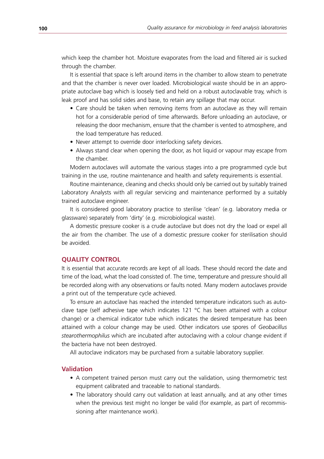which keep the chamber hot. Moisture evaporates from the load and filtered air is sucked through the chamber.

It is essential that space is left around items in the chamber to allow steam to penetrate and that the chamber is never over loaded. Microbiological waste should be in an appropriate autoclave bag which is loosely tied and held on a robust autoclavable tray, which is leak proof and has solid sides and base, to retain any spillage that may occur.

- Care should be taken when removing items from an autoclave as they will remain hot for a considerable period of time afterwards. Before unloading an autoclave, or releasing the door mechanism, ensure that the chamber is vented to atmosphere, and the load temperature has reduced.
- Never attempt to override door interlocking safety devices.
- Always stand clear when opening the door, as hot liquid or vapour may escape from the chamber.

Modern autoclaves will automate the various stages into a pre programmed cycle but training in the use, routine maintenance and health and safety requirements is essential.

Routine maintenance, cleaning and checks should only be carried out by suitably trained Laboratory Analysts with all regular servicing and maintenance performed by a suitably trained autoclave engineer.

It is considered good laboratory practice to sterilise 'clean' (e.g. laboratory media or glassware) separately from 'dirty' (e.g. microbiological waste).

A domestic pressure cooker is a crude autoclave but does not dry the load or expel all the air from the chamber. The use of a domestic pressure cooker for sterilisation should be avoided.

#### **Quality control**

It is essential that accurate records are kept of all loads. These should record the date and time of the load, what the load consisted of. The time, temperature and pressure should all be recorded along with any observations or faults noted. Many modern autoclaves provide a print out of the temperature cycle achieved.

To ensure an autoclave has reached the intended temperature indicators such as autoclave tape (self adhesive tape which indicates 121  $^{\circ}$ C has been attained with a colour change) or a chemical indicator tube which indicates the desired temperature has been attained with a colour change may be used. Other indicators use spores of *Geobacillus stearothermophilus* which are incubated after autoclaving with a colour change evident if the bacteria have not been destroyed.

All autoclave indicators may be purchased from a suitable laboratory supplier.

#### **Validation**

- A competent trained person must carry out the validation, using thermometric test equipment calibrated and traceable to national standards.
- The laboratory should carry out validation at least annually, and at any other times when the previous test might no longer be valid (for example, as part of recommissioning after maintenance work).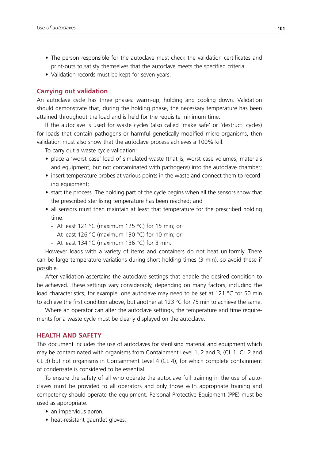- The person responsible for the autoclave must check the validation certificates and print-outs to satisfy themselves that the autoclave meets the specified criteria.
- Validation records must be kept for seven years.

#### **Carrying out validation**

An autoclave cycle has three phases: warm-up, holding and cooling down. Validation should demonstrate that, during the holding phase, the necessary temperature has been attained throughout the load and is held for the requisite minimum time.

If the autoclave is used for waste cycles (also called 'make safe' or 'destruct' cycles) for loads that contain pathogens or harmful genetically modified micro-organisms, then validation must also show that the autoclave process achieves a 100% kill.

To carry out a waste cycle validation:

- place a 'worst case' load of simulated waste (that is, worst case volumes, materials and equipment, but not contaminated with pathogens) into the autoclave chamber;
- insert temperature probes at various points in the waste and connect them to recording equipment;
- start the process. The holding part of the cycle begins when all the sensors show that the prescribed sterilising temperature has been reached; and
- all sensors must then maintain at least that temperature for the prescribed holding time:
	- At least 121 °C (maximum 125 °C) for 15 min; or
	- At least 126 °C (maximum 130 °C) for 10 min; or
	- At least 134 °C (maximum 136 °C) for 3 min.

However loads with a variety of items and containers do not heat uniformly. There can be large temperature variations during short holding times (3 min), so avoid these if possible.

After validation ascertains the autoclave settings that enable the desired condition to be achieved. These settings vary considerably, depending on many factors, including the load characteristics, for example, one autoclave may need to be set at 121 °C for 50 min to achieve the first condition above, but another at 123 °C for 75 min to achieve the same.

Where an operator can alter the autoclave settings, the temperature and time requirements for a waste cycle must be clearly displayed on the autoclave.

#### **Health and Safety**

This document includes the use of autoclaves for sterilising material and equipment which may be contaminated with organisms from Containment Level 1, 2 and 3, (CL 1, CL 2 and CL 3) but not organisms in Containment Level 4 (CL 4), for which complete containment of condensate is considered to be essential.

To ensure the safety of all who operate the autoclave full training in the use of autoclaves must be provided to all operators and only those with appropriate training and competency should operate the equipment. Personal Protective Equipment (PPE) must be used as appropriate:

- an impervious apron;
- heat-resistant gauntlet gloves;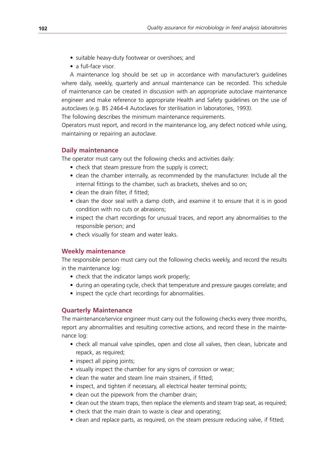- suitable heavy-duty footwear or overshoes; and
- a full-face visor.

A maintenance log should be set up in accordance with manufacturer's guidelines where daily, weekly, quarterly and annual maintenance can be recorded. This schedule of maintenance can be created in discussion with an appropriate autoclave maintenance engineer and make reference to appropriate Health and Safety guidelines on the use of autoclaves (e.g. BS 2464-4 Autoclaves for sterilisation in laboratories, 1993).

The following describes the minimum maintenance requirements.

Operators must report, and record in the maintenance log, any defect noticed while using, maintaining or repairing an autoclave.

#### **Daily maintenance**

The operator must carry out the following checks and activities daily:

- check that steam pressure from the supply is correct;
- clean the chamber internally, as recommended by the manufacturer. Include all the internal fittings to the chamber, such as brackets, shelves and so on;
- clean the drain filter, if fitted;
- clean the door seal with a damp cloth, and examine it to ensure that it is in good condition with no cuts or abrasions;
- inspect the chart recordings for unusual traces, and report any abnormalities to the responsible person; and
- check visually for steam and water leaks.

#### **Weekly maintenance**

The responsible person must carry out the following checks weekly, and record the results in the maintenance log:

- check that the indicator lamps work properly;
- during an operating cycle, check that temperature and pressure gauges correlate; and
- inspect the cycle chart recordings for abnormalities.

#### **Quarterly Maintenance**

The maintenance/service engineer must carry out the following checks every three months, report any abnormalities and resulting corrective actions, and record these in the maintenance log:

- check all manual valve spindles, open and close all valves, then clean, lubricate and repack, as required;
- inspect all piping joints;
- visually inspect the chamber for any signs of corrosion or wear;
- clean the water and steam line main strainers, if fitted;
- inspect, and tighten if necessary, all electrical heater terminal points;
- clean out the pipework from the chamber drain;
- clean out the steam traps, then replace the elements and steam trap seat, as required;
- check that the main drain to waste is clear and operating;
- clean and replace parts, as required, on the steam pressure reducing valve, if fitted;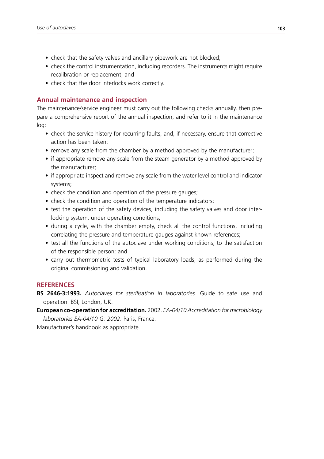- check that the safety valves and ancillary pipework are not blocked;
- check the control instrumentation, including recorders. The instruments might require recalibration or replacement; and
- check that the door interlocks work correctly.

# **Annual maintenance and inspection**

The maintenance/service engineer must carry out the following checks annually, then prepare a comprehensive report of the annual inspection, and refer to it in the maintenance log:

- check the service history for recurring faults, and, if necessary, ensure that corrective action has been taken;
- remove any scale from the chamber by a method approved by the manufacturer;
- if appropriate remove any scale from the steam generator by a method approved by the manufacturer;
- if appropriate inspect and remove any scale from the water level control and indicator systems;
- check the condition and operation of the pressure gauges:
- check the condition and operation of the temperature indicators;
- test the operation of the safety devices, including the safety valves and door interlocking system, under operating conditions;
- during a cycle, with the chamber empty, check all the control functions, including correlating the pressure and temperature gauges against known references;
- test all the functions of the autoclave under working conditions, to the satisfaction of the responsible person; and
- carry out thermometric tests of typical laboratory loads, as performed during the original commissioning and validation.

# **References**

**BS 2646-3:1993.** *Autoclaves for sterilisation in laboratories*. Guide to safe use and operation. BSI, London, UK.

**European co-operation for accreditation.** 2002. *EA-04/10 Accreditation for microbiology* 

*laboratories EA-04/10 G: 2002*. Paris, France.

Manufacturer's handbook as appropriate.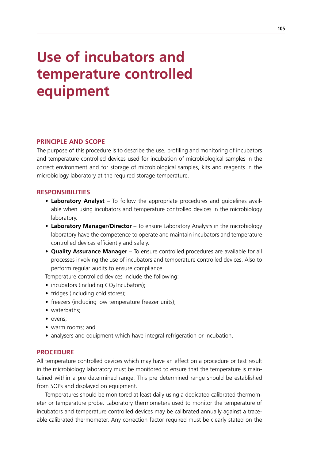# **Use of incubators and temperature controlled equipment**

## **Principle and scope**

The purpose of this procedure is to describe the use, profiling and monitoring of incubators and temperature controlled devices used for incubation of microbiological samples in the correct environment and for storage of microbiological samples, kits and reagents in the microbiology laboratory at the required storage temperature.

#### **Responsibilities**

- **• Laboratory Analyst** To follow the appropriate procedures and guidelines available when using incubators and temperature controlled devices in the microbiology laboratory.
- **Laboratory Manager/Director** To ensure Laboratory Analysts in the microbiology laboratory have the competence to operate and maintain incubators and temperature controlled devices efficiently and safely.
- **• Quality Assurance Manager** To ensure controlled procedures are available for all processes involving the use of incubators and temperature controlled devices. Also to perform regular audits to ensure compliance.
- Temperature controlled devices include the following:
- $\bullet$  incubators (including CO<sub>2</sub> Incubators);
- fridges (including cold stores);
- freezers (including low temperature freezer units);
- waterbaths;
- ovens;
- warm rooms: and
- analysers and equipment which have integral refrigeration or incubation.

#### **Procedure**

All temperature controlled devices which may have an effect on a procedure or test result in the microbiology laboratory must be monitored to ensure that the temperature is maintained within a pre determined range. This pre determined range should be established from SOPs and displayed on equipment.

Temperatures should be monitored at least daily using a dedicated calibrated thermometer or temperature probe. Laboratory thermometers used to monitor the temperature of incubators and temperature controlled devices may be calibrated annually against a traceable calibrated thermometer. Any correction factor required must be clearly stated on the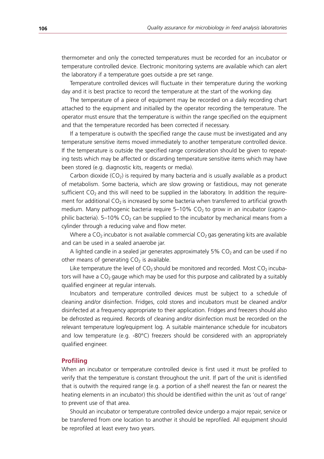thermometer and only the corrected temperatures must be recorded for an incubator or temperature controlled device. Electronic monitoring systems are available which can alert the laboratory if a temperature goes outside a pre set range.

Temperature controlled devices will fluctuate in their temperature during the working day and it is best practice to record the temperature at the start of the working day.

The temperature of a piece of equipment may be recorded on a daily recording chart attached to the equipment and initialled by the operator recording the temperature. The operator must ensure that the temperature is within the range specified on the equipment and that the temperature recorded has been corrected if necessary.

If a temperature is outwith the specified range the cause must be investigated and any temperature sensitive items moved immediately to another temperature controlled device. If the temperature is outside the specified range consideration should be given to repeating tests which may be affected or discarding temperature sensitive items which may have been stored (e.g. diagnostic kits, reagents or media).

Carbon dioxide  $(CO<sub>2</sub>)$  is required by many bacteria and is usually available as a product of metabolism. Some bacteria, which are slow growing or fastidious, may not generate sufficient  $CO<sub>2</sub>$  and this will need to be supplied in the laboratory. In addition the requirement for additional  $CO<sub>2</sub>$  is increased by some bacteria when transferred to artificial growth medium. Many pathogenic bacteria require  $5-10\%$  CO<sub>2</sub> to grow in an incubator (capnophilic bacteria). 5–10% CO<sub>2</sub> can be supplied to the incubator by mechanical means from a cylinder through a reducing valve and flow meter.

Where a  $CO<sub>2</sub>$  incubator is not available commercial  $CO<sub>2</sub>$  gas generating kits are available and can be used in a sealed anaerobe jar.

A lighted candle in a sealed jar generates approximately 5%  $CO<sub>2</sub>$  and can be used if no other means of generating  $CO<sub>2</sub>$  is available.

Like temperature the level of  $CO<sub>2</sub>$  should be monitored and recorded. Most  $CO<sub>2</sub>$  incubators will have a  $CO<sub>2</sub>$  gauge which may be used for this purpose and calibrated by a suitably qualified engineer at regular intervals.

Incubators and temperature controlled devices must be subject to a schedule of cleaning and/or disinfection. Fridges, cold stores and incubators must be cleaned and/or disinfected at a frequency appropriate to their application. Fridges and freezers should also be defrosted as required. Records of cleaning and/or disinfection must be recorded on the relevant temperature log/equipment log. A suitable maintenance schedule for incubators and low temperature (e.g.  $-80^{\circ}$ C) freezers should be considered with an appropriately qualified engineer.

# **Profiling**

When an incubator or temperature controlled device is first used it must be profiled to verify that the temperature is constant throughout the unit. If part of the unit is identified that is outwith the required range (e.g. a portion of a shelf nearest the fan or nearest the heating elements in an incubator) this should be identified within the unit as 'out of range' to prevent use of that area.

Should an incubator or temperature controlled device undergo a major repair, service or be transferred from one location to another it should be reprofiled. All equipment should be reprofiled at least every two years.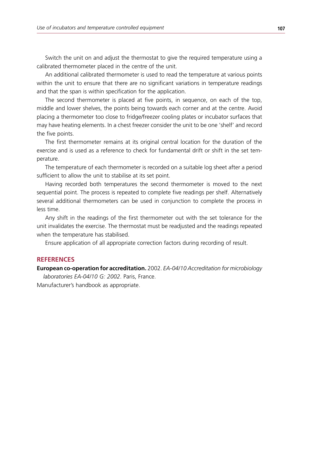Switch the unit on and adjust the thermostat to give the required temperature using a calibrated thermometer placed in the centre of the unit.

An additional calibrated thermometer is used to read the temperature at various points within the unit to ensure that there are no significant variations in temperature readings and that the span is within specification for the application.

The second thermometer is placed at five points, in sequence, on each of the top, middle and lower shelves, the points being towards each corner and at the centre. Avoid placing a thermometer too close to fridge/freezer cooling plates or incubator surfaces that may have heating elements. In a chest freezer consider the unit to be one 'shelf' and record the five points.

The first thermometer remains at its original central location for the duration of the exercise and is used as a reference to check for fundamental drift or shift in the set temperature.

The temperature of each thermometer is recorded on a suitable log sheet after a period sufficient to allow the unit to stabilise at its set point.

Having recorded both temperatures the second thermometer is moved to the next sequential point. The process is repeated to complete five readings per shelf. Alternatively several additional thermometers can be used in conjunction to complete the process in less time.

Any shift in the readings of the first thermometer out with the set tolerance for the unit invalidates the exercise. The thermostat must be readjusted and the readings repeated when the temperature has stabilised.

Ensure application of all appropriate correction factors during recording of result.

### **References**

**European co-operation for accreditation.** 2002. *EA-04/10 Accreditation for microbiology laboratories EA-04/10 G: 2002*. Paris, France.

Manufacturer's handbook as appropriate.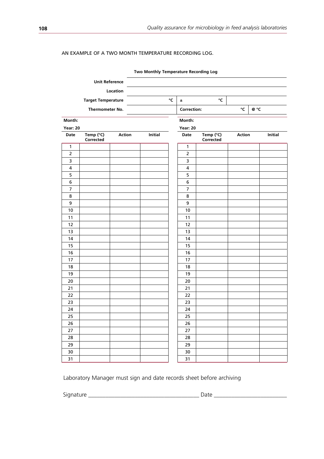#### An example of a two month temperature recording log.

|                 |                           |               | Two Monthly Temperature Recording Log |                 |                        |        |           |  |
|-----------------|---------------------------|---------------|---------------------------------------|-----------------|------------------------|--------|-----------|--|
|                 | <b>Unit Reference</b>     |               |                                       |                 |                        |        |           |  |
|                 |                           | Location      |                                       |                 |                        |        |           |  |
|                 | <b>Target Temperature</b> |               |                                       | °C<br>$\pm$     | °C                     |        |           |  |
| Thermometer No. |                           |               |                                       |                 | <b>Correction:</b>     |        | ℃<br>@ °C |  |
| Month:          |                           |               |                                       | Month:          |                        |        |           |  |
| <b>Year: 20</b> |                           |               |                                       | <b>Year: 20</b> |                        |        |           |  |
| Date            | Temp (°C)<br>Corrected    | <b>Action</b> | <b>Initial</b>                        | Date            | Temp (°C)<br>Corrected | Action | Initial   |  |
| $\mathbf{1}$    |                           |               |                                       | $\mathbf{1}$    |                        |        |           |  |
| $\mathbf 2$     |                           |               |                                       | $\overline{2}$  |                        |        |           |  |
| 3               |                           |               |                                       | 3               |                        |        |           |  |
| 4               |                           |               |                                       | 4               |                        |        |           |  |
| 5               |                           |               |                                       | 5               |                        |        |           |  |
| 6               |                           |               |                                       | 6               |                        |        |           |  |
| 7               |                           |               |                                       | 7               |                        |        |           |  |
| 8               |                           |               |                                       | 8               |                        |        |           |  |
| 9               |                           |               |                                       | 9               |                        |        |           |  |
| $10$            |                           |               |                                       | 10              |                        |        |           |  |
| 11              |                           |               |                                       | 11              |                        |        |           |  |
| 12              |                           |               |                                       | 12              |                        |        |           |  |
| 13              |                           |               |                                       | 13              |                        |        |           |  |
| 14              |                           |               |                                       | 14              |                        |        |           |  |
| 15              |                           |               |                                       | 15              |                        |        |           |  |
| 16              |                           |               |                                       | 16              |                        |        |           |  |
| 17              |                           |               |                                       | 17              |                        |        |           |  |
| 18              |                           |               |                                       | 18              |                        |        |           |  |
| 19              |                           |               |                                       | 19              |                        |        |           |  |
| 20              |                           |               |                                       | 20              |                        |        |           |  |
| $21$            |                           |               |                                       | 21              |                        |        |           |  |
| 22              |                           |               |                                       | 22              |                        |        |           |  |
| 23              |                           |               |                                       | 23              |                        |        |           |  |
| 24              |                           |               |                                       | 24              |                        |        |           |  |
| 25              |                           |               |                                       | 25              |                        |        |           |  |
| 26              |                           |               |                                       | 26              |                        |        |           |  |
| 27              |                           |               |                                       | 27              |                        |        |           |  |
| 28              |                           |               |                                       | 28              |                        |        |           |  |
| 29              |                           |               |                                       | 29              |                        |        |           |  |
| 30              |                           |               |                                       | 30              |                        |        |           |  |
| 31              |                           |               |                                       | 31              |                        |        |           |  |

Laboratory Manager must sign and date records sheet before archiving

Signature \_\_\_\_\_\_\_\_\_\_\_\_\_\_\_\_\_\_\_\_\_\_\_\_\_\_\_\_\_\_\_\_\_\_\_\_\_\_ Date \_\_\_\_\_\_\_\_\_\_\_\_\_\_\_\_\_\_\_\_\_\_\_\_\_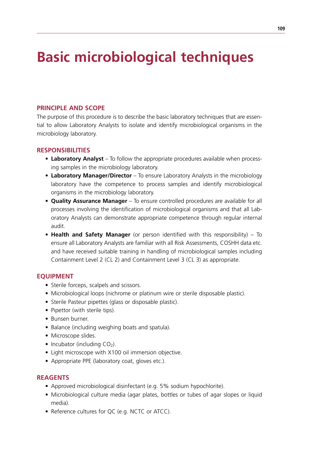# **Basic microbiological techniques**

# **Principle and scope**

The purpose of this procedure is to describe the basic laboratory techniques that are essential to allow Laboratory Analysts to isolate and identify microbiological organisms in the microbiology laboratory.

# **Responsibilities**

- Laboratory Analyst To follow the appropriate procedures available when processing samples in the microbiology laboratory.
- **Laboratory Manager/Director** To ensure Laboratory Analysts in the microbiology laboratory have the competence to process samples and identify microbiological organisms in the microbiology laboratory.
- **• Quality Assurance Manager** To ensure controlled procedures are available for all processes involving the identification of microbiological organisms and that all Laboratory Analysts can demonstrate appropriate competence through regular internal audit.
- **Health and Safety Manager** (or person identified with this responsibility) To ensure all Laboratory Analysts are familiar with all Risk Assessments, COSHH data etc. and have received suitable training in handling of microbiological samples including Containment Level 2 (CL 2) and Containment Level 3 (CL 3) as appropriate.

#### **EQUIPMENT**

- Sterile forceps, scalpels and scissors.
- Microbiological loops (nichrome or platinum wire or sterile disposable plastic).
- Sterile Pasteur pipettes (glass or disposable plastic).
- Pipettor (with sterile tips).
- Bunsen burner.
- Balance (including weighing boats and spatula).
- Microscope slides.
- Incubator (including  $CO<sub>2</sub>$ ).
- Light microscope with X100 oil immersion objective.
- Appropriate PPE (laboratory coat, gloves etc.).

#### **Reagents**

- Approved microbiological disinfectant (e.g. 5% sodium hypochlorite).
- Microbiological culture media (agar plates, bottles or tubes of agar slopes or liquid media).
- Reference cultures for QC (e.g. NCTC or ATCC).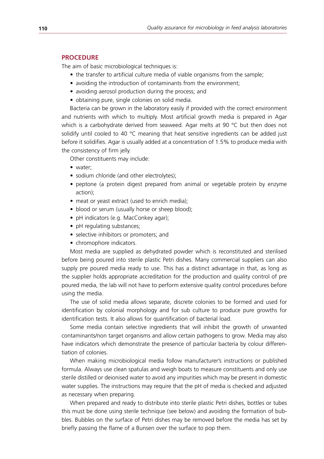# **Procedure**

The aim of basic microbiological techniques is:

- the transfer to artificial culture media of viable organisms from the sample;
- avoiding the introduction of contaminants from the environment;
- avoiding aerosol production during the process; and
- obtaining pure, single colonies on solid media.

Bacteria can be grown in the laboratory easily if provided with the correct environment and nutrients with which to multiply. Most artificial growth media is prepared in Agar which is a carbohydrate derived from seaweed. Agar melts at 90 °C but then does not solidify until cooled to 40  $^{\circ}$ C meaning that heat sensitive ingredients can be added just before it solidifies. Agar is usually added at a concentration of 1.5% to produce media with the consistency of firm jelly.

Other constituents may include:

- water:
- sodium chloride (and other electrolytes);
- peptone (a protein digest prepared from animal or vegetable protein by enzyme action);
- meat or yeast extract (used to enrich media);
- blood or serum (usually horse or sheep blood);
- pH indicators (e.g. MacConkey agar);
- pH regulating substances;
- selective inhibitors or promoters; and
- chromophore indicators.

Most media are supplied as dehydrated powder which is reconstituted and sterilised before being poured into sterile plastic Petri dishes. Many commercial suppliers can also supply pre poured media ready to use. This has a distinct advantage in that, as long as the supplier holds appropriate accreditation for the production and quality control of pre poured media, the lab will not have to perform extensive quality control procedures before using the media.

The use of solid media allows separate, discrete colonies to be formed and used for identification by colonial morphology and for sub culture to produce pure growths for identification tests. It also allows for quantification of bacterial load.

Some media contain selective ingredients that will inhibit the growth of unwanted contaminants/non target organisms and allow certain pathogens to grow. Media may also have indicators which demonstrate the presence of particular bacteria by colour differentiation of colonies.

When making microbiological media follow manufacturer's instructions or published formula. Always use clean spatulas and weigh boats to measure constituents and only use sterile distilled or deionised water to avoid any impurities which may be present in domestic water supplies. The instructions may require that the pH of media is checked and adjusted as necessary when preparing.

When prepared and ready to distribute into sterile plastic Petri dishes, bottles or tubes this must be done using sterile technique (see below) and avoiding the formation of bubbles. Bubbles on the surface of Petri dishes may be removed before the media has set by briefly passing the flame of a Bunsen over the surface to pop them.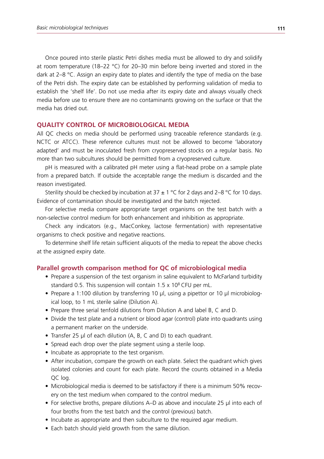Once poured into sterile plastic Petri dishes media must be allowed to dry and solidify at room temperature (18–22 °C) for 20–30 min before being inverted and stored in the dark at  $2-8$  °C. Assign an expiry date to plates and identify the type of media on the base of the Petri dish. The expiry date can be established by performing validation of media to establish the 'shelf life'. Do not use media after its expiry date and always visually check media before use to ensure there are no contaminants growing on the surface or that the media has dried out.

#### **Quality control of microbiological media**

All QC checks on media should be performed using traceable reference standards (e.g. NCTC or ATCC). These reference cultures must not be allowed to become 'laboratory adapted' and must be inoculated fresh from cryopreserved stocks on a regular basis. No more than two subcultures should be permitted from a cryopreserved culture.

pH is measured with a calibrated pH meter using a flat-head probe on a sample plate from a prepared batch. If outside the acceptable range the medium is discarded and the reason investigated.

Sterility should be checked by incubation at  $37 \pm 1$  °C for 2 days and 2–8 °C for 10 days. Evidence of contamination should be investigated and the batch rejected.

For selective media compare appropriate target organisms on the test batch with a non-selective control medium for both enhancement and inhibition as appropriate.

Check any indicators (e.g., MacConkey, lactose fermentation) with representative organisms to check positive and negative reactions.

To determine shelf life retain sufficient aliquots of the media to repeat the above checks at the assigned expiry date.

#### **Parallel growth comparison method for QC of microbiological media**

- Prepare a suspension of the test organism in saline equivalent to McFarland turbidity standard 0.5. This suspension will contain 1.5 x 10<sup>8</sup> CFU per mL.
- Prepare a 1:100 dilution by transferring 10  $\mu$ l, using a pipettor or 10  $\mu$ l microbiological loop, to 1 mL sterile saline (Dilution A).
- Prepare three serial tenfold dilutions from Dilution A and label B, C and D.
- Divide the test plate and a nutrient or blood agar (control) plate into quadrants using a permanent marker on the underside.
- Transfer 25 µl of each dilution (A, B, C and D) to each quadrant.
- Spread each drop over the plate segment using a sterile loop.
- Incubate as appropriate to the test organism.
- After incubation, compare the growth on each plate. Select the quadrant which gives isolated colonies and count for each plate. Record the counts obtained in a Media QC log.
- Microbiological media is deemed to be satisfactory if there is a minimum 50% recovery on the test medium when compared to the control medium.
- For selective broths, prepare dilutions A–D as above and inoculate 25 µl into each of four broths from the test batch and the control (previous) batch.
- Incubate as appropriate and then subculture to the required agar medium.
- Each batch should yield growth from the same dilution.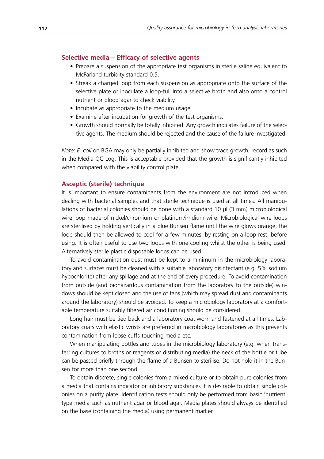### **Selective media – Efficacy of selective agents**

- Prepare a suspension of the appropriate test organisms in sterile saline equivalent to McFarland turbidity standard 0.5.
- Streak a charged loop from each suspension as appropriate onto the surface of the selective plate or inoculate a loop-full into a selective broth and also onto a control nutrient or blood agar to check viability.
- Incubate as appropriate to the medium usage.
- Examine after incubation for growth of the test organisms.
- Growth should normally be totally inhibited. Any growth indicates failure of the selective agents. The medium should be rejected and the cause of the failure investigated.

*Note*: *E. coli* on BGA may only be partially inhibited and show trace growth, record as such in the Media QC Log. This is acceptable provided that the growth is significantly inhibited when compared with the viability control plate.

#### **Asceptic (sterile) technique**

It is important to ensure contaminants from the environment are not introduced when dealing with bacterial samples and that sterile technique is used at all times. All manipulations of bacterial colonies should be done with a standard 10  $\mu$  (3 mm) microbiological wire loop made of nickel/chromium or platinum/irridium wire. Microbiological wire loops are sterilised by holding vertically in a blue Bunsen flame until the wire glows orange, the loop should then be allowed to cool for a few minutes, by resting on a loop rest, before using. It is often useful to use two loops with one cooling whilst the other is being used. Alternatively sterile plastic disposable loops can be used.

To avoid contamination dust must be kept to a minimum in the microbiology laboratory and surfaces must be cleaned with a suitable laboratory disinfectant (e.g. 5% sodium hypochlorite) after any spillage and at the end of every procedure. To avoid contamination from outside (and biohazardous contamination from the laboratory to the outside) windows should be kept closed and the use of fans (which may spread dust and contaminants around the laboratory) should be avoided. To keep a microbiology laboratory at a comfortable temperature suitably filtered air conditioning should be considered.

Long hair must be tied back and a laboratory coat worn and fastened at all times. Laboratory coats with elastic wrists are preferred in microbiology laboratories as this prevents contamination from loose cuffs touching media etc.

When manipulating bottles and tubes in the microbiology laboratory (e.g. when transferring cultures to broths or reagents or distributing media) the neck of the bottle or tube can be passed briefly through the flame of a Bunsen to sterilise. Do not hold it in the Bunsen for more than one second.

To obtain discrete, single colonies from a mixed culture or to obtain pure colonies from a media that contains indicator or inhibitory substances it is desirable to obtain single colonies on a purity plate. Identification tests should only be performed from basic 'nutrient' type media such as nutrient agar or blood agar. Media plates should always be identified on the base (containing the media) using permanent marker.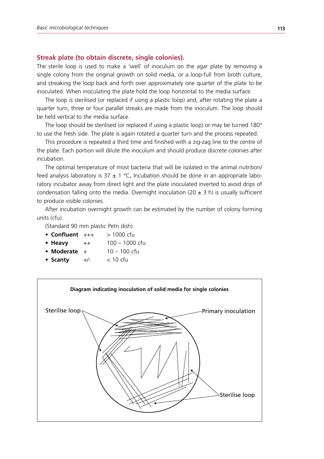#### **Streak plate (to obtain discrete, single colonies).**

The sterile loop is used to make a 'well' of inoculum on the agar plate by removing a single colony from the original growth on solid media, or a loop-full from broth culture, and streaking the loop back and forth over approximately one quarter of the plate to be inoculated. When inoculating the plate hold the loop horizontal to the media surface.

The loop is sterilised (or replaced if using a plastic loop) and, after rotating the plate a quarter turn, three or four parallel streaks are made from the inoculum. The loop should be held vertical to the media surface.

The loop should be sterilised (or replaced if using a plastic loop) or may be turned 180° to use the fresh side. The plate is again rotated a quarter turn and the process repeated.

This procedure is repeated a third time and finished with a zig-zag line to the centre of the plate. Each portion will dilute the inoculum and should produce discrete colonies after incubation.

The optimal temperature of most bacteria that will be isolated in the animal nutrition/ feed analysis laboratory is 37 ± 1 °C**.** Incubation should be done in an appropriate laboratory incubator away from direct light and the plate inoculated inverted to avoid drips of condensation falling onto the media. Overnight inoculation (20  $\pm$  3 h) is usually sufficient to produce visible colonies.

After incubation overnight growth can be estimated by the number of colony forming units (cfu).

(Standard 90 mm plastic Petri dish)

- **• Confluent** +++ > 1000 cfu
- **• Heavy** ++ 100 1000 cfu
- **• Moderate** + 10 100 cfu
- **• Scanty** +/- < 10 cfu

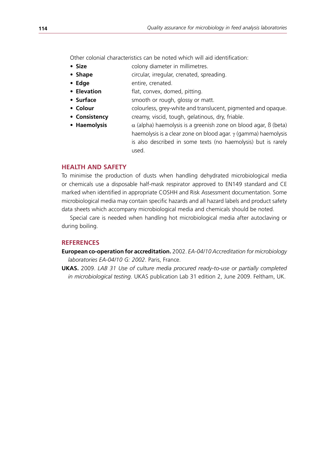Other colonial characteristics can be noted which will aid identification:

- **Size • Size colony diameter in millimetres.**
- **Shape circular, irregular, crenated, spreading.**
- **Edge** entire, crenated.
- **• Elevation** flat, convex, domed, pitting.
- **Surface** smooth or rough, glossy or matt.
- **• Colour** colourless, grey-white and translucent, pigmented and opaque.
- **Consistency** creamy, viscid, tough, gelatinous, dry, friable.
- **Haemolysis**  $\alpha$  (alpha) haemolysis is a greenish zone on blood agar,  $\beta$  (beta) haemolysis is a clear zone on blood agar. γ (gamma) haemolysis is also described in some texts (no haemolysis) but is rarely used.

# **Health and safety**

To minimise the production of dusts when handling dehydrated microbiological media or chemicals use a disposable half-mask respirator approved to EN149 standard and CE marked when identified in appropriate COSHH and Risk Assessment documentation. Some microbiological media may contain specific hazards and all hazard labels and product safety data sheets which accompany microbiological media and chemicals should be noted.

Special care is needed when handling hot microbiological media after autoclaving or during boiling.

# **References**

**European co-operation for accreditation.** 2002. *EA-04/10 Accreditation for microbiology laboratories EA-04/10 G: 2002*. Paris, France.

**UKAS.** 2009. *LAB 31 Use of culture media procured ready-to-use or partially completed in microbiological testing*. UKAS publication Lab 31 edition 2, June 2009. Feltham, UK.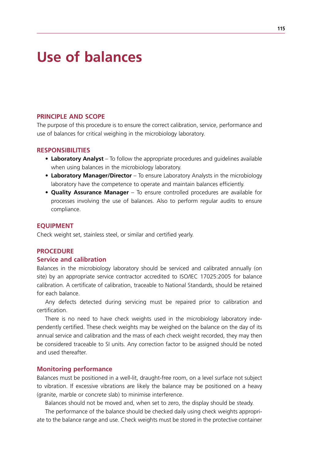# **Use of balances**

# **Principle and scope**

The purpose of this procedure is to ensure the correct calibration, service, performance and use of balances for critical weighing in the microbiology laboratory.

# **Responsibilities**

- Laboratory Analyst To follow the appropriate procedures and guidelines available when using balances in the microbiology laboratory.
- **Laboratory Manager/Director** To ensure Laboratory Analysts in the microbiology laboratory have the competence to operate and maintain balances efficiently.
- **• Quality Assurance Manager** To ensure controlled procedures are available for processes involving the use of balances. Also to perform regular audits to ensure compliance.

#### **EQUIPMENT**

Check weight set, stainless steel, or similar and certified yearly.

### **Procedure**

# **Service and calibration**

Balances in the microbiology laboratory should be serviced and calibrated annually (on site) by an appropriate service contractor accredited to ISO/IEC 17025:2005 for balance calibration. A certificate of calibration, traceable to National Standards, should be retained for each balance.

Any defects detected during servicing must be repaired prior to calibration and certification.

There is no need to have check weights used in the microbiology laboratory independently certified. These check weights may be weighed on the balance on the day of its annual service and calibration and the mass of each check weight recorded, they may then be considered traceable to SI units. Any correction factor to be assigned should be noted and used thereafter.

# **Monitoring performance**

Balances must be positioned in a well-lit, draught-free room, on a level surface not subject to vibration. If excessive vibrations are likely the balance may be positioned on a heavy (granite, marble or concrete slab) to minimise interference.

Balances should not be moved and, when set to zero, the display should be steady.

The performance of the balance should be checked daily using check weights appropriate to the balance range and use. Check weights must be stored in the protective container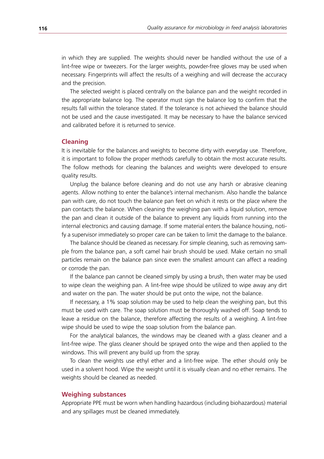in which they are supplied. The weights should never be handled without the use of a lint-free wipe or tweezers. For the larger weights, powder-free gloves may be used when necessary. Fingerprints will affect the results of a weighing and will decrease the accuracy and the precision.

The selected weight is placed centrally on the balance pan and the weight recorded in the appropriate balance log. The operator must sign the balance log to confirm that the results fall within the tolerance stated. If the tolerance is not achieved the balance should not be used and the cause investigated. It may be necessary to have the balance serviced and calibrated before it is returned to service.

#### **Cleaning**

It is inevitable for the balances and weights to become dirty with everyday use. Therefore, it is important to follow the proper methods carefully to obtain the most accurate results. The follow methods for cleaning the balances and weights were developed to ensure quality results.

Unplug the balance before cleaning and do not use any harsh or abrasive cleaning agents. Allow nothing to enter the balance's internal mechanism. Also handle the balance pan with care, do not touch the balance pan feet on which it rests or the place where the pan contacts the balance. When cleaning the weighing pan with a liquid solution, remove the pan and clean it outside of the balance to prevent any liquids from running into the internal electronics and causing damage. If some material enters the balance housing, notify a supervisor immediately so proper care can be taken to limit the damage to the balance.

The balance should be cleaned as necessary. For simple cleaning, such as removing sample from the balance pan, a soft camel hair brush should be used. Make certain no small particles remain on the balance pan since even the smallest amount can affect a reading or corrode the pan.

If the balance pan cannot be cleaned simply by using a brush, then water may be used to wipe clean the weighing pan. A lint-free wipe should be utilized to wipe away any dirt and water on the pan. The water should be put onto the wipe, not the balance.

If necessary, a 1% soap solution may be used to help clean the weighing pan, but this must be used with care. The soap solution must be thoroughly washed off. Soap tends to leave a residue on the balance, therefore affecting the results of a weighing. A lint-free wipe should be used to wipe the soap solution from the balance pan.

For the analytical balances, the windows may be cleaned with a glass cleaner and a lint-free wipe. The glass cleaner should be sprayed onto the wipe and then applied to the windows. This will prevent any build up from the spray.

To clean the weights use ethyl ether and a lint-free wipe. The ether should only be used in a solvent hood. Wipe the weight until it is visually clean and no ether remains. The weights should be cleaned as needed.

#### **Weighing substances**

Appropriate PPE must be worn when handling hazardous (including biohazardous) material and any spillages must be cleaned immediately.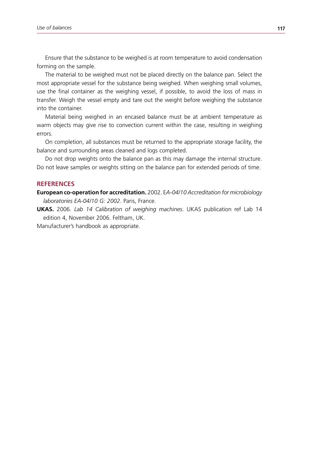Ensure that the substance to be weighed is at room temperature to avoid condensation forming on the sample.

The material to be weighed must not be placed directly on the balance pan. Select the most appropriate vessel for the substance being weighed. When weighing small volumes, use the final container as the weighing vessel, if possible, to avoid the loss of mass in transfer. Weigh the vessel empty and tare out the weight before weighing the substance into the container.

Material being weighed in an encased balance must be at ambient temperature as warm objects may give rise to convection current within the case, resulting in weighing errors.

On completion, all substances must be returned to the appropriate storage facility, the balance and surrounding areas cleaned and logs completed.

Do not drop weights onto the balance pan as this may damage the internal structure. Do not leave samples or weights sitting on the balance pan for extended periods of time.

#### **References**

**European co-operation for accreditation.** 2002. E*A-04/10 Accreditation for microbiology laboratories EA-04/10 G: 2002*. Paris, France.

**UKAS.** 2006. *Lab 14 Calibration of weighing machines*. UKAS publication ref Lab 14 edition 4, November 2006. Feltham, UK.

Manufacturer's handbook as appropriate.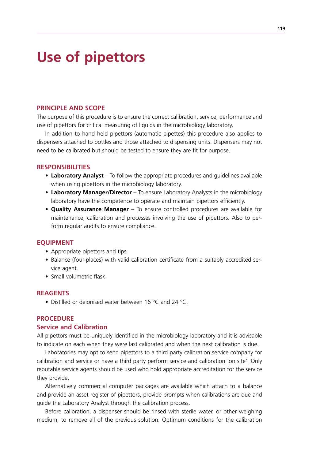# **Use of pipettors**

# **Principle and scope**

The purpose of this procedure is to ensure the correct calibration, service, performance and use of pipettors for critical measuring of liquids in the microbiology laboratory.

In addition to hand held pipettors (automatic pipettes) this procedure also applies to dispensers attached to bottles and those attached to dispensing units. Dispensers may not need to be calibrated but should be tested to ensure they are fit for purpose.

# **Responsibilities**

- **• Laboratory Analyst** To follow the appropriate procedures and guidelines available when using pipettors in the microbiology laboratory.
- **Laboratory Manager/Director** To ensure Laboratory Analysts in the microbiology laboratory have the competence to operate and maintain pipettors efficiently.
- **• Quality Assurance Manager** To ensure controlled procedures are available for maintenance, calibration and processes involving the use of pipettors. Also to perform regular audits to ensure compliance.

#### **Equipment**

- Appropriate pipettors and tips.
- Balance (four-places) with valid calibration certificate from a suitably accredited service agent.
- Small volumetric flask.

#### **Reagents**

• Distilled or deionised water between 16 °C and 24 °C.

### **Procedure**

#### **Service and Calibration**

All pipettors must be uniquely identified in the microbiology laboratory and it is advisable to indicate on each when they were last calibrated and when the next calibration is due.

Laboratories may opt to send pipettors to a third party calibration service company for calibration and service or have a third party perform service and calibration 'on site'. Only reputable service agents should be used who hold appropriate accreditation for the service they provide.

Alternatively commercial computer packages are available which attach to a balance and provide an asset register of pipettors, provide prompts when calibrations are due and guide the Laboratory Analyst through the calibration process.

Before calibration, a dispenser should be rinsed with sterile water, or other weighing medium, to remove all of the previous solution. Optimum conditions for the calibration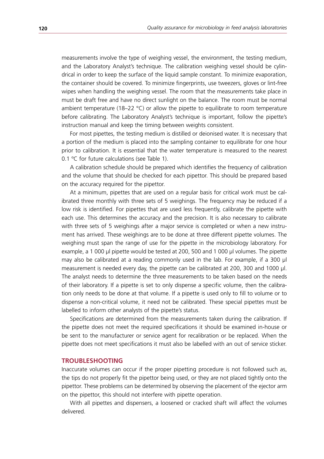measurements involve the type of weighing vessel, the environment, the testing medium, and the Laboratory Analyst's technique. The calibration weighing vessel should be cylindrical in order to keep the surface of the liquid sample constant. To minimize evaporation, the container should be covered. To minimize fingerprints, use tweezers, gloves or lint-free wipes when handling the weighing vessel. The room that the measurements take place in must be draft free and have no direct sunlight on the balance. The room must be normal ambient temperature (18–22  $^{\circ}$ C) or allow the pipette to equilibrate to room temperature before calibrating. The Laboratory Analyst's technique is important, follow the pipette's instruction manual and keep the timing between weights consistent.

For most pipettes, the testing medium is distilled or deionised water. It is necessary that a portion of the medium is placed into the sampling container to equilibrate for one hour prior to calibration. It is essential that the water temperature is measured to the nearest 0.1 ºC for future calculations (see Table 1).

A calibration schedule should be prepared which identifies the frequency of calibration and the volume that should be checked for each pipettor. This should be prepared based on the accuracy required for the pipettor.

At a minimum, pipettes that are used on a regular basis for critical work must be calibrated three monthly with three sets of 5 weighings. The frequency may be reduced if a low risk is identified. For pipettes that are used less frequently, calibrate the pipette with each use. This determines the accuracy and the precision. It is also necessary to calibrate with three sets of 5 weighings after a major service is completed or when a new instrument has arrived. These weighings are to be done at three different pipette volumes. The weighing must span the range of use for the pipette in the microbiology laboratory. For example, a 1 000 µl pipette would be tested at 200, 500 and 1 000 µl volumes. The pipette may also be calibrated at a reading commonly used in the lab. For example, if a 300 µl measurement is needed every day, the pipette can be calibrated at 200, 300 and 1000 µl. The analyst needs to determine the three measurements to be taken based on the needs of their laboratory. If a pipette is set to only dispense a specific volume, then the calibration only needs to be done at that volume. If a pipette is used only to fill to volume or to dispense a non-critical volume, it need not be calibrated. These special pipettes must be labelled to inform other analysts of the pipette's status.

Specifications are determined from the measurements taken during the calibration. If the pipette does not meet the required specifications it should be examined in-house or be sent to the manufacturer or service agent for recalibration or be replaced. When the pipette does not meet specifications it must also be labelled with an out of service sticker.

#### **Troubleshooting**

Inaccurate volumes can occur if the proper pipetting procedure is not followed such as, the tips do not properly fit the pipettor being used, or they are not placed tightly onto the pipettor. These problems can be determined by observing the placement of the ejector arm on the pipettor, this should not interfere with pipette operation.

With all pipettes and dispensers, a loosened or cracked shaft will affect the volumes delivered.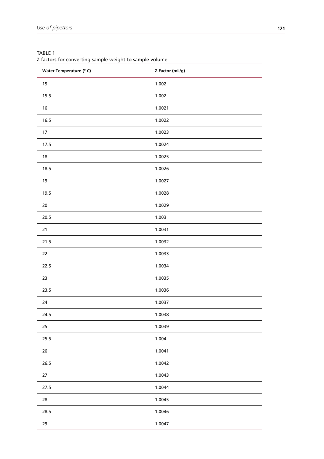| Water Temperature (° C) | Z-Factor (mL/g) |
|-------------------------|-----------------|
| 15                      | 1.002           |
| 15.5                    | 1.002           |
| 16                      | 1.0021          |
| 16.5                    | 1.0022          |
| 17                      | 1.0023          |
| 17.5                    | 1.0024          |
| 18                      | 1.0025          |
| 18.5                    | 1.0026          |
| $19$                    | 1.0027          |
| 19.5                    | 1.0028          |
| $20\,$                  | 1.0029          |
| 20.5                    | 1.003           |
| 21                      | 1.0031          |
| 21.5                    | 1.0032          |
| 22                      | 1.0033          |
| 22.5                    | 1.0034          |
| 23                      | 1.0035          |
| 23.5                    | 1.0036          |
| 24                      | 1.0037          |
| 24.5                    | 1.0038          |
| 25                      | 1.0039          |
| 25.5                    | 1.004           |
| 26                      | 1.0041          |
| 26.5                    | 1.0042          |
| 27                      | 1.0043          |
| 27.5                    | 1.0044          |
| 28                      | 1.0045          |
| 28.5                    | 1.0046          |
| 29                      | 1.0047          |

# Table 1

Z factors for converting sample weight to sample volume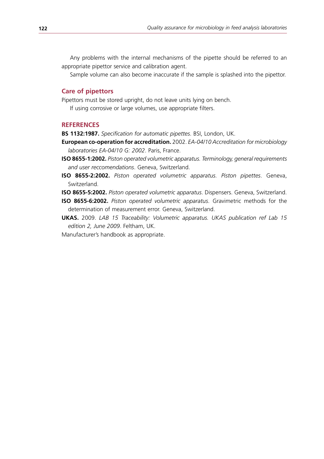Any problems with the internal mechanisms of the pipette should be referred to an appropriate pipettor service and calibration agent.

Sample volume can also become inaccurate if the sample is splashed into the pipettor.

### **Care of pipettors**

Pipettors must be stored upright, do not leave units lying on bench.

If using corrosive or large volumes, use appropriate filters.

#### **References**

**BS 1132:1987.** *Specification for automatic pipettes*. BSI, London, UK.

- **European co-operation for accreditation.** 2002. *EA-04/10 Accreditation for microbiology laboratories EA-04/10 G: 2002*. Paris, France.
- **ISO 8655-1:2002.** *Piston operated volumetric apparatus. Terminology, general requirements and user reccomendations*. Geneva, Switzerland.
- **ISO 8655-2:2002.** *Piston operated volumetric apparatus. Piston pipettes*. Geneva, Switzerland.
- **ISO 8655-5:2002.** *Piston operated volumetric apparatus*. Dispensers. Geneva, Switzerland.
- **ISO 8655-6:2002.** *Piston operated volumetric apparatus*. Gravimetric methods for the determination of measurement error. Geneva, Switzerland.
- **UKAS.** 2009. *LAB 15 Traceability: Volumetric apparatus. UKAS publication ref Lab 15 edition 2, June 2009*. Feltham, UK.

Manufacturer's handbook as appropriate.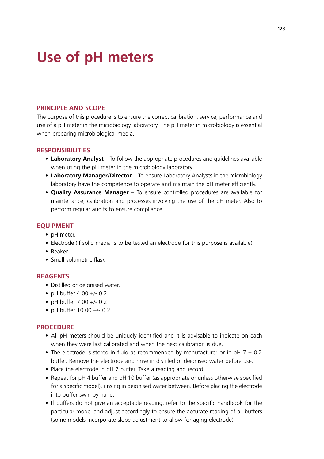# **Use of pH meters**

# **Principle and scope**

The purpose of this procedure is to ensure the correct calibration, service, performance and use of a pH meter in the microbiology laboratory. The pH meter in microbiology is essential when preparing microbiological media.

# **Responsibilities**

- Laboratory Analyst To follow the appropriate procedures and guidelines available when using the pH meter in the microbiology laboratory.
- **Laboratory Manager/Director** To ensure Laboratory Analysts in the microbiology laboratory have the competence to operate and maintain the pH meter efficiently.
- **• Quality Assurance Manager** To ensure controlled procedures are available for maintenance, calibration and processes involving the use of the pH meter. Also to perform regular audits to ensure compliance.

# **EQUIPMENT**

- pH meter.
- Electrode (if solid media is to be tested an electrode for this purpose is available).
- • Beaker.
- Small volumetric flask

# **Reagents**

- Distilled or deionised water.
- pH buffer  $4.00 +/- 0.2$
- pH buffer 7.00 +/- 0.2
- pH buffer 10.00 +/- 0.2

#### **Procedure**

- All pH meters should be uniquely identified and it is advisable to indicate on each when they were last calibrated and when the next calibration is due.
- The electrode is stored in fluid as recommended by manufacturer or in pH 7  $\pm$  0.2 buffer. Remove the electrode and rinse in distilled or deionised water before use.
- Place the electrode in pH 7 buffer. Take a reading and record.
- Repeat for pH 4 buffer and pH 10 buffer (as appropriate or unless otherwise specified for a specific model), rinsing in deionised water between. Before placing the electrode into buffer swirl by hand.
- If buffers do not give an acceptable reading, refer to the specific handbook for the particular model and adjust accordingly to ensure the accurate reading of all buffers (some models incorporate slope adjustment to allow for aging electrode).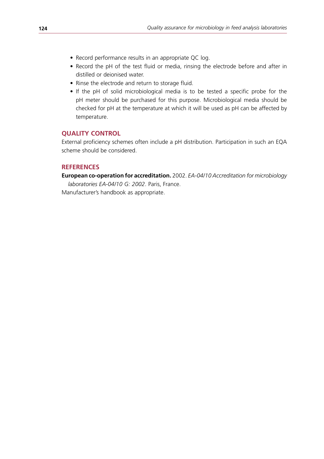- Record performance results in an appropriate QC log.
- Record the pH of the test fluid or media, rinsing the electrode before and after in distilled or deionised water.
- Rinse the electrode and return to storage fluid.
- If the pH of solid microbiological media is to be tested a specific probe for the pH meter should be purchased for this purpose. Microbiological media should be checked for pH at the temperature at which it will be used as pH can be affected by temperature.

# **Quality control**

External proficiency schemes often include a pH distribution. Participation in such an EQA scheme should be considered.

# **References**

**European co-operation for accreditation.** 2002. *EA-04/10 Accreditation for microbiology laboratories EA-04/10 G: 2002*. Paris, France.

Manufacturer's handbook as appropriate.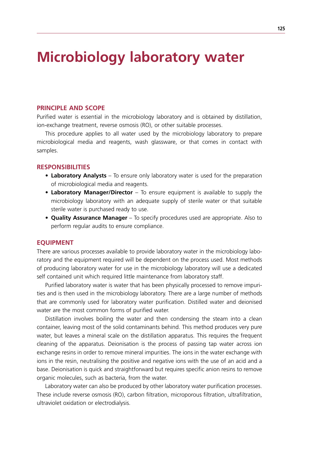# **Microbiology laboratory water**

# **Principle and scope**

Purified water is essential in the microbiology laboratory and is obtained by distillation, ion-exchange treatment, reverse osmosis (RO), or other suitable processes.

This procedure applies to all water used by the microbiology laboratory to prepare microbiological media and reagents, wash glassware, or that comes in contact with samples.

#### **Responsibilities**

- Laboratory Analysts To ensure only laboratory water is used for the preparation of microbiological media and reagents.
- **Laboratory Manager/Director** To ensure equipment is available to supply the microbiology laboratory with an adequate supply of sterile water or that suitable sterile water is purchased ready to use.
- **• Quality Assurance Manager** To specify procedures used are appropriate. Also to perform regular audits to ensure compliance.

#### **EQUIPMENT**

There are various processes available to provide laboratory water in the microbiology laboratory and the equipment required will be dependent on the process used. Most methods of producing laboratory water for use in the microbiology laboratory will use a dedicated self contained unit which required little maintenance from laboratory staff.

Purified laboratory water is water that has been physically processed to remove impurities and is then used in the microbiology laboratory. There are a large number of methods that are commonly used for laboratory water purification. Distilled water and deionised water are the most common forms of purified water.

Distillation involves boiling the water and then condensing the steam into a clean container, leaving most of the solid contaminants behind. This method produces very pure water, but leaves a mineral scale on the distillation apparatus. This requires the frequent cleaning of the apparatus. Deionisation is the process of passing tap water across ion exchange resins in order to remove mineral impurities. The ions in the water exchange with ions in the resin, neutralising the positive and negative ions with the use of an acid and a base. Deionisation is quick and straightforward but requires specific anion resins to remove organic molecules, such as bacteria, from the water.

Laboratory water can also be produced by other laboratory water purification processes. These include reverse osmosis (RO), carbon filtration, microporous filtration, ultrafiltration, ultraviolet oxidation or electrodialysis.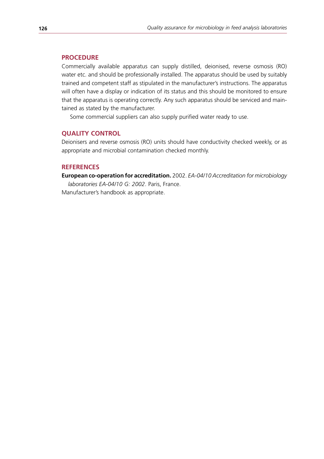# **Procedure**

Commercially available apparatus can supply distilled, deionised, reverse osmosis (RO) water etc. and should be professionally installed. The apparatus should be used by suitably trained and competent staff as stipulated in the manufacturer's instructions. The apparatus will often have a display or indication of its status and this should be monitored to ensure that the apparatus is operating correctly. Any such apparatus should be serviced and maintained as stated by the manufacturer.

Some commercial suppliers can also supply purified water ready to use.

#### **Quality control**

Deionisers and reverse osmosis (RO) units should have conductivity checked weekly, or as appropriate and microbial contamination checked monthly.

### **References**

**European co-operation for accreditation.** 2002. *EA-04/10 Accreditation for microbiology laboratories EA-04/10 G: 2002*. Paris, France.

Manufacturer's handbook as appropriate.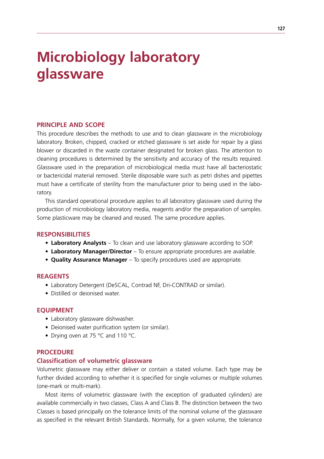# **Microbiology laboratory glassware**

#### **Principle and scope**

This procedure describes the methods to use and to clean glassware in the microbiology laboratory. Broken, chipped, cracked or etched glassware is set aside for repair by a glass blower or discarded in the waste container designated for broken glass. The attention to cleaning procedures is determined by the sensitivity and accuracy of the results required. Glassware used in the preparation of microbiological media must have all bacteriostatic or bactericidal material removed. Sterile disposable ware such as petri dishes and pipettes must have a certificate of sterility from the manufacturer prior to being used in the laboratory.

This standard operational procedure applies to all laboratory glassware used during the production of microbiology laboratory media, reagents and/or the preparation of samples. Some plasticware may be cleaned and reused. The same procedure applies.

#### **Responsibilities**

- **• Laboratory Analysts** To clean and use laboratory glassware according to SOP.
- **• Laboratory Manager/Director** To ensure appropriate procedures are available.
- **• Quality Assurance Manager** To specify procedures used are appropriate.

# **Reagents**

- Laboratory Detergent (DeSCAL, Contrad NF, Dri-CONTRAD or similar).
- Distilled or deionised water.

#### **EQUIPMENT**

- Laboratory glassware dishwasher.
- Deionised water purification system (or similar).
- Drying oven at 75 °C and 110 °C.

# **Procedure**

#### **Classification of volumetric glassware**

Volumetric glassware may either deliver or contain a stated volume. Each type may be further divided according to whether it is specified for single volumes or multiple volumes (one-mark or multi-mark).

Most items of volumetric glassware (with the exception of graduated cylinders) are available commercially in two classes, Class A and Class B. The distinction between the two Classes is based principally on the tolerance limits of the nominal volume of the glassware as specified in the relevant British Standards. Normally, for a given volume, the tolerance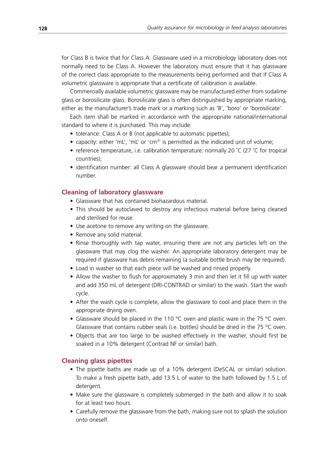for Class B is twice that for Class A. Glassware used in a microbiology laboratory does not normally need to be Class A. However the laboratory must ensure that it has glassware of the correct class appropriate to the measurements being performed and that if Class A volumetric glassware is appropriate that a certificate of calibration is available.

Commercially available volumetric glassware may be manufactured either from sodalime glass or borosilicate glass. Borosilicate glass is often distinguished by appropriate marking, either as the manufacturer's trade mark or a marking such as 'B', 'boro' or 'borosilicate'.

Each item shall be marked in accordance with the appropriate national/international standard to where it is purchased. This may include:

- tolerance: Class A or B (not applicable to automatic pipettes);
- capacity: either 'mL', 'mL' or 'cm<sup>3</sup>' is permitted as the indicated unit of volume;
- reference temperature, i.e. calibration temperature: normally 20 °C (27 °C for tropical countries);
- identification number: all Class A glassware should bear a permanent identification number.

# **Cleaning of laboratory glassware**

- Glassware that has contained biohazardous material.
- This should be autoclaved to destroy any infectious material before being cleaned and sterilised for reuse.
- Use acetone to remove any writing on the glassware.
- Remove any solid material.
- Rinse thoroughly with tap water, ensuring there are not any particles left on the glassware that may clog the washer. An appropriate laboratory detergent may be required if glassware has debris remaining (a suitable bottle brush may be required).
- Load in washer so that each piece will be washed and rinsed properly.
- Allow the washer to flush for approximately 3 min and then let it fill up with water and add 350 mL of detergent (DRI-CONTRAD or similar) to the wash. Start the wash cycle.
- After the wash cycle is complete, allow the glassware to cool and place them in the appropriate drying oven.
- Glassware should be placed in the 110  $^{\circ}$ C oven and plastic ware in the 75  $^{\circ}$ C oven. Glassware that contains rubber seals (i.e. bottles) should be dried in the 75 °C oven.
- Objects that are too large to be washed effectively in the washer, should first be soaked in a 10% detergent (Contrad NF or similar) bath.

# **Cleaning glass pipettes**

- The pipette baths are made up of a 10% detergent (DeSCAL or similar) solution. To make a fresh pipette bath, add 13.5 L of water to the bath followed by 1.5 L of detergent.
- Make sure the glassware is completely submerged in the bath and allow it to soak for at least two hours.
- Carefully remove the glassware from the bath, making sure not to splash the solution onto oneself.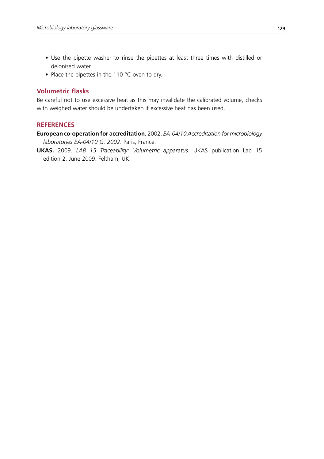- Use the pipette washer to rinse the pipettes at least three times with distilled or deionised water.
- Place the pipettes in the 110 °C oven to dry.

# **Volumetric flasks**

Be careful not to use excessive heat as this may invalidate the calibrated volume, checks with weighed water should be undertaken if excessive heat has been used.

# **References**

**European co-operation for accreditation.** 2002. *EA-04/10 Accreditation for microbiology laboratories EA-04/10 G: 2002*. Paris, France.

**UKAS.** 2009. *LAB 15 Traceability: Volumetric apparatus*. UKAS publication Lab 15 edition 2, June 2009. Feltham, UK.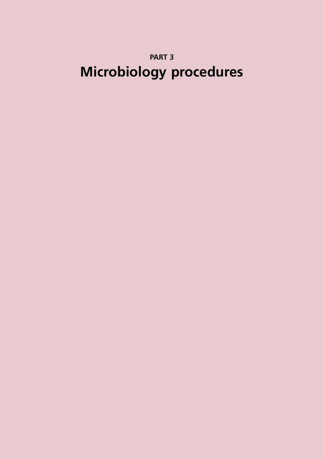# **Part 3 Microbiology procedures**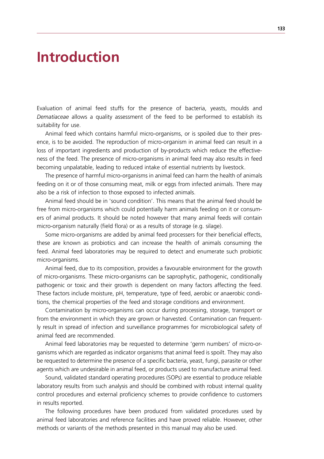# **Introduction**

Evaluation of animal feed stuffs for the presence of bacteria, yeasts, moulds and *Dematiaceae* allows a quality assessment of the feed to be performed to establish its suitability for use.

Animal feed which contains harmful micro-organisms, or is spoiled due to their presence, is to be avoided. The reproduction of micro-organism in animal feed can result in a loss of important ingredients and production of by-products which reduce the effectiveness of the feed. The presence of micro-organisms in animal feed may also results in feed becoming unpalatable, leading to reduced intake of essential nutrients by livestock.

The presence of harmful micro-organisms in animal feed can harm the health of animals feeding on it or of those consuming meat, milk or eggs from infected animals. There may also be a risk of infection to those exposed to infected animals.

Animal feed should be in 'sound condition'. This means that the animal feed should be free from micro-organisms which could potentially harm animals feeding on it or consumers of animal products. It should be noted however that many animal feeds will contain micro-organism naturally (field flora) or as a results of storage (e.g. silage).

Some micro-organisms are added by animal feed processers for their beneficial effects, these are known as probiotics and can increase the health of animals consuming the feed. Animal feed laboratories may be required to detect and enumerate such probiotic micro-organisms.

Animal feed, due to its composition, provides a favourable environment for the growth of micro-organisms. These micro-organisms can be saprophytic, pathogenic, conditionally pathogenic or toxic and their growth is dependent on many factors affecting the feed. These factors include moisture, pH, temperature, type of feed, aerobic or anaerobic conditions, the chemical properties of the feed and storage conditions and environment.

Contamination by micro-organisms can occur during processing, storage, transport or from the environment in which they are grown or harvested. Contamination can frequently result in spread of infection and surveillance programmes for microbiological safety of animal feed are recommended.

Animal feed laboratories may be requested to determine 'germ numbers' of micro-organisms which are regarded as indicator organisms that animal feed is spoilt. They may also be requested to determine the presence of a specific bacteria, yeast, fungi, parasite or other agents which are undesirable in animal feed, or products used to manufacture animal feed.

Sound, validated standard operating procedures (SOPs) are essential to produce reliable laboratory results from such analysis and should be combined with robust internal quality control procedures and external proficiency schemes to provide confidence to customers in results reported.

The following procedures have been produced from validated procedures used by animal feed laboratories and reference facilities and have proved reliable. However, other methods or variants of the methods presented in this manual may also be used.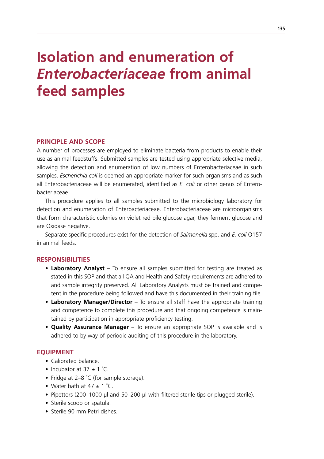# **Isolation and enumeration of**  *Enterobacteriaceae* **from animal feed samples**

## **Principle and scope**

A number of processes are employed to eliminate bacteria from products to enable their use as animal feedstuffs. Submitted samples are tested using appropriate selective media, allowing the detection and enumeration of low numbers of Enterobacteriaceae in such samples. *Escherichia coli* is deemed an appropriate marker for such organisms and as such all Enterobacteriaceae will be enumerated, identified as *E. coli* or other genus of Enterobacteriaceae.

This procedure applies to all samples submitted to the microbiology laboratory for detection and enumeration of Enterbacteriaceae. Enterobacteriaceae are microorganisms that form characteristic colonies on violet red bile glucose agar, they ferment glucose and are Oxidase negative.

Separate specific procedures exist for the detection of *Salmonella* spp. and *E. coli* O157 in animal feeds.

# **Responsibilities**

- **Laboratory Analyst** To ensure all samples submitted for testing are treated as stated in this SOP and that all QA and Health and Safety requirements are adhered to and sample integrity preserved. All Laboratory Analysts must be trained and competent in the procedure being followed and have this documented in their training file.
- **• Laboratory Manager/Director** To ensure all staff have the appropriate training and competence to complete this procedure and that ongoing competence is maintained by participation in appropriate proficiency testing.
- **• Quality Assurance Manager** To ensure an appropriate SOP is available and is adhered to by way of periodic auditing of this procedure in the laboratory.

#### **EQUIPMENT**

- Calibrated balance.
- Incubator at  $37 \pm 1$  °C.
- Fridge at 2–8 °C (for sample storage).
- Water bath at  $47 \pm 1$  °C.
- Pipettors (200–1000 μl and 50–200 μl with filtered sterile tips or plugged sterile).
- Sterile scoop or spatula.
- Sterile 90 mm Petri dishes.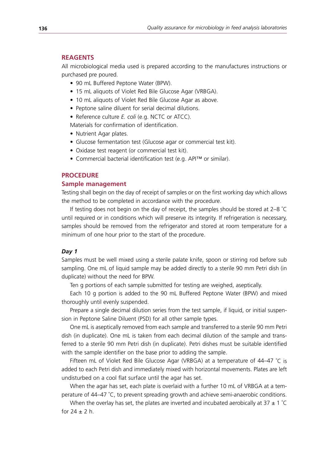# **Reagents**

All microbiological media used is prepared according to the manufactures instructions or purchased pre poured.

- 90 mL Buffered Peptone Water (BPW).
- 15 mL aliquots of Violet Red Bile Glucose Agar (VRBGA).
- 10 mL aliquots of Violet Red Bile Glucose Agar as above.
- Peptone saline diluent for serial decimal dilutions.
- Reference culture *F. coli (e.g. NCTC or ATCC)*.

Materials for confirmation of identification.

- Nutrient Agar plates.
- Glucose fermentation test (Glucose agar or commercial test kit).
- Oxidase test reagent (or commercial test kit).
- • Commercial bacterial identification test (e.g. API™ or similar).

## **Procedure**

#### **Sample management**

Testing shall begin on the day of receipt of samples or on the first working day which allows the method to be completed in accordance with the procedure.

If testing does not begin on the day of receipt, the samples should be stored at 2–8 ° C until required or in conditions which will preserve its integrity. If refrigeration is necessary, samples should be removed from the refrigerator and stored at room temperature for a minimum of one hour prior to the start of the procedure.

#### *Day 1*

Samples must be well mixed using a sterile palate knife, spoon or stirring rod before sub sampling. One mL of liquid sample may be added directly to a sterile 90 mm Petri dish (in duplicate) without the need for BPW.

Ten g portions of each sample submitted for testing are weighed, aseptically.

Each 10 g portion is added to the 90 mL Buffered Peptone Water (BPW) and mixed thoroughly until evenly suspended.

Prepare a single decimal dilution series from the test sample, if liquid, or initial suspension in Peptone Saline Diluent (PSD) for all other sample types.

One mL is aseptically removed from each sample and transferred to a sterile 90 mm Petri dish (in duplicate). One mL is taken from each decimal dilution of the sample and transferred to a sterile 90 mm Petri dish (in duplicate). Petri dishes must be suitable identified with the sample identifier on the base prior to adding the sample.

Fifteen mL of Violet Red Bile Glucose Agar (VRBGA) at a temperature of 44–47 ° C is added to each Petri dish and immediately mixed with horizontal movements. Plates are left undisturbed on a cool flat surface until the agar has set.

When the agar has set, each plate is overlaid with a further 10 mL of VRBGA at a temperature of 44–47 ° C, to prevent spreading growth and achieve semi-anaerobic conditions.

When the overlay has set, the plates are inverted and incubated aerobically at 37  $\pm$  1  $\degree$ C for  $24 \pm 2$  h.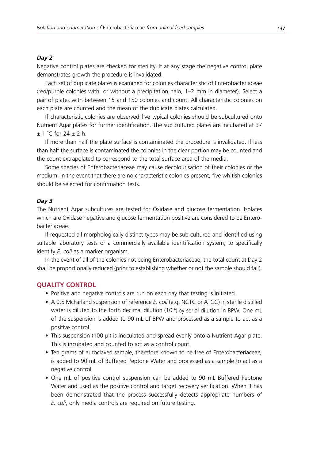#### *Day 2*

Negative control plates are checked for sterility. If at any stage the negative control plate demonstrates growth the procedure is invalidated.

Each set of duplicate plates is examined for colonies characteristic of Enterobacteriaceae (red/purple colonies with, or without a precipitation halo, 1–2 mm in diameter). Select a pair of plates with between 15 and 150 colonies and count. All characteristic colonies on each plate are counted and the mean of the duplicate plates calculated.

If characteristic colonies are observed five typical colonies should be subcultured onto Nutrient Agar plates for further identification. The sub cultured plates are incubated at 37 ± 1 ° C for 24 ± 2 h.

If more than half the plate surface is contaminated the procedure is invalidated. If less than half the surface is contaminated the colonies in the clear portion may be counted and the count extrapolated to correspond to the total surface area of the media.

Some species of Enterobacteriaceae may cause decolourisation of their colonies or the medium. In the event that there are no characteristic colonies present, five whitish colonies should be selected for confirmation tests.

#### *Day 3*

The Nutrient Agar subcultures are tested for Oxidase and glucose fermentation. Isolates which are Oxidase negative and glucose fermentation positive are considered to be Enterobacteriaceae.

If requested all morphologically distinct types may be sub cultured and identified using suitable laboratory tests or a commercially available identification system, to specifically identify *E. coli* as a marker organism.

In the event of all of the colonies not being Enterobacteriaceae, the total count at Day 2 shall be proportionally reduced (prior to establishing whether or not the sample should fail).

#### **Quality control**

- Positive and negative controls are run on each day that testing is initiated.
- • A 0.5 McFarland suspension of reference *E. coli* (e.g. NCTC or ATCC) in sterile distilled water is diluted to the forth decimal dilution  $(10^{-4})$  by serial dilution in BPW. One mL of the suspension is added to 90 mL of BPW and processed as a sample to act as a positive control.
- This suspension (100 µl) is inoculated and spread evenly onto a Nutrient Agar plate. This is incubated and counted to act as a control count.
- • Ten grams of autoclaved sample, therefore known to be free of Enterobacteriacea*e,*  is added to 90 mL of Buffered Peptone Water and processed as a sample to act as a negative control.
- One mL of positive control suspension can be added to 90 mL Buffered Peptone Water and used as the positive control and target recovery verification. When it has been demonstrated that the process successfully detects appropriate numbers of *E. coli*, only media controls are required on future testing.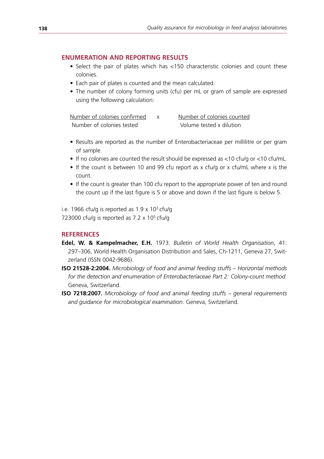# **Enumeration and Reporting results**

- Select the pair of plates which has <150 characteristic colonies and count these colonies.
- Each pair of plates is counted and the mean calculated.
- The number of colony forming units (cfu) per mL or gram of sample are expressed using the following calculation:

Number of colonies confirmed x Number of colonies counted Number of colonies tested Volume tested x dilution

- Results are reported as the number of Enterobacteriaceae per millilitre or per gram of sample.
- If no colonies are counted the result should be expressed as  $<10$  cfu/g or  $<10$  cfu/mL.
- If the count is between 10 and 99 cfu report as x cfu/g or x cfu/mL where x is the count.
- If the count is greater than 100 cfu report to the appropriate power of ten and round the count up if the last figure is 5 or above and down if the last figure is below 5.

i.e. 1966 cfu/g is reported as  $1.9 \times 10^3$  cfu/g 723000 cfu/g is reported as  $7.2 \times 10^5$  cfu/g

### **References**

- **Edel, W. & Kampelmacher, E.H.** 1973. *Bulletin of World Health Organisation*, 41: 297–306, World Health Organisation Distribution and Sales, Ch-1211, Geneva 27, Switzerland (ISSN 0042-9686).
- **ISO 21528-2:2004.** *Microbiology of food and animal feeding stuffs Horizontal methods for the detection and enumeration of Enterobacteriaceae Part 2: Colony-count method*. Geneva, Switzerland.
- **ISO 7218:2007.** *Microbiology of food and animal feeding stuffs general requirements and guidance for microbiological examination*. Geneva, Switzerland.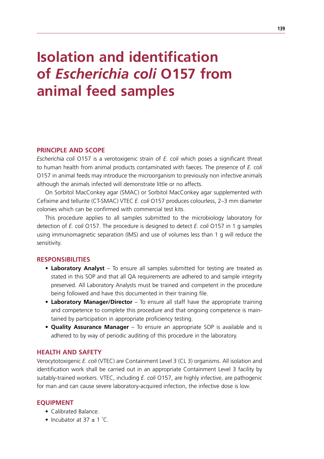# **Isolation and identification of** *Escherichia coli* **O157 from animal feed samples**

#### **Principle and scope**

*Escherichia coli* O157 is a verotoxigenic strain of *E. coli* which poses a significant threat to human health from animal products contaminated with faeces. The presence of *E. coli*  O157 in animal feeds may introduce the microorganism to previously non infective animals although the animals infected will demonstrate little or no affects.

On Sorbitol MacConkey agar (SMAC) or Sorbitol MacConkey agar supplemented with Cefixime and tellurite (CT-SMAC) VTEC *E. coli* O157 produces colourless, 2–3 mm diameter colonies which can be confirmed with commercial test kits.

This procedure applies to all samples submitted to the microbiology laboratory for detection of *E. coli* O157. The procedure is designed to detect *E. coli* O157 in 1 g samples using immunomagnetic separation (IMS) and use of volumes less than 1 g will reduce the sensitivity.

#### **Responsibilities**

- **Laboratory Analyst** To ensure all samples submitted for testing are treated as stated in this SOP and that all QA requirements are adhered to and sample integrity preserved. All Laboratory Analysts must be trained and competent in the procedure being followed and have this documented in their training file.
- **• Laboratory Manager/Director** To ensure all staff have the appropriate training and competence to complete this procedure and that ongoing competence is maintained by participation in appropriate proficiency testing.
- **• Quality Assurance Manager**  To ensure an appropriate SOP is available and is adhered to by way of periodic auditing of this procedure in the laboratory.

#### **Health and Safety**

Verocytotoxigenic *E. coli* (VTEC) are Containment Level 3 (CL 3) organisms. All isolation and identification work shall be carried out in an appropriate Containment Level 3 facility by suitably-trained workers. VTEC, including *E. coli* O157, are highly infective, are pathogenic for man and can cause severe laboratory-acquired infection, the infective dose is low.

### **Equipment**

- Calibrated Balance.
- Incubator at  $37 \pm 1$  °C.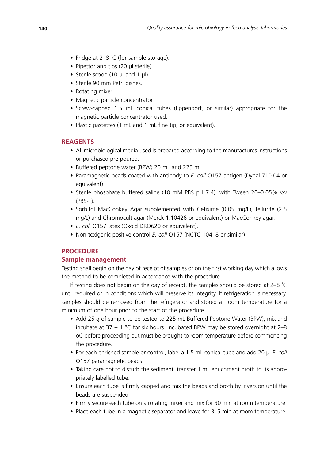- Fridge at 2–8 °C (for sample storage).
- Pipettor and tips (20 μl sterile).
- Sterile scoop (10  $\mu$ l and 1  $\mu$ l).
- Sterile 90 mm Petri dishes.
- Rotating mixer.
- Magnetic particle concentrator.
- Screw-capped 1.5 mL conical tubes (Eppendorf, or similar) appropriate for the magnetic particle concentrator used.
- Plastic pastettes (1 mL and 1 mL fine tip, or equivalent).

# **Reagents**

- All microbiological media used is prepared according to the manufactures instructions or purchased pre poured.
- • Buffered peptone water (BPW) 20 mL and 225 mL.
- • Paramagnetic beads coated with antibody to *E. coli* O157 antigen (Dynal 710.04 or equivalent).
- Sterile phosphate buffered saline (10 mM PBS pH 7.4), with Tween 20–0.05% v/v (PBS-T).
- • Sorbitol MacConkey Agar supplemented with Cefixime (0.05 mg/L), tellurite (2.5 mg/L) and Chromocult agar (Merck 1.10426 or equivalent) or MacConkey agar.
- *• E. coli* O157 latex (Oxoid DRO620 or equivalent).
- Non-toxigenic positive control *E. coli* O157 (NCTC 10418 or similar).

# **Procedure**

## **Sample management**

Testing shall begin on the day of receipt of samples or on the first working day which allows the method to be completed in accordance with the procedure.

If testing does not begin on the day of receipt, the samples should be stored at 2–8 ° C until required or in conditions which will preserve its integrity. If refrigeration is necessary, samples should be removed from the refrigerator and stored at room temperature for a minimum of one hour prior to the start of the procedure.

- Add 25 g of sample to be tested to 225 mL Buffered Peptone Water (BPW), mix and incubate at 37  $\pm$  1 °C for six hours. Incubated BPW may be stored overnight at 2–8 oC before proceeding but must be brought to room temperature before commencing the procedure.
- • For each enriched sample or control, label a 1.5 mL conical tube and add 20 µl *E. coli* O157 paramagnetic beads.
- Taking care not to disturb the sediment, transfer 1 mL enrichment broth to its appropriately labelled tube.
- Ensure each tube is firmly capped and mix the beads and broth by inversion until the beads are suspended.
- Firmly secure each tube on a rotating mixer and mix for 30 min at room temperature.
- Place each tube in a magnetic separator and leave for 3–5 min at room temperature.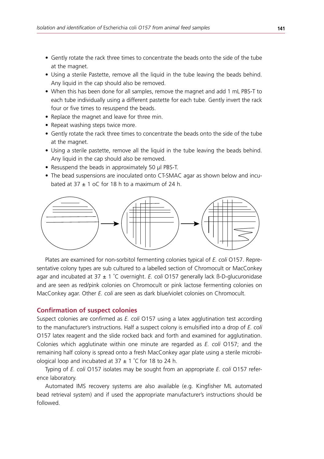- Gently rotate the rack three times to concentrate the beads onto the side of the tube at the magnet.
- Using a sterile Pastette, remove all the liquid in the tube leaving the beads behind. Any liquid in the cap should also be removed.
- When this has been done for all samples, remove the magnet and add 1 mL PBS-T to each tube individually using a different pastette for each tube. Gently invert the rack four or five times to resuspend the beads.
- Replace the magnet and leave for three min.
- Repeat washing steps twice more.
- Gently rotate the rack three times to concentrate the beads onto the side of the tube at the magnet.
- Using a sterile pastette, remove all the liquid in the tube leaving the beads behind. Any liquid in the cap should also be removed.
- Resuspend the beads in approximately 50 µl PBS-T.
- The bead suspensions are inoculated onto CT-SMAC agar as shown below and incubated at  $37 \pm 1$  oC for 18 h to a maximum of 24 h.



Plates are examined for non-sorbitol fermenting colonies typical of *E. coli* O157. Representative colony types are sub cultured to a labelled section of Chromocult or MacConkey agar and incubated at 37 ± 1 ° C overnight. *E. coli* O157 generally lack ß-D-glucuronidase and are seen as red/pink colonies on Chromocult or pink lactose fermenting colonies on MacConkey agar. Other *E. coli* are seen as dark blue/violet colonies on Chromocult.

#### **Confirmation of suspect colonies**

Suspect colonies are confirmed as *E. coli* O157 using a latex agglutination test according to the manufacturer's instructions. Half a suspect colony is emulsified into a drop of *E. coli* O157 latex reagent and the slide rocked back and forth and examined for agglutination. Colonies which agglutinate within one minute are regarded as *E. coli* O157; and the remaining half colony is spread onto a fresh MacConkey agar plate using a sterile microbiological loop and incubated at  $37 \pm 1$  °C for 18 to 24 h.

Typing of *E. coli* O157 isolates may be sought from an appropriate *E. coli* O157 reference laboratory.

Automated IMS recovery systems are also available (e.g. Kingfisher ML automated bead retrieval system) and if used the appropriate manufacturer's instructions should be followed.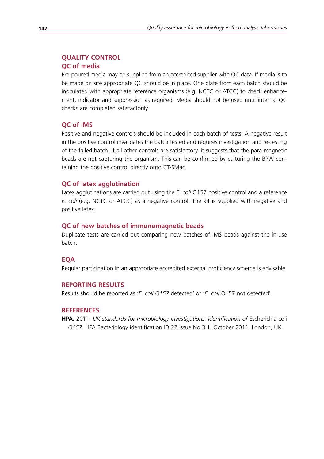# **Quality control**

### **QC of media**

Pre-poured media may be supplied from an accredited supplier with QC data. If media is to be made on site appropriate QC should be in place. One plate from each batch should be inoculated with appropriate reference organisms (e.g. NCTC or ATCC) to check enhancement, indicator and suppression as required. Media should not be used until internal QC checks are completed satisfactorily.

#### **QC of IMS**

Positive and negative controls should be included in each batch of tests. A negative result in the positive control invalidates the batch tested and requires investigation and re-testing of the failed batch. If all other controls are satisfactory, it suggests that the para-magnetic beads are not capturing the organism. This can be confirmed by culturing the BPW containing the positive control directly onto CT-SMac.

### **QC of latex agglutination**

Latex agglutinations are carried out using the *E. coli* O157 positive control and a reference *E. coli* (e.g. NCTC or ATCC) as a negative control. The kit is supplied with negative and positive latex.

#### **QC of new batches of immunomagnetic beads**

Duplicate tests are carried out comparing new batches of IMS beads against the in-use batch.

# **EQA**

Regular participation in an appropriate accredited external proficiency scheme is advisable.

#### **Reporting results**

Results should be reported as '*E. coli O157* detected' or '*E. coli* O157 not detected'.

#### **References**

**HPA.** 2011. *UK standards for microbiology investigations: Identification of* Escherichia coli *O157*. HPA Bacteriology identification ID 22 Issue No 3.1, October 2011. London, UK.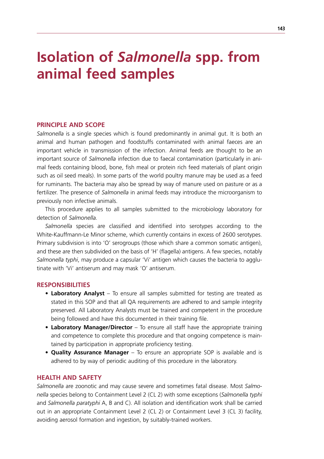# **Isolation of** *Salmonella* **spp. from animal feed samples**

#### **Principle and scope**

*Salmonella* is a single species which is found predominantly in animal gut. It is both an animal and human pathogen and foodstuffs contaminated with animal faeces are an important vehicle in transmission of the infection. Animal feeds are thought to be an important source of *Salmonella* infection due to faecal contamination (particularly in animal feeds containing blood, bone, fish meal or protein rich feed materials of plant origin such as oil seed meals). In some parts of the world poultry manure may be used as a feed for ruminants. The bacteria may also be spread by way of manure used on pasture or as a fertilizer. The presence of *Salmonella* in animal feeds may introduce the microorganism to previously non infective animals.

This procedure applies to all samples submitted to the microbiology laboratory for detection of *Salmonella.*

*Salmonella* species are classified and identified into serotypes according to the White-Kauffmann-Le Minor scheme, which currently contains in excess of 2600 serotypes. Primary subdivision is into 'O' serogroups (those which share a common somatic antigen), and these are then subdivided on the basis of 'H' (flagella) antigens. A few species, notably *Salmonella typhi*, may produce a capsular 'Vi' antigen which causes the bacteria to agglutinate with 'Vi' antiserum and may mask 'O' antiserum.

#### **Responsibilities**

- **Laboratory Analyst** To ensure all samples submitted for testing are treated as stated in this SOP and that all QA requirements are adhered to and sample integrity preserved. All Laboratory Analysts must be trained and competent in the procedure being followed and have this documented in their training file.
- **Laboratory Manager/Director** To ensure all staff have the appropriate training and competence to complete this procedure and that ongoing competence is maintained by participation in appropriate proficiency testing.
- **• Quality Assurance Manager** To ensure an appropriate SOP is available and is adhered to by way of periodic auditing of this procedure in the laboratory.

#### **Health and Safety**

*Salmonella* are zoonotic and may cause severe and sometimes fatal disease. Most *Salmonella* species belong to Containment Level 2 (CL 2) with some exceptions (*Salmonella typhi* and *Salmonella paratyphi* A, B and C). All isolation and identification work shall be carried out in an appropriate Containment Level 2 (CL 2) or Containment Level 3 (CL 3) facility, avoiding aerosol formation and ingestion, by suitably-trained workers.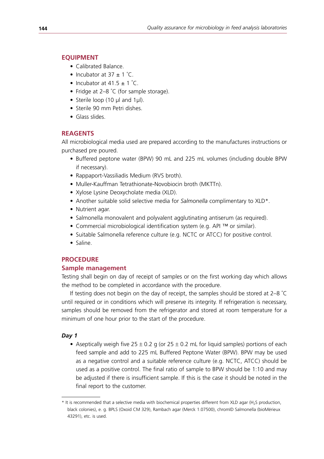# **Equipment**

- Calibrated Balance.
- Incubator at  $37 \pm 1$  °C.
- Incubator at  $41.5 \pm 1$  °C.
- Fridge at 2–8 °C (for sample storage).
- Sterile loop (10 µl and 1µl).
- Sterile 90 mm Petri dishes.
- Glass slides

# **Reagents**

All microbiological media used are prepared according to the manufactures instructions or purchased pre poured.

- • Buffered peptone water (BPW) 90 mL and 225 mL volumes (including double BPW if necessary).
- Rappaport-Vassiliadis Medium (RVS broth).
- Muller-Kauffman Tetrathionate-Novobiocin broth (MKTTn).
- Xylose Lysine Deoxycholate media (XLD).
- • Another suitable solid selective media for *Salmonella* complimentary to XLD\*.
- Nutrient agar.
- Salmonella monovalent and polyvalent agglutinating antiserum (as required).
- Commercial microbiological identification system (e.g. API ™ or similar).
- Suitable Salmonella reference culture (e.g. NCTC or ATCC) for positive control.
- • Saline.

# **Procedure**

#### **Sample management**

Testing shall begin on day of receipt of samples or on the first working day which allows the method to be completed in accordance with the procedure.

If testing does not begin on the day of receipt, the samples should be stored at 2–8 ° C until required or in conditions which will preserve its integrity. If refrigeration is necessary, samples should be removed from the refrigerator and stored at room temperature for a minimum of one hour prior to the start of the procedure.

# *Day 1*

• Aseptically weigh five  $25 \pm 0.2$  g (or  $25 \pm 0.2$  mL for liquid samples) portions of each feed sample and add to 225 mL Buffered Peptone Water (BPW). BPW may be used as a negative control and a suitable reference culture (e.g. NCTC, ATCC) should be used as a positive control. The final ratio of sample to BPW should be 1:10 and may be adjusted if there is insufficient sample. If this is the case it should be noted in the final report to the customer.

<sup>\*</sup> It is recommended that a selective media with biochemical properties different from XLD agar (H2S production, black colonies), e. g. BPLS (Oxoid CM 329), Rambach agar (Merck 1.07500), chromID Salmonella (bioMérieux 43291), etc. is used.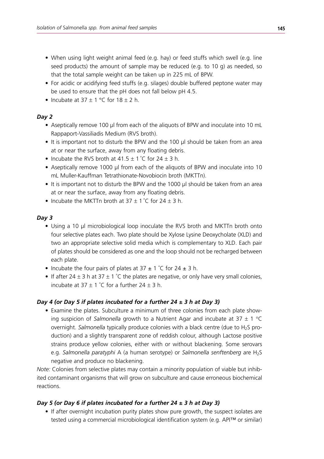- When using light weight animal feed (e.g. hay) or feed stuffs which swell (e.g. line seed products) the amount of sample may be reduced (e.g. to 10 g) as needed, so that the total sample weight can be taken up in 225 mL of BPW.
- For acidic or acidifying feed stuffs (e.g. silages) double buffered peptone water may be used to ensure that the pH does not fall below pH 4.5.
- Incubate at  $37 \pm 1$  °C for  $18 \pm 2$  h.

#### *Day 2*

- Aseptically remove 100 µl from each of the aliquots of BPW and inoculate into 10 mL Rappaport-Vassiliadis Medium (RVS broth).
- It is important not to disturb the BPW and the 100 µl should be taken from an area at or near the surface, away from any floating debris.
- Incubate the RVS broth at  $41.5 \pm 1$  °C for  $24 \pm 3$  h.
- Aseptically remove 1000 µl from each of the aliquots of BPW and inoculate into 10 mL Muller-Kauffman Tetrathionate-Novobiocin broth (MKTTn).
- It is important not to disturb the BPW and the 1000 µl should be taken from an area at or near the surface, away from any floating debris.
- Incubate the MKTTn broth at  $37 \pm 1$  °C for  $24 \pm 3$  h.

#### *Day 3*

- Using a 10 µl microbiological loop inoculate the RVS broth and MKTTn broth onto four selective plates each. Two plate should be Xylose Lysine Deoxycholate (XLD) and two an appropriate selective solid media which is complementary to XLD. Each pair of plates should be considered as one and the loop should not be recharged between each plate.
- Incubate the four pairs of plates at  $37 \pm 1$  °C for 24  $\pm$  3 h.
- If after 24  $\pm$  3 h at 37  $\pm$  1 °C the plates are negative, or only have very small colonies, incubate at  $37 \pm 1$  °C for a further  $24 \pm 3$  h.

#### *Day 4 (or Day 5 if plates incubated for a further 24 ± 3 h at Day 3)*

• Examine the plates. Subculture a minimum of three colonies from each plate showing suspicion of *Salmonella* growth to a Nutrient Agar and incubate at 37 ± 1 °C overnight. *Salmonella* typically produce colonies with a black centre (due to H2S production) and a slightly transparent zone of reddish colour, although Lactose positive strains produce yellow colonies, either with or without blackening. Some serovars e.g. *Salmonella paratyphi* A (a human serotype) or *Salmonella senftenberg* are H2S negative and produce no blackening.

*Note:* Colonies from selective plates may contain a minority population of viable but inhibited contaminant organisms that will grow on subculture and cause erroneous biochemical reactions.

#### *Day 5 (or Day 6 if plates incubated for a further 24 ± 3 h at Day 3)*

• If after overnight incubation purity plates show pure growth, the suspect isolates are tested using a commercial microbiological identification system (e.g. API™ or similar)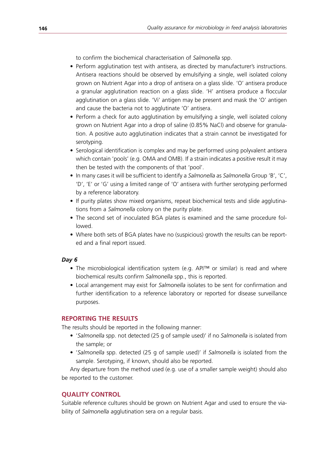to confirm the biochemical characterisation of *Salmonella* spp.

- Perform agglutination test with antisera, as directed by manufacturer's instructions. Antisera reactions should be observed by emulsifying a single, well isolated colony grown on Nutrient Agar into a drop of antisera on a glass slide. 'O' antisera produce a granular agglutination reaction on a glass slide. 'H' antisera produce a floccular agglutination on a glass slide. 'Vi' antigen may be present and mask the 'O' antigen and cause the bacteria not to agglutinate 'O' antisera.
- Perform a check for auto agglutination by emulsifying a single, well isolated colony grown on Nutrient Agar into a drop of saline (0.85% NaCl) and observe for granulation. A positive auto agglutination indicates that a strain cannot be investigated for serotyping.
- Serological identification is complex and may be performed using polyvalent antisera which contain 'pools' (e.g. OMA and OMB). If a strain indicates a positive result it may then be tested with the components of that 'pool'.
- • In many cases it will be sufficient to identify a *Salmonella* as *Salmonella* Group 'B', 'C', 'D', 'E' or 'G' using a limited range of 'O' antisera with further serotyping performed by a reference laboratory.
- If purity plates show mixed organisms, repeat biochemical tests and slide agglutinations from a *Salmonella* colony on the purity plate.
- The second set of inoculated BGA plates is examined and the same procedure followed.
- Where both sets of BGA plates have no (suspicious) growth the results can be reported and a final report issued.

#### *Day 6*

- The microbiological identification system (e.g. API™ or similar) is read and where biochemical results confirm *Salmonella* spp., this is reported.
- • Local arrangement may exist for *Salmonella* isolates to be sent for confirmation and further identification to a reference laboratory or reported for disease surveillance purposes.

# **Reporting the results**

The results should be reported in the following manner:

- • '*Salmonella* spp. not detected (25 g of sample used)' if no *Salmonella* is isolated from the sample; or
- • '*Salmonella* spp. detected (25 g of sample used)' if *Salmonella* is isolated from the sample. Serotyping, if known, should also be reported.

Any departure from the method used (e.g. use of a smaller sample weight) should also be reported to the customer.

# **Quality control**

Suitable reference cultures should be grown on Nutrient Agar and used to ensure the viability of *Salmonella* agglutination sera on a regular basis.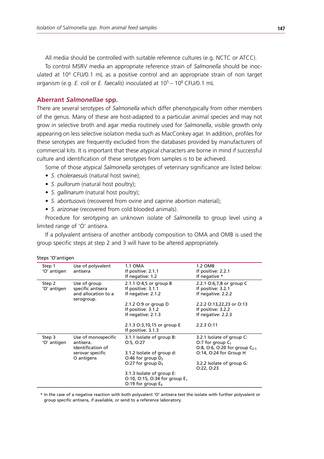All media should be controlled with suitable reference cultures (e.g. NCTC or ATCC).

To control MSRV media an appropriate reference strain of *Salmonella* should be inoculated at 104 CFU/0.1 mL as a positive control and an appropriate strain of non target organism (e.g. *E. coli* or *E. faecalis*) inoculated at 105 – 106 CFU/0.1 mL

## **Aberrant** *Salmonellae* **spp.**

There are several serotypes of *Salmonella* which differ phenotypically from other members of the genus. Many of these are host-adapted to a particular animal species and may not grow in selective broth and agar media routinely used for *Salmonella*, visible growth only appearing on less selective isolation media such as MacConkey agar. In addition, profiles for these serotypes are frequently excluded from the databases provided by manufacturers of commercial kits. It is important that these atypical characters are borne in mind if successful culture and identification of these serotypes from samples is to be achieved.

Some of those atypical *Salmonella* serotypes of veterinary significance are listed below:

- *• S. choleraesuis* (natural host swine);
- *• S. pullorum* (natural host poultry);
- *• S. gallinarum* (natural host poultry);
- *• S. abortusovis* (recovered from ovine and caprine abortion material);

*• S. arizonae* (recovered from cold blooded animals).

Procedure for serotyping an unknown isolate of *Salmonella* to group level using a limited range of 'O' antisera.

If a polyvalent antisera of another antibody composition to OMA and OMB is used the group specific steps at step 2 and 3 will have to be altered appropriately.

| Step 1<br>'O' antigen | Use of polyvalent<br>antisera                                          | 1.1 OMA<br>If positive: 2.1.1<br>If negative: 1.2                                     | 1.2 OMB<br>If positive: 2.2.1<br>If negative *                                         |
|-----------------------|------------------------------------------------------------------------|---------------------------------------------------------------------------------------|----------------------------------------------------------------------------------------|
| Step 2<br>'O' antigen | Use of group<br>specific antisera<br>and allocation to a<br>serogroup. | 2.1.1 O:4,5 or group B<br>If positive: 3.1.1<br>If negative: 2.1.2                    | 2.2.1 O:6,7,8 or group C<br>If positive: 3.2.1<br>If negative: 2.2.2                   |
|                       |                                                                        | 2.1.2 O:9 or group D<br>If positive: 3.1.2<br>If negative: 2.1.3                      | 2.2.2 O:13,22,23 or O:13<br>If positive: 3.2.2<br>If negative: 2.2.3                   |
|                       |                                                                        | 2.1.3 O:3,10,15 or group E<br>If positive: 3.1.3                                      | 2.2.3 0:11                                                                             |
| Step 3<br>'O' antigen | Use of monospecific<br>antisera.<br>Identification of                  | 3.1.1 Isolate of group B:<br>0:5, 0:27                                                | 3.2.1 Isolate of group C:<br>O:7 for group $C_1$<br>0:8, 0:6, 0:20 for group $C_{2,3}$ |
|                       | serovar specific<br>O antigens                                         | 3.1.2 Isolate of group d:<br>$O:46$ for group $D_2$<br>O:27 for group $D_3$           | O:14, O:24 for Group H<br>3.2.2 Isolate of group G:                                    |
|                       |                                                                        |                                                                                       | 0:22, 0:23                                                                             |
|                       |                                                                        | 3.1.3 Isolate of group E:<br>0:10, 0:15, 0:34 for group $E_1$<br>O:19 for group $E_4$ |                                                                                        |

Steps 'O'antigen

\* In the case of a negative reaction with both polyvalent 'O' antisera test the isolate with further polyvalent or group specific antisera, if available, or send to a reference laboratory.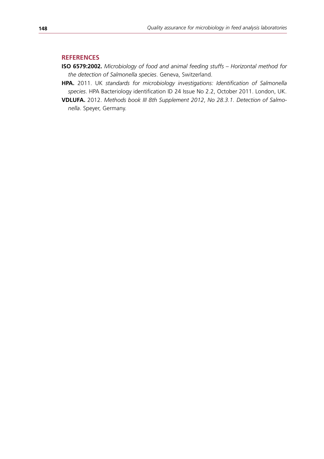# **References**

- **ISO 6579:2002.** *Microbiology of food and animal feeding stuffs Horizontal method for the detection of Salmonella species*. Geneva, Switzerland.
- **HPA.** 2011. UK *standards for microbiology investigations: Identification of Salmonella species*. HPA Bacteriology identification ID 24 Issue No 2.2, October 2011. London, UK.
- **VDLUFA.** 2012. *Methods book III 8th Supplement 2012*, *No 28.3.1. Detection of Salmonella*. Speyer, Germany.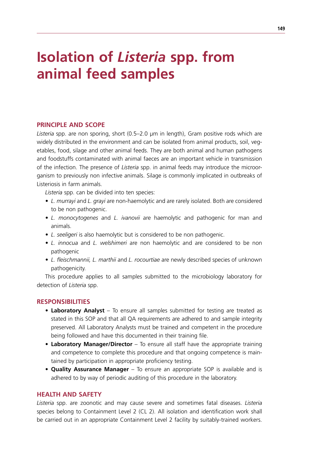# **Isolation of** *Listeria* **spp. from animal feed samples**

#### **Principle and scope**

*Listeria* spp. are non sporing, short (0.5–2.0 µm in length), Gram positive rods which are widely distributed in the environment and can be isolated from animal products, soil, vegetables, food, silage and other animal feeds. They are both animal and human pathogens and foodstuffs contaminated with animal faeces are an important vehicle in transmission of the infection. The presence of *Listeria* spp. in animal feeds may introduce the microorganism to previously non infective animals. Silage is commonly implicated in outbreaks of Listeriosis in farm animals.

*Listeria* spp. can be divided into ten species:

- *• L. murrayi* and *L. grayi* are non-haemolytic and are rarely isolated. Both are considered to be non pathogenic.
- *• L. monocytogenes* and *L. ivanovii* are haemolytic and pathogenic for man and animals.
- *• L. seeligeri* is also haemolytic but is considered to be non pathogenic.
- *• L. innocua* and *L. welshimeri* are non haemolytic and are considered to be non pathogenic
- *• L. fleischmannii, L. marthii* and *L. rocourtiae* are newly described species of unknown pathogenicity.

This procedure applies to all samples submitted to the microbiology laboratory for detection of *Listeria* spp.

# **Responsibilities**

- **Laboratory Analyst** To ensure all samples submitted for testing are treated as stated in this SOP and that all QA requirements are adhered to and sample integrity preserved. All Laboratory Analysts must be trained and competent in the procedure being followed and have this documented in their training file.
- **Laboratory Manager/Director** To ensure all staff have the appropriate training and competence to complete this procedure and that ongoing competence is maintained by participation in appropriate proficiency testing.
- **• Quality Assurance Manager** To ensure an appropriate SOP is available and is adhered to by way of periodic auditing of this procedure in the laboratory.

# **Health and Safety**

*Listeria* spp. are zoonotic and may cause severe and sometimes fatal diseases. *Listeria* species belong to Containment Level 2 (CL 2). All isolation and identification work shall be carried out in an appropriate Containment Level 2 facility by suitably-trained workers.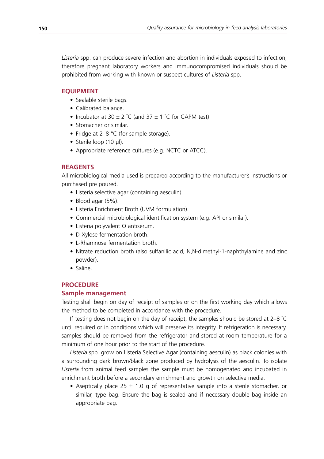*Listeria* spp. can produce severe infection and abortion in individuals exposed to infection, therefore pregnant laboratory workers and immunocompromised individuals should be prohibited from working with known or suspect cultures of *Listeria* spp.

# **EQUIPMENT**

- Sealable sterile bags.
- Calibrated balance.
- Incubator at  $30 \pm 2$  °C (and  $37 \pm 1$  °C for CAPM test).
- Stomacher or similar.
- Fridge at 2–8 °C (for sample storage).
- Sterile loop  $(10 \mu l)$ .
- Appropriate reference cultures (e.g. NCTC or ATCC).

# **Reagents**

All microbiological media used is prepared according to the manufacturer's instructions or purchased pre poured.

- Listeria selective agar (containing aesculin).
- Blood agar (5%).
- Listeria Enrichment Broth (UVM formulation).
- Commercial microbiological identification system (e.g. API or similar).
- Listeria polyvalent O antiserum.
- • D-Xylose fermentation broth.
- L-Rhamnose fermentation broth.
- Nitrate reduction broth (also sulfanilic acid, N,N-dimethyl-1-naphthylamine and zinc powder).
- Saline.

# **Procedure**

# **Sample management**

Testing shall begin on day of receipt of samples or on the first working day which allows the method to be completed in accordance with the procedure.

If testing does not begin on the day of receipt, the samples should be stored at 2–8 ° C until required or in conditions which will preserve its integrity. If refrigeration is necessary, samples should be removed from the refrigerator and stored at room temperature for a minimum of one hour prior to the start of the procedure.

*Listeria* spp. grow on Listeria Selective Agar (containing aesculin) as black colonies with a surrounding dark brown/black zone produced by hydrolysis of the aesculin. To isolate *Listeria* from animal feed samples the sample must be homogenated and incubated in enrichment broth before a secondary enrichment and growth on selective media.

• Aseptically place 25  $\pm$  1.0 g of representative sample into a sterile stomacher, or similar, type bag. Ensure the bag is sealed and if necessary double bag inside an appropriate bag.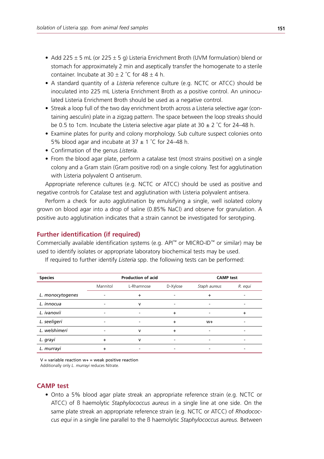- Add 225  $\pm$  5 mL (or 225  $\pm$  5 g) Listeria Enrichment Broth (UVM formulation) blend or stomach for approximately 2 min and aseptically transfer the homogenate to a sterile container. Incubate at  $30 \pm 2$  °C for  $48 \pm 4$  h.
- A standard quantity of a *Listeria* reference culture (e.g. NCTC or ATCC) should be inoculated into 225 mL Listeria Enrichment Broth as a positive control. An uninoculated Listeria Enrichment Broth should be used as a negative control.
- Streak a loop full of the two day enrichment broth across a Listeria selective agar (containing aesculin) plate in a zigzag pattern. The space between the loop streaks should be 0.5 to 1cm. Incubate the Listeria selective agar plate at 30  $\pm$  2 °C for 24–48 h.
- Examine plates for purity and colony morphology. Sub culture suspect colonies onto 5% blood agar and incubate at 37  $\pm$  1 °C for 24–48 h.
- • Confirmation of the genus *Listeria.*
- From the blood agar plate, perform a catalase test (most strains positive) on a single colony and a Gram stain (Gram positive rod) on a single colony. Test for agglutination with Listeria polyvalent O antiserum.

Appropriate reference cultures (e.g. NCTC or ATCC) should be used as positive and negative controls for Catalase test and agglutination with Listeria polyvalent antisera.

Perform a check for auto agglutination by emulsifying a single, well isolated colony grown on blood agar into a drop of saline (0.85% NaCl) and observe for granulation. A positive auto agglutination indicates that a strain cannot be investigated for serotyping.

# **Further identification (if required)**

Commercially available identification systems (e.g. API™ or MICRO-ID™ or similar) may be used to identify isolates or appropriate laboratory biochemical tests may be used.

| <b>Species</b>   | <b>Production of acid</b> |            |           | <b>CAMP</b> test |           |
|------------------|---------------------------|------------|-----------|------------------|-----------|
|                  | Mannitol                  | L-Rhamnose | D-Xylose  | Staph aureus     | R. equi   |
| L. monocytogenes |                           | +          |           | ٠                |           |
| L. innocua       | ٠                         | v          | ۰         | ۰                |           |
| L. ivanovii      | $\blacksquare$            | ٠          | $\ddot{}$ | ٠                | $\ddot{}$ |
| L. seeligeri     | ٠                         | ٠          | $\ddot{}$ | W <sup>+</sup>   |           |
| L. welshimeri    |                           | v          | +         | ٠                | -         |
| L. grayi         | $\ddot{}$                 | v          |           | -                |           |
| L. murrayi       | +                         | ٠          | ۰         |                  |           |

If required to further identify *Listeria* spp. the following tests can be performed:

 $V =$  variable reaction  $w + w = w$ eak positive reaction

Additionally only *L. murrayi* reduces Nitrate.

# **CAMP test**

• Onto a 5% blood agar plate streak an appropriate reference strain (e.g. NCTC or ATCC) of ß haemolytic *Staphylococcus aureus* in a single line at one side. On the same plate streak an appropriate reference strain (e.g. NCTC or ATCC) of *Rhodococcus equi* in a single line parallel to the ß haemolytic *Staphylococcus aureus.* Between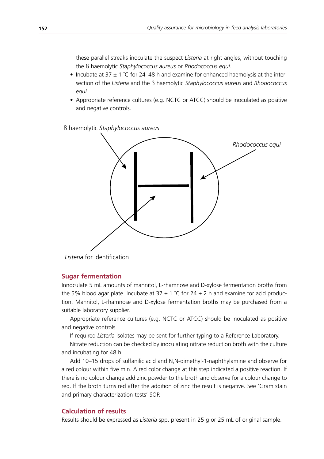these parallel streaks inoculate the suspect *Listeria* at right angles, without touching the ß haemolytic *Staphylococcus aureus* or *Rhodococcus equi.*

- Incubate at 37  $\pm$  1 °C for 24–48 h and examine for enhanced haemolysis at the intersection of the *Listeria* and the ß haemolytic *Staphylococcus aureus* and *Rhodococcus equi.*
- Appropriate reference cultures (e.g. NCTC or ATCC) should be inoculated as positive and negative controls.

ß haemolytic *Staphylococcus aureus*



*Listeria* for identification

#### **Sugar fermentation**

Innoculate 5 mL amounts of mannitol, L-rhamnose and D-xylose fermentation broths from the 5% blood agar plate. Incubate at 37  $\pm$  1 °C for 24  $\pm$  2 h and examine for acid production. Mannitol, L-rhamnose and D-xylose fermentation broths may be purchased from a suitable laboratory supplier.

Appropriate reference cultures (e.g. NCTC or ATCC) should be inoculated as positive and negative controls.

If required *Listeria* isolates may be sent for further typing to a Reference Laboratory.

Nitrate reduction can be checked by inoculating nitrate reduction broth with the culture and incubating for 48 h.

Add 10–15 drops of sulfanilic acid and N,N-dimethyl-1-naphthylamine and observe for a red colour within five min. A red color change at this step indicated a positive reaction. If there is no colour change add zinc powder to the broth and observe for a colour change to red. If the broth turns red after the addition of zinc the result is negative. See 'Gram stain and primary characterization tests' SOP.

# **Calculation of results**

Results should be expressed as *Listeria* spp. present in 25 g or 25 mL of original sample.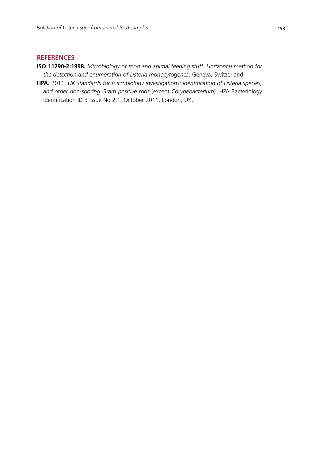# **References**

**ISO 11290-2:1998.** *Microbiology of food and animal feeding stuff. Horizontal method for the detection and enumeration of Listeria monocytogenes*. Geneva, Switzerland.

**HPA.** 2011. *UK standards for microbiology investigations: Identification of Listeria species, and other non-sporing Gram positive rods* (except *Corynebacterium*). HPA Bacteriology identification ID 3 Issue No 2.1, October 2011. London, UK.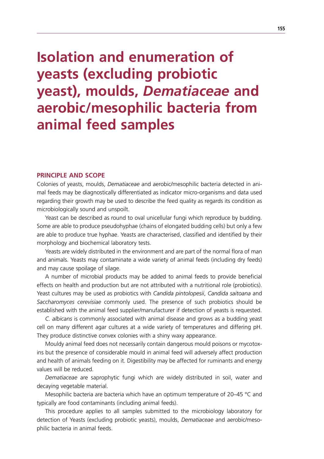# **Isolation and enumeration of yeasts (excluding probiotic yeast), moulds,** *Dematiaceae* **and aerobic/mesophilic bacteria from animal feed samples**

# **Principle and scope**

Colonies of yeasts, moulds, *Dematiaceae* and aerobic/mesophilic bacteria detected in animal feeds may be diagnostically differentiated as indicator micro-organisms and data used regarding their growth may be used to describe the feed quality as regards its condition as microbiologically sound and unspoilt.

Yeast can be described as round to oval unicellular fungi which reproduce by budding. Some are able to produce pseudohyphae (chains of elongated budding cells) but only a few are able to produce true hyphae. Yeasts are characterised, classified and identified by their morphology and biochemical laboratory tests.

Yeasts are widely distributed in the environment and are part of the normal flora of man and animals. Yeasts may contaminate a wide variety of animal feeds (including dry feeds) and may cause spoilage of silage.

A number of microbial products may be added to animal feeds to provide beneficial effects on health and production but are not attributed with a nutritional role (probiotics). Yeast cultures may be used as probiotics with *Candida pintolopesii*, *Candida saitoana* and *Saccharomyces cerevisiae* commonly used. The presence of such probiotics should be established with the animal feed supplier/manufacturer if detection of yeasts is requested.

*C. albicans* is commonly associated with animal disease and grows as a budding yeast cell on many different agar cultures at a wide variety of temperatures and differing pH. They produce distinctive convex colonies with a shiny waxy appearance.

Mouldy animal feed does not necessarily contain dangerous mould poisons or mycotoxins but the presence of considerable mould in animal feed will adversely affect production and health of animals feeding on it. Digestibility may be affected for ruminants and energy values will be reduced.

*Dematiaceae* are saprophytic fungi which are widely distributed in soil, water and decaying vegetable material.

Mesophilic bacteria are bacteria which have an optimum temperature of 20–45 °C and typically are food contaminants (including animal feeds).

This procedure applies to all samples submitted to the microbiology laboratory for detection of Yeasts (excluding probiotic yeasts), moulds, *Dematiaceae* and aerobic/mesophilic bacteria in animal feeds.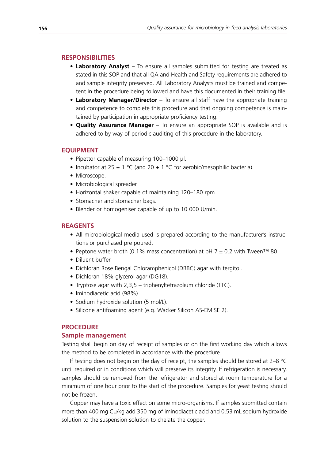# **Responsibilities**

- **• Laboratory Analyst** To ensure all samples submitted for testing are treated as stated in this SOP and that all QA and Health and Safety requirements are adhered to and sample integrity preserved. All Laboratory Analysts must be trained and competent in the procedure being followed and have this documented in their training file.
- Laboratory Manager/Director To ensure all staff have the appropriate training and competence to complete this procedure and that ongoing competence is maintained by participation in appropriate proficiency testing.
- **• Quality Assurance Manager** To ensure an appropriate SOP is available and is adhered to by way of periodic auditing of this procedure in the laboratory.

# **Equipment**

- Pipettor capable of measuring 100–1000 µl.
- Incubator at  $25 \pm 1$  °C (and  $20 \pm 1$  °C for aerobic/mesophilic bacteria).
- Microscope.
- Microbiological spreader.
- Horizontal shaker capable of maintaining 120–180 rpm.
- Stomacher and stomacher bags.
- Blender or homogeniser capable of up to 10 000 U/min.

# **Reagents**

- All microbiological media used is prepared according to the manufacturer's instructions or purchased pre poured.
- Peptone water broth (0.1% mass concentration) at pH 7  $\pm$  0.2 with Tween™ 80.
- Diluent buffer.
- Dichloran Rose Bengal Chloramphenicol (DRBC) agar with tergitol.
- Dichloran 18% glycerol agar (DG18).
- Tryptose agar with  $2,3,5$  triphenyltetrazolium chloride (TTC).
- Iminodiacetic acid (98%).
- Sodium hydroxide solution (5 mol/L).
- Silicone antifoaming agent (e.g. Wacker Silicon AS-EM.SE 2).

# **Procedure**

### **Sample management**

Testing shall begin on day of receipt of samples or on the first working day which allows the method to be completed in accordance with the procedure.

If testing does not begin on the day of receipt, the samples should be stored at 2–8 °C until required or in conditions which will preserve its integrity. If refrigeration is necessary, samples should be removed from the refrigerator and stored at room temperature for a minimum of one hour prior to the start of the procedure. Samples for yeast testing should not be frozen.

Copper may have a toxic effect on some micro-organisms. If samples submitted contain more than 400 mg Cu/kg add 350 mg of iminodiacetic acid and 0.53 mL sodium hydroxide solution to the suspension solution to chelate the copper.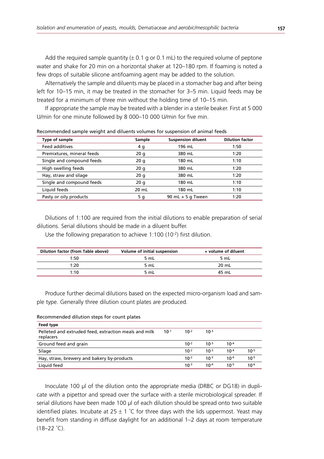Add the required sample quantity  $(\pm 0.1 \text{ g or } 0.1 \text{ mL})$  to the required volume of peptone water and shake for 20 min on a horizontal shaker at 120–180 rpm. If foaming is noted a few drops of suitable silicone antifoaming agent may be added to the solution.

Alternatively the sample and diluents may be placed in a stomacher bag and after being left for 10–15 min, it may be treated in the stomacher for 3–5 min. Liquid feeds may be treated for a minimum of three min without the holding time of 10–15 min.

If appropriate the sample may be treated with a blender in a sterile beaker. First at 5 000 U/min for one minute followed by 8 000–10 000 U/min for five min.

| Type of sample             | Sample | <b>Suspension diluent</b> | <b>Dilution factor</b> |
|----------------------------|--------|---------------------------|------------------------|
| Feed additives             | 4 q    | 196 mL                    | 1:50                   |
| Premixtures, mineral feeds | 20q    | 380 mL                    | 1:20                   |
| Single and compound feeds  | 20q    | 180 mL                    | 1:10                   |
| High swelling feeds        | 20q    | 380 mL                    | 1:20                   |
| Hay, straw and silage      | 20q    | 380 mL                    | 1:20                   |
| Single and compound feeds  | 20q    | 180 mL                    | 1:10                   |
| Liquid feeds               | 20 mL  | 180 mL                    | 1:10                   |
| Pasty or oily products     | 5 g    | $90$ mL + 5 g Tween       | 1:20                   |

Recommended sample weight and diluents volumes for suspension of animal feeds

Dilutions of 1:100 are required from the initial dilutions to enable preparation of serial dilutions. Serial dilutions should be made in a diluent buffer.

Use the following preparation to achieve 1:100 (10-2) first dilution.

| Dilution factor (from Table above) | Volume of initial suspension | + volume of diluent |
|------------------------------------|------------------------------|---------------------|
| 1:50                               | 5 mL                         | 5 mL                |
| 1:20                               | 5 mL                         | 20 mL               |
| 1:10                               | 5 mL                         | 45 mL               |

Produce further decimal dilutions based on the expected micro-organism load and sample type. Generally three dilution count plates are produced.

| Feed type                                                          |           |           |           |           |           |
|--------------------------------------------------------------------|-----------|-----------|-----------|-----------|-----------|
| Pelleted and extruded feed, extraction meals and milk<br>replacers | $10^{-1}$ | $10^{-2}$ | $10^{-3}$ |           |           |
| Ground feed and grain                                              |           | $10^{-2}$ | $10^{-3}$ | $10^{-4}$ |           |
| Silage                                                             |           | $10^{-2}$ | $10^{-3}$ | $10^{-4}$ | $10^{-5}$ |
| Hay, straw, brewery and bakery by-products                         |           | $10^{-2}$ | $10^{-3}$ | $10^{-4}$ | $10^{-5}$ |
| Liauid feed                                                        |           | $10^{-3}$ | $10^{-4}$ | $10^{-5}$ | $10^{-6}$ |

Recommended dilution steps for count plates

Inoculate 100 µl of the dilution onto the appropriate media (DRBC or DG18) in duplicate with a pipettor and spread over the surface with a sterile microbiological spreader. If serial dilutions have been made 100 µl of each dilution should be spread onto two suitable identified plates. Incubate at  $25 \pm 1$  °C for three days with the lids uppermost. Yeast may benefit from standing in diffuse daylight for an additional 1–2 days at room temperature (18–22 ° C).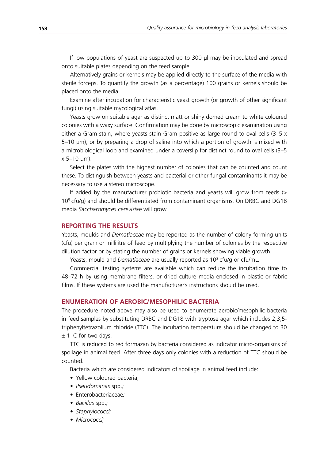If low populations of yeast are suspected up to 300 µl may be inoculated and spread onto suitable plates depending on the feed sample.

Alternatively grains or kernels may be applied directly to the surface of the media with sterile forceps. To quantify the growth (as a percentage) 100 grains or kernels should be placed onto the media.

Examine after incubation for characteristic yeast growth (or growth of other significant fungi) using suitable mycological atlas.

Yeasts grow on suitable agar as distinct matt or shiny domed cream to white coloured colonies with a waxy surface. Confirmation may be done by microscopic examination using either a Gram stain, where yeasts stain Gram positive as large round to oval cells (3–5 x 5–10 µm), or by preparing a drop of saline into which a portion of growth is mixed with a microbiological loop and examined under a coverslip for distinct round to oval cells (3–5  $x 5 - 10 \mu m$ ).

Select the plates with the highest number of colonies that can be counted and count these. To distinguish between yeasts and bacterial or other fungal contaminants it may be necessary to use a stereo microscope.

If added by the manufacturer probiotic bacteria and yeasts will grow from feeds (>  $10<sup>5</sup>$  cfu/g) and should be differentiated from contaminant organisms. On DRBC and DG18 media *Saccharomyces cerevisiae* will grow.

# **Reporting the results**

Yeasts, moulds and *Dematiaceae* may be reported as the number of colony forming units (cfu) per gram or millilitre of feed by multiplying the number of colonies by the respective dilution factor or by stating the number of grains or kernels showing viable growth.

Yeasts, mould and *Dematiaceae* are usually reported as 10<sup>3</sup> cfu/g or cfu/mL.

Commercial testing systems are available which can reduce the incubation time to 48–72 h by using membrane filters, or dried culture media enclosed in plastic or fabric films. If these systems are used the manufacturer's instructions should be used.

# **Enumeration of aerobic/mesophilic bacteria**

The procedure noted above may also be used to enumerate aerobic/mesophilic bacteria in feed samples by substituting DRBC and DG18 with tryptose agar which includes 2,3,5 triphenyltetrazolium chloride (TTC). The incubation temperature should be changed to 30 ± 1 ° C for two days.

TTC is reduced to red formazan by bacteria considered as indicator micro-organisms of spoilage in animal feed. After three days only colonies with a reduction of TTC should be counted.

Bacteria which are considered indicators of spoilage in animal feed include:

- Yellow coloured bacteria:
- *• Pseudomanas* spp.*;*
- • Enterobacteriaceae*;*
- *• Bacillus* spp.*;*
- *• Staphylococci;*
- *• Micrococci;*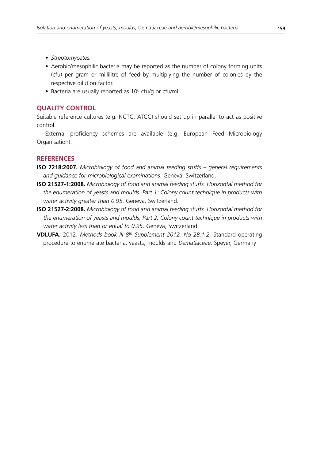- *• Streptomycetes.*
- Aerobic/mesophilic bacteria may be reported as the number of colony forming units (cfu) per gram or millilitre of feed by multiplying the number of colonies by the respective dilution factor.
- Bacteria are usually reported as 10<sup>6</sup> cfu/g or cfu/mL.

# **Quality control**

Suitable reference cultures (e.g. NCTC, ATCC) should set up in parallel to act as positive control.

External proficiency schemes are available (e.g. European Feed Microbiology Organisation).

# **References**

- **ISO 7218:2007.** *Microbiology of food and animal feeding stuffs general requirements and guidance for microbiological examinations*. Geneva, Switzerland.
- **ISO 21527-1:2008.** *Microbiology of food and animal feeding stuffs. Horizontal method for the enumeration of yeasts and moulds. Part 1: Colony count technique in products with water activity greater than 0.95*. Geneva, Switzerland.
- **ISO 21527-2:2008.** *Microbiology of food and animal feeding stuffs. Horizontal method for the enumeration of yeasts and moulds. Part 2: Colony count technique in products with water activity less than or equal to 0.95*. Geneva, Switzerland.
- **VDLUFA.** 2012. *Methods book III 8th Supplement 2012, No 28.1.2.* Standard operating procedure to enumerate bacteria, yeasts, moulds and *Dematiaceae*. Speyer, Germany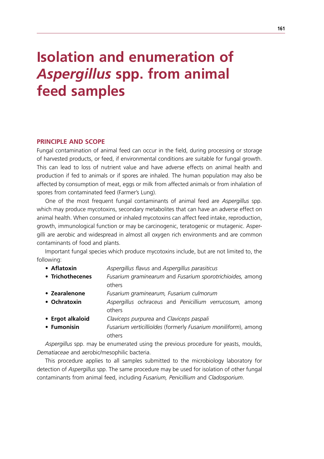# **Isolation and enumeration of**  *Aspergillus* **spp. from animal feed samples**

## **Principle and scope**

Fungal contamination of animal feed can occur in the field, during processing or storage of harvested products, or feed, if environmental conditions are suitable for fungal growth. This can lead to loss of nutrient value and have adverse effects on animal health and production if fed to animals or if spores are inhaled. The human population may also be affected by consumption of meat, eggs or milk from affected animals or from inhalation of spores from contaminated feed (Farmer's Lung).

One of the most frequent fungal contaminants of animal feed are *Aspergillus* spp. which may produce mycotoxins, secondary metabolites that can have an adverse effect on animal health. When consumed or inhaled mycotoxins can affect feed intake, reproduction, growth, immunological function or may be carcinogenic, teratogenic or mutagenic. Aspergilli are aerobic and widespread in almost all oxygen rich environments and are common contaminants of food and plants.

Important fungal species which produce mycotoxins include, but are not limited to, the following:

- **• Aflatoxin** *Aspergillus flavus* and *Aspergillus parasiticus*
- **• Trichothecenes** *Fusarium graminearum* and *Fusarium sporotrichioides,* among others
- **• Zearalenone** *Fusarium graminearum, Fusarium culmorum*
- **• Ochratoxin** *Aspergillus ochraceus* and *Penicillium verrucosum,* among others
- **• Ergot alkaloid** *Claviceps purpurea* and *Claviceps paspali*
- **• Fumonisin** *Fusarium verticillioïdes* (formerly *Fusarium moniliform*), among others

*Aspergillus* spp. may be enumerated using the previous procedure for yeasts, moulds, *Dematiaceae* and aerobic/mesophilic bacteria.

This procedure applies to all samples submitted to the microbiology laboratory for detection of *Aspergillus* spp. The same procedure may be used for isolation of other fungal contaminants from animal feed, including *Fusarium, Penicillium* and *Cladosporium*.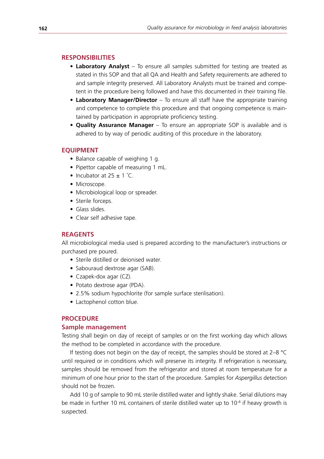# **Responsibilities**

- **• Laboratory Analyst** To ensure all samples submitted for testing are treated as stated in this SOP and that all QA and Health and Safety requirements are adhered to and sample integrity preserved. All Laboratory Analysts must be trained and competent in the procedure being followed and have this documented in their training file.
- Laboratory Manager/Director To ensure all staff have the appropriate training and competence to complete this procedure and that ongoing competence is maintained by participation in appropriate proficiency testing.
- **• Quality Assurance Manager** To ensure an appropriate SOP is available and is adhered to by way of periodic auditing of this procedure in the laboratory.

# **Equipment**

- Balance capable of weighing 1 g.
- Pipettor capable of measuring 1 mL.
- Incubator at  $25 \pm 1$  °C.
- Microscope.
- Microbiological loop or spreader.
- Sterile forceps.
- Glass slides.
- Clear self adhesive tape.

# **Reagents**

All microbiological media used is prepared according to the manufacturer's instructions or purchased pre poured.

- Sterile distilled or deionised water.
- Sabouraud dextrose agar (SAB).
- Czapek-dox agar (CZ).
- Potato dextrose agar (PDA).
- 2.5% sodium hypochlorite (for sample surface sterilisation).
- Lactophenol cotton blue.

# **Procedure**

# **Sample management**

Testing shall begin on day of receipt of samples or on the first working day which allows the method to be completed in accordance with the procedure.

If testing does not begin on the day of receipt, the samples should be stored at 2–8 °C until required or in conditions which will preserve its integrity. If refrigeration is necessary, samples should be removed from the refrigerator and stored at room temperature for a minimum of one hour prior to the start of the procedure. Samples for *Aspergillus* detection should not be frozen.

Add 10 g of sample to 90 mL sterile distilled water and lightly shake. Serial dilutions may be made in further 10 mL containers of sterile distilled water up to 10<sup>-4</sup> if heavy growth is suspected.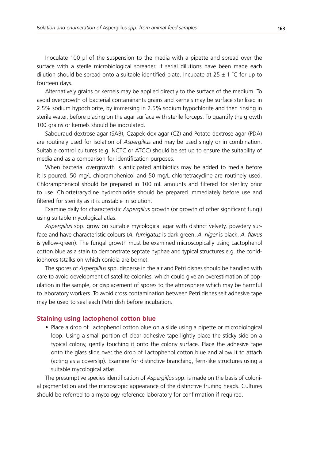Inoculate 100 µl of the suspension to the media with a pipette and spread over the surface with a sterile microbiological spreader. If serial dilutions have been made each dilution should be spread onto a suitable identified plate. Incubate at 25  $\pm$  1  $\degree$ C for up to fourteen days.

Alternatively grains or kernels may be applied directly to the surface of the medium. To avoid overgrowth of bacterial contaminants grains and kernels may be surface sterilised in 2.5% sodium hypochlorite, by immersing in 2.5% sodium hypochlorite and then rinsing in sterile water, before placing on the agar surface with sterile forceps. To quantify the growth 100 grains or kernels should be inoculated.

Sabouraud dextrose agar (SAB), Czapek-dox agar (CZ) and Potato dextrose agar (PDA) are routinely used for isolation of *Aspergillus* and may be used singly or in combination. Suitable control cultures (e.g. NCTC or ATCC) should be set up to ensure the suitability of media and as a comparison for identification purposes.

When bacterial overgrowth is anticipated antibiotics may be added to media before it is poured. 50 mg/L chloramphenicol and 50 mg/L chlortetracycline are routinely used. Chloramphenicol should be prepared in 100 mL amounts and filtered for sterility prior to use. Chlortetracycline hydrochloride should be prepared immediately before use and filtered for sterility as it is unstable in solution.

Examine daily for characteristic *Aspergillus* growth (or growth of other significant fungi) using suitable mycological atlas.

*Aspergillus* spp. grow on suitable mycological agar with distinct velvety, powdery surface and have characteristic colours (*A. fumigatus* is dark green, *A. niger* is black, *A. flavus* is yellow-green). The fungal growth must be examined microscopically using Lactophenol cotton blue as a stain to demonstrate septate hyphae and typical structures e.g. the conidiophores (stalks on which conidia are borne).

The spores of *Aspergillus* spp. disperse in the air and Petri dishes should be handled with care to avoid development of satellite colonies, which could give an overestimation of population in the sample, or displacement of spores to the atmosphere which may be harmful to laboratory workers. To avoid cross contamination between Petri dishes self adhesive tape may be used to seal each Petri dish before incubation.

### **Staining using lactophenol cotton blue**

• Place a drop of Lactophenol cotton blue on a slide using a pipette or microbiological loop. Using a small portion of clear adhesive tape lightly place the sticky side on a typical colony, gently touching it onto the colony surface. Place the adhesive tape onto the glass slide over the drop of Lactophenol cotton blue and allow it to attach (acting as a coverslip). Examine for distinctive branching, fern-like structures using a suitable mycological atlas.

The presumptive species identification of *Aspergillus* spp. is made on the basis of colonial pigmentation and the microscopic appearance of the distinctive fruiting heads. Cultures should be referred to a mycology reference laboratory for confirmation if required.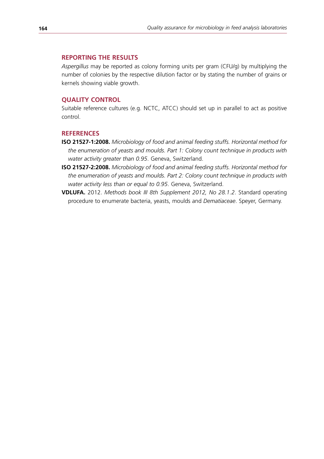# **Reporting the results**

*Aspergillus* may be reported as colony forming units per gram (CFU/g) by multiplying the number of colonies by the respective dilution factor or by stating the number of grains or kernels showing viable growth.

#### **Quality control**

Suitable reference cultures (e.g. NCTC, ATCC) should set up in parallel to act as positive control.

# **References**

- **ISO 21527-1:2008.** *Microbiology of food and animal feeding stuffs. Horizontal method for the enumeration of yeasts and moulds. Part 1: Colony count technique in products with water activity greater than 0.95*. Geneva, Switzerland.
- **ISO 21527-2:2008.** *Microbiology of food and animal feeding stuffs. Horizontal method for the enumeration of yeasts and moulds. Part 2: Colony count technique in products with water activity less than or equal to 0.95*. Geneva, Switzerland.
- **VDLUFA.** 2012. *Methods book III 8th Supplement 2012, No 28.1.2*. Standard operating procedure to enumerate bacteria, yeasts, moulds and *Dematiaceae*. Speyer, Germany.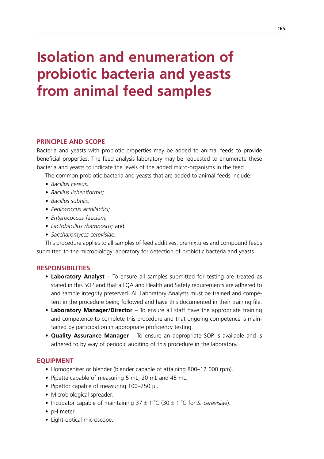# **Isolation and enumeration of probiotic bacteria and yeasts from animal feed samples**

# **Principle and scope**

Bacteria and yeasts with probiotic properties may be added to animal feeds to provide beneficial properties. The feed analysis laboratory may be requested to enumerate these bacteria and yeasts to indicate the levels of the added micro-organisms in the feed.

The common probiotic bacteria and yeasts that are added to animal feeds include:

- *• Bacillus cereus;*
- *• Bacillus licheniformis;*
- *• Bacillus subtilis;*
- *• Pediococcus acidilactici;*
- *• Enterococcus faecium;*
- *• Lactobacillus rhamnosus;* and
- *• Saccharomyces cerevisiae.*

This procedure applies to all samples of feed additives, premixtures and compound feeds submitted to the microbiology laboratory for detection of probiotic bacteria and yeasts.

#### **Responsibilities**

- **Laboratory Analyst** To ensure all samples submitted for testing are treated as stated in this SOP and that all QA and Health and Safety requirements are adhered to and sample integrity preserved. All Laboratory Analysts must be trained and competent in the procedure being followed and have this documented in their training file.
- Laboratory Manager/Director To ensure all staff have the appropriate training and competence to complete this procedure and that ongoing competence is maintained by participation in appropriate proficiency testing.
- **• Quality Assurance Manager** To ensure an appropriate SOP is available and is adhered to by way of periodic auditing of this procedure in the laboratory.

#### **Equipment**

- Homogeniser or blender (blender capable of attaining 800–12 000 rpm).
- Pipette capable of measuring 5 mL, 20 mL and 45 mL.
- Pipettor capable of measuring 100–250 µl.
- Microbiological spreader.
- Incubator capable of maintaining  $37 \pm 1$  °C (30  $\pm$  1 °C for *S. cerevisiae*).
- pH meter.
- Light-optical microscope.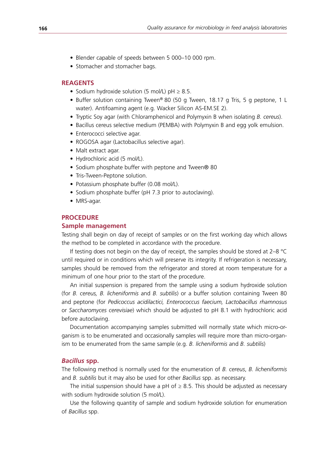- Blender capable of speeds between 5 000-10 000 rpm.
- Stomacher and stomacher bags.

#### **Reagents**

- Sodium hydroxide solution (5 mol/L)  $pH \geq 8.5$ .
- Buffer solution containing Tween® 80 (50 g Tween, 18.17 g Tris, 5 g peptone, 1 L water). Antifoaming agent (e.g. Wacker Silicon AS-EM.SE 2).
- • Tryptic Soy agar (with Chloramphenicol and Polymyxin B when isolating *B. cereus*).
- Bacillus cereus selective medium (PEMBA) with Polymyxin B and egg yolk emulsion.
- Enterococci selective agar.
- ROGOSA agar (Lactobacillus selective agar).
- Malt extract agar.
- Hydrochloric acid (5 mol/L).
- Sodium phosphate buffer with peptone and Tween® 80
- Tris-Tween-Peptone solution.
- Potassium phosphate buffer (0.08 mol/L).
- Sodium phosphate buffer (pH 7.3 prior to autoclaving).
- MRS-agar.

### **Procedure**

#### **Sample management**

Testing shall begin on day of receipt of samples or on the first working day which allows the method to be completed in accordance with the procedure.

If testing does not begin on the day of receipt, the samples should be stored at 2–8 °C until required or in conditions which will preserve its integrity. If refrigeration is necessary, samples should be removed from the refrigerator and stored at room temperature for a minimum of one hour prior to the start of the procedure.

An initial suspension is prepared from the sample using a sodium hydroxide solution (for *B. cereus, B. licheniformis* and *B. subtilis*) or a buffer solution containing Tween 80 and peptone (for *Pedicoccus acidilactici, Enterococcus faecium, Lactobacillus rhamnosus*  or *Saccharomyces cerevisiae*) which should be adjusted to pH 8.1 with hydrochloric acid before autoclaving.

Documentation accompanying samples submitted will normally state which micro-organism is to be enumerated and occasionally samples will require more than micro-organism to be enumerated from the same sample (e.g. *B. licheniformis* and *B. subtilis*)

#### *Bacillus* **spp.**

The following method is normally used for the enumeration of *B. cereus*, *B. licheniformis*  and *B. subtilis* but it may also be used for other *Bacillus* spp. as necessary.

The initial suspension should have a pH of  $\geq$  8.5. This should be adjusted as necessary with sodium hydroxide solution (5 mol/L).

Use the following quantity of sample and sodium hydroxide solution for enumeration of *Bacillus* spp.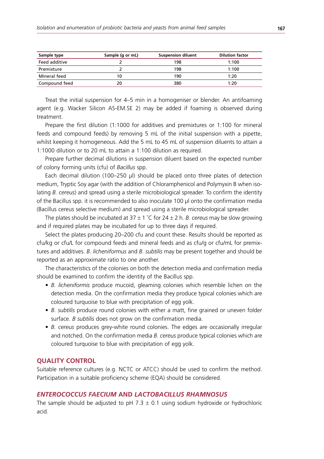| Sample type   | Sample (q or mL) | <b>Suspension diluent</b> | <b>Dilution factor</b> |
|---------------|------------------|---------------------------|------------------------|
| Feed additive |                  | 198                       | 1:100                  |
| Premixture    |                  | 198                       | 1:100                  |
| Mineral feed  | 10               | 190                       | 1:20                   |
| Compound feed | 20               | 380                       | 1:20                   |

Treat the initial suspension for 4–5 min in a homogeniser or blender. An antifoaming agent (e.g. Wacker Silicon AS-EM.SE 2) may be added if foaming is observed during treatment.

Prepare the first dilution (1:1000 for additives and premixtures or 1:100 for mineral feeds and compound feeds) by removing 5 mL of the initial suspension with a pipette, whilst keeping it homogeneous. Add the 5 mL to 45 mL of suspension diluents to attain a 1:1000 dilution or to 20 mL to attain a 1:100 dilution as required.

Prepare further decimal dilutions in suspension diluent based on the expected number of colony forming units (cfu) of *Bacillus* spp.

Each decimal dilution (100–250 µl) should be placed onto three plates of detection medium, Tryptic Soy agar (with the addition of Chloramphenicol and Polymyxin B when isolating *B. cereus*) and spread using a sterile microbiological spreader. To confirm the identity of the Bacillus spp. it is recommended to also inoculate 100 µl onto the confirmation media (Bacillus cereus selective medium) and spread using a sterile microbiological spreader.

The plates should be incubated at 37 ± 1 ° C for 24 ± 2 h*. B. cereus* may be slow growing and if required plates may be incubated for up to three days if required.

Select the plates producing 20–200 cfu and count these. Results should be reported as cfu/kg or cfu/L for compound feeds and mineral feeds and as cfu/g or cfu/mL for premixtures and additives. *B. licheniformus* and *B. subtilis* may be present together and should be reported as an approximate ratio to one another.

The characteristics of the colonies on both the detection media and confirmation media should be examined to confirm the identity of the Bacillus spp.

- *• B. licheniformis* produce mucoid, gleaming colonies which resemble lichen on the detection media. On the confirmation media they produce typical colonies which are coloured turquoise to blue with precipitation of egg yolk.
- *B. subtilis* produce round colonies with either a matt, fine grained or uneven folder surface. *B subtilis* does not grow on the confirmation media.
- *• B. cereus* produces grey-white round colonies. The edges are occasionally irregular and notched. On the confirmation media *B. cereus* produce typical colonies which are coloured turquoise to blue with precipitation of egg yolk.

#### **Quality control**

Suitable reference cultures (e.g. NCTC or ATCC) should be used to confirm the method. Participation in a suitable proficiency scheme (EQA) should be considered.

# *Enterococcus faecium* **and** *Lactobacillus rhamnosus*

The sample should be adjusted to pH 7.3  $\pm$  0.1 using sodium hydroxide or hydrochloric acid.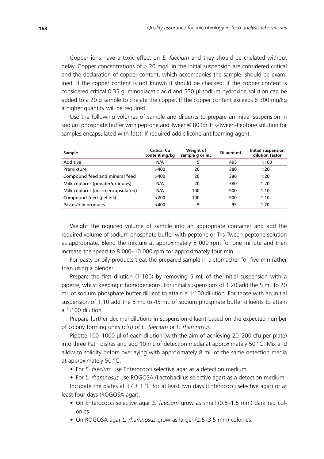Copper ions have a toxic effect on *E. faecium* and they should be chelated without delay. Copper concentrations of  $\geq 20$  mg/L in the initial suspension are considered critical and the declaration of copper content, which accompanies the sample, should be examined. If the copper content is not known it should be checked. If the copper content is considered critical 0.35 g iminodiacetic acid and 530 µl sodium hydroxide solution can be added to a 20 g sample to chelate the copper. If the copper content exceeds 8 300 mg/kg a higher quantity will be required.

Use the following volumes of sample and diluents to prepare an initial suspension in sodium phosphate buffer with peptone and Tween® 80 (or Tris-Tween-Peptone solution for samples encapsulated with fats). If required add silicone antifoaming agent.

| Sample                             | <b>Critical Cu</b><br>content mg/kg | Weight of<br>sample q or mL | Diluent mL | Initial suspension<br>dilution factor |
|------------------------------------|-------------------------------------|-----------------------------|------------|---------------------------------------|
| Additive                           | N/A                                 |                             | 495        | 1:100                                 |
| Premixture                         | >400                                | 20                          | 380        | 1:20                                  |
| Compound feed and mineral feed     | >400                                | 20                          | 380        | 1:20                                  |
| Milk replacer (powder/granules)    | N/A                                 | 20                          | 380        | 1:20                                  |
| Milk replacer (micro encapsulated) | N/A                                 | 100                         | 900        | 1:10                                  |
| Compound feed (pellets)            | >200                                | 100                         | 900        | 1:10                                  |
| Pastes/oily products               | >400                                |                             | 95         | 1:20                                  |

Weight the required volume of sample into an appropriate container and add the required volume of sodium phosphate buffer with peptone or Tris-Tween-peptone solution as appropriate. Blend the mixture at approximately 5 000 rpm for one minute and then increase the speed to 8 000–10 000 rpm for approximately four min.

For pasty or oily products treat the prepared sample in a stomacher for five min rather than using a blender.

Prepare the first dilution (1:100) by removing 5 mL of the initial suspension with a pipette, whilst keeping it homogeneous. For initial suspensions of 1:20 add the 5 mL to 20 mL of sodium phosphate buffer diluent to attain a 1:100 dilution. For those with an initial suspension of 1:10 add the 5 mL to 45 mL of sodium phosphate buffer diluents to attain a 1:100 dilution.

Prepare further decimal dilutions in suspension diluent based on the expected number of colony forming units (cfu) of *E. faecium* or *L. rhamnosus*.

Pipette 100–1000 µl of each dilution (with the aim of achieving 20–200 cfu per plate) into three Petri dishes and add 10 mL of detection media at approximately 50 °C. Mix and allow to solidify before overlaying with approximately 8 mL of the same detection media at approximately 50 °C.

- For *E. faecium* use Enterococci selective agar as a detection medium.
- • For *L. rhamnosus* use ROGOSA (Lactobacillus selective agar) as a detection medium.

Incubate the plates at 37  $\pm$  1 °C for at least two days (Enterococci selective agar) or at least four days (ROGOSA agar).

- • On Enterococci selective agar *E. faecium* grow as small (0.5–1.5 mm) dark red colonies.
- • On ROGOSA agar *L. rhamnosus* grow as larger (2.5–3.5 mm) colonies.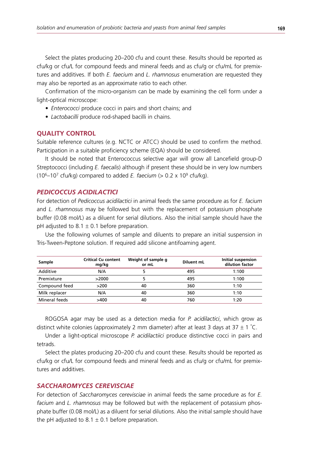Select the plates producing 20–200 cfu and count these. Results should be reported as cfu/kg or cfu/L for compound feeds and mineral feeds and as cfu/g or cfu/mL for premixtures and additives. If both *E. faecium* and *L. rhamnosus* enumeration are requested they may also be reported as an approximate ratio to each other.

Confirmation of the micro-organism can be made by examining the cell form under a light-optical microscope:

- *Enterococci* produce cocci in pairs and short chains; and
- *• Lactobacilli* produce rod-shaped bacilli in chains.

#### **QUALITY CONTROL**

Suitable reference cultures (e.g. NCTC or ATCC) should be used to confirm the method. Participation in a suitable proficiency scheme (EQA) should be considered.

It should be noted that Enterococcus selective agar will grow all Lancefield group-D Streptococci (including *E. faecalis*) although if present these should be in very low numbers (10<sup>6</sup>–10<sup>7</sup> cfu/kg) compared to added *E. faecium* ( $> 0.2 \times 10^9$  cfu/kg).

### *Pedicoccus acidilactici*

For detection of *Pedicoccus acidilactici* in animal feeds the same procedure as for *E. facium* and *L. rhamnosus* may be followed but with the replacement of potassium phosphate buffer (0.08 mol/L) as a diluent for serial dilutions. Also the initial sample should have the pH adjusted to  $8.1 \pm 0.1$  before preparation.

Use the following volumes of sample and diluents to prepare an initial suspension in Tris-Tween-Peptone solution. If required add silicone antifoaming agent.

| Sample        | <b>Critical Cu content</b><br>mg/kg | Weight of sample g<br>or mL | Diluent mL | Initial suspension<br>dilution factor |
|---------------|-------------------------------------|-----------------------------|------------|---------------------------------------|
| Additive      | N/A                                 |                             | 495        | 1:100                                 |
| Premixture    | >2000                               |                             | 495        | 1:100                                 |
| Compound feed | >200                                | 40                          | 360        | 1:10                                  |
| Milk replacer | N/A                                 | 40                          | 360        | 1:10                                  |
| Mineral feeds | >400                                | 40                          | 760        | 1:20                                  |

ROGOSA agar may be used as a detection media for *P. acidilactici*, which grow as distinct white colonies (approximately 2 mm diameter) after at least 3 days at 37  $\pm$  1  $\degree$ C.

Under a light-optical microscope *P. acidilactiici* produce distinctive cocci in pairs and tetrads.

Select the plates producing 20–200 cfu and count these. Results should be reported as cfu/kg or cfu/L for compound feeds and mineral feeds and as cfu/g or cfu/mL for premixtures and additives.

#### *Saccharomyces cerevisciae*

For detection of *Saccharomyces cerevisciae* in animal feeds the same procedure as for *E. facium* and *L. rhamnosus* may be followed but with the replacement of potassium phosphate buffer (0.08 mol/L) as a diluent for serial dilutions. Also the initial sample should have the pH adjusted to  $8.1 \pm 0.1$  before preparation.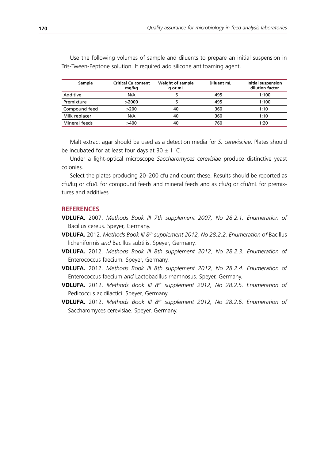| Sample        | <b>Critical Cu content</b><br>mg/kg | Weight of sample<br>q or mL | Diluent mL | Initial suspension<br>dilution factor |
|---------------|-------------------------------------|-----------------------------|------------|---------------------------------------|
| Additive      | N/A                                 |                             | 495        | 1:100                                 |
| Premixture    | >2000                               |                             | 495        | 1:100                                 |
| Compound feed | >200                                | 40                          | 360        | 1:10                                  |
| Milk replacer | N/A                                 | 40                          | 360        | 1:10                                  |
| Mineral feeds | >400                                | 40                          | 760        | 1:20                                  |

Use the following volumes of sample and diluents to prepare an initial suspension in Tris-Tween-Peptone solution. If required add silicone antifoaming agent.

Malt extract agar should be used as a detection media for *S. cerevisciae*. Plates should be incubated for at least four days at 30  $\pm$  1 °C.

Under a light-optical microscope *Saccharomyces cerevisiae* produce distinctive yeast colonies.

Select the plates producing 20–200 cfu and count these. Results should be reported as cfu/kg or cfu/L for compound feeds and mineral feeds and as cfu/g or cfu/mL for premixtures and additives.

# **References**

- **VDLUFA.** 2007. *Methods Book III 7th supplement 2007, No 28.2.1. Enumeration of*  Bacillus cereus. Speyer, Germany.
- **VDLUFA.** 2012. *Methods Book III 8th supplement 2012, No 28.2.2. Enumeration of* Bacillus licheniformis *and* Bacillus subtilis. Speyer, Germany.
- **VDLUFA.** 2012. *Methods Book III 8th supplement 2012, No 28.2.3. Enumeration of*  Enterococcus faecium*.* Speyer, Germany.
- **VDLUFA.** 2012. *Methods Book III 8th supplement 2012, No 28.2.4. Enumeration of*  Enterococcus faecium *and* Lactobacillus rhamnosus. Speyer, Germany.
- **VDLUFA.** 2012. *Methods Book III 8th supplement 2012, No 28.2.5. Enumeration of*  Pedicoccus acidilactici. Speyer, Germany.
- **VDLUFA.** 2012. *Methods Book III 8th supplement 2012, No 28.2.6. Enumeration of*  Saccharomyces cerevisiae. Speyer, Germany.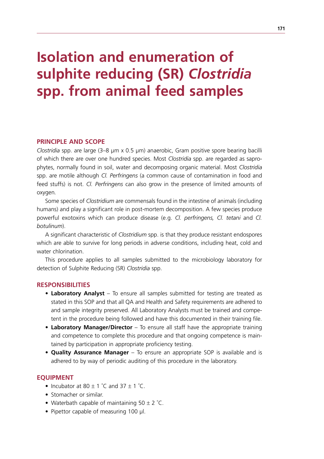# **Isolation and enumeration of sulphite reducing (SR)** *Clostridia* **spp. from animal feed samples**

## **Principle and scope**

*Clostridia* spp. are large (3–8 µm x 0.5 µm) anaerobic, Gram positive spore bearing bacilli of which there are over one hundred species. Most *Clostridia* spp. are regarded as saprophytes, normally found in soil, water and decomposing organic material. Most *Clostridia* spp. are motile although *Cl. Perfringens* (a common cause of contamination in food and feed stuffs) is not. *Cl. Perfringens* can also grow in the presence of limited amounts of oxygen*.*

Some species of *Clostridium* are commensals found in the intestine of animals (including humans) and play a significant role in post-mortem decomposition. A few species produce powerful exotoxins which can produce disease (e.g. *Cl. perfringens, Cl. tetani* and *Cl. botulinum*).

A significant characteristic of *Clostridium* spp. is that they produce resistant endospores which are able to survive for long periods in adverse conditions, including heat, cold and water chlorination.

This procedure applies to all samples submitted to the microbiology laboratory for detection of Sulphite Reducing (SR) *Clostridia* spp.

#### **Responsibilities**

- **Laboratory Analyst** To ensure all samples submitted for testing are treated as stated in this SOP and that all QA and Health and Safety requirements are adhered to and sample integrity preserved. All Laboratory Analysts must be trained and competent in the procedure being followed and have this documented in their training file.
- **Laboratory Manager/Director** To ensure all staff have the appropriate training and competence to complete this procedure and that ongoing competence is maintained by participation in appropriate proficiency testing.
- **• Quality Assurance Manager** To ensure an appropriate SOP is available and is adhered to by way of periodic auditing of this procedure in the laboratory.

#### **EQUIPMENT**

- Incubator at  $80 \pm 1$  °C and  $37 \pm 1$  °C.
- Stomacher or similar.
- Waterbath capable of maintaining  $50 \pm 2$  °C.
- Pipettor capable of measuring 100 µl.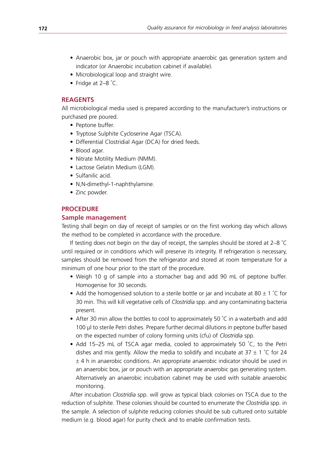- Anaerobic box, jar or pouch with appropriate anaerobic gas generation system and indicator (or Anaerobic incubation cabinet if available).
- Microbiological loop and straight wire.
- Fridge at  $2-8$  °C.

## **Reagents**

All microbiological media used is prepared according to the manufacturer's instructions or purchased pre poured.

- Peptone buffer.
- Tryptose Sulphite Cycloserine Agar (TSCA).
- Differential Clostridial Agar (DCA) for dried feeds.
- • Blood agar.
- Nitrate Motility Medium (NMM).
- Lactose Gelatin Medium (LGM).
- Sulfanilic acid.
- N,N-dimethyl-1-naphthylamine.
- Zinc powder.

## **Procedure**

## **Sample management**

Testing shall begin on day of receipt of samples or on the first working day which allows the method to be completed in accordance with the procedure.

If testing does not begin on the day of receipt, the samples should be stored at 2–8 ° C until required or in conditions which will preserve its integrity. If refrigeration is necessary, samples should be removed from the refrigerator and stored at room temperature for a minimum of one hour prior to the start of the procedure.

- • Weigh 10 g of sample into a stomacher bag and add 90 mL of peptone buffer. Homogenise for 30 seconds.
- Add the homogenised solution to a sterile bottle or jar and incubate at 80  $\pm$  1 °C for 30 min. This will kill vegetative cells of *Clostridia* spp. and any contaminating bacteria present.
- After 30 min allow the bottles to cool to approximately 50 °C in a waterbath and add 100 µl to sterile Petri dishes. Prepare further decimal dilutions in peptone buffer based on the expected number of colony forming units (cfu) of *Clostridia* spp.
- Add 15–25 mL of TSCA agar media, cooled to approximately 50 °C, to the Petri dishes and mix gently. Allow the media to solidify and incubate at 37  $\pm$  1 °C for 24  $±$  4 h in anaerobic conditions. An appropriate anaerobic indicator should be used in an anaerobic box, jar or pouch with an appropriate anaerobic gas generating system. Alternatively an anaerobic incubation cabinet may be used with suitable anaerobic monitoring.

After incubation *Clostridia* spp. will grow as typical black colonies on TSCA due to the reduction of sulphite. These colonies should be counted to enumerate the *Clostridia* spp. in the sample. A selection of sulphite reducing colonies should be sub cultured onto suitable medium (e.g. blood agar) for purity check and to enable confirmation tests.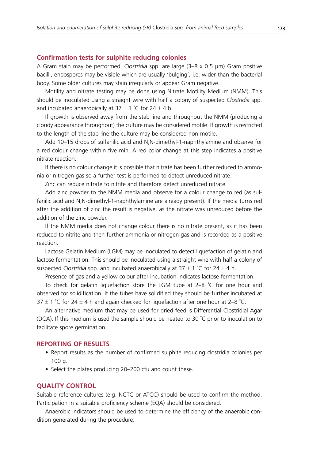#### **Confirmation tests for sulphite reducing colonies**

A Gram stain may be performed. *Clostridia* spp. are large (3–8 x 0.5 µm) Gram positive bacilli, endospores may be visible which are usually 'bulging', i.e. wider than the bacterial body. Some older cultures may stain irregularly or appear Gram negative.

Motility and nitrate testing may be done using Nitrate Motility Medium (NMM). This should be inoculated using a straight wire with half a colony of suspected *Clostridia* spp. and incubated anaerobically at 37  $\pm$  1 °C for 24  $\pm$  4 h.

If growth is observed away from the stab line and throughout the NMM (producing a cloudy appearance throughout) the culture may be considered motile. If growth is restricted to the length of the stab line the culture may be considered non-motile.

Add 10–15 drops of sulfanilic acid and N,N-dimethyl-1-naphthylamine and observe for a red colour change within five min. A red color change at this step indicates a positive nitrate reaction.

If there is no colour change it is possible that nitrate has been further reduced to ammonia or nitrogen gas so a further test is performed to detect unreduced nitrate.

Zinc can reduce nitrate to nitrite and therefore detect unreduced nitrate.

Add zinc powder to the NMM media and observe for a colour change to red (as sulfanilic acid and N,N-dimethyl-1-naphthylamine are already present). If the media turns red after the addition of zinc the result is negative, as the nitrate was unreduced before the addition of the zinc powder.

If the NMM media does not change colour there is no nitrate present, as it has been reduced to nitrite and then further ammonia or nitrogen gas and is recorded as a positive reaction.

Lactose Gelatin Medium (LGM) may be inoculated to detect liquefaction of gelatin and lactose fermentation. This should be inoculated using a straight wire with half a colony of suspected *Clostridia* spp. and incubated anaerobically at 37 ± 1 ° C for 24 ± 4 h.

Presence of gas and a yellow colour after incubation indicates lactose fermentation.

To check for gelatin liquefaction store the LGM tube at 2–8 ° C for one hour and observed for solidification. If the tubes have solidified they should be further incubated at 37  $\pm$  1 °C for 24  $\pm$  4 h and again checked for liquefaction after one hour at 2–8 °C.

An alternative medium that may be used for dried feed is Differential Clostridial Agar (DCA). If this medium is used the sample should be heated to 30 ° C prior to inoculation to facilitate spore germination.

#### **Reporting of results**

- Report results as the number of confirmed sulphite reducing clostridia colonies per 100 g.
- Select the plates producing 20–200 cfu and count these.

#### **Quality control**

Suitable reference cultures (e.g. NCTC or ATCC) should be used to confirm the method. Participation in a suitable proficiency scheme (EQA) should be considered.

Anaerobic indicators should be used to determine the efficiency of the anaerobic condition generated during the procedure.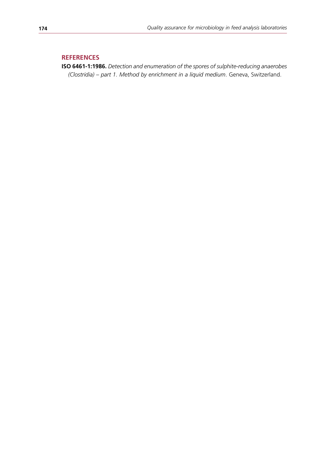# **References**

**ISO 6461-1:1986.** *Detection and enumeration of the spores of sulphite-reducing anaerobes (Clostridia) – part 1. Method by enrichment in a liquid medium*. Geneva, Switzerland.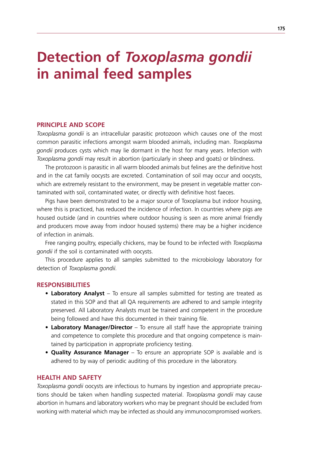# **Detection of** *Toxoplasma gondii* **in animal feed samples**

#### **Principle and scope**

*Toxoplasma gondii* is an intracellular parasitic protozoon which causes one of the most common parasitic infections amongst warm blooded animals, including man. *Toxoplasma gondii* produces cysts which may lie dormant in the host for many years. Infection with *Toxoplasma gondii* may result in abortion (particularly in sheep and goats) or blindness.

The protozoon is parasitic in all warm blooded animals but felines are the definitive host and in the cat family oocysts are excreted. Contamination of soil may occur and oocysts, which are extremely resistant to the environment, may be present in vegetable matter contaminated with soil, contaminated water, or directly with definitive host faeces.

Pigs have been demonstrated to be a major source of Toxoplasma but indoor housing, where this is practiced, has reduced the incidence of infection. In countries where pigs are housed outside (and in countries where outdoor housing is seen as more animal friendly and producers move away from indoor housed systems) there may be a higher incidence of infection in animals.

Free ranging poultry, especially chickens, may be found to be infected with *Toxoplasma gondii* if the soil is contaminated with oocysts.

This procedure applies to all samples submitted to the microbiology laboratory for detection of *Toxoplasma gondii.*

#### **Responsibilities**

- **Laboratory Analyst** To ensure all samples submitted for testing are treated as stated in this SOP and that all QA requirements are adhered to and sample integrity preserved. All Laboratory Analysts must be trained and competent in the procedure being followed and have this documented in their training file.
- **Laboratory Manager/Director** To ensure all staff have the appropriate training and competence to complete this procedure and that ongoing competence is maintained by participation in appropriate proficiency testing.
- **• Quality Assurance Manager** To ensure an appropriate SOP is available and is adhered to by way of periodic auditing of this procedure in the laboratory.

#### **Health and Safety**

*Toxoplasma gondii* oocysts are infectious to humans by ingestion and appropriate precautions should be taken when handling suspected material. *Toxoplasma gondii* may cause abortion in humans and laboratory workers who may be pregnant should be excluded from working with material which may be infected as should any immunocompromised workers.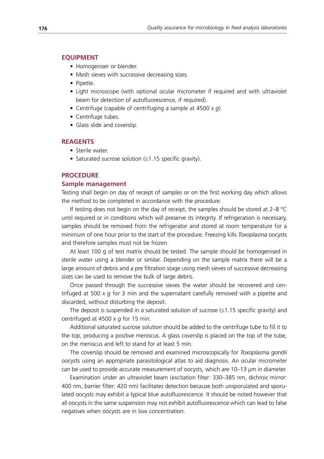# **Equipment**

- Homogeniser or blender.
- Mesh sieves with successive decreasing sizes.
- Pipette.
- Light microscope (with optional ocular micrometer if required and with ultraviolet beam for detection of autofluorescence, if required).
- • Centrifuge (capable of centrifuging a sample at 4500 x *g*).
- Centrifuge tubes.
- Glass slide and coverslip.

#### **Reagents**

- Sterile water.
- • Saturated sucrose solution (≤1.15 specific gravity).

#### **Procedure**

#### **Sample management**

Testing shall begin on day of receipt of samples or on the first working day which allows the method to be completed in accordance with the procedure.

If testing does not begin on the day of receipt, the samples should be stored at 2–8 °C until required or in conditions which will preserve its integrity. If refrigeration is necessary, samples should be removed from the refrigerator and stored at room temperature for a minimum of one hour prior to the start of the procedure. Freezing kills *Toxoplasma* oocysts and therefore samples must not be frozen.

At least 100 g of test matrix should be tested. The sample should be homogenised in sterile water using a blender or similar. Depending on the sample matrix there will be a large amount of debris and a pre filtration stage using mesh sieves of successive decreasing sizes can be used to remove the bulk of large debris.

Once passed through the successive sieves the water should be recovered and centrifuged at 500 x *g* for 3 min and the supernatant carefully removed with a pipette and discarded, without disturbing the deposit.

The deposit is suspended in a saturated solution of sucrose  $(\leq 1.15$  specific gravity) and centrifuged at 4500 x *g* for 15 min.

Additional saturated sucrose solution should be added to the centrifuge tube to fill it to the top, producing a positive meniscus. A glass coverslip is placed on the top of the tube, on the meniscus and left to stand for at least 5 min.

The coverslip should be removed and examined microscopically for *Toxoplasma gondii* oocysts using an appropriate parasitological atlas to aid diagnosis. An ocular micrometer can be used to provide accurate measurement of oocysts, which are 10–13 µm in diameter.

Examination under an ultraviolet beam (excitation filter: 330–385 nm, dichroic mirror: 400 nm, barrier filter: 420 nm) facilitates detection because both unsporulated and sporulated oocysts may exhibit a typical blue autofluorescence. It should be noted however that all oocysts in the same suspension may not exhibit autofluorescence which can lead to false negatives when oocysts are in low concentration.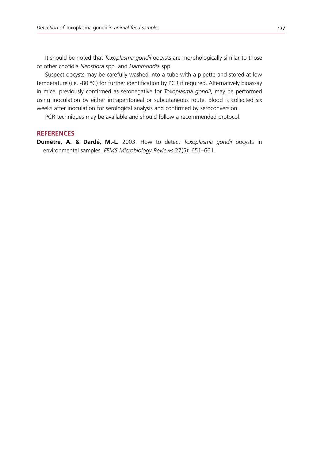It should be noted that *Toxoplasma gondii* oocysts are morphologically similar to those of other coccidia *Neospora* spp. and *Hammondia* spp.

Suspect oocysts may be carefully washed into a tube with a pipette and stored at low temperature (i.e. -80 °C) for further identification by PCR if required. Alternatively bioassay in mice, previously confirmed as seronegative for *Toxoplasma gondii*, may be performed using inoculation by either intraperitoneal or subcutaneous route. Blood is collected six weeks after inoculation for serological analysis and confirmed by seroconversion.

PCR techniques may be available and should follow a recommended protocol.

## **References**

**Dumètre, A. & Dardé, M.-L.** 2003. How to detect *Toxoplasma gondii* oocysts in environmental samples. *FEMS Microbiology Reviews* 27(5): 651–661.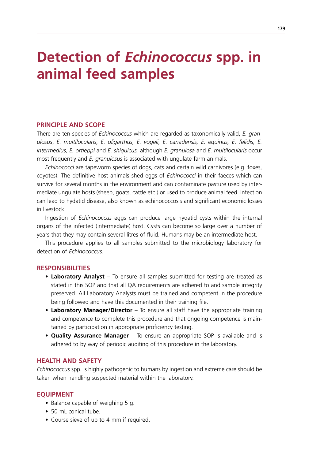# **Detection of** *Echinococcus* **spp. in animal feed samples**

#### **Principle and scope**

There are ten species of *Echinococcus* which are regarded as taxonomically valid, *E. granulosus*, *E. multilocularis, E. oligarthus, E. vogeli, E. canadensis, E. equinus, E. felidis, E. intermedius, E. ortleppi* and *E. shiquicus,* although *E. granulosa* and *E. multilocularis* occur most frequently and *E. granulosus* is associated with ungulate farm animals.

*Echinococci* are tapeworm species of dogs, cats and certain wild carnivores (e.g. foxes, coyotes). The definitive host animals shed eggs of *Echinococci* in their faeces which can survive for several months in the environment and can contaminate pasture used by intermediate ungulate hosts (sheep, goats, cattle etc.) or used to produce animal feed. Infection can lead to hydatid disease, also known as echinococcosis and significant economic losses in livestock.

Ingestion of *Echinococcus* eggs can produce large hydatid cysts within the internal organs of the infected (intermediate) host. Cysts can become so large over a number of years that they may contain several litres of fluid. Humans may be an intermediate host.

This procedure applies to all samples submitted to the microbiology laboratory for detection of *Echinococcus.*

## **Responsibilities**

- **Laboratory Analyst** To ensure all samples submitted for testing are treated as stated in this SOP and that all QA requirements are adhered to and sample integrity preserved. All Laboratory Analysts must be trained and competent in the procedure being followed and have this documented in their training file.
- Laboratory Manager/Director To ensure all staff have the appropriate training and competence to complete this procedure and that ongoing competence is maintained by participation in appropriate proficiency testing.
- **• Quality Assurance Manager** To ensure an appropriate SOP is available and is adhered to by way of periodic auditing of this procedure in the laboratory.

#### **Health and Safety**

*Echinococcus* spp. is highly pathogenic to humans by ingestion and extreme care should be taken when handling suspected material within the laboratory.

#### **Equipment**

- Balance capable of weighing 5 g.
- 50 mL conical tube.
- Course sieve of up to 4 mm if required.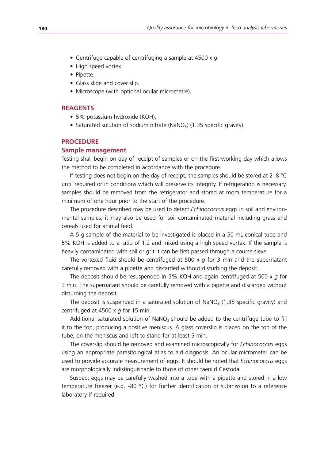- Centrifuge capable of centrifuging a sample at 4500 x *g*.
- High speed vortex.
- • Pipette.
- Glass slide and cover slip.
- Microscope (with optional ocular micrometre).

#### **Reagents**

- 5% potassium hydroxide (KOH).
- Saturated solution of sodium nitrate (NaNO<sub>3</sub>) (1.35 specific gravity).

## **Procedure**

#### **Sample management**

Testing shall begin on day of receipt of samples or on the first working day which allows the method to be completed in accordance with the procedure.

If testing does not begin on the day of receipt, the samples should be stored at 2–8 °C until required or in conditions which will preserve its integrity. If refrigeration is necessary, samples should be removed from the refrigerator and stored at room temperature for a minimum of one hour prior to the start of the procedure.

The procedure described may be used to detect *Echinococcus* eggs in soil and environmental samples; it may also be used for soil contaminated material including grass and cereals used for animal feed.

A 5 g sample of the material to be investigated is placed in a 50 mL conical tube and 5% KOH is added to a ratio of 1:2 and mixed using a high speed vortex. If the sample is heavily contaminated with soil or grit it can be first passed through a course sieve.

The vortexed fluid should be centrifuged at 500 x *g* for 3 min and the supernatant carefully removed with a pipette and discarded without disturbing the deposit.

The deposit should be resuspended in 5% KOH and again centrifuged at 500 x *g* for 3 min. The supernatant should be carefully removed with a pipette and discarded without disturbing the deposit.

The deposit is suspended in a saturated solution of  $NANO<sub>3</sub>$  (1.35 specific gravity) and centrifuged at 4500 x *g* for 15 min.

Additional saturated solution of  $NANO<sub>3</sub>$  should be added to the centrifuge tube to fill it to the top, producing a positive meniscus. A glass coverslip is placed on the top of the tube, on the meniscus and left to stand for at least 5 min.

The coverslip should be removed and examined microscopically for *Echinococcus* eggs using an appropriate parasitological atlas to aid diagnosis. An ocular micrometer can be used to provide accurate measurement of eggs. It should be noted that *Echinococcus* eggs are morphologically indistinguishable to those of other taeniid Cestoda.

Suspect eggs may be carefully washed into a tube with a pipette and stored in a low temperature freezer (e.g. -80 °C) for further identification or submission to a reference laboratory if required.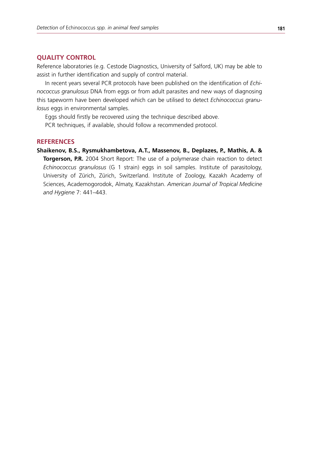# **Quality control**

Reference laboratories (e.g. Cestode Diagnostics, University of Salford, UK) may be able to assist in further identification and supply of control material.

In recent years several PCR protocols have been published on the identification of *Echinococcus granulosus* DNA from eggs or from adult parasites and new ways of diagnosing this tapeworm have been developed which can be utilised to detect *Echinococcus granulosus* eggs in environmental samples.

Eggs should firstly be recovered using the technique described above.

PCR techniques, if available, should follow a recommended protocol.

## **References**

**Shaikenov, B.S., Rysmukhambetova, A.T., Massenov, B., Deplazes, P., Mathis, A. & Torgerson, P.R.** 2004 Short Report: The use of a polymerase chain reaction to detect *Echinococcus granulosus* (G 1 strain) eggs in soil samples. Institute of parasitology, University of Zürich, Zürich, Switzerland. Institute of Zoology, Kazakh Academy of Sciences, Academogorodok, Almaty, Kazakhstan. *American Journal of Tropical Medicine and Hygiene* 7: 441–443.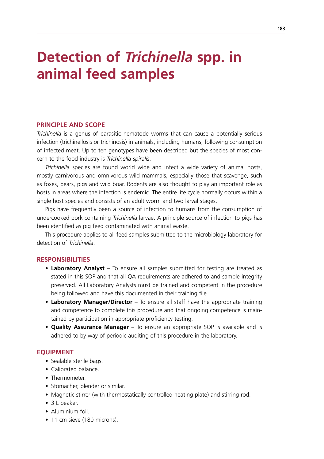# **Detection of** *Trichinella* **spp. in animal feed samples**

## **Principle and scope**

*Trichinella* is a genus of parasitic nematode worms that can cause a potentially serious infection (trichinellosis or trichinosis) in animals, including humans, following consumption of infected meat. Up to ten genotypes have been described but the species of most concern to the food industry is *Trichinella spiralis*.

*Trichinella* species are found world wide and infect a wide variety of animal hosts, mostly carnivorous and omnivorous wild mammals, especially those that scavenge, such as foxes, bears, pigs and wild boar. Rodents are also thought to play an important role as hosts in areas where the infection is endemic. The entire life cycle normally occurs within a single host species and consists of an adult worm and two larval stages.

Pigs have frequently been a source of infection to humans from the consumption of undercooked pork containing *Trichinella* larvae. A principle source of infection to pigs has been identified as pig feed contaminated with animal waste.

This procedure applies to all feed samples submitted to the microbiology laboratory for detection of *Trichinella*.

## **Responsibilities**

- **Laboratory Analyst** To ensure all samples submitted for testing are treated as stated in this SOP and that all QA requirements are adhered to and sample integrity preserved. All Laboratory Analysts must be trained and competent in the procedure being followed and have this documented in their training file.
- **• Laboratory Manager/Director** To ensure all staff have the appropriate training and competence to complete this procedure and that ongoing competence is maintained by participation in appropriate proficiency testing.
- **• Quality Assurance Manager** To ensure an appropriate SOP is available and is adhered to by way of periodic auditing of this procedure in the laboratory.

## **EQUIPMENT**

- Sealable sterile bags.
- Calibrated balance.
- Thermometer
- Stomacher, blender or similar.
- Magnetic stirrer (with thermostatically controlled heating plate) and stirring rod.
- • 3 L beaker.
- Aluminium foil.
- 11 cm sieve (180 microns).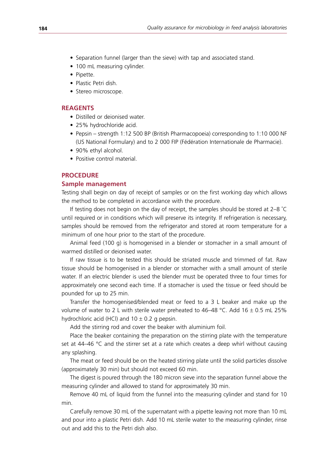- Separation funnel (larger than the sieve) with tap and associated stand.
- 100 mL measuring cylinder.
- • Pipette.
- Plastic Petri dish.
- Stereo microscope.

#### **Reagents**

- Distilled or deionised water.
- 25% hydrochloride acid.
- Pepsin strength 1:12 500 BP (British Pharmacopoeia) corresponding to 1:10 000 NF (US National Formulary) and to 2 000 FIP (Fédération Internationale de Pharmacie).
- 90% ethyl alcohol.
- Positive control material.

#### **Procedure**

#### **Sample management**

Testing shall begin on day of receipt of samples or on the first working day which allows the method to be completed in accordance with the procedure.

If testing does not begin on the day of receipt, the samples should be stored at 2–8 ° C until required or in conditions which will preserve its integrity. If refrigeration is necessary, samples should be removed from the refrigerator and stored at room temperature for a minimum of one hour prior to the start of the procedure.

Animal feed (100 g) is homogenised in a blender or stomacher in a small amount of warmed distilled or deionised water.

If raw tissue is to be tested this should be striated muscle and trimmed of fat. Raw tissue should be homogenised in a blender or stomacher with a small amount of sterile water. If an electric blender is used the blender must be operated three to four times for approximately one second each time. If a stomacher is used the tissue or feed should be pounded for up to 25 min.

Transfer the homogenised/blended meat or feed to a 3 L beaker and make up the volume of water to 2 L with sterile water preheated to 46-48 °C. Add 16  $\pm$  0.5 mL 25% hydrochloric acid (HCl) and  $10 \pm 0.2$  g pepsin.

Add the stirring rod and cover the beaker with aluminium foil.

Place the beaker containing the preparation on the stirring plate with the temperature set at 44–46  $\degree$ C and the stirrer set at a rate which creates a deep whirl without causing any splashing.

The meat or feed should be on the heated stirring plate until the solid particles dissolve (approximately 30 min) but should not exceed 60 min.

The digest is poured through the 180 micron sieve into the separation funnel above the measuring cylinder and allowed to stand for approximately 30 min.

Remove 40 mL of liquid from the funnel into the measuring cylinder and stand for 10 min.

Carefully remove 30 mL of the supernatant with a pipette leaving not more than 10 mL and pour into a plastic Petri dish. Add 10 mL sterile water to the measuring cylinder, rinse out and add this to the Petri dish also.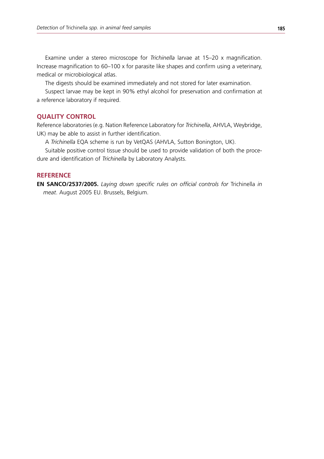Examine under a stereo microscope for *Trichinella* larvae at 15–20 x magnification. Increase magnification to 60–100 x for parasite like shapes and confirm using a veterinary, medical or microbiological atlas.

The digests should be examined immediately and not stored for later examination.

Suspect larvae may be kept in 90% ethyl alcohol for preservation and confirmation at a reference laboratory if required.

# **Quality control**

Reference laboratories (e.g. Nation Reference Laboratory for *Trichinella*, AHVLA, Weybridge, UK) may be able to assist in further identification.

A *Trichinella* EQA scheme is run by VetQAS (AHVLA, Sutton Bonington, UK).

Suitable positive control tissue should be used to provide validation of both the procedure and identification of *Trichinella* by Laboratory Analysts.

# **Reference**

**EN SANCO/2537/2005.** *Laying down specific rules on official controls for* Trichinella *in meat*. August 2005 EU. Brussels, Belgium.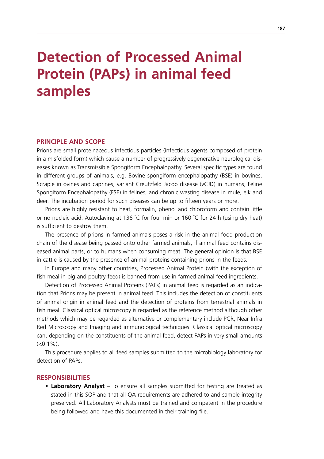# **Detection of Processed Animal Protein (PAPs) in animal feed samples**

#### **Principle and scope**

Prions are small proteinaceous infectious particles (infectious agents composed of protein in a misfolded form) which cause a number of progressively degenerative neurological diseases known as Transmissible Spongiform Encephalopathy. Several specific types are found in different groups of animals, e.g. Bovine spongiform encephalopathy (BSE) in bovines, Scrapie in ovines and caprines, variant Creutzfeld Jacob disease (vCJD) in humans, Feline Spongiform Encephalopathy (FSE) in felines, and chronic wasting disease in mule, elk and deer. The incubation period for such diseases can be up to fifteen years or more.

Prions are highly resistant to heat, formalin, phenol and chloroform and contain little or no nucleic acid. Autoclaving at 136 °C for four min or 160 °C for 24 h (using dry heat) is sufficient to destroy them.

The presence of prions in farmed animals poses a risk in the animal food production chain of the disease being passed onto other farmed animals, if animal feed contains diseased animal parts, or to humans when consuming meat. The general opinion is that BSE in cattle is caused by the presence of animal proteins containing prions in the feeds.

In Europe and many other countries, Processed Animal Protein (with the exception of fish meal in pig and poultry feed) is banned from use in farmed animal feed ingredients.

Detection of Processed Animal Proteins (PAPs) in animal feed is regarded as an indication that Prions may be present in animal feed. This includes the detection of constituents of animal origin in animal feed and the detection of proteins from terrestrial animals in fish meal. Classical optical microscopy is regarded as the reference method although other methods which may be regarded as alternative or complementary include PCR, Near Infra Red Microscopy and Imaging and immunological techniques. Classical optical microscopy can, depending on the constituents of the animal feed, detect PAPs in very small amounts  $(< 0.1\%)$ .

This procedure applies to all feed samples submitted to the microbiology laboratory for detection of PAPs.

# **Responsibilities**

**• Laboratory Analyst** – To ensure all samples submitted for testing are treated as stated in this SOP and that all QA requirements are adhered to and sample integrity preserved. All Laboratory Analysts must be trained and competent in the procedure being followed and have this documented in their training file.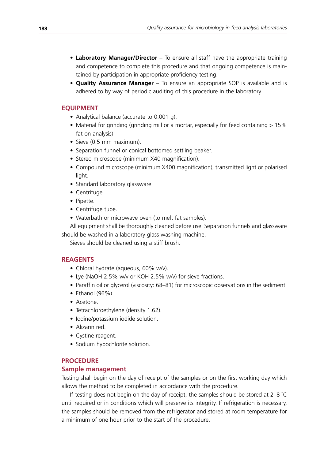- Laboratory Manager/Director To ensure all staff have the appropriate training and competence to complete this procedure and that ongoing competence is maintained by participation in appropriate proficiency testing.
- **• Quality Assurance Manager**  To ensure an appropriate SOP is available and is adhered to by way of periodic auditing of this procedure in the laboratory.

# **EQUIPMENT**

- Analytical balance (accurate to 0.001 g).
- Material for grinding (grinding mill or a mortar, especially for feed containing > 15% fat on analysis).
- Sieve (0.5 mm maximum).
- Separation funnel or conical bottomed settling beaker.
- Stereo microscope (minimum X40 magnification).
- • Compound microscope (minimum X400 magnification), transmitted light or polarised light.
- Standard laboratory glassware.
- Centrifuge.
- • Pipette.
- Centrifuge tube.
- Waterbath or microwave oven (to melt fat samples).

All equipment shall be thoroughly cleaned before use. Separation funnels and glassware should be washed in a laboratory glass washing machine.

Sieves should be cleaned using a stiff brush.

#### **Reagents**

- Chloral hydrate (aqueous, 60% w/v).
- Lye (NaOH 2.5% w/v or KOH 2.5% w/v) for sieve fractions.
- Paraffin oil or glycerol (viscosity: 68–81) for microscopic observations in the sediment.
- Ethanol  $(96%)$ .
- Acetone.
- Tetrachloroethylene (density 1.62).
- Iodine/potassium iodide solution.
- Alizarin red.
- Cystine reagent.
- Sodium hypochlorite solution.

#### **Procedure**

# **Sample management**

Testing shall begin on the day of receipt of the samples or on the first working day which allows the method to be completed in accordance with the procedure.

If testing does not begin on the day of receipt, the samples should be stored at 2–8 ° C until required or in conditions which will preserve its integrity. If refrigeration is necessary, the samples should be removed from the refrigerator and stored at room temperature for a minimum of one hour prior to the start of the procedure.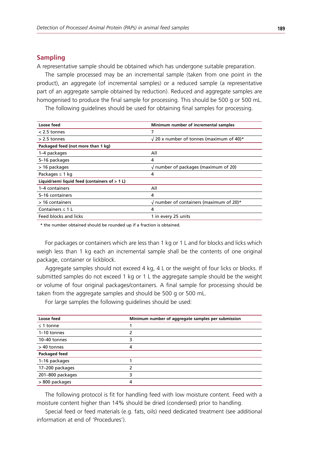## **Sampling**

A representative sample should be obtained which has undergone suitable preparation.

The sample processed may be an incremental sample (taken from one point in the product), an aggregate (of incremental samples) or a reduced sample (a representative part of an aggregate sample obtained by reduction). Reduced and aggregate samples are homogenised to produce the final sample for processing. This should be 500 g or 500 mL.

The following guidelines should be used for obtaining final samples for processing.

| Loose feed                                      | Minimum number of incremental samples           |  |  |  |
|-------------------------------------------------|-------------------------------------------------|--|--|--|
| $<$ 2.5 tonnes                                  | 7                                               |  |  |  |
| $> 2.5$ tonnes                                  | $\sqrt{20}$ x number of tonnes (maximum of 40)* |  |  |  |
| Packaged feed (not more than 1 kg)              |                                                 |  |  |  |
| 1-4 packages                                    | All                                             |  |  |  |
| 5-16 packages                                   | 4                                               |  |  |  |
| > 16 packages                                   | $\sqrt{ }$ number of packages (maximum of 20)   |  |  |  |
| Packages $\leq 1$ kg                            | 4                                               |  |  |  |
| Liquid/semi liquid feed (containers of $> 1$ L) |                                                 |  |  |  |
| 1-4 containers                                  | All                                             |  |  |  |
| 5-16 containers                                 | 4                                               |  |  |  |
| > 16 containers                                 | $\sqrt{}$ number of containers (maximum of 20)* |  |  |  |
| Containers $\leq 1$ L                           | 4                                               |  |  |  |
| Feed blocks and licks                           | 1 in every 25 units                             |  |  |  |
|                                                 |                                                 |  |  |  |

\* the number obtained should be rounded up if a fraction is obtained.

For packages or containers which are less than 1 kg or 1 L and for blocks and licks which weigh less than 1 kg each an incremental sample shall be the contents of one original package, container or lickblock.

Aggregate samples should not exceed 4 kg, 4 L or the weight of four licks or blocks. If submitted samples do not exceed 1 kg or 1 L the aggregate sample should be the weight or volume of four original packages/containers. A final sample for processing should be taken from the aggregate samples and should be 500 g or 500 mL.

For large samples the following guidelines should be used:

| Loose feed       | Minimum number of aggregate samples per submission |
|------------------|----------------------------------------------------|
| $\leq$ 1 tonne   |                                                    |
| 1-10 tonnes      | 2                                                  |
| 10-40 tonnes     | 3                                                  |
| > 40 tonnes      | 4                                                  |
| Packaged feed    |                                                    |
| 1-16 packages    |                                                    |
| 17-200 packages  | 2                                                  |
| 201-800 packages |                                                    |
| > 800 packages   |                                                    |

The following protocol is fit for handling feed with low moisture content. Feed with a moisture content higher than 14% should be dried (condensed) prior to handling.

Special feed or feed materials (e.g. fats, oils) need dedicated treatment (see additional information at end of 'Procedures').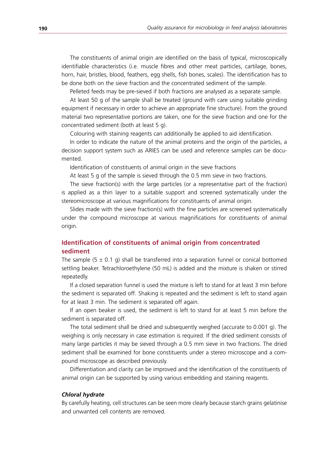The constituents of animal origin are identified on the basis of typical, microscopically identifiable characteristics (i.e. muscle fibres and other meat particles, cartilage, bones, horn, hair, bristles, blood, feathers, egg shells, fish bones, scales). The identification has to be done both on the sieve fraction and the concentrated sediment of the sample.

Pelleted feeds may be pre-sieved if both fractions are analysed as a separate sample.

At least 50 g of the sample shall be treated (ground with care using suitable grinding equipment if necessary in order to achieve an appropriate fine structure). From the ground material two representative portions are taken, one for the sieve fraction and one for the concentrated sediment (both at least 5 g).

Colouring with staining reagents can additionally be applied to aid identification.

In order to indicate the nature of the animal proteins and the origin of the particles, a decision support system such as ARIES can be used and reference samples can be documented.

Identification of constituents of animal origin in the sieve fractions

At least 5 g of the sample is sieved through the 0.5 mm sieve in two fractions.

The sieve fraction(s) with the large particles (or a representative part of the fraction) is applied as a thin layer to a suitable support and screened systematically under the stereomicroscope at various magnifications for constituents of animal origin.

Slides made with the sieve fraction(s) with the fine particles are screened systematically under the compound microscope at various magnifications for constituents of animal origin.

# **Identification of constituents of animal origin from concentrated sediment**

The sample (5  $\pm$  0.1 g) shall be transferred into a separation funnel or conical bottomed settling beaker. Tetrachloroethylene (50 mL) is added and the mixture is shaken or stirred repeatedly.

If a closed separation funnel is used the mixture is left to stand for at least 3 min before the sediment is separated off. Shaking is repeated and the sediment is left to stand again for at least 3 min. The sediment is separated off again.

If an open beaker is used, the sediment is left to stand for at least 5 min before the sediment is separated off.

The total sediment shall be dried and subsequently weighed (accurate to 0.001 g). The weighing is only necessary in case estimation is required. If the dried sediment consists of many large particles it may be sieved through a 0.5 mm sieve in two fractions. The dried sediment shall be examined for bone constituents under a stereo microscope and a compound microscope as described previously.

Differentiation and clarity can be improved and the identification of the constituents of animal origin can be supported by using various embedding and staining reagents.

#### *Chloral hydrate*

By carefully heating, cell structures can be seen more clearly because starch grains gelatinise and unwanted cell contents are removed.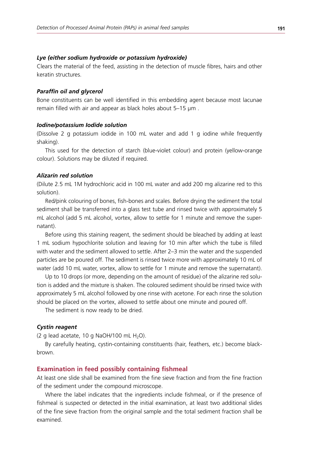#### *Lye (either sodium hydroxide or potassium hydroxide)*

Clears the material of the feed, assisting in the detection of muscle fibres, hairs and other keratin structures.

#### *Paraffin oil and glycerol*

Bone constituents can be well identified in this embedding agent because most lacunae remain filled with air and appear as black holes about 5–15 μm .

#### *Iodine/potassium Iodide solution*

(Dissolve 2 g potassium iodide in 100 mL water and add 1 g iodine while frequently shaking).

This used for the detection of starch (blue-violet colour) and protein (yellow-orange colour). Solutions may be diluted if required.

#### *Alizarin red solution*

(Dilute 2.5 mL 1M hydrochloric acid in 100 mL water and add 200 mg alizarine red to this solution).

Red/pink colouring of bones, fish-bones and scales. Before drying the sediment the total sediment shall be transferred into a glass test tube and rinsed twice with approximately 5 mL alcohol (add 5 mL alcohol, vortex, allow to settle for 1 minute and remove the supernatant).

Before using this staining reagent, the sediment should be bleached by adding at least 1 mL sodium hypochlorite solution and leaving for 10 min after which the tube is filled with water and the sediment allowed to settle. After 2–3 min the water and the suspended particles are be poured off. The sediment is rinsed twice more with approximately 10 mL of water (add 10 mL water, vortex, allow to settle for 1 minute and remove the supernatant).

Up to 10 drops (or more, depending on the amount of residue) of the alizarine red solution is added and the mixture is shaken. The coloured sediment should be rinsed twice with approximately 5 mL alcohol followed by one rinse with acetone. For each rinse the solution should be placed on the vortex, allowed to settle about one minute and poured off.

The sediment is now ready to be dried.

## *Cystin reagent*

(2 g lead acetate, 10 g NaOH/100 mL  $H_2O$ ).

By carefully heating, cystin-containing constituents (hair, feathers, etc.) become blackbrown.

#### **Examination in feed possibly containing fishmeal**

At least one slide shall be examined from the fine sieve fraction and from the fine fraction of the sediment under the compound microscope.

Where the label indicates that the ingredients include fishmeal, or if the presence of fishmeal is suspected or detected in the initial examination, at least two additional slides of the fine sieve fraction from the original sample and the total sediment fraction shall be examined.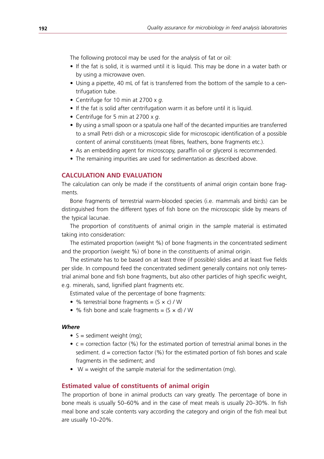The following protocol may be used for the analysis of fat or oil:

- If the fat is solid, it is warmed until it is liquid. This may be done in a water bath or by using a microwave oven.
- Using a pipette, 40 mL of fat is transferred from the bottom of the sample to a centrifugation tube.
- • Centrifuge for 10 min at 2700 x *g*.
- If the fat is solid after centrifugation warm it as before until it is liquid.
- • Centrifuge for 5 min at 2700 x *g*.
- • By using a small spoon or a spatula one half of the decanted impurities are transferred to a small Petri dish or a microscopic slide for microscopic identification of a possible content of animal constituents (meat fibres, feathers, bone fragments etc.).
- As an embedding agent for microscopy, paraffin oil or glycerol is recommended.
- The remaining impurities are used for sedimentation as described above.

## **Calculation and evaluation**

The calculation can only be made if the constituents of animal origin contain bone fragments.

Bone fragments of terrestrial warm-blooded species (i.e. mammals and birds) can be distinguished from the different types of fish bone on the microscopic slide by means of the typical lacunae.

The proportion of constituents of animal origin in the sample material is estimated taking into consideration:

The estimated proportion (weight %) of bone fragments in the concentrated sediment and the proportion (weight %) of bone in the constituents of animal origin.

The estimate has to be based on at least three (if possible) slides and at least five fields per slide. In compound feed the concentrated sediment generally contains not only terrestrial animal bone and fish bone fragments, but also other particles of high specific weight, e.g. minerals, sand, lignified plant fragments etc.

Estimated value of the percentage of bone fragments:

- % terrestrial bone fragments =  $(S \times c) / W$
- % fish bone and scale fragments =  $(S \times d) / W$

#### *Where*

- $\bullet$  S = sediment weight (mg);
- $\bullet$  c = correction factor (%) for the estimated portion of terrestrial animal bones in the sediment.  $d =$  correction factor  $(\%)$  for the estimated portion of fish bones and scale fragments in the sediment; and
- $W =$  weight of the sample material for the sedimentation (mg).

## **Estimated value of constituents of animal origin**

The proportion of bone in animal products can vary greatly. The percentage of bone in bone meals is usually 50–60% and in the case of meat meals is usually 20–30%. In fish meal bone and scale contents vary according the category and origin of the fish meal but are usually 10–20%.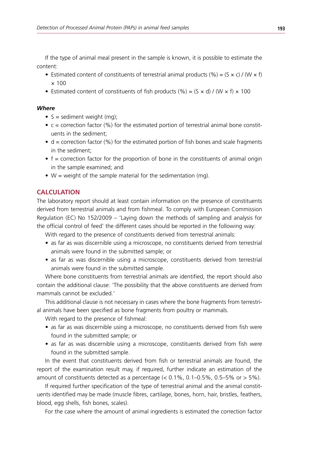If the type of animal meal present in the sample is known, it is possible to estimate the content:

- Estimated content of constituents of terrestrial animal products (%) =  $(S \times c) / (W \times f)$  $\times$  100
- Estimated content of constituents of fish products (%) =  $(S \times d) / (W \times f) \times 100$

#### *Where*

- $\bullet$  S = sediment weight (mg);
- $\bullet$  c = correction factor (%) for the estimated portion of terrestrial animal bone constituents in the sediment;
- $\bullet$  d = correction factor (%) for the estimated portion of fish bones and scale fragments in the sediment;
- $\bullet$  f = correction factor for the proportion of bone in the constituents of animal origin in the sample examined; and
- $W =$  weight of the sample material for the sedimentation (mg).

## **Calculation**

The laboratory report should at least contain information on the presence of constituents derived from terrestrial animals and from fishmeal. To comply with European Commission Regulation (EC) No 152/2009 – 'Laying down the methods of sampling and analysis for the official control of feed' the different cases should be reported in the following way:

With regard to the presence of constituents derived from terrestrial animals:

- as far as was discernible using a microscope, no constituents derived from terrestrial animals were found in the submitted sample; or
- as far as was discernible using a microscope, constituents derived from terrestrial animals were found in the submitted sample.

Where bone constituents from terrestrial animals are identified, the report should also contain the additional clause: 'The possibility that the above constituents are derived from mammals cannot be excluded.'

This additional clause is not necessary in cases where the bone fragments from terrestrial animals have been specified as bone fragments from poultry or mammals.

With regard to the presence of fishmeal:

- as far as was discernible using a microscope, no constituents derived from fish were found in the submitted sample; or
- as far as was discernible using a microscope, constituents derived from fish were found in the submitted sample.

In the event that constituents derived from fish or terrestrial animals are found, the report of the examination result may, if required, further indicate an estimation of the amount of constituents detected as a percentage  $\ll$  0.1%, 0.1–0.5%, 0.5–5% or  $>$  5%).

If required further specification of the type of terrestrial animal and the animal constituents identified may be made (muscle fibres, cartilage, bones, horn, hair, bristles, feathers, blood, egg shells, fish bones, scales).

For the case where the amount of animal ingredients is estimated the correction factor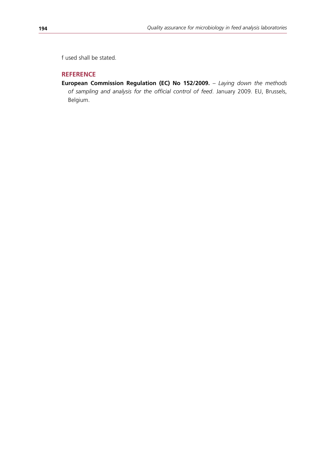f used shall be stated.

# **Reference**

**European Commission Regulation (EC) No 152/2009.** – *Laying down the methods of sampling and analysis for the official control of feed*. January 2009. EU, Brussels, Belgium.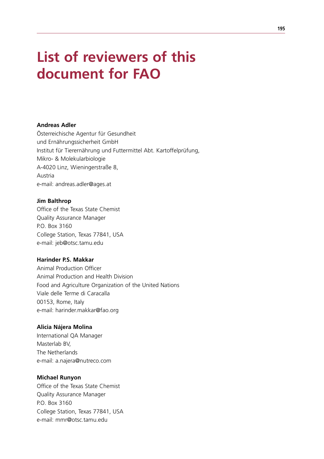# **List of reviewers of this document for FAO**

## **Andreas Adler**

Österreichische Agentur für Gesundheit und Ernährungssicherheit GmbH Institut für Tierernährung und Futtermittel Abt. Kartoffelprüfung, Mikro- & Molekularbiologie A-4020 Linz, Wieningerstraße 8, Austria e-mail: andreas.adler@ages.at

#### **Jim Balthrop**

Office of the Texas State Chemist Quality Assurance Manager P.O. Box 3160 College Station, Texas 77841, USA e-mail: jeb@otsc.tamu.edu

## **Harinder P.S. Makkar**

Animal Production Officer Animal Production and Health Division Food and Agriculture Organization of the United Nations Viale delle Terme di Caracalla 00153, Rome, Italy e-mail: harinder.makkar@fao.org

#### **Alicia Nájera Molina**

International QA Manager Masterlab BV, The Netherlands e-mail: a.najera@nutreco.com

#### **Michael Runyon**

Office of the Texas State Chemist Quality Assurance Manager P.O. Box 3160 College Station, Texas 77841, USA e-mail: mmr@otsc.tamu.edu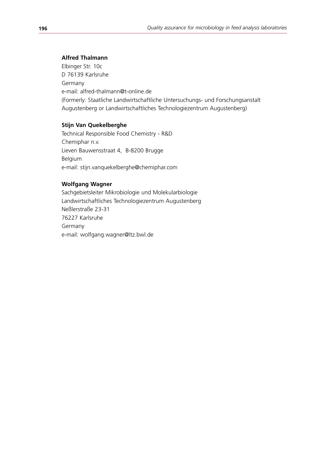# **Alfred Thalmann**

Elbinger Str. 10c D 76139 Karlsruhe Germany e-mail: alfred-thalmann@t-online.de (Formerly: Staatliche Landwirtschaftliche Untersuchungs- und Forschungsanstalt Augustenberg or Landwirtschaftliches Technologiezentrum Augustenberg)

## **Stijn Van Quekelberghe**

Technical Responsible Food Chemistry - R&D Chemiphar n.v. Lieven Bauwensstraat 4, B-8200 Brugge Belgium e-mail: stijn.vanquekelberghe@chemiphar.com

## **Wolfgang Wagner**

Sachgebietsleiter Mikrobiologie und Molekularbiologie Landwirtschaftliches Technologiezentrum Augustenberg Neßlerstraße 23-31 76227 Karlsruhe Germany e-mail: wolfgang.wagner@ltz.bwl.de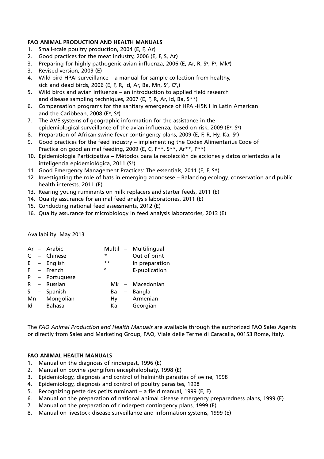## **FAO ANIMAL PRODUCTION AND HEALTH MANUALS**

- 1. Small-scale poultry production, 2004 (E, F, Ar)
- 2. Good practices for the meat industry, 2006 (E, F, S, Ar)
- 3. Preparing for highly pathogenic avian influenza, 2006 (E, Ar, R, S<sup>e</sup>, F<sup>e</sup>, Mk<sup>e</sup>)
- 3. Revised version, 2009 (E)
- 4. Wild bird HPAI surveillance a manual for sample collection from healthy, sick and dead birds, 2006 (E, F, R, Id, Ar, Ba, Mn,  $S^e$ ,  $C^e$ .)
- 5. Wild birds and avian influenza an introduction to applied field research and disease sampling techniques, 2007 (E, F, R, Ar, Id, Ba, S\*\*)
- 6. Compensation programs for the sanitary emergence of HPAI-H5N1 in Latin American and the Caribbean, 2008 (E<sup>e</sup>, S<sup>e</sup>)
- 7. The AVE systems of geographic information for the assistance in the epidemiological surveillance of the avian influenza, based on risk, 2009 ( $E^e$ ,  $S^e$ )
- 8. Preparation of African swine fever contingency plans, 2009 (E, F, R, Hy, Ka, S<sup>e</sup>)
- 9. Good practices for the feed industry implementing the Codex Alimentarius Code of Practice on good animal feeding, 2009 (E, C, F<sup>\*\*</sup>, S<sup>\*\*</sup>, Ar<sup>\*\*</sup>, P<sup>\*\*</sup>)
- 10. Epidemiología Participativa − Métodos para la recolección de acciones y datos orientados a la inteligencia epidemiológica, 2011 (Se)
- 11. Good Emergency Management Practices: The essentials, 2011 (E, F, S\*)
- 12. Investigating the role of bats in emerging zoonosese Balancing ecology, conservation and public health interests, 2011 (E)
- 13. Rearing young ruminants on milk replacers and starter feeds, 2011 (E)
- 14. Quality assurance for animal feed analysis laboratories, 2011 (E)
- 15. Conducting national feed assessments, 2012 (E)
- 16. Quality assurance for microbiology in feed analysis laboratories, 2013 (E)

#### Availability: May 2013

|  | Ar – Arabic    |        |  | Multil - Multilingual |
|--|----------------|--------|--|-----------------------|
|  | $C -$ Chinese  | $\ast$ |  | Out of print          |
|  | $E -$ English  | $***$  |  | In preparation        |
|  | $F -$ French   | e      |  | E-publication         |
|  | P - Portuguese |        |  |                       |
|  | R – Russian    |        |  | Mk - Macedonian       |
|  | $S -$ Spanish  |        |  | Ba - Bangla           |
|  | Mn - Mongolian |        |  | $Hy - Armenian$       |
|  | Id - Bahasa    |        |  | Ka – Georgian         |
|  |                |        |  |                       |

The *FAO Animal Production and Health Manuals* are available through the authorized FAO Sales Agents or directly from Sales and Marketing Group, FAO, Viale delle Terme di Caracalla, 00153 Rome, Italy.

## **FAO ANIMAL HEALTH MANUALS**

- 1. Manual on the diagnosis of rinderpest, 1996 (E)
- 2. Manual on bovine spongifom encephalophaty, 1998 (E)
- 3. Epidemiology, diagnosis and control of helminth parasites of swine, 1998
- 4. Epidemiology, diagnosis and control of poultry parasites, 1998
- 5. Recognizing peste des petits ruminant a field manual, 1999 (E, F)
- 6. Manual on the preparation of national animal disease emergency preparedness plans, 1999 (E)
- 7. Manual on the preparation of rinderpest contingency plans, 1999 (E)
- 8. Manual on livestock disease surveillance and information systems, 1999 (E)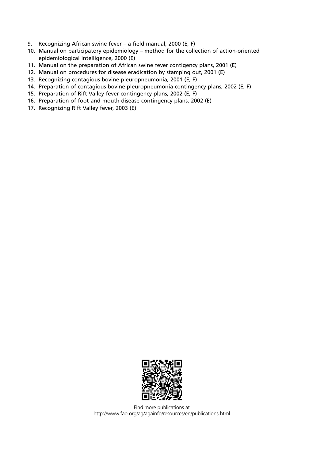- 9. Recognizing African swine fever a field manual, 2000 (E, F)
- 10. Manual on participatory epidemiology method for the collection of action-oriented epidemiological intelligence, 2000 (E)
- 11. Manual on the preparation of African swine fever contigency plans, 2001 (E)
- 12. Manual on procedures for disease eradication by stamping out, 2001 (E)
- 13. Recognizing contagious bovine pleuropneumonia, 2001 (E, F)
- 14. Preparation of contagious bovine pleuropneumonia contingency plans, 2002 (E, F)
- 15. Preparation of Rift Valley fever contingency plans, 2002 (E, F)
- 16. Preparation of foot-and-mouth disease contingency plans, 2002 (E)
- 17. Recognizing Rift Valley fever, 2003 (E)



Find more publications at http://www.fao.org/ag/againfo/resources/en/publications.html